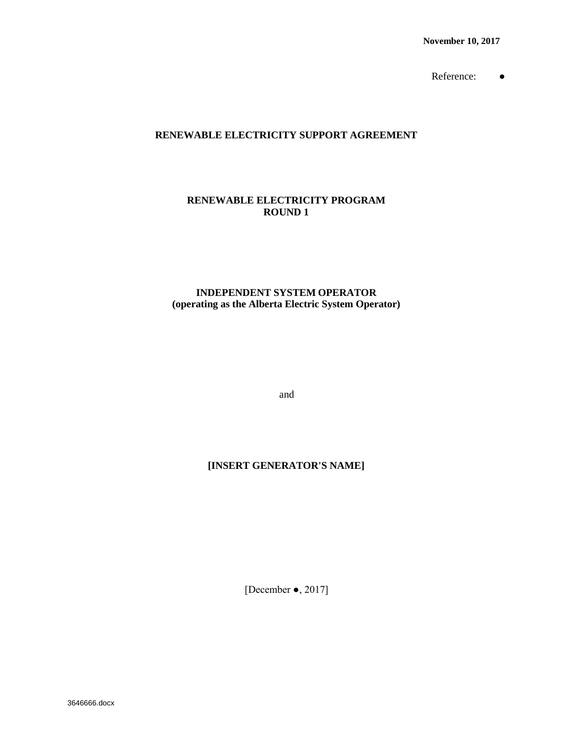**November 10, 2017**

Reference: ●

### **RENEWABLE ELECTRICITY SUPPORT AGREEMENT**

### **RENEWABLE ELECTRICITY PROGRAM ROUND 1**

### **INDEPENDENT SYSTEM OPERATOR (operating as the Alberta Electric System Operator)**

and

## **[INSERT GENERATOR'S NAME]**

[December ●, 2017]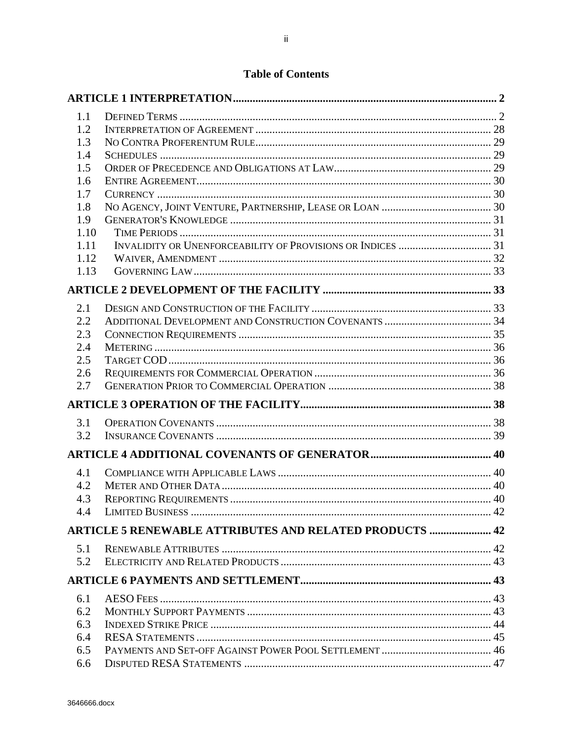# **Table of Contents**

| 1.1        |                                                                |  |
|------------|----------------------------------------------------------------|--|
| 1.2        |                                                                |  |
| 1.3        |                                                                |  |
| 1.4        |                                                                |  |
| 1.5        |                                                                |  |
| 1.6        |                                                                |  |
| 1.7        |                                                                |  |
| 1.8        |                                                                |  |
| 1.9        |                                                                |  |
| 1.10       |                                                                |  |
| 1.11       |                                                                |  |
| 1.12       |                                                                |  |
| 1.13       |                                                                |  |
|            |                                                                |  |
| 2.1        |                                                                |  |
| 2.2        |                                                                |  |
| 2.3        |                                                                |  |
| 2.4        |                                                                |  |
| 2.5        |                                                                |  |
| 2.6        |                                                                |  |
| 2.7        |                                                                |  |
|            |                                                                |  |
| 3.1        |                                                                |  |
| 3.2        |                                                                |  |
|            |                                                                |  |
| 4.1        |                                                                |  |
| 4.2        |                                                                |  |
| 4.3        |                                                                |  |
| 4.4        |                                                                |  |
|            | <b>ARTICLE 5 RENEWABLE ATTRIBUTES AND RELATED PRODUCTS  42</b> |  |
|            |                                                                |  |
| 5.1<br>5.2 |                                                                |  |
|            |                                                                |  |
|            |                                                                |  |
| 6.1        |                                                                |  |
| 6.2        |                                                                |  |
| 6.3        |                                                                |  |
| 6.4        |                                                                |  |
| 6.5        |                                                                |  |
| 6.6        |                                                                |  |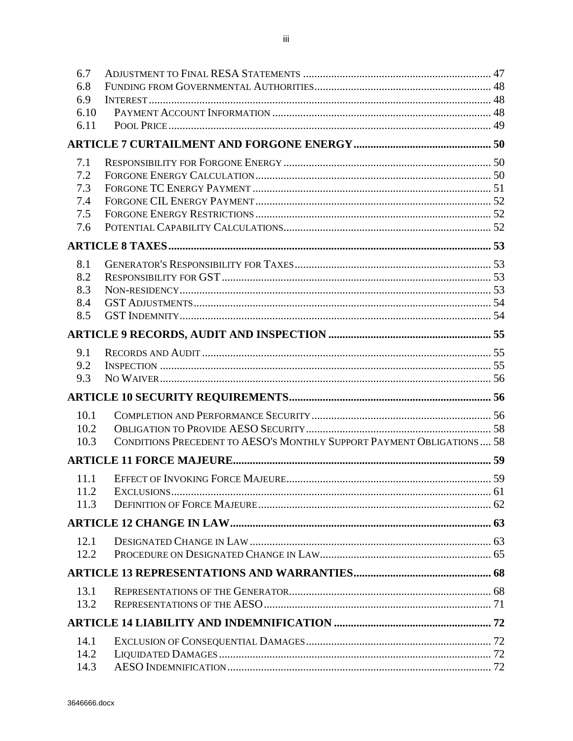| 6.7          |                                                                       |  |
|--------------|-----------------------------------------------------------------------|--|
| 6.8          |                                                                       |  |
| 6.9          |                                                                       |  |
| 6.10         |                                                                       |  |
| 6.11         |                                                                       |  |
|              |                                                                       |  |
| 7.1          |                                                                       |  |
| 7.2          |                                                                       |  |
| 7.3          |                                                                       |  |
| 7.4          |                                                                       |  |
| 7.5          |                                                                       |  |
| 7.6          |                                                                       |  |
|              |                                                                       |  |
| 8.1          |                                                                       |  |
| 8.2          |                                                                       |  |
| 8.3          |                                                                       |  |
| 8.4          |                                                                       |  |
| 8.5          |                                                                       |  |
|              |                                                                       |  |
| 9.1          |                                                                       |  |
| 9.2          |                                                                       |  |
| 9.3          |                                                                       |  |
|              |                                                                       |  |
| 10.1         |                                                                       |  |
| 10.2         |                                                                       |  |
| 10.3         | CONDITIONS PRECEDENT TO AESO'S MONTHLY SUPPORT PAYMENT OBLIGATIONS 58 |  |
|              |                                                                       |  |
| 11.1         |                                                                       |  |
| 11.2         |                                                                       |  |
| 11.3         |                                                                       |  |
|              |                                                                       |  |
|              |                                                                       |  |
| 12.1<br>12.2 |                                                                       |  |
|              |                                                                       |  |
|              |                                                                       |  |
| 13.1         |                                                                       |  |
| 13.2         |                                                                       |  |
|              |                                                                       |  |
| 14.1         |                                                                       |  |
| 14.2         |                                                                       |  |
| 14.3         |                                                                       |  |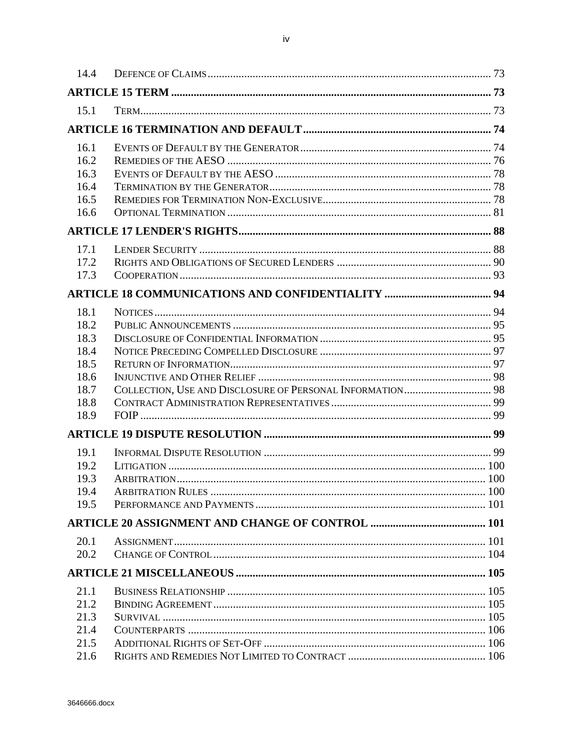| 14.4         |  |
|--------------|--|
|              |  |
| 15.1         |  |
|              |  |
|              |  |
| 16.1         |  |
| 16.2         |  |
| 16.3         |  |
| 16.4         |  |
| 16.5         |  |
| 16.6         |  |
|              |  |
| 17.1         |  |
| 17.2         |  |
| 17.3         |  |
|              |  |
| 18.1         |  |
| 18.2         |  |
| 18.3         |  |
| 18.4         |  |
| 18.5         |  |
| 18.6         |  |
| 18.7         |  |
| 18.8         |  |
| 18.9         |  |
|              |  |
| 19.1         |  |
| 19.2         |  |
| 19.3         |  |
| 19.4         |  |
| 19.5         |  |
|              |  |
| 20.1         |  |
| 20.2         |  |
|              |  |
|              |  |
| 21.1<br>21.2 |  |
| 21.3         |  |
| 21.4         |  |
| 21.5         |  |
| 21.6         |  |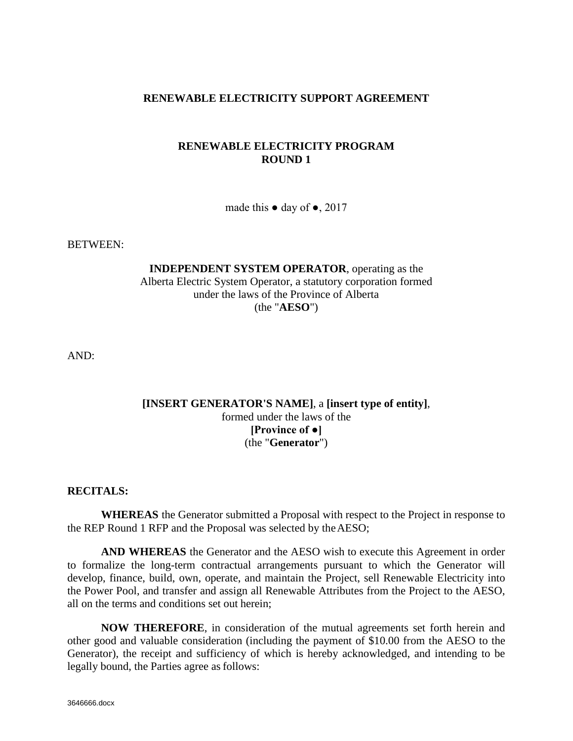## **RENEWABLE ELECTRICITY SUPPORT AGREEMENT**

## **RENEWABLE ELECTRICITY PROGRAM ROUND 1**

made this  $\bullet$  day of  $\bullet$ , 2017

BETWEEN:

**INDEPENDENT SYSTEM OPERATOR**, operating as the Alberta Electric System Operator, a statutory corporation formed under the laws of the Province of Alberta (the "**AESO**")

AND:

## **[INSERT GENERATOR'S NAME]**, a **[insert type of entity]**, formed under the laws of the **[Province of ●]** (the "**Generator**")

### **RECITALS:**

**WHEREAS** the Generator submitted a Proposal with respect to the Project in response to the REP Round 1 RFP and the Proposal was selected by theAESO;

**AND WHEREAS** the Generator and the AESO wish to execute this Agreement in order to formalize the long-term contractual arrangements pursuant to which the Generator will develop, finance, build, own, operate, and maintain the Project, sell Renewable Electricity into the Power Pool, and transfer and assign all Renewable Attributes from the Project to the AESO, all on the terms and conditions set out herein;

**NOW THEREFORE**, in consideration of the mutual agreements set forth herein and other good and valuable consideration (including the payment of \$10.00 from the AESO to the Generator), the receipt and sufficiency of which is hereby acknowledged, and intending to be legally bound, the Parties agree as follows: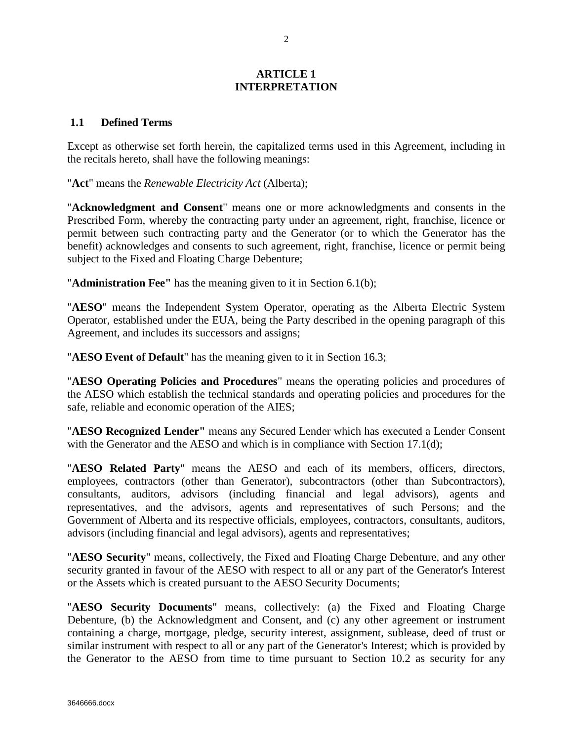### **ARTICLE 1 INTERPRETATION**

### <span id="page-6-1"></span><span id="page-6-0"></span>**1.1 Defined Terms**

Except as otherwise set forth herein, the capitalized terms used in this Agreement, including in the recitals hereto, shall have the following meanings:

"**Act**" means the *Renewable Electricity Act* (Alberta);

"**Acknowledgment and Consent**" means one or more acknowledgments and consents in the Prescribed Form, whereby the contracting party under an agreement, right, franchise, licence or permit between such contracting party and the Generator (or to which the Generator has the benefit) acknowledges and consents to such agreement, right, franchise, licence or permit being subject to the Fixed and Floating Charge Debenture;

"**Administration Fee"** has the meaning given to it in Section 6.1(b);

"**AESO**" means the Independent System Operator, operating as the Alberta Electric System Operator, established under the EUA, being the Party described in the opening paragraph of this Agreement, and includes its successors and assigns;

"**AESO Event of Default**" has the meaning given to it in Section 16.3;

"**AESO Operating Policies and Procedures**" means the operating policies and procedures of the AESO which establish the technical standards and operating policies and procedures for the safe, reliable and economic operation of the AIES;

"**AESO Recognized Lender"** means any Secured Lender which has executed a Lender Consent with the Generator and the AESO and which is in compliance with Section 17.1(d);

"**AESO Related Party**" means the AESO and each of its members, officers, directors, employees, contractors (other than Generator), subcontractors (other than Subcontractors), consultants, auditors, advisors (including financial and legal advisors), agents and representatives, and the advisors, agents and representatives of such Persons; and the Government of Alberta and its respective officials, employees, contractors, consultants, auditors, advisors (including financial and legal advisors), agents and representatives;

"**AESO Security**" means, collectively, the Fixed and Floating Charge Debenture, and any other security granted in favour of the AESO with respect to all or any part of the Generator's Interest or the Assets which is created pursuant to the AESO Security Documents;

"**AESO Security Documents**" means, collectively: (a) the Fixed and Floating Charge Debenture, (b) the Acknowledgment and Consent, and (c) any other agreement or instrument containing a charge, mortgage, pledge, security interest, assignment, sublease, deed of trust or similar instrument with respect to all or any part of the Generator's Interest; which is provided by the Generator to the AESO from time to time pursuant to Section 10.2 as security for any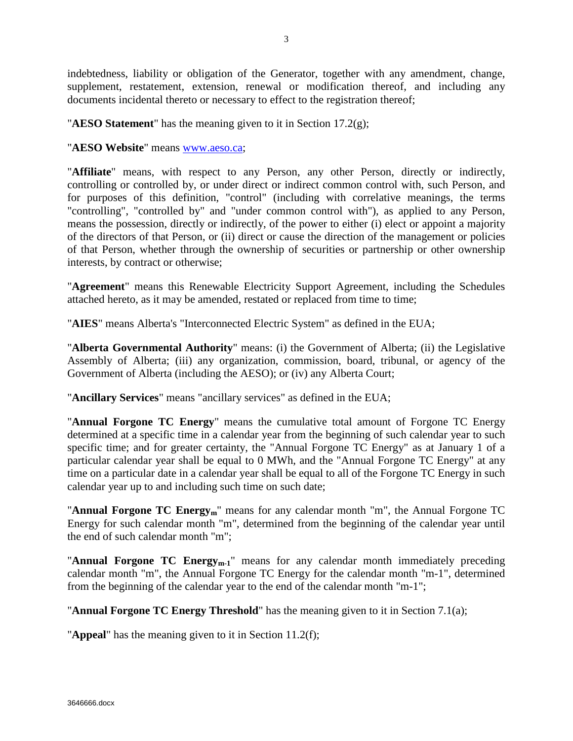indebtedness, liability or obligation of the Generator, together with any amendment, change, supplement, restatement, extension, renewal or modification thereof, and including any documents incidental thereto or necessary to effect to the registration thereof;

"**AESO Statement**" has the meaning given to it in Section 17.2(g);

"**AESO Website**" means [www.aeso.ca;](http://www.aeso.ca/)

"**Affiliate**" means, with respect to any Person, any other Person, directly or indirectly, controlling or controlled by, or under direct or indirect common control with, such Person, and for purposes of this definition, "control" (including with correlative meanings, the terms "controlling", "controlled by" and "under common control with"), as applied to any Person, means the possession, directly or indirectly, of the power to either (i) elect or appoint a majority of the directors of that Person, or (ii) direct or cause the direction of the management or policies of that Person, whether through the ownership of securities or partnership or other ownership interests, by contract or otherwise;

"**Agreement**" means this Renewable Electricity Support Agreement, including the Schedules attached hereto, as it may be amended, restated or replaced from time to time;

"**AIES**" means Alberta's "Interconnected Electric System" as defined in the EUA;

"**Alberta Governmental Authority**" means: (i) the Government of Alberta; (ii) the Legislative Assembly of Alberta; (iii) any organization, commission, board, tribunal, or agency of the Government of Alberta (including the AESO); or (iv) any Alberta Court;

"**Ancillary Services**" means "ancillary services" as defined in the EUA;

"**Annual Forgone TC Energy**" means the cumulative total amount of Forgone TC Energy determined at a specific time in a calendar year from the beginning of such calendar year to such specific time; and for greater certainty, the "Annual Forgone TC Energy" as at January 1 of a particular calendar year shall be equal to 0 MWh, and the "Annual Forgone TC Energy" at any time on a particular date in a calendar year shall be equal to all of the Forgone TC Energy in such calendar year up to and including such time on such date;

"**Annual Forgone TC Energy<sub>m</sub>**" means for any calendar month "m", the Annual Forgone TC Energy for such calendar month "m", determined from the beginning of the calendar year until the end of such calendar month "m";

"**Annual Forgone TC Energy<sub>m-1</sub>**" means for any calendar month immediately preceding calendar month "m", the Annual Forgone TC Energy for the calendar month "m-1", determined from the beginning of the calendar year to the end of the calendar month "m-1";

"**Annual Forgone TC Energy Threshold**" has the meaning given to it in Section 7.1(a);

"**Appeal**" has the meaning given to it in Section 11.2(f);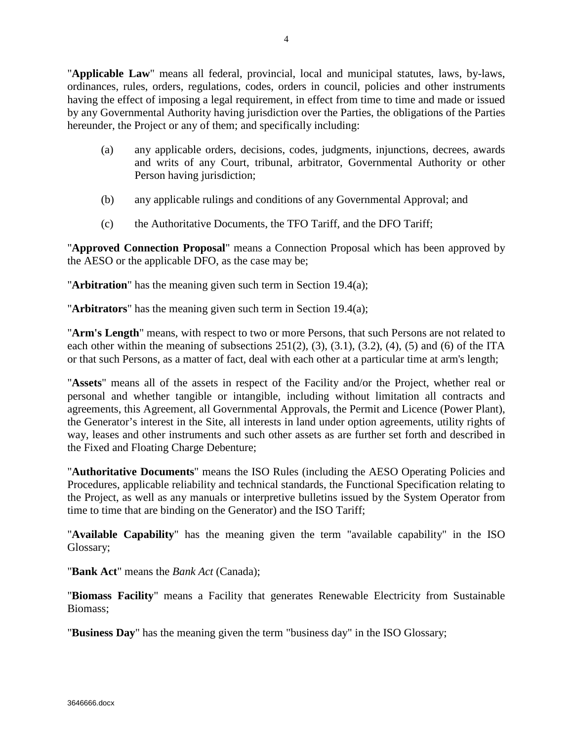- (a) any applicable orders, decisions, codes, judgments, injunctions, decrees, awards and writs of any Court, tribunal, arbitrator, Governmental Authority or other Person having jurisdiction;
- (b) any applicable rulings and conditions of any Governmental Approval; and
- (c) the Authoritative Documents, the TFO Tariff, and the DFO Tariff;

"**Approved Connection Proposal**" means a Connection Proposal which has been approved by the AESO or the applicable DFO, as the case may be;

"**Arbitration**" has the meaning given such term in Section 19.4(a);

"**Arbitrators**" has the meaning given such term in Section 19.4(a);

"**Arm's Length**" means, with respect to two or more Persons, that such Persons are not related to each other within the meaning of subsections  $251(2)$ ,  $(3)$ ,  $(3.1)$ ,  $(3.2)$ ,  $(4)$ ,  $(5)$  and  $(6)$  of the ITA or that such Persons, as a matter of fact, deal with each other at a particular time at arm's length;

"**Assets**" means all of the assets in respect of the Facility and/or the Project, whether real or personal and whether tangible or intangible, including without limitation all contracts and agreements, this Agreement, all Governmental Approvals, the Permit and Licence (Power Plant), the Generator's interest in the Site, all interests in land under option agreements, utility rights of way, leases and other instruments and such other assets as are further set forth and described in the Fixed and Floating Charge Debenture;

"**Authoritative Documents**" means the ISO Rules (including the AESO Operating Policies and Procedures, applicable reliability and technical standards, the Functional Specification relating to the Project, as well as any manuals or interpretive bulletins issued by the System Operator from time to time that are binding on the Generator) and the ISO Tariff;

"**Available Capability**" has the meaning given the term "available capability" in the ISO Glossary;

"**Bank Act**" means the *Bank Act* (Canada);

"**Biomass Facility**" means a Facility that generates Renewable Electricity from Sustainable Biomass;

"**Business Day**" has the meaning given the term "business day" in the ISO Glossary;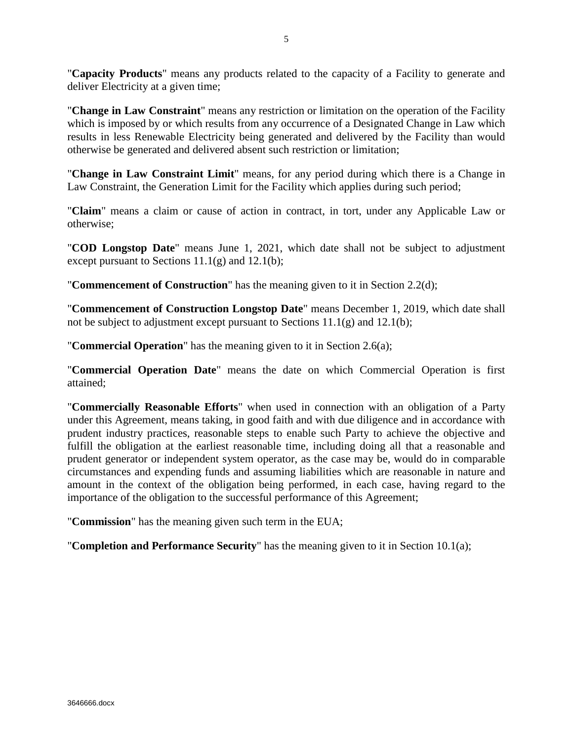"**Capacity Products**" means any products related to the capacity of a Facility to generate and deliver Electricity at a given time;

"**Change in Law Constraint**" means any restriction or limitation on the operation of the Facility which is imposed by or which results from any occurrence of a Designated Change in Law which results in less Renewable Electricity being generated and delivered by the Facility than would otherwise be generated and delivered absent such restriction or limitation;

"**Change in Law Constraint Limit**" means, for any period during which there is a Change in Law Constraint, the Generation Limit for the Facility which applies during such period;

"**Claim**" means a claim or cause of action in contract, in tort, under any Applicable Law or otherwise;

"**COD Longstop Date**" means June 1, 2021, which date shall not be subject to adjustment except pursuant to Sections  $11.1(g)$  and  $12.1(b)$ ;

"**Commencement of Construction**" has the meaning given to it in Section 2.2(d);

"**Commencement of Construction Longstop Date**" means December 1, 2019, which date shall not be subject to adjustment except pursuant to Sections 11.1(g) and 12.1(b);

"**Commercial Operation**" has the meaning given to it in Section 2.6(a);

"**Commercial Operation Date**" means the date on which Commercial Operation is first attained;

"**Commercially Reasonable Efforts**" when used in connection with an obligation of a Party under this Agreement, means taking, in good faith and with due diligence and in accordance with prudent industry practices, reasonable steps to enable such Party to achieve the objective and fulfill the obligation at the earliest reasonable time, including doing all that a reasonable and prudent generator or independent system operator, as the case may be, would do in comparable circumstances and expending funds and assuming liabilities which are reasonable in nature and amount in the context of the obligation being performed, in each case, having regard to the importance of the obligation to the successful performance of this Agreement;

"**Commission**" has the meaning given such term in the EUA;

"**Completion and Performance Security**" has the meaning given to it in Section 10.1(a);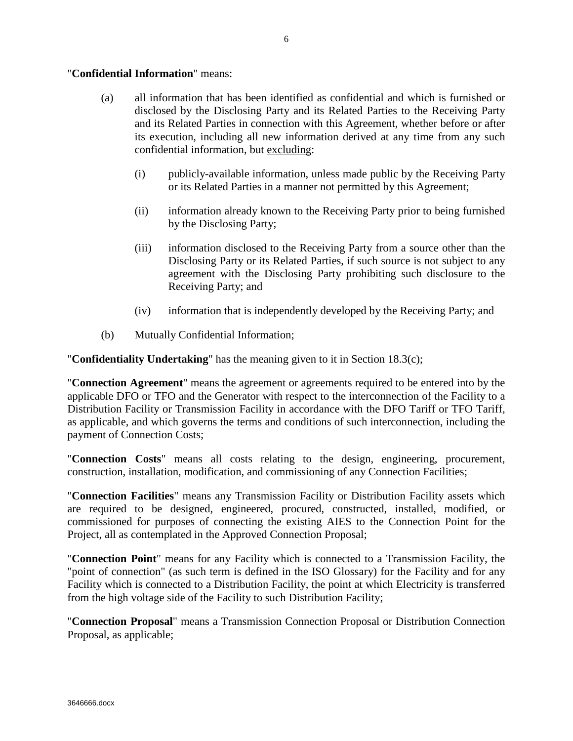### "**Confidential Information**" means:

- (a) all information that has been identified as confidential and which is furnished or disclosed by the Disclosing Party and its Related Parties to the Receiving Party and its Related Parties in connection with this Agreement, whether before or after its execution, including all new information derived at any time from any such confidential information, but excluding:
	- (i) publicly-available information, unless made public by the Receiving Party or its Related Parties in a manner not permitted by this Agreement;
	- (ii) information already known to the Receiving Party prior to being furnished by the Disclosing Party;
	- (iii) information disclosed to the Receiving Party from a source other than the Disclosing Party or its Related Parties, if such source is not subject to any agreement with the Disclosing Party prohibiting such disclosure to the Receiving Party; and
	- (iv) information that is independently developed by the Receiving Party; and
- (b) Mutually Confidential Information;

"**Confidentiality Undertaking**" has the meaning given to it in Section 18.3(c);

"**Connection Agreement**" means the agreement or agreements required to be entered into by the applicable DFO or TFO and the Generator with respect to the interconnection of the Facility to a Distribution Facility or Transmission Facility in accordance with the DFO Tariff or TFO Tariff, as applicable, and which governs the terms and conditions of such interconnection, including the payment of Connection Costs;

"**Connection Costs**" means all costs relating to the design, engineering, procurement, construction, installation, modification, and commissioning of any Connection Facilities;

"**Connection Facilities**" means any Transmission Facility or Distribution Facility assets which are required to be designed, engineered, procured, constructed, installed, modified, or commissioned for purposes of connecting the existing AIES to the Connection Point for the Project, all as contemplated in the Approved Connection Proposal;

"**Connection Point**" means for any Facility which is connected to a Transmission Facility, the "point of connection" (as such term is defined in the ISO Glossary) for the Facility and for any Facility which is connected to a Distribution Facility, the point at which Electricity is transferred from the high voltage side of the Facility to such Distribution Facility;

"**Connection Proposal**" means a Transmission Connection Proposal or Distribution Connection Proposal, as applicable;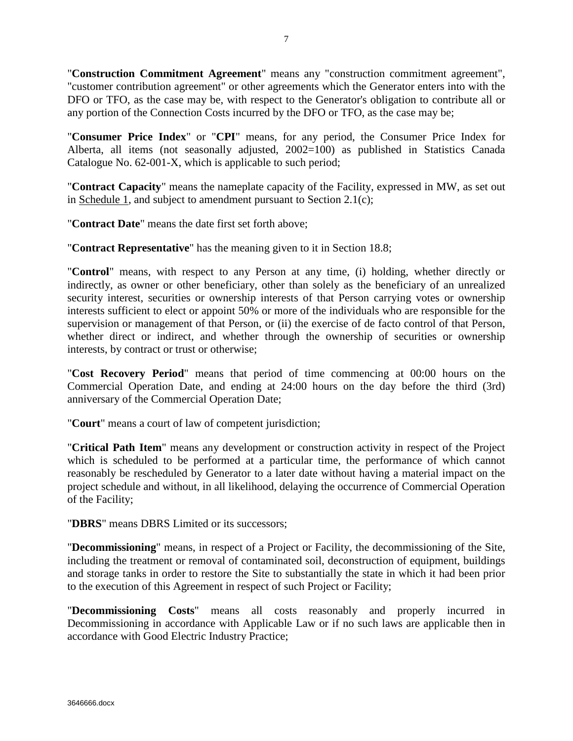"**Construction Commitment Agreement**" means any "construction commitment agreement", "customer contribution agreement" or other agreements which the Generator enters into with the DFO or TFO, as the case may be, with respect to the Generator's obligation to contribute all or any portion of the Connection Costs incurred by the DFO or TFO, as the case may be;

"**Consumer Price Index**" or "**CPI**" means, for any period, the Consumer Price Index for Alberta, all items (not seasonally adjusted, 2002=100) as published in Statistics Canada Catalogue No. 62-001-X, which is applicable to such period;

"**Contract Capacity**" means the nameplate capacity of the Facility, expressed in MW, as set out in Schedule 1, and subject to amendment pursuant to Section 2.1(c);

"**Contract Date**" means the date first set forth above;

"**Contract Representative**" has the meaning given to it in Section 18.8;

"**Control**" means, with respect to any Person at any time, (i) holding, whether directly or indirectly, as owner or other beneficiary, other than solely as the beneficiary of an unrealized security interest, securities or ownership interests of that Person carrying votes or ownership interests sufficient to elect or appoint 50% or more of the individuals who are responsible for the supervision or management of that Person, or (ii) the exercise of de facto control of that Person, whether direct or indirect, and whether through the ownership of securities or ownership interests, by contract or trust or otherwise;

"**Cost Recovery Period**" means that period of time commencing at 00:00 hours on the Commercial Operation Date, and ending at 24:00 hours on the day before the third (3rd) anniversary of the Commercial Operation Date;

"**Court**" means a court of law of competent jurisdiction;

"**Critical Path Item**" means any development or construction activity in respect of the Project which is scheduled to be performed at a particular time, the performance of which cannot reasonably be rescheduled by Generator to a later date without having a material impact on the project schedule and without, in all likelihood, delaying the occurrence of Commercial Operation of the Facility;

"**DBRS**" means DBRS Limited or its successors;

"**Decommissioning**" means, in respect of a Project or Facility, the decommissioning of the Site, including the treatment or removal of contaminated soil, deconstruction of equipment, buildings and storage tanks in order to restore the Site to substantially the state in which it had been prior to the execution of this Agreement in respect of such Project or Facility;

"**Decommissioning Costs**" means all costs reasonably and properly incurred in Decommissioning in accordance with Applicable Law or if no such laws are applicable then in accordance with Good Electric Industry Practice;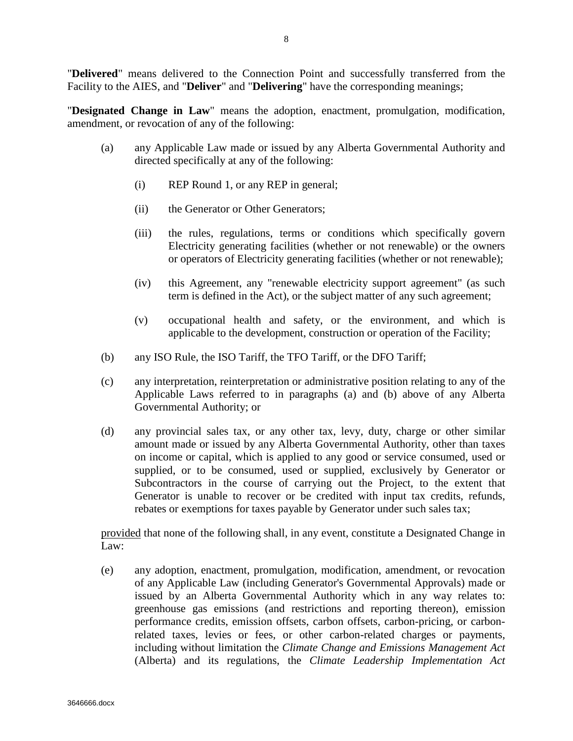"**Delivered**" means delivered to the Connection Point and successfully transferred from the Facility to the AIES, and "**Deliver**" and "**Delivering**" have the corresponding meanings;

"**Designated Change in Law**" means the adoption, enactment, promulgation, modification, amendment, or revocation of any of the following:

- (a) any Applicable Law made or issued by any Alberta Governmental Authority and directed specifically at any of the following:
	- (i) REP Round 1, or any REP in general;
	- (ii) the Generator or Other Generators;
	- (iii) the rules, regulations, terms or conditions which specifically govern Electricity generating facilities (whether or not renewable) or the owners or operators of Electricity generating facilities (whether or not renewable);
	- (iv) this Agreement, any "renewable electricity support agreement" (as such term is defined in the Act), or the subject matter of any such agreement;
	- (v) occupational health and safety, or the environment, and which is applicable to the development, construction or operation of the Facility;
- (b) any ISO Rule, the ISO Tariff, the TFO Tariff, or the DFO Tariff;
- (c) any interpretation, reinterpretation or administrative position relating to any of the Applicable Laws referred to in paragraphs (a) and (b) above of any Alberta Governmental Authority; or
- (d) any provincial sales tax, or any other tax, levy, duty, charge or other similar amount made or issued by any Alberta Governmental Authority, other than taxes on income or capital, which is applied to any good or service consumed, used or supplied, or to be consumed, used or supplied, exclusively by Generator or Subcontractors in the course of carrying out the Project, to the extent that Generator is unable to recover or be credited with input tax credits, refunds, rebates or exemptions for taxes payable by Generator under such sales tax;

provided that none of the following shall, in any event, constitute a Designated Change in Law:

(e) any adoption, enactment, promulgation, modification, amendment, or revocation of any Applicable Law (including Generator's Governmental Approvals) made or issued by an Alberta Governmental Authority which in any way relates to: greenhouse gas emissions (and restrictions and reporting thereon), emission performance credits, emission offsets, carbon offsets, carbon-pricing, or carbonrelated taxes, levies or fees, or other carbon-related charges or payments, including without limitation the *Climate Change and Emissions Management Act* (Alberta) and its regulations, the *Climate Leadership Implementation Act*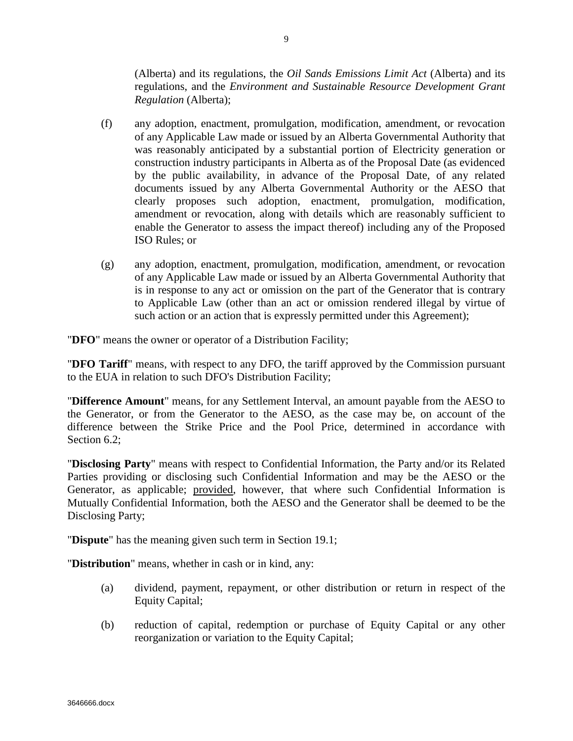(Alberta) and its regulations, the *Oil Sands Emissions Limit Act* (Alberta) and its regulations, and the *Environment and Sustainable Resource Development Grant Regulation* (Alberta);

- (f) any adoption, enactment, promulgation, modification, amendment, or revocation of any Applicable Law made or issued by an Alberta Governmental Authority that was reasonably anticipated by a substantial portion of Electricity generation or construction industry participants in Alberta as of the Proposal Date (as evidenced by the public availability, in advance of the Proposal Date, of any related documents issued by any Alberta Governmental Authority or the AESO that clearly proposes such adoption, enactment, promulgation, modification, amendment or revocation, along with details which are reasonably sufficient to enable the Generator to assess the impact thereof) including any of the Proposed ISO Rules; or
- (g) any adoption, enactment, promulgation, modification, amendment, or revocation of any Applicable Law made or issued by an Alberta Governmental Authority that is in response to any act or omission on the part of the Generator that is contrary to Applicable Law (other than an act or omission rendered illegal by virtue of such action or an action that is expressly permitted under this Agreement);

"**DFO**" means the owner or operator of a Distribution Facility;

"**DFO Tariff**" means, with respect to any DFO, the tariff approved by the Commission pursuant to the EUA in relation to such DFO's Distribution Facility;

"**Difference Amount**" means, for any Settlement Interval, an amount payable from the AESO to the Generator, or from the Generator to the AESO, as the case may be, on account of the difference between the Strike Price and the Pool Price, determined in accordance with Section 6.2:

"**Disclosing Party**" means with respect to Confidential Information, the Party and/or its Related Parties providing or disclosing such Confidential Information and may be the AESO or the Generator, as applicable; provided, however, that where such Confidential Information is Mutually Confidential Information, both the AESO and the Generator shall be deemed to be the Disclosing Party;

"**Dispute**" has the meaning given such term in Section 19.1;

"**Distribution**" means, whether in cash or in kind, any:

- (a) dividend, payment, repayment, or other distribution or return in respect of the Equity Capital;
- (b) reduction of capital, redemption or purchase of Equity Capital or any other reorganization or variation to the Equity Capital;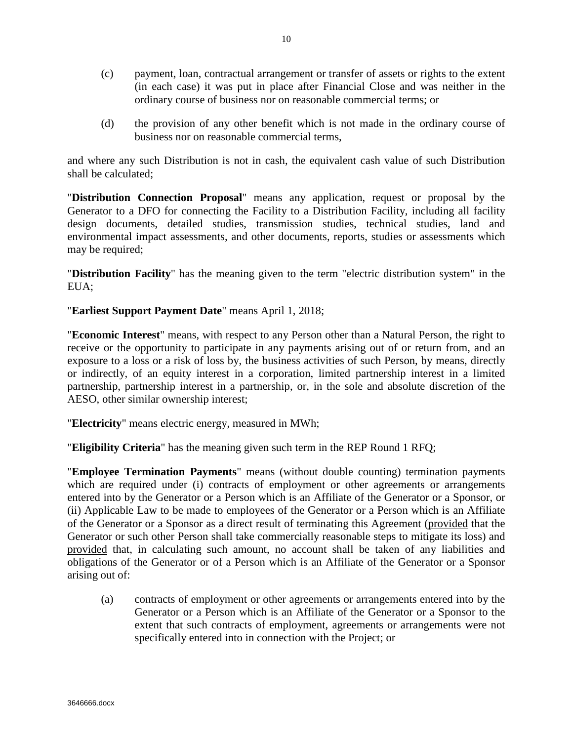- (c) payment, loan, contractual arrangement or transfer of assets or rights to the extent (in each case) it was put in place after Financial Close and was neither in the ordinary course of business nor on reasonable commercial terms; or
- (d) the provision of any other benefit which is not made in the ordinary course of business nor on reasonable commercial terms,

and where any such Distribution is not in cash, the equivalent cash value of such Distribution shall be calculated;

"**Distribution Connection Proposal**" means any application, request or proposal by the Generator to a DFO for connecting the Facility to a Distribution Facility, including all facility design documents, detailed studies, transmission studies, technical studies, land and environmental impact assessments, and other documents, reports, studies or assessments which may be required;

"**Distribution Facility**" has the meaning given to the term "electric distribution system" in the EUA;

"**Earliest Support Payment Date**" means April 1, 2018;

"**Economic Interest**" means, with respect to any Person other than a Natural Person, the right to receive or the opportunity to participate in any payments arising out of or return from, and an exposure to a loss or a risk of loss by, the business activities of such Person, by means, directly or indirectly, of an equity interest in a corporation, limited partnership interest in a limited partnership, partnership interest in a partnership, or, in the sole and absolute discretion of the AESO, other similar ownership interest;

"**Electricity**" means electric energy, measured in MWh;

"**Eligibility Criteria**" has the meaning given such term in the REP Round 1 RFQ;

"**Employee Termination Payments**" means (without double counting) termination payments which are required under (i) contracts of employment or other agreements or arrangements entered into by the Generator or a Person which is an Affiliate of the Generator or a Sponsor, or (ii) Applicable Law to be made to employees of the Generator or a Person which is an Affiliate of the Generator or a Sponsor as a direct result of terminating this Agreement (provided that the Generator or such other Person shall take commercially reasonable steps to mitigate its loss) and provided that, in calculating such amount, no account shall be taken of any liabilities and obligations of the Generator or of a Person which is an Affiliate of the Generator or a Sponsor arising out of:

(a) contracts of employment or other agreements or arrangements entered into by the Generator or a Person which is an Affiliate of the Generator or a Sponsor to the extent that such contracts of employment, agreements or arrangements were not specifically entered into in connection with the Project; or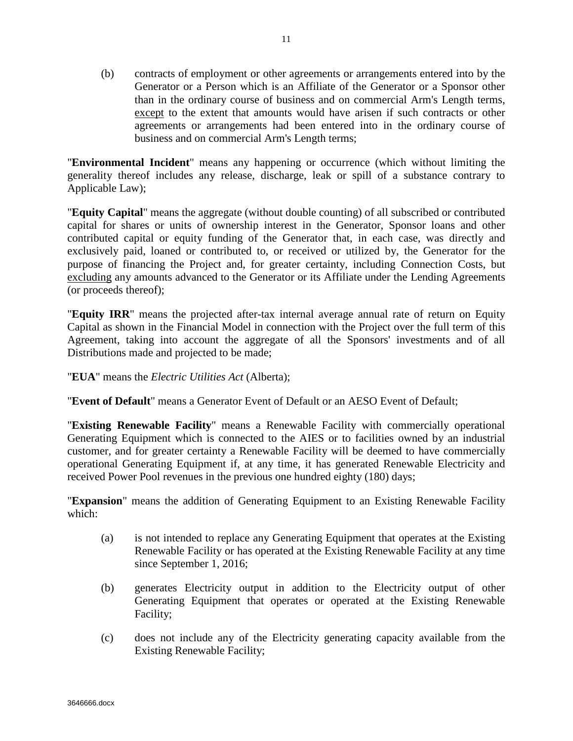(b) contracts of employment or other agreements or arrangements entered into by the Generator or a Person which is an Affiliate of the Generator or a Sponsor other than in the ordinary course of business and on commercial Arm's Length terms, except to the extent that amounts would have arisen if such contracts or other agreements or arrangements had been entered into in the ordinary course of business and on commercial Arm's Length terms;

"**Environmental Incident**" means any happening or occurrence (which without limiting the generality thereof includes any release, discharge, leak or spill of a substance contrary to Applicable Law);

"**Equity Capital**" means the aggregate (without double counting) of all subscribed or contributed capital for shares or units of ownership interest in the Generator, Sponsor loans and other contributed capital or equity funding of the Generator that, in each case, was directly and exclusively paid, loaned or contributed to, or received or utilized by, the Generator for the purpose of financing the Project and, for greater certainty, including Connection Costs, but excluding any amounts advanced to the Generator or its Affiliate under the Lending Agreements (or proceeds thereof);

"**Equity IRR**" means the projected after-tax internal average annual rate of return on Equity Capital as shown in the Financial Model in connection with the Project over the full term of this Agreement, taking into account the aggregate of all the Sponsors' investments and of all Distributions made and projected to be made;

"**EUA**" means the *Electric Utilities Act* (Alberta);

"**Event of Default**" means a Generator Event of Default or an AESO Event of Default;

"**Existing Renewable Facility**" means a Renewable Facility with commercially operational Generating Equipment which is connected to the AIES or to facilities owned by an industrial customer, and for greater certainty a Renewable Facility will be deemed to have commercially operational Generating Equipment if, at any time, it has generated Renewable Electricity and received Power Pool revenues in the previous one hundred eighty (180) days;

"**Expansion**" means the addition of Generating Equipment to an Existing Renewable Facility which:

- (a) is not intended to replace any Generating Equipment that operates at the Existing Renewable Facility or has operated at the Existing Renewable Facility at any time since September 1, 2016;
- (b) generates Electricity output in addition to the Electricity output of other Generating Equipment that operates or operated at the Existing Renewable Facility;
- (c) does not include any of the Electricity generating capacity available from the Existing Renewable Facility;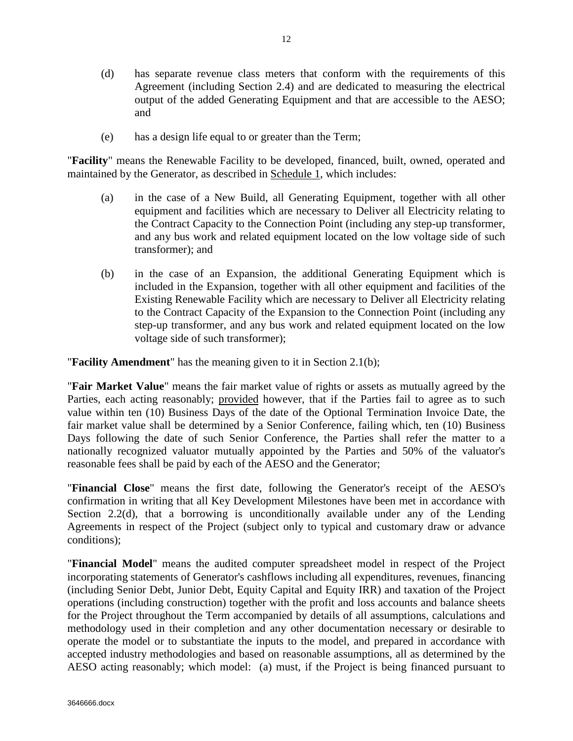- (d) has separate revenue class meters that conform with the requirements of this Agreement (including Section 2.4) and are dedicated to measuring the electrical output of the added Generating Equipment and that are accessible to the AESO; and
- (e) has a design life equal to or greater than the Term;

"**Facility**" means the Renewable Facility to be developed, financed, built, owned, operated and maintained by the Generator, as described in Schedule 1, which includes:

- (a) in the case of a New Build, all Generating Equipment, together with all other equipment and facilities which are necessary to Deliver all Electricity relating to the Contract Capacity to the Connection Point (including any step-up transformer, and any bus work and related equipment located on the low voltage side of such transformer); and
- (b) in the case of an Expansion, the additional Generating Equipment which is included in the Expansion, together with all other equipment and facilities of the Existing Renewable Facility which are necessary to Deliver all Electricity relating to the Contract Capacity of the Expansion to the Connection Point (including any step-up transformer, and any bus work and related equipment located on the low voltage side of such transformer);

"**Facility Amendment**" has the meaning given to it in Section 2.1(b);

"**Fair Market Value**" means the fair market value of rights or assets as mutually agreed by the Parties, each acting reasonably; provided however, that if the Parties fail to agree as to such value within ten (10) Business Days of the date of the Optional Termination Invoice Date, the fair market value shall be determined by a Senior Conference, failing which, ten (10) Business Days following the date of such Senior Conference, the Parties shall refer the matter to a nationally recognized valuator mutually appointed by the Parties and 50% of the valuator's reasonable fees shall be paid by each of the AESO and the Generator;

"**Financial Close**" means the first date, following the Generator's receipt of the AESO's confirmation in writing that all Key Development Milestones have been met in accordance with Section 2.2(d), that a borrowing is unconditionally available under any of the Lending Agreements in respect of the Project (subject only to typical and customary draw or advance conditions);

"**Financial Model**" means the audited computer spreadsheet model in respect of the Project incorporating statements of Generator's cashflows including all expenditures, revenues, financing (including Senior Debt, Junior Debt, Equity Capital and Equity IRR) and taxation of the Project operations (including construction) together with the profit and loss accounts and balance sheets for the Project throughout the Term accompanied by details of all assumptions, calculations and methodology used in their completion and any other documentation necessary or desirable to operate the model or to substantiate the inputs to the model, and prepared in accordance with accepted industry methodologies and based on reasonable assumptions, all as determined by the AESO acting reasonably; which model: (a) must, if the Project is being financed pursuant to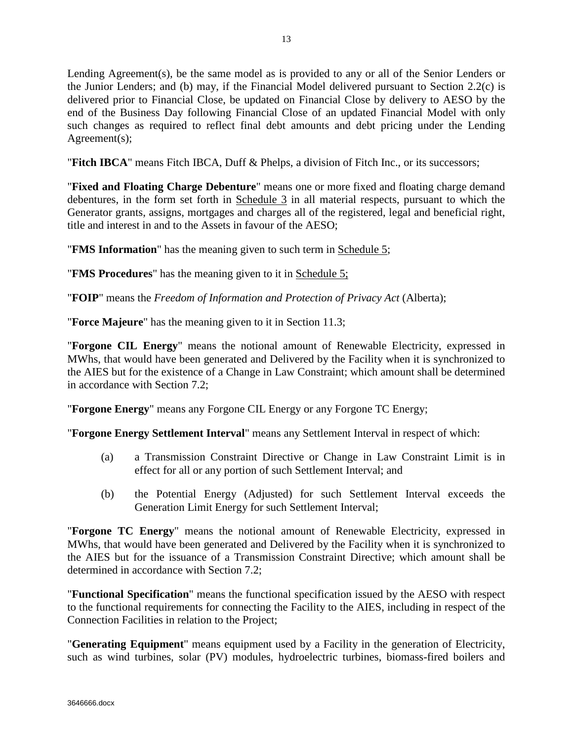Lending Agreement(s), be the same model as is provided to any or all of the Senior Lenders or the Junior Lenders; and (b) may, if the Financial Model delivered pursuant to Section 2.2(c) is delivered prior to Financial Close, be updated on Financial Close by delivery to AESO by the end of the Business Day following Financial Close of an updated Financial Model with only such changes as required to reflect final debt amounts and debt pricing under the Lending Agreement(s);

"**Fitch IBCA**" means Fitch IBCA, Duff & Phelps, a division of Fitch Inc., or its successors;

"**Fixed and Floating Charge Debenture**" means one or more fixed and floating charge demand debentures, in the form set forth in Schedule 3 in all material respects, pursuant to which the Generator grants, assigns, mortgages and charges all of the registered, legal and beneficial right, title and interest in and to the Assets in favour of the AESO;

"**FMS Information**" has the meaning given to such term in Schedule 5;

"**FMS Procedures**" has the meaning given to it in Schedule 5;

"**FOIP**" means the *Freedom of Information and Protection of Privacy Act* (Alberta);

"**Force Majeure**" has the meaning given to it in Section 11.3;

"**Forgone CIL Energy**" means the notional amount of Renewable Electricity, expressed in MWhs, that would have been generated and Delivered by the Facility when it is synchronized to the AIES but for the existence of a Change in Law Constraint; which amount shall be determined in accordance with Section 7.2;

"**Forgone Energy**" means any Forgone CIL Energy or any Forgone TC Energy;

"**Forgone Energy Settlement Interval**" means any Settlement Interval in respect of which:

- (a) a Transmission Constraint Directive or Change in Law Constraint Limit is in effect for all or any portion of such Settlement Interval; and
- (b) the Potential Energy (Adjusted) for such Settlement Interval exceeds the Generation Limit Energy for such Settlement Interval;

"**Forgone TC Energy**" means the notional amount of Renewable Electricity, expressed in MWhs, that would have been generated and Delivered by the Facility when it is synchronized to the AIES but for the issuance of a Transmission Constraint Directive; which amount shall be determined in accordance with Section 7.2;

"**Functional Specification**" means the functional specification issued by the AESO with respect to the functional requirements for connecting the Facility to the AIES, including in respect of the Connection Facilities in relation to the Project;

"**Generating Equipment**" means equipment used by a Facility in the generation of Electricity, such as wind turbines, solar (PV) modules, hydroelectric turbines, biomass-fired boilers and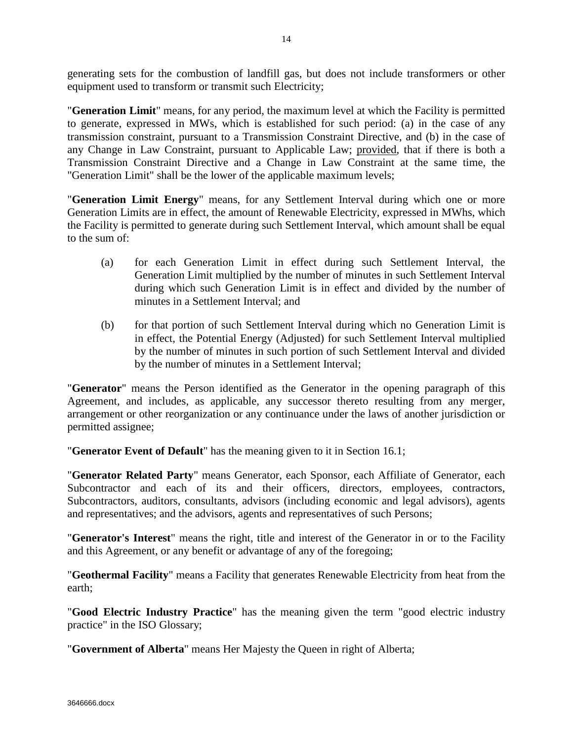generating sets for the combustion of landfill gas, but does not include transformers or other equipment used to transform or transmit such Electricity;

"**Generation Limit**" means, for any period, the maximum level at which the Facility is permitted to generate, expressed in MWs, which is established for such period: (a) in the case of any transmission constraint, pursuant to a Transmission Constraint Directive, and (b) in the case of any Change in Law Constraint, pursuant to Applicable Law; provided, that if there is both a Transmission Constraint Directive and a Change in Law Constraint at the same time, the "Generation Limit" shall be the lower of the applicable maximum levels;

"**Generation Limit Energy**" means, for any Settlement Interval during which one or more Generation Limits are in effect, the amount of Renewable Electricity, expressed in MWhs, which the Facility is permitted to generate during such Settlement Interval, which amount shall be equal to the sum of:

- (a) for each Generation Limit in effect during such Settlement Interval, the Generation Limit multiplied by the number of minutes in such Settlement Interval during which such Generation Limit is in effect and divided by the number of minutes in a Settlement Interval; and
- (b) for that portion of such Settlement Interval during which no Generation Limit is in effect, the Potential Energy (Adjusted) for such Settlement Interval multiplied by the number of minutes in such portion of such Settlement Interval and divided by the number of minutes in a Settlement Interval;

"**Generator**" means the Person identified as the Generator in the opening paragraph of this Agreement, and includes, as applicable, any successor thereto resulting from any merger, arrangement or other reorganization or any continuance under the laws of another jurisdiction or permitted assignee;

"**Generator Event of Default**" has the meaning given to it in Section 16.1;

"**Generator Related Party**" means Generator, each Sponsor, each Affiliate of Generator, each Subcontractor and each of its and their officers, directors, employees, contractors, Subcontractors, auditors, consultants, advisors (including economic and legal advisors), agents and representatives; and the advisors, agents and representatives of such Persons;

"**Generator's Interest**" means the right, title and interest of the Generator in or to the Facility and this Agreement, or any benefit or advantage of any of the foregoing;

"**Geothermal Facility**" means a Facility that generates Renewable Electricity from heat from the earth;

"**Good Electric Industry Practice**" has the meaning given the term "good electric industry practice" in the ISO Glossary;

"**Government of Alberta**" means Her Majesty the Queen in right of Alberta;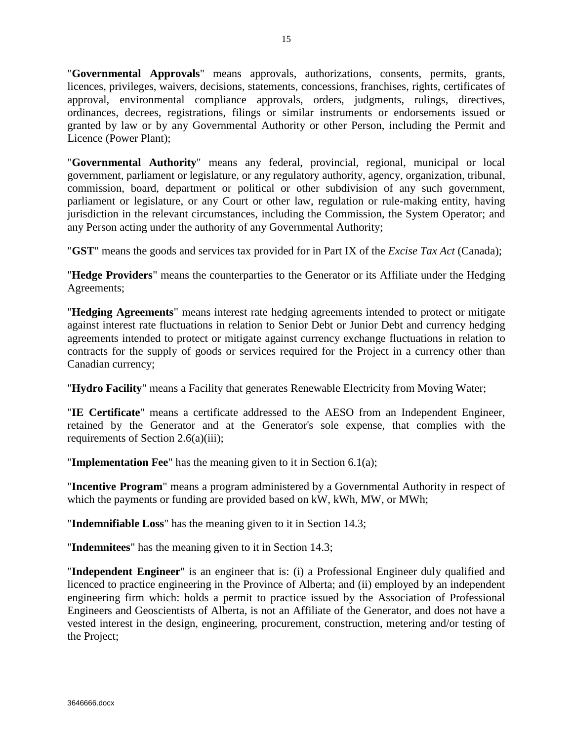"**Governmental Approvals**" means approvals, authorizations, consents, permits, grants, licences, privileges, waivers, decisions, statements, concessions, franchises, rights, certificates of approval, environmental compliance approvals, orders, judgments, rulings, directives, ordinances, decrees, registrations, filings or similar instruments or endorsements issued or granted by law or by any Governmental Authority or other Person, including the Permit and Licence (Power Plant);

"**Governmental Authority**" means any federal, provincial, regional, municipal or local government, parliament or legislature, or any regulatory authority, agency, organization, tribunal, commission, board, department or political or other subdivision of any such government, parliament or legislature, or any Court or other law, regulation or rule-making entity, having jurisdiction in the relevant circumstances, including the Commission, the System Operator; and any Person acting under the authority of any Governmental Authority;

"**GST**" means the goods and services tax provided for in Part IX of the *Excise Tax Act* (Canada);

"**Hedge Providers**" means the counterparties to the Generator or its Affiliate under the Hedging Agreements;

"**Hedging Agreements**" means interest rate hedging agreements intended to protect or mitigate against interest rate fluctuations in relation to Senior Debt or Junior Debt and currency hedging agreements intended to protect or mitigate against currency exchange fluctuations in relation to contracts for the supply of goods or services required for the Project in a currency other than Canadian currency;

"**Hydro Facility**" means a Facility that generates Renewable Electricity from Moving Water;

"**IE Certificate**" means a certificate addressed to the AESO from an Independent Engineer, retained by the Generator and at the Generator's sole expense, that complies with the requirements of Section 2.6(a)(iii);

"**Implementation Fee**" has the meaning given to it in Section 6.1(a);

"**Incentive Program**" means a program administered by a Governmental Authority in respect of which the payments or funding are provided based on kW, kWh, MW, or MWh;

"**Indemnifiable Loss**" has the meaning given to it in Section 14.3;

"**Indemnitees**" has the meaning given to it in Section 14.3;

"**Independent Engineer**" is an engineer that is: (i) a Professional Engineer duly qualified and licenced to practice engineering in the Province of Alberta; and (ii) employed by an independent engineering firm which: holds a permit to practice issued by the Association of Professional Engineers and Geoscientists of Alberta, is not an Affiliate of the Generator, and does not have a vested interest in the design, engineering, procurement, construction, metering and/or testing of the Project;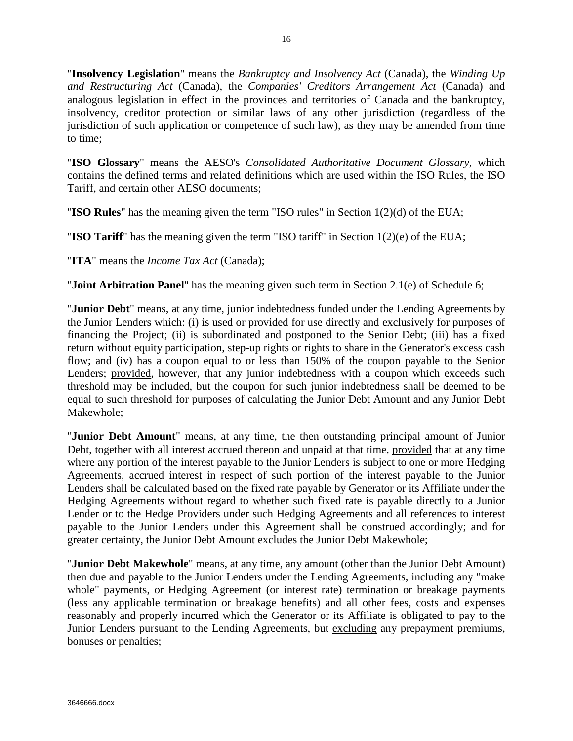"**Insolvency Legislation**" means the *Bankruptcy and Insolvency Act* (Canada), the *Winding Up and Restructuring Act* (Canada), the *Companies' Creditors Arrangement Act* (Canada) and analogous legislation in effect in the provinces and territories of Canada and the bankruptcy, insolvency, creditor protection or similar laws of any other jurisdiction (regardless of the jurisdiction of such application or competence of such law), as they may be amended from time to time;

"**ISO Glossary**" means the AESO's *Consolidated Authoritative Document Glossary*, which contains the defined terms and related definitions which are used within the ISO Rules, the ISO Tariff, and certain other AESO documents;

"**ISO Rules**" has the meaning given the term "ISO rules" in Section 1(2)(d) of the EUA;

"**ISO Tariff**" has the meaning given the term "ISO tariff" in Section 1(2)(e) of the EUA;

"**ITA**" means the *Income Tax Act* (Canada);

"**Joint Arbitration Panel**" has the meaning given such term in Section 2.1(e) of Schedule 6;

"**Junior Debt**" means, at any time, junior indebtedness funded under the Lending Agreements by the Junior Lenders which: (i) is used or provided for use directly and exclusively for purposes of financing the Project; (ii) is subordinated and postponed to the Senior Debt; (iii) has a fixed return without equity participation, step-up rights or rights to share in the Generator's excess cash flow; and (iv) has a coupon equal to or less than 150% of the coupon payable to the Senior Lenders; provided, however, that any junior indebtedness with a coupon which exceeds such threshold may be included, but the coupon for such junior indebtedness shall be deemed to be equal to such threshold for purposes of calculating the Junior Debt Amount and any Junior Debt Makewhole;

"**Junior Debt Amount**" means, at any time, the then outstanding principal amount of Junior Debt, together with all interest accrued thereon and unpaid at that time, provided that at any time where any portion of the interest payable to the Junior Lenders is subject to one or more Hedging Agreements, accrued interest in respect of such portion of the interest payable to the Junior Lenders shall be calculated based on the fixed rate payable by Generator or its Affiliate under the Hedging Agreements without regard to whether such fixed rate is payable directly to a Junior Lender or to the Hedge Providers under such Hedging Agreements and all references to interest payable to the Junior Lenders under this Agreement shall be construed accordingly; and for greater certainty, the Junior Debt Amount excludes the Junior Debt Makewhole;

"**Junior Debt Makewhole**" means, at any time, any amount (other than the Junior Debt Amount) then due and payable to the Junior Lenders under the Lending Agreements, including any "make whole" payments, or Hedging Agreement (or interest rate) termination or breakage payments (less any applicable termination or breakage benefits) and all other fees, costs and expenses reasonably and properly incurred which the Generator or its Affiliate is obligated to pay to the Junior Lenders pursuant to the Lending Agreements, but excluding any prepayment premiums, bonuses or penalties;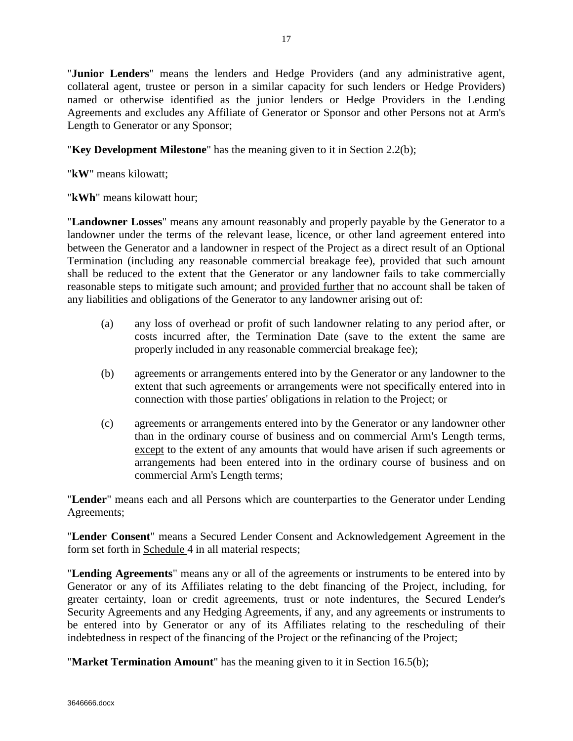"**Junior Lenders**" means the lenders and Hedge Providers (and any administrative agent, collateral agent, trustee or person in a similar capacity for such lenders or Hedge Providers) named or otherwise identified as the junior lenders or Hedge Providers in the Lending Agreements and excludes any Affiliate of Generator or Sponsor and other Persons not at Arm's Length to Generator or any Sponsor;

## "**Key Development Milestone**" has the meaning given to it in Section 2.2(b);

"**kW**" means kilowatt;

"**kWh**" means kilowatt hour;

"**Landowner Losses**" means any amount reasonably and properly payable by the Generator to a landowner under the terms of the relevant lease, licence, or other land agreement entered into between the Generator and a landowner in respect of the Project as a direct result of an Optional Termination (including any reasonable commercial breakage fee), provided that such amount shall be reduced to the extent that the Generator or any landowner fails to take commercially reasonable steps to mitigate such amount; and provided further that no account shall be taken of any liabilities and obligations of the Generator to any landowner arising out of:

- (a) any loss of overhead or profit of such landowner relating to any period after, or costs incurred after, the Termination Date (save to the extent the same are properly included in any reasonable commercial breakage fee);
- (b) agreements or arrangements entered into by the Generator or any landowner to the extent that such agreements or arrangements were not specifically entered into in connection with those parties' obligations in relation to the Project; or
- (c) agreements or arrangements entered into by the Generator or any landowner other than in the ordinary course of business and on commercial Arm's Length terms, except to the extent of any amounts that would have arisen if such agreements or arrangements had been entered into in the ordinary course of business and on commercial Arm's Length terms;

"**Lender**" means each and all Persons which are counterparties to the Generator under Lending Agreements;

"**Lender Consent**" means a Secured Lender Consent and Acknowledgement Agreement in the form set forth in Schedule 4 in all material respects;

"**Lending Agreements**" means any or all of the agreements or instruments to be entered into by Generator or any of its Affiliates relating to the debt financing of the Project, including, for greater certainty, loan or credit agreements, trust or note indentures, the Secured Lender's Security Agreements and any Hedging Agreements, if any, and any agreements or instruments to be entered into by Generator or any of its Affiliates relating to the rescheduling of their indebtedness in respect of the financing of the Project or the refinancing of the Project;

"**Market Termination Amount**" has the meaning given to it in Section 16.5(b);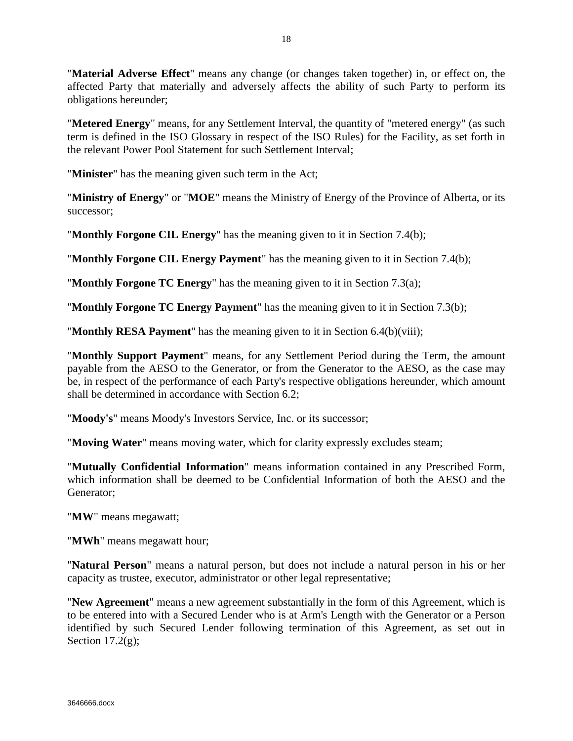"**Material Adverse Effect**" means any change (or changes taken together) in, or effect on, the affected Party that materially and adversely affects the ability of such Party to perform its obligations hereunder;

"**Metered Energy**" means, for any Settlement Interval, the quantity of "metered energy" (as such term is defined in the ISO Glossary in respect of the ISO Rules) for the Facility, as set forth in the relevant Power Pool Statement for such Settlement Interval;

"**Minister**" has the meaning given such term in the Act;

"**Ministry of Energy**" or "**MOE**" means the Ministry of Energy of the Province of Alberta, or its successor;

"**Monthly Forgone CIL Energy**" has the meaning given to it in Section 7.4(b);

"**Monthly Forgone CIL Energy Payment**" has the meaning given to it in Section 7.4(b);

"**Monthly Forgone TC Energy**" has the meaning given to it in Section 7.3(a);

"**Monthly Forgone TC Energy Payment**" has the meaning given to it in Section 7.3(b);

"**Monthly RESA Payment**" has the meaning given to it in Section 6.4(b)(viii);

"**Monthly Support Payment**" means, for any Settlement Period during the Term, the amount payable from the AESO to the Generator, or from the Generator to the AESO, as the case may be, in respect of the performance of each Party's respective obligations hereunder, which amount shall be determined in accordance with Section 6.2;

"**Moody's**" means Moody's Investors Service, Inc. or its successor;

"**Moving Water**" means moving water, which for clarity expressly excludes steam;

"**Mutually Confidential Information**" means information contained in any Prescribed Form, which information shall be deemed to be Confidential Information of both the AESO and the Generator;

"**MW**" means megawatt;

"**MWh**" means megawatt hour;

"**Natural Person**" means a natural person, but does not include a natural person in his or her capacity as trustee, executor, administrator or other legal representative;

"**New Agreement**" means a new agreement substantially in the form of this Agreement, which is to be entered into with a Secured Lender who is at Arm's Length with the Generator or a Person identified by such Secured Lender following termination of this Agreement, as set out in Section  $17.2(g)$ ;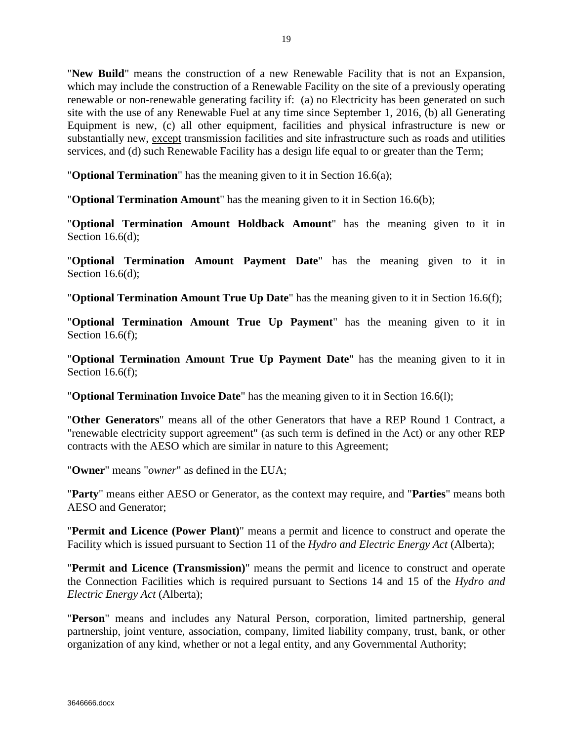"**New Build**" means the construction of a new Renewable Facility that is not an Expansion, which may include the construction of a Renewable Facility on the site of a previously operating renewable or non-renewable generating facility if: (a) no Electricity has been generated on such site with the use of any Renewable Fuel at any time since September 1, 2016, (b) all Generating Equipment is new, (c) all other equipment, facilities and physical infrastructure is new or substantially new, except transmission facilities and site infrastructure such as roads and utilities services, and (d) such Renewable Facility has a design life equal to or greater than the Term;

"**Optional Termination**" has the meaning given to it in Section 16.6(a);

"**Optional Termination Amount**" has the meaning given to it in Section 16.6(b);

"**Optional Termination Amount Holdback Amount**" has the meaning given to it in Section 16.6(d);

"**Optional Termination Amount Payment Date**" has the meaning given to it in Section 16.6(d);

"**Optional Termination Amount True Up Date**" has the meaning given to it in Section 16.6(f);

"**Optional Termination Amount True Up Payment**" has the meaning given to it in Section 16.6(f);

"**Optional Termination Amount True Up Payment Date**" has the meaning given to it in Section 16.6(f):

"**Optional Termination Invoice Date**" has the meaning given to it in Section 16.6(l);

"**Other Generators**" means all of the other Generators that have a REP Round 1 Contract, a "renewable electricity support agreement" (as such term is defined in the Act) or any other REP contracts with the AESO which are similar in nature to this Agreement;

"**Owner**" means "*owner*" as defined in the EUA;

"**Party**" means either AESO or Generator, as the context may require, and "**Parties**" means both AESO and Generator;

"**Permit and Licence (Power Plant)**" means a permit and licence to construct and operate the Facility which is issued pursuant to Section 11 of the *Hydro and Electric Energy Act* (Alberta);

"**Permit and Licence (Transmission)**" means the permit and licence to construct and operate the Connection Facilities which is required pursuant to Sections 14 and 15 of the *Hydro and Electric Energy Act* (Alberta);

"**Person**" means and includes any Natural Person, corporation, limited partnership, general partnership, joint venture, association, company, limited liability company, trust, bank, or other organization of any kind, whether or not a legal entity, and any Governmental Authority;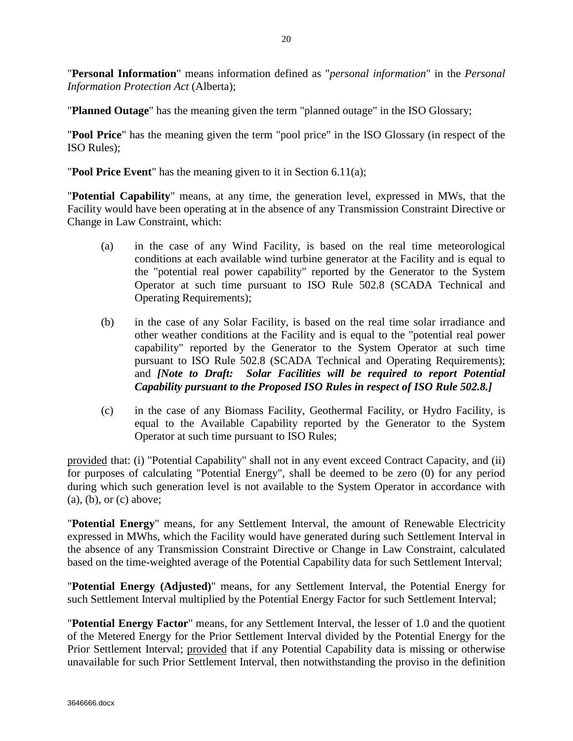"**Personal Information**" means information defined as "*personal information*" in the *Personal Information Protection Act* (Alberta);

"**Planned Outage**" has the meaning given the term "planned outage" in the ISO Glossary;

"**Pool Price**" has the meaning given the term "pool price" in the ISO Glossary (in respect of the ISO Rules);

"**Pool Price Event**" has the meaning given to it in Section 6.11(a);

"**Potential Capability**" means, at any time, the generation level, expressed in MWs, that the Facility would have been operating at in the absence of any Transmission Constraint Directive or Change in Law Constraint, which:

- (a) in the case of any Wind Facility, is based on the real time meteorological conditions at each available wind turbine generator at the Facility and is equal to the "potential real power capability" reported by the Generator to the System Operator at such time pursuant to ISO Rule 502.8 (SCADA Technical and Operating Requirements);
- (b) in the case of any Solar Facility, is based on the real time solar irradiance and other weather conditions at the Facility and is equal to the "potential real power capability" reported by the Generator to the System Operator at such time pursuant to ISO Rule 502.8 (SCADA Technical and Operating Requirements); and *[Note to Draft: Solar Facilities will be required to report Potential Capability pursuant to the Proposed ISO Rules in respect of ISO Rule 502.8.]*
- (c) in the case of any Biomass Facility, Geothermal Facility, or Hydro Facility, is equal to the Available Capability reported by the Generator to the System Operator at such time pursuant to ISO Rules;

provided that: (i) "Potential Capability" shall not in any event exceed Contract Capacity, and (ii) for purposes of calculating "Potential Energy", shall be deemed to be zero (0) for any period during which such generation level is not available to the System Operator in accordance with (a), (b), or (c) above;

"**Potential Energy**" means, for any Settlement Interval, the amount of Renewable Electricity expressed in MWhs, which the Facility would have generated during such Settlement Interval in the absence of any Transmission Constraint Directive or Change in Law Constraint, calculated based on the time-weighted average of the Potential Capability data for such Settlement Interval;

"**Potential Energy (Adjusted)**" means, for any Settlement Interval, the Potential Energy for such Settlement Interval multiplied by the Potential Energy Factor for such Settlement Interval;

"**Potential Energy Factor**" means, for any Settlement Interval, the lesser of 1.0 and the quotient of the Metered Energy for the Prior Settlement Interval divided by the Potential Energy for the Prior Settlement Interval; provided that if any Potential Capability data is missing or otherwise unavailable for such Prior Settlement Interval, then notwithstanding the proviso in the definition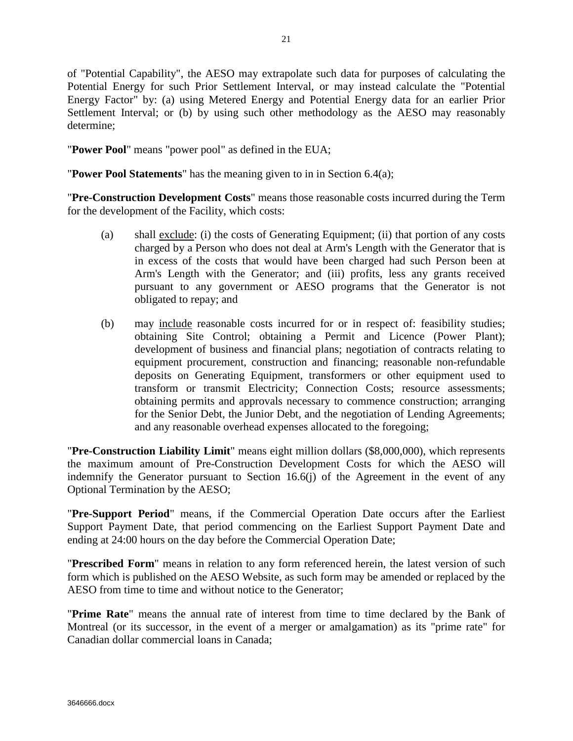of "Potential Capability", the AESO may extrapolate such data for purposes of calculating the Potential Energy for such Prior Settlement Interval, or may instead calculate the "Potential Energy Factor" by: (a) using Metered Energy and Potential Energy data for an earlier Prior Settlement Interval; or (b) by using such other methodology as the AESO may reasonably determine;

"**Power Pool**" means "power pool" as defined in the EUA;

"**Power Pool Statements**" has the meaning given to in in Section 6.4(a);

"**Pre-Construction Development Costs**" means those reasonable costs incurred during the Term for the development of the Facility, which costs:

- (a) shall exclude: (i) the costs of Generating Equipment; (ii) that portion of any costs charged by a Person who does not deal at Arm's Length with the Generator that is in excess of the costs that would have been charged had such Person been at Arm's Length with the Generator; and (iii) profits, less any grants received pursuant to any government or AESO programs that the Generator is not obligated to repay; and
- (b) may include reasonable costs incurred for or in respect of: feasibility studies; obtaining Site Control; obtaining a Permit and Licence (Power Plant); development of business and financial plans; negotiation of contracts relating to equipment procurement, construction and financing; reasonable non-refundable deposits on Generating Equipment, transformers or other equipment used to transform or transmit Electricity; Connection Costs; resource assessments; obtaining permits and approvals necessary to commence construction; arranging for the Senior Debt, the Junior Debt, and the negotiation of Lending Agreements; and any reasonable overhead expenses allocated to the foregoing;

"**Pre-Construction Liability Limit**" means eight million dollars (\$8,000,000), which represents the maximum amount of Pre-Construction Development Costs for which the AESO will indemnify the Generator pursuant to Section 16.6(j) of the Agreement in the event of any Optional Termination by the AESO;

"**Pre-Support Period**" means, if the Commercial Operation Date occurs after the Earliest Support Payment Date, that period commencing on the Earliest Support Payment Date and ending at 24:00 hours on the day before the Commercial Operation Date;

"**Prescribed Form**" means in relation to any form referenced herein, the latest version of such form which is published on the AESO Website, as such form may be amended or replaced by the AESO from time to time and without notice to the Generator;

"**Prime Rate**" means the annual rate of interest from time to time declared by the Bank of Montreal (or its successor, in the event of a merger or amalgamation) as its "prime rate" for Canadian dollar commercial loans in Canada;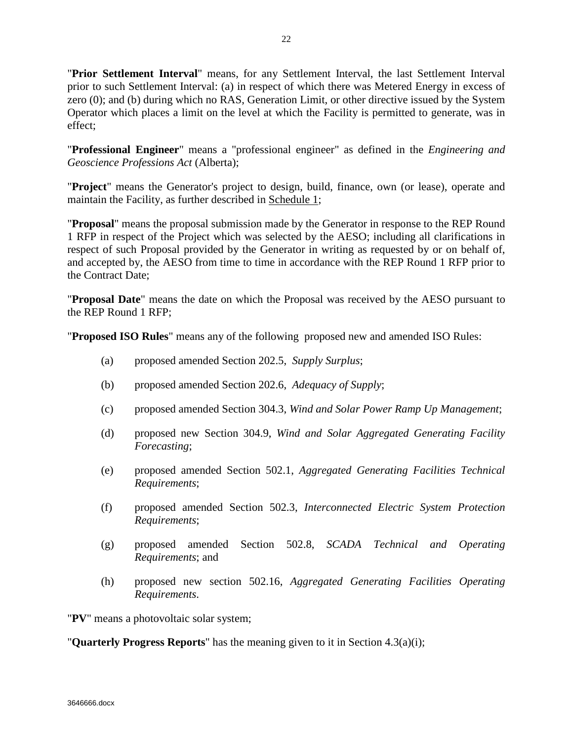"**Prior Settlement Interval**" means, for any Settlement Interval, the last Settlement Interval prior to such Settlement Interval: (a) in respect of which there was Metered Energy in excess of zero (0); and (b) during which no RAS, Generation Limit, or other directive issued by the System Operator which places a limit on the level at which the Facility is permitted to generate, was in effect;

"**Professional Engineer**" means a "professional engineer" as defined in the *Engineering and Geoscience Professions Act* (Alberta);

"**Project**" means the Generator's project to design, build, finance, own (or lease), operate and maintain the Facility, as further described in Schedule 1;

"**Proposal**" means the proposal submission made by the Generator in response to the REP Round 1 RFP in respect of the Project which was selected by the AESO; including all clarifications in respect of such Proposal provided by the Generator in writing as requested by or on behalf of, and accepted by, the AESO from time to time in accordance with the REP Round 1 RFP prior to the Contract Date;

"**Proposal Date**" means the date on which the Proposal was received by the AESO pursuant to the REP Round 1 RFP;

"**Proposed ISO Rules**" means any of the following proposed new and amended ISO Rules:

- (a) proposed amended Section 202.5, *Supply Surplus*;
- (b) proposed amended Section 202.6, *Adequacy of Supply*;
- (c) proposed amended Section 304.3, *Wind and Solar Power Ramp Up Management*;
- (d) proposed new Section 304.9, *Wind and Solar Aggregated Generating Facility Forecasting*;
- (e) proposed amended Section 502.1, *Aggregated Generating Facilities Technical Requirements*;
- (f) proposed amended Section 502.3, *Interconnected Electric System Protection Requirements*;
- (g) proposed amended Section 502.8, *SCADA Technical and Operating Requirements*; and
- (h) proposed new section 502.16, *Aggregated Generating Facilities Operating Requirements*.

"**PV**" means a photovoltaic solar system;

"**Quarterly Progress Reports**" has the meaning given to it in Section 4.3(a)(i);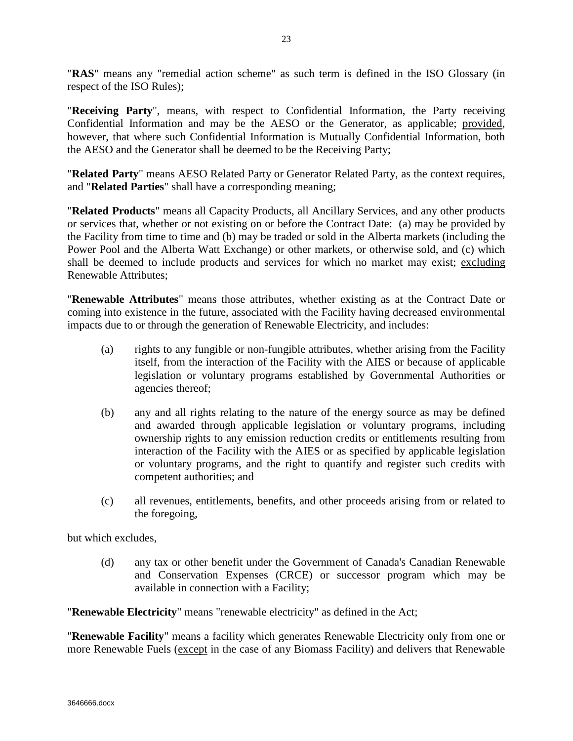"**RAS**" means any "remedial action scheme" as such term is defined in the ISO Glossary (in respect of the ISO Rules);

"**Receiving Party**", means, with respect to Confidential Information, the Party receiving Confidential Information and may be the AESO or the Generator, as applicable; provided, however, that where such Confidential Information is Mutually Confidential Information, both the AESO and the Generator shall be deemed to be the Receiving Party;

"**Related Party**" means AESO Related Party or Generator Related Party, as the context requires, and "**Related Parties**" shall have a corresponding meaning;

"**Related Products**" means all Capacity Products, all Ancillary Services, and any other products or services that, whether or not existing on or before the Contract Date: (a) may be provided by the Facility from time to time and (b) may be traded or sold in the Alberta markets (including the Power Pool and the Alberta Watt Exchange) or other markets, or otherwise sold, and (c) which shall be deemed to include products and services for which no market may exist; excluding Renewable Attributes;

"**Renewable Attributes**" means those attributes, whether existing as at the Contract Date or coming into existence in the future, associated with the Facility having decreased environmental impacts due to or through the generation of Renewable Electricity, and includes:

- (a) rights to any fungible or non-fungible attributes, whether arising from the Facility itself, from the interaction of the Facility with the AIES or because of applicable legislation or voluntary programs established by Governmental Authorities or agencies thereof;
- (b) any and all rights relating to the nature of the energy source as may be defined and awarded through applicable legislation or voluntary programs, including ownership rights to any emission reduction credits or entitlements resulting from interaction of the Facility with the AIES or as specified by applicable legislation or voluntary programs, and the right to quantify and register such credits with competent authorities; and
- (c) all revenues, entitlements, benefits, and other proceeds arising from or related to the foregoing,

but which excludes,

(d) any tax or other benefit under the Government of Canada's Canadian Renewable and Conservation Expenses (CRCE) or successor program which may be available in connection with a Facility;

"**Renewable Electricity**" means "renewable electricity" as defined in the Act;

"**Renewable Facility**" means a facility which generates Renewable Electricity only from one or more Renewable Fuels (except in the case of any Biomass Facility) and delivers that Renewable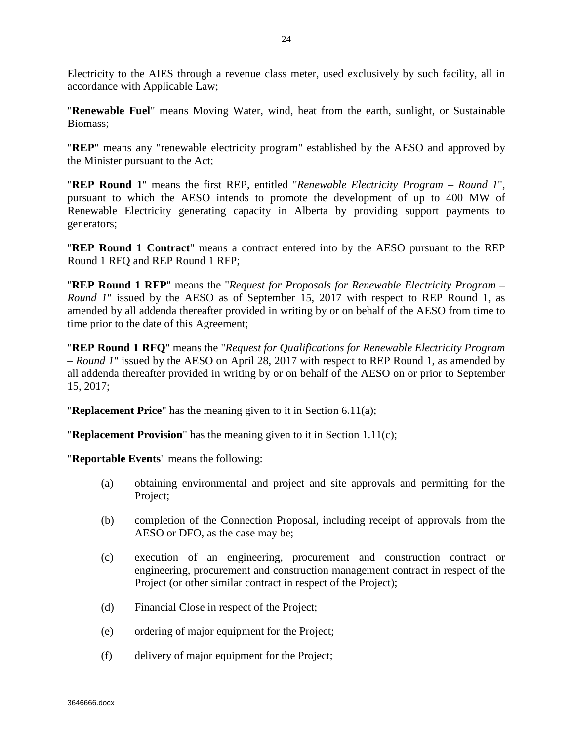Electricity to the AIES through a revenue class meter, used exclusively by such facility, all in accordance with Applicable Law;

"**Renewable Fuel**" means Moving Water, wind, heat from the earth, sunlight, or Sustainable Biomass;

"**REP**" means any "renewable electricity program" established by the AESO and approved by the Minister pursuant to the Act;

"**REP Round 1**" means the first REP, entitled "*Renewable Electricity Program – Round 1*", pursuant to which the AESO intends to promote the development of up to 400 MW of Renewable Electricity generating capacity in Alberta by providing support payments to generators;

"**REP Round 1 Contract**" means a contract entered into by the AESO pursuant to the REP Round 1 RFQ and REP Round 1 RFP;

"**REP Round 1 RFP**" means the "*Request for Proposals for Renewable Electricity Program – Round 1*" issued by the AESO as of September 15, 2017 with respect to REP Round 1, as amended by all addenda thereafter provided in writing by or on behalf of the AESO from time to time prior to the date of this Agreement;

"**REP Round 1 RFQ**" means the "*Request for Qualifications for Renewable Electricity Program – Round 1*" issued by the AESO on April 28, 2017 with respect to REP Round 1, as amended by all addenda thereafter provided in writing by or on behalf of the AESO on or prior to September 15, 2017;

"**Replacement Price**" has the meaning given to it in Section 6.11(a);

"**Replacement Provision**" has the meaning given to it in Section 1.11(c);

"**Reportable Events**" means the following:

- (a) obtaining environmental and project and site approvals and permitting for the Project;
- (b) completion of the Connection Proposal, including receipt of approvals from the AESO or DFO, as the case may be;
- (c) execution of an engineering, procurement and construction contract or engineering, procurement and construction management contract in respect of the Project (or other similar contract in respect of the Project);
- (d) Financial Close in respect of the Project;
- (e) ordering of major equipment for the Project;
- (f) delivery of major equipment for the Project;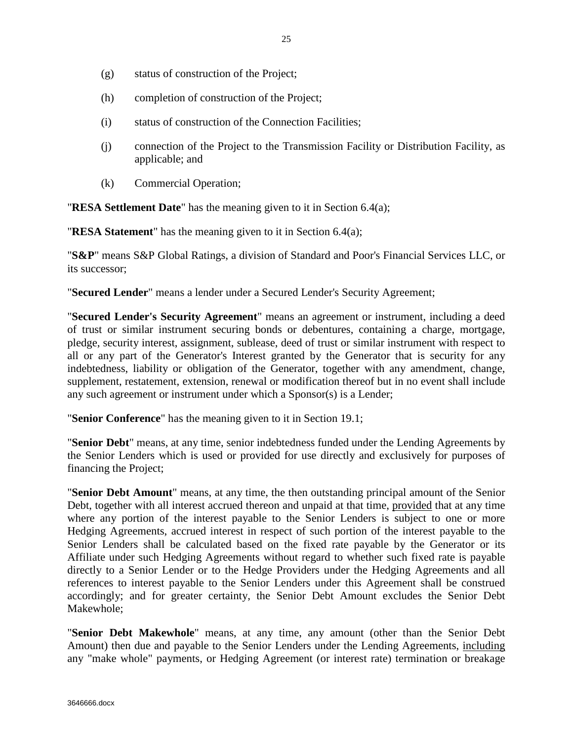- (g) status of construction of the Project;
- (h) completion of construction of the Project;
- (i) status of construction of the Connection Facilities;
- (j) connection of the Project to the Transmission Facility or Distribution Facility, as applicable; and
- (k) Commercial Operation;

"**RESA Settlement Date**" has the meaning given to it in Section 6.4(a);

"**RESA Statement**" has the meaning given to it in Section 6.4(a);

"**S&P**" means S&P Global Ratings, a division of Standard and Poor's Financial Services LLC, or its successor;

"**Secured Lender**" means a lender under a Secured Lender's Security Agreement;

"**Secured Lender's Security Agreement**" means an agreement or instrument, including a deed of trust or similar instrument securing bonds or debentures, containing a charge, mortgage, pledge, security interest, assignment, sublease, deed of trust or similar instrument with respect to all or any part of the Generator's Interest granted by the Generator that is security for any indebtedness, liability or obligation of the Generator, together with any amendment, change, supplement, restatement, extension, renewal or modification thereof but in no event shall include any such agreement or instrument under which a Sponsor(s) is a Lender;

"**Senior Conference**" has the meaning given to it in Section 19.1;

"**Senior Debt**" means, at any time, senior indebtedness funded under the Lending Agreements by the Senior Lenders which is used or provided for use directly and exclusively for purposes of financing the Project;

"**Senior Debt Amount**" means, at any time, the then outstanding principal amount of the Senior Debt, together with all interest accrued thereon and unpaid at that time, provided that at any time where any portion of the interest payable to the Senior Lenders is subject to one or more Hedging Agreements, accrued interest in respect of such portion of the interest payable to the Senior Lenders shall be calculated based on the fixed rate payable by the Generator or its Affiliate under such Hedging Agreements without regard to whether such fixed rate is payable directly to a Senior Lender or to the Hedge Providers under the Hedging Agreements and all references to interest payable to the Senior Lenders under this Agreement shall be construed accordingly; and for greater certainty, the Senior Debt Amount excludes the Senior Debt Makewhole;

"**Senior Debt Makewhole**" means, at any time, any amount (other than the Senior Debt Amount) then due and payable to the Senior Lenders under the Lending Agreements, including any "make whole" payments, or Hedging Agreement (or interest rate) termination or breakage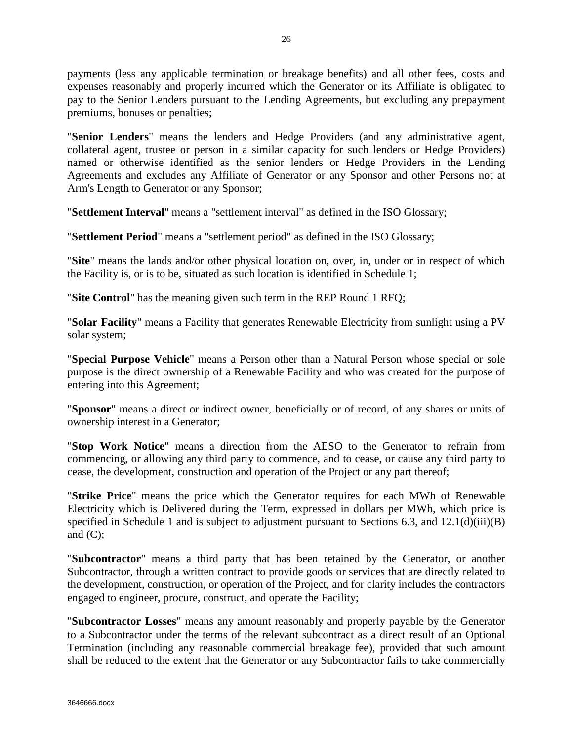payments (less any applicable termination or breakage benefits) and all other fees, costs and expenses reasonably and properly incurred which the Generator or its Affiliate is obligated to pay to the Senior Lenders pursuant to the Lending Agreements, but excluding any prepayment premiums, bonuses or penalties;

"**Senior Lenders**" means the lenders and Hedge Providers (and any administrative agent, collateral agent, trustee or person in a similar capacity for such lenders or Hedge Providers) named or otherwise identified as the senior lenders or Hedge Providers in the Lending Agreements and excludes any Affiliate of Generator or any Sponsor and other Persons not at Arm's Length to Generator or any Sponsor;

"**Settlement Interval**" means a "settlement interval" as defined in the ISO Glossary;

"**Settlement Period**" means a "settlement period" as defined in the ISO Glossary;

"**Site**" means the lands and/or other physical location on, over, in, under or in respect of which the Facility is, or is to be, situated as such location is identified in Schedule 1;

"**Site Control**" has the meaning given such term in the REP Round 1 RFQ;

"**Solar Facility**" means a Facility that generates Renewable Electricity from sunlight using a PV solar system;

"**Special Purpose Vehicle**" means a Person other than a Natural Person whose special or sole purpose is the direct ownership of a Renewable Facility and who was created for the purpose of entering into this Agreement;

"**Sponsor**" means a direct or indirect owner, beneficially or of record, of any shares or units of ownership interest in a Generator;

"**Stop Work Notice**" means a direction from the AESO to the Generator to refrain from commencing, or allowing any third party to commence, and to cease, or cause any third party to cease, the development, construction and operation of the Project or any part thereof;

"**Strike Price**" means the price which the Generator requires for each MWh of Renewable Electricity which is Delivered during the Term, expressed in dollars per MWh, which price is specified in Schedule 1 and is subject to adjustment pursuant to Sections 6.3, and 12.1(d)(iii)(B) and  $(C)$ ;

"**Subcontractor**" means a third party that has been retained by the Generator, or another Subcontractor, through a written contract to provide goods or services that are directly related to the development, construction, or operation of the Project, and for clarity includes the contractors engaged to engineer, procure, construct, and operate the Facility;

"**Subcontractor Losses**" means any amount reasonably and properly payable by the Generator to a Subcontractor under the terms of the relevant subcontract as a direct result of an Optional Termination (including any reasonable commercial breakage fee), provided that such amount shall be reduced to the extent that the Generator or any Subcontractor fails to take commercially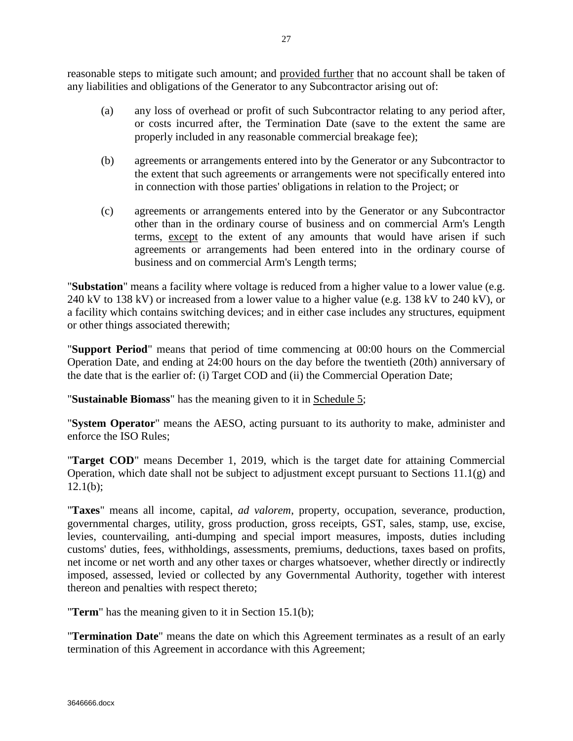reasonable steps to mitigate such amount; and provided further that no account shall be taken of any liabilities and obligations of the Generator to any Subcontractor arising out of:

- (a) any loss of overhead or profit of such Subcontractor relating to any period after, or costs incurred after, the Termination Date (save to the extent the same are properly included in any reasonable commercial breakage fee);
- (b) agreements or arrangements entered into by the Generator or any Subcontractor to the extent that such agreements or arrangements were not specifically entered into in connection with those parties' obligations in relation to the Project; or
- (c) agreements or arrangements entered into by the Generator or any Subcontractor other than in the ordinary course of business and on commercial Arm's Length terms, except to the extent of any amounts that would have arisen if such agreements or arrangements had been entered into in the ordinary course of business and on commercial Arm's Length terms;

"**Substation**" means a facility where voltage is reduced from a higher value to a lower value (e.g. 240 kV to 138 kV) or increased from a lower value to a higher value (e.g. 138 kV to 240 kV), or a facility which contains switching devices; and in either case includes any structures, equipment or other things associated therewith;

"**Support Period**" means that period of time commencing at 00:00 hours on the Commercial Operation Date, and ending at 24:00 hours on the day before the twentieth (20th) anniversary of the date that is the earlier of: (i) Target COD and (ii) the Commercial Operation Date;

"**Sustainable Biomass**" has the meaning given to it in Schedule 5;

"**System Operator**" means the AESO, acting pursuant to its authority to make, administer and enforce the ISO Rules;

"**Target COD**" means December 1, 2019, which is the target date for attaining Commercial Operation, which date shall not be subject to adjustment except pursuant to Sections 11.1(g) and  $12.1(b)$ :

"**Taxes**" means all income, capital, *ad valorem*, property, occupation, severance, production, governmental charges, utility, gross production, gross receipts, GST, sales, stamp, use, excise, levies, countervailing, anti-dumping and special import measures, imposts, duties including customs' duties, fees, withholdings, assessments, premiums, deductions, taxes based on profits, net income or net worth and any other taxes or charges whatsoever, whether directly or indirectly imposed, assessed, levied or collected by any Governmental Authority, together with interest thereon and penalties with respect thereto;

"**Term**" has the meaning given to it in Section 15.1(b);

"**Termination Date**" means the date on which this Agreement terminates as a result of an early termination of this Agreement in accordance with this Agreement;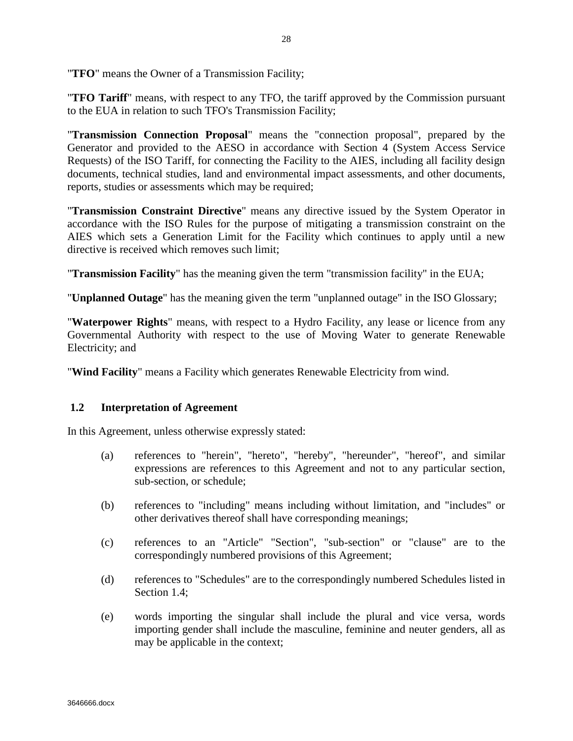"**TFO**" means the Owner of a Transmission Facility;

"**TFO Tariff**" means, with respect to any TFO, the tariff approved by the Commission pursuant to the EUA in relation to such TFO's Transmission Facility;

"**Transmission Connection Proposal**" means the "connection proposal", prepared by the Generator and provided to the AESO in accordance with Section 4 (System Access Service Requests) of the ISO Tariff, for connecting the Facility to the AIES, including all facility design documents, technical studies, land and environmental impact assessments, and other documents, reports, studies or assessments which may be required;

"**Transmission Constraint Directive**" means any directive issued by the System Operator in accordance with the ISO Rules for the purpose of mitigating a transmission constraint on the AIES which sets a Generation Limit for the Facility which continues to apply until a new directive is received which removes such limit;

"**Transmission Facility**" has the meaning given the term "transmission facility" in the EUA;

"**Unplanned Outage**" has the meaning given the term "unplanned outage" in the ISO Glossary;

"**Waterpower Rights**" means, with respect to a Hydro Facility, any lease or licence from any Governmental Authority with respect to the use of Moving Water to generate Renewable Electricity; and

"**Wind Facility**" means a Facility which generates Renewable Electricity from wind.

### <span id="page-32-0"></span>**1.2 Interpretation of Agreement**

In this Agreement, unless otherwise expressly stated:

- (a) references to "herein", "hereto", "hereby", "hereunder", "hereof", and similar expressions are references to this Agreement and not to any particular section, sub-section, or schedule;
- (b) references to "including" means including without limitation, and "includes" or other derivatives thereof shall have corresponding meanings;
- (c) references to an "Article" "Section", "sub-section" or "clause" are to the correspondingly numbered provisions of this Agreement;
- (d) references to "Schedules" are to the correspondingly numbered Schedules listed in Section 1.4;
- (e) words importing the singular shall include the plural and vice versa, words importing gender shall include the masculine, feminine and neuter genders, all as may be applicable in the context;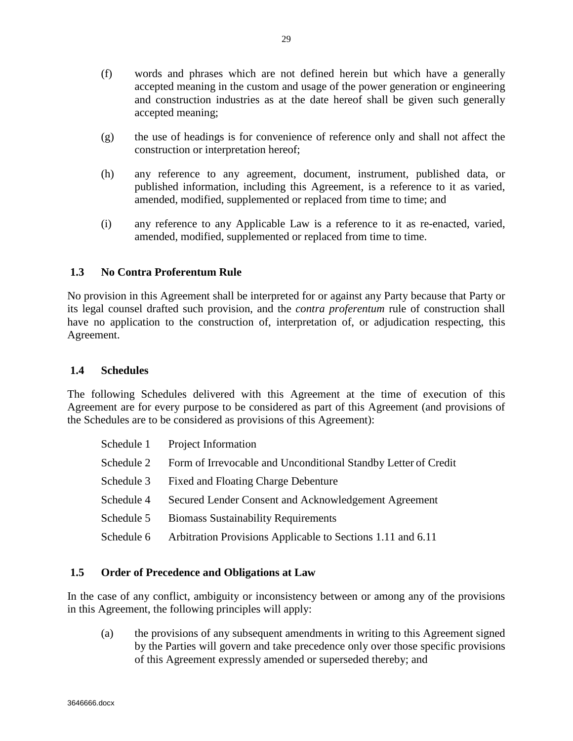- (f) words and phrases which are not defined herein but which have a generally accepted meaning in the custom and usage of the power generation or engineering and construction industries as at the date hereof shall be given such generally accepted meaning;
- (g) the use of headings is for convenience of reference only and shall not affect the construction or interpretation hereof;
- (h) any reference to any agreement, document, instrument, published data, or published information, including this Agreement, is a reference to it as varied, amended, modified, supplemented or replaced from time to time; and
- (i) any reference to any Applicable Law is a reference to it as re-enacted, varied, amended, modified, supplemented or replaced from time to time.

## <span id="page-33-0"></span>**1.3 No Contra Proferentum Rule**

No provision in this Agreement shall be interpreted for or against any Party because that Party or its legal counsel drafted such provision, and the *contra proferentum* rule of construction shall have no application to the construction of, interpretation of, or adjudication respecting, this Agreement.

## <span id="page-33-1"></span>**1.4 Schedules**

The following Schedules delivered with this Agreement at the time of execution of this Agreement are for every purpose to be considered as part of this Agreement (and provisions of the Schedules are to be considered as provisions of this Agreement):

|            | Schedule 1 Project Information                                 |
|------------|----------------------------------------------------------------|
| Schedule 2 | Form of Irrevocable and Unconditional Standby Letter of Credit |
| Schedule 3 | <b>Fixed and Floating Charge Debenture</b>                     |
| Schedule 4 | Secured Lender Consent and Acknowledgement Agreement           |
| Schedule 5 | <b>Biomass Sustainability Requirements</b>                     |
| Schedule 6 | Arbitration Provisions Applicable to Sections 1.11 and 6.11    |
|            |                                                                |

## <span id="page-33-2"></span>**1.5 Order of Precedence and Obligations at Law**

In the case of any conflict, ambiguity or inconsistency between or among any of the provisions in this Agreement, the following principles will apply:

(a) the provisions of any subsequent amendments in writing to this Agreement signed by the Parties will govern and take precedence only over those specific provisions of this Agreement expressly amended or superseded thereby; and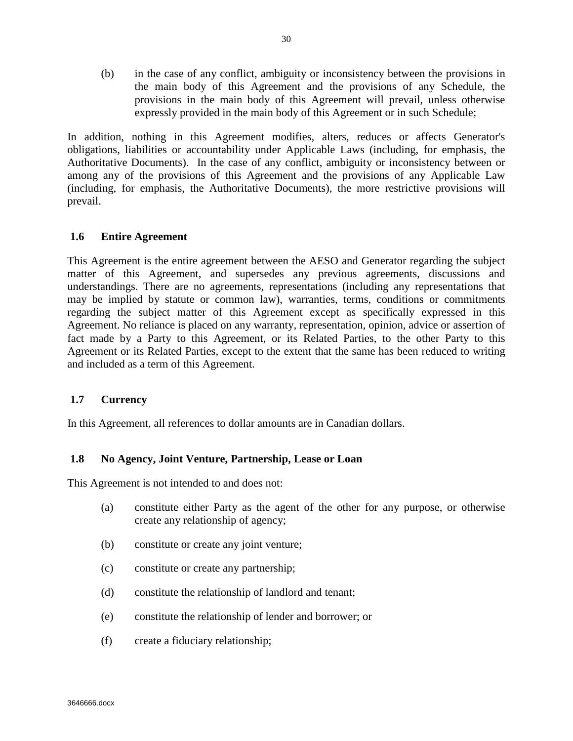(b) in the case of any conflict, ambiguity or inconsistency between the provisions in the main body of this Agreement and the provisions of any Schedule, the provisions in the main body of this Agreement will prevail, unless otherwise expressly provided in the main body of this Agreement or in such Schedule;

In addition, nothing in this Agreement modifies, alters, reduces or affects Generator's obligations, liabilities or accountability under Applicable Laws (including, for emphasis, the Authoritative Documents). In the case of any conflict, ambiguity or inconsistency between or among any of the provisions of this Agreement and the provisions of any Applicable Law (including, for emphasis, the Authoritative Documents), the more restrictive provisions will prevail.

## <span id="page-34-0"></span>**1.6 Entire Agreement**

This Agreement is the entire agreement between the AESO and Generator regarding the subject matter of this Agreement, and supersedes any previous agreements, discussions and understandings. There are no agreements, representations (including any representations that may be implied by statute or common law), warranties, terms, conditions or commitments regarding the subject matter of this Agreement except as specifically expressed in this Agreement. No reliance is placed on any warranty, representation, opinion, advice or assertion of fact made by a Party to this Agreement, or its Related Parties, to the other Party to this Agreement or its Related Parties, except to the extent that the same has been reduced to writing and included as a term of this Agreement.

#### <span id="page-34-1"></span>**1.7 Currency**

In this Agreement, all references to dollar amounts are in Canadian dollars.

#### <span id="page-34-2"></span>**1.8 No Agency, Joint Venture, Partnership, Lease or Loan**

This Agreement is not intended to and does not:

- (a) constitute either Party as the agent of the other for any purpose, or otherwise create any relationship of agency;
- (b) constitute or create any joint venture;
- (c) constitute or create any partnership;
- (d) constitute the relationship of landlord and tenant;
- (e) constitute the relationship of lender and borrower; or
- (f) create a fiduciary relationship;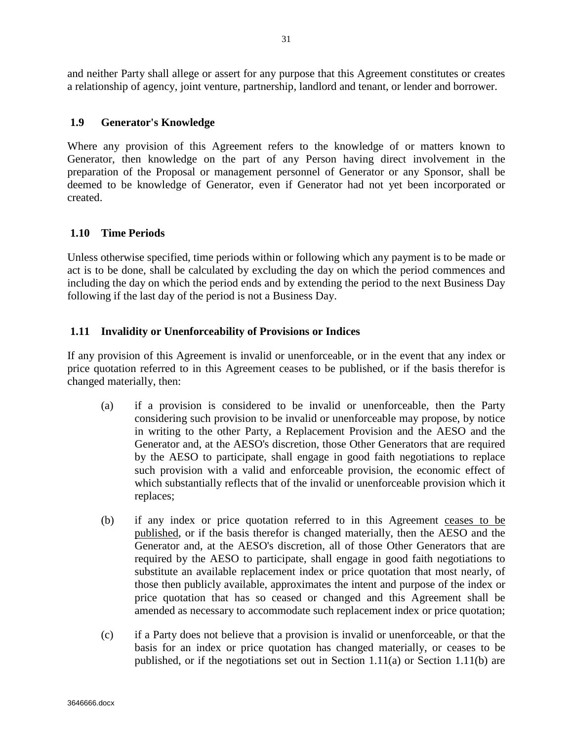and neither Party shall allege or assert for any purpose that this Agreement constitutes or creates a relationship of agency, joint venture, partnership, landlord and tenant, or lender and borrower.

## <span id="page-35-0"></span>**1.9 Generator's Knowledge**

Where any provision of this Agreement refers to the knowledge of or matters known to Generator, then knowledge on the part of any Person having direct involvement in the preparation of the Proposal or management personnel of Generator or any Sponsor, shall be deemed to be knowledge of Generator, even if Generator had not yet been incorporated or created.

## <span id="page-35-1"></span>**1.10 Time Periods**

Unless otherwise specified, time periods within or following which any payment is to be made or act is to be done, shall be calculated by excluding the day on which the period commences and including the day on which the period ends and by extending the period to the next Business Day following if the last day of the period is not a Business Day.

## <span id="page-35-2"></span>**1.11 Invalidity or Unenforceability of Provisions or Indices**

If any provision of this Agreement is invalid or unenforceable, or in the event that any index or price quotation referred to in this Agreement ceases to be published, or if the basis therefor is changed materially, then:

- (a) if a provision is considered to be invalid or unenforceable, then the Party considering such provision to be invalid or unenforceable may propose, by notice in writing to the other Party, a Replacement Provision and the AESO and the Generator and, at the AESO's discretion, those Other Generators that are required by the AESO to participate, shall engage in good faith negotiations to replace such provision with a valid and enforceable provision, the economic effect of which substantially reflects that of the invalid or unenforceable provision which it replaces;
- (b) if any index or price quotation referred to in this Agreement ceases to be published, or if the basis therefor is changed materially, then the AESO and the Generator and, at the AESO's discretion, all of those Other Generators that are required by the AESO to participate, shall engage in good faith negotiations to substitute an available replacement index or price quotation that most nearly, of those then publicly available, approximates the intent and purpose of the index or price quotation that has so ceased or changed and this Agreement shall be amended as necessary to accommodate such replacement index or price quotation;
- (c) if a Party does not believe that a provision is invalid or unenforceable, or that the basis for an index or price quotation has changed materially, or ceases to be published, or if the negotiations set out in Section 1.11(a) or Section 1.11(b) are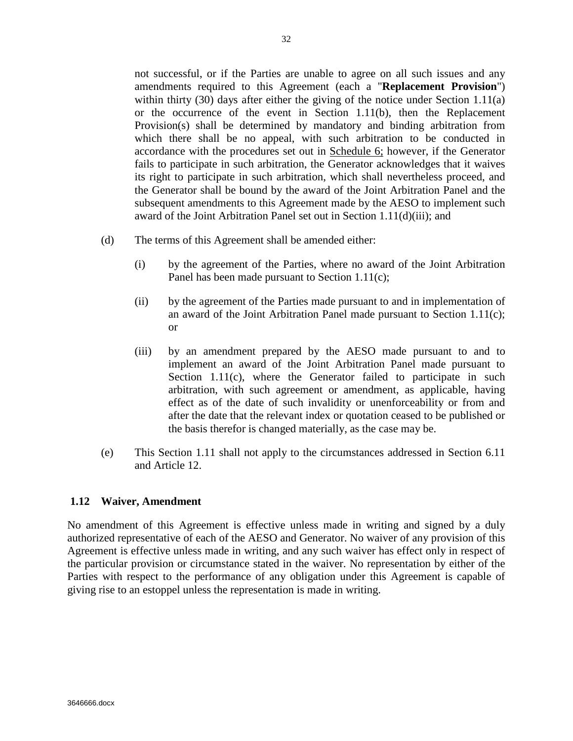not successful, or if the Parties are unable to agree on all such issues and any amendments required to this Agreement (each a "**Replacement Provision**") within thirty (30) days after either the giving of the notice under Section 1.11(a) or the occurrence of the event in Section 1.11(b), then the Replacement Provision(s) shall be determined by mandatory and binding arbitration from which there shall be no appeal, with such arbitration to be conducted in accordance with the procedures set out in Schedule 6; however, if the Generator fails to participate in such arbitration, the Generator acknowledges that it waives its right to participate in such arbitration, which shall nevertheless proceed, and the Generator shall be bound by the award of the Joint Arbitration Panel and the subsequent amendments to this Agreement made by the AESO to implement such award of the Joint Arbitration Panel set out in Section 1.11(d)(iii); and

- (d) The terms of this Agreement shall be amended either:
	- (i) by the agreement of the Parties, where no award of the Joint Arbitration Panel has been made pursuant to Section 1.11(c);
	- (ii) by the agreement of the Parties made pursuant to and in implementation of an award of the Joint Arbitration Panel made pursuant to Section 1.11(c); or
	- (iii) by an amendment prepared by the AESO made pursuant to and to implement an award of the Joint Arbitration Panel made pursuant to Section 1.11(c), where the Generator failed to participate in such arbitration, with such agreement or amendment, as applicable, having effect as of the date of such invalidity or unenforceability or from and after the date that the relevant index or quotation ceased to be published or the basis therefor is changed materially, as the case may be.
- (e) This Section 1.11 shall not apply to the circumstances addressed in Section 6.11 and Article 12.

## **1.12 Waiver, Amendment**

No amendment of this Agreement is effective unless made in writing and signed by a duly authorized representative of each of the AESO and Generator. No waiver of any provision of this Agreement is effective unless made in writing, and any such waiver has effect only in respect of the particular provision or circumstance stated in the waiver. No representation by either of the Parties with respect to the performance of any obligation under this Agreement is capable of giving rise to an estoppel unless the representation is made in writing.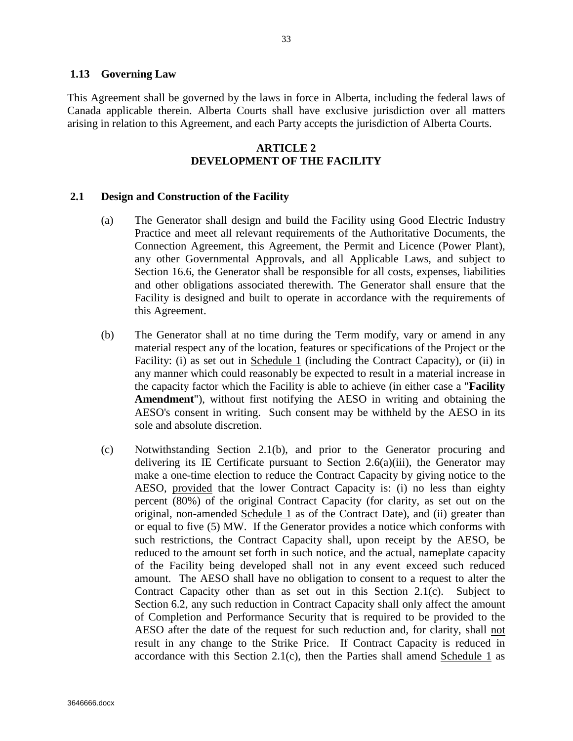#### **1.13 Governing Law**

This Agreement shall be governed by the laws in force in Alberta, including the federal laws of Canada applicable therein. Alberta Courts shall have exclusive jurisdiction over all matters arising in relation to this Agreement, and each Party accepts the jurisdiction of Alberta Courts.

## **ARTICLE 2 DEVELOPMENT OF THE FACILITY**

#### **2.1 Design and Construction of the Facility**

- (a) The Generator shall design and build the Facility using Good Electric Industry Practice and meet all relevant requirements of the Authoritative Documents, the Connection Agreement, this Agreement, the Permit and Licence (Power Plant), any other Governmental Approvals, and all Applicable Laws, and subject to Section 16.6, the Generator shall be responsible for all costs, expenses, liabilities and other obligations associated therewith. The Generator shall ensure that the Facility is designed and built to operate in accordance with the requirements of this Agreement.
- (b) The Generator shall at no time during the Term modify, vary or amend in any material respect any of the location, features or specifications of the Project or the Facility: (i) as set out in Schedule 1 (including the Contract Capacity), or (ii) in any manner which could reasonably be expected to result in a material increase in the capacity factor which the Facility is able to achieve (in either case a "**Facility Amendment**"), without first notifying the AESO in writing and obtaining the AESO's consent in writing. Such consent may be withheld by the AESO in its sole and absolute discretion.
- (c) Notwithstanding Section 2.1(b), and prior to the Generator procuring and delivering its IE Certificate pursuant to Section 2.6(a)(iii), the Generator may make a one-time election to reduce the Contract Capacity by giving notice to the AESO, provided that the lower Contract Capacity is: (i) no less than eighty percent (80%) of the original Contract Capacity (for clarity, as set out on the original, non-amended Schedule 1 as of the Contract Date), and (ii) greater than or equal to five (5) MW. If the Generator provides a notice which conforms with such restrictions, the Contract Capacity shall, upon receipt by the AESO, be reduced to the amount set forth in such notice, and the actual, nameplate capacity of the Facility being developed shall not in any event exceed such reduced amount. The AESO shall have no obligation to consent to a request to alter the Contract Capacity other than as set out in this Section 2.1(c). Subject to Section 6.2, any such reduction in Contract Capacity shall only affect the amount of Completion and Performance Security that is required to be provided to the AESO after the date of the request for such reduction and, for clarity, shall not result in any change to the Strike Price. If Contract Capacity is reduced in accordance with this Section 2.1(c), then the Parties shall amend Schedule 1 as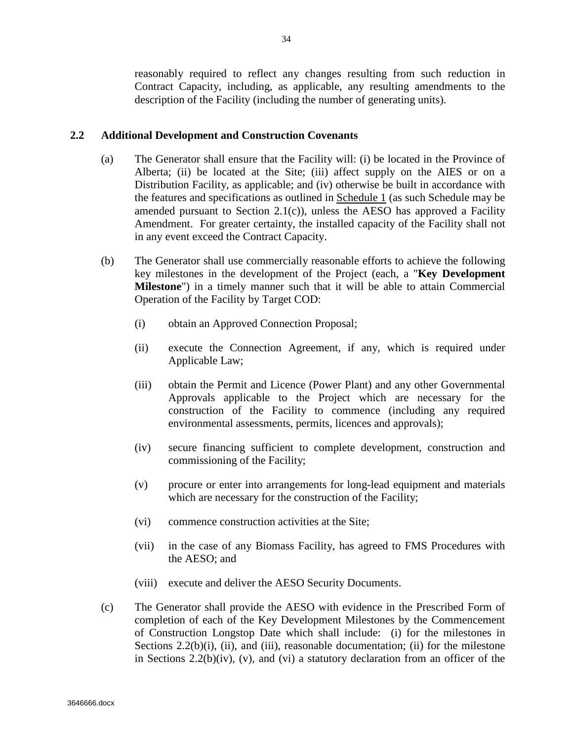reasonably required to reflect any changes resulting from such reduction in Contract Capacity, including, as applicable, any resulting amendments to the description of the Facility (including the number of generating units).

#### **2.2 Additional Development and Construction Covenants**

- (a) The Generator shall ensure that the Facility will: (i) be located in the Province of Alberta; (ii) be located at the Site; (iii) affect supply on the AIES or on a Distribution Facility, as applicable; and (iv) otherwise be built in accordance with the features and specifications as outlined in Schedule 1 (as such Schedule may be amended pursuant to Section 2.1(c)), unless the AESO has approved a Facility Amendment. For greater certainty, the installed capacity of the Facility shall not in any event exceed the Contract Capacity.
- (b) The Generator shall use commercially reasonable efforts to achieve the following key milestones in the development of the Project (each, a "**Key Development Milestone**") in a timely manner such that it will be able to attain Commercial Operation of the Facility by Target COD:
	- (i) obtain an Approved Connection Proposal;
	- (ii) execute the Connection Agreement, if any, which is required under Applicable Law;
	- (iii) obtain the Permit and Licence (Power Plant) and any other Governmental Approvals applicable to the Project which are necessary for the construction of the Facility to commence (including any required environmental assessments, permits, licences and approvals);
	- (iv) secure financing sufficient to complete development, construction and commissioning of the Facility;
	- (v) procure or enter into arrangements for long-lead equipment and materials which are necessary for the construction of the Facility;
	- (vi) commence construction activities at the Site;
	- (vii) in the case of any Biomass Facility, has agreed to FMS Procedures with the AESO; and
	- (viii) execute and deliver the AESO Security Documents.
- (c) The Generator shall provide the AESO with evidence in the Prescribed Form of completion of each of the Key Development Milestones by the Commencement of Construction Longstop Date which shall include: (i) for the milestones in Sections  $2.2(b)(i)$ , (ii), and (iii), reasonable documentation; (ii) for the milestone in Sections 2.2(b)(iv), (v), and (vi) a statutory declaration from an officer of the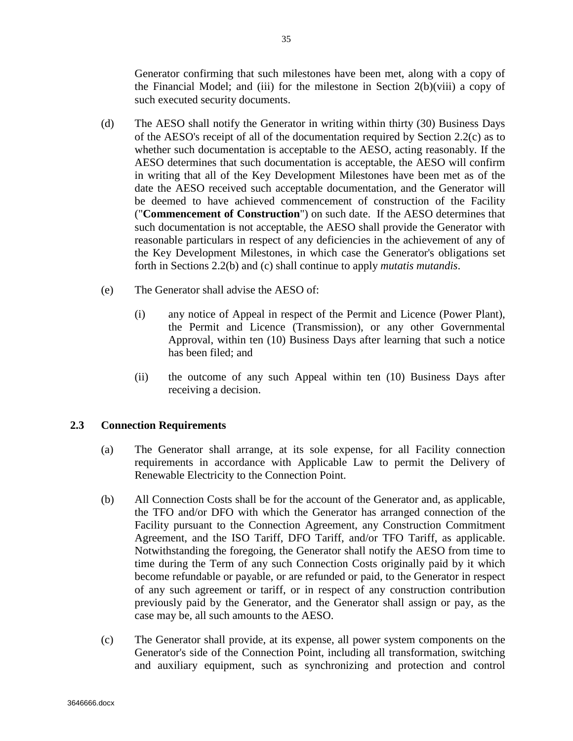Generator confirming that such milestones have been met, along with a copy of the Financial Model; and (iii) for the milestone in Section  $2(b)(viii)$  a copy of such executed security documents.

- (d) The AESO shall notify the Generator in writing within thirty (30) Business Days of the AESO's receipt of all of the documentation required by Section 2.2(c) as to whether such documentation is acceptable to the AESO, acting reasonably. If the AESO determines that such documentation is acceptable, the AESO will confirm in writing that all of the Key Development Milestones have been met as of the date the AESO received such acceptable documentation, and the Generator will be deemed to have achieved commencement of construction of the Facility ("**Commencement of Construction**") on such date. If the AESO determines that such documentation is not acceptable, the AESO shall provide the Generator with reasonable particulars in respect of any deficiencies in the achievement of any of the Key Development Milestones, in which case the Generator's obligations set forth in Sections 2.2(b) and (c) shall continue to apply *mutatis mutandis*.
- (e) The Generator shall advise the AESO of:
	- (i) any notice of Appeal in respect of the Permit and Licence (Power Plant), the Permit and Licence (Transmission), or any other Governmental Approval, within ten (10) Business Days after learning that such a notice has been filed; and
	- (ii) the outcome of any such Appeal within ten (10) Business Days after receiving a decision.

## **2.3 Connection Requirements**

- (a) The Generator shall arrange, at its sole expense, for all Facility connection requirements in accordance with Applicable Law to permit the Delivery of Renewable Electricity to the Connection Point.
- (b) All Connection Costs shall be for the account of the Generator and, as applicable, the TFO and/or DFO with which the Generator has arranged connection of the Facility pursuant to the Connection Agreement, any Construction Commitment Agreement, and the ISO Tariff, DFO Tariff, and/or TFO Tariff, as applicable. Notwithstanding the foregoing, the Generator shall notify the AESO from time to time during the Term of any such Connection Costs originally paid by it which become refundable or payable, or are refunded or paid, to the Generator in respect of any such agreement or tariff, or in respect of any construction contribution previously paid by the Generator, and the Generator shall assign or pay, as the case may be, all such amounts to the AESO.
- (c) The Generator shall provide, at its expense, all power system components on the Generator's side of the Connection Point, including all transformation, switching and auxiliary equipment, such as synchronizing and protection and control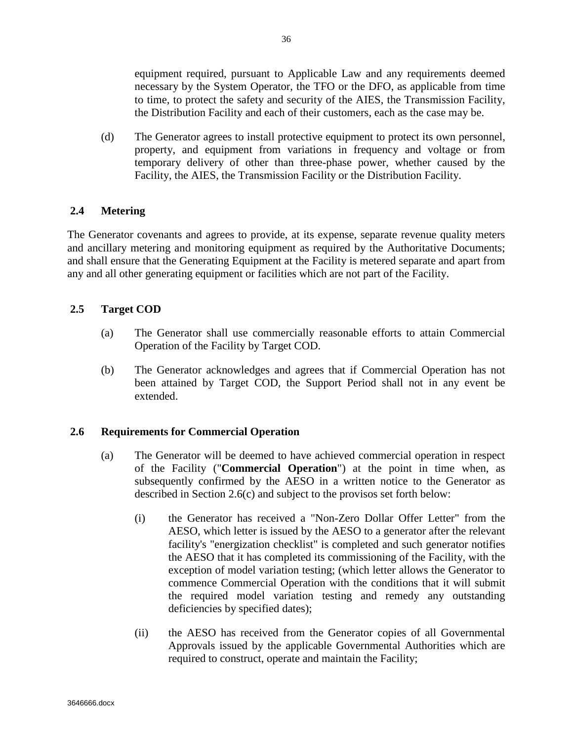equipment required, pursuant to Applicable Law and any requirements deemed necessary by the System Operator, the TFO or the DFO, as applicable from time to time, to protect the safety and security of the AIES, the Transmission Facility, the Distribution Facility and each of their customers, each as the case may be.

(d) The Generator agrees to install protective equipment to protect its own personnel, property, and equipment from variations in frequency and voltage or from temporary delivery of other than three-phase power, whether caused by the Facility, the AIES, the Transmission Facility or the Distribution Facility.

# **2.4 Metering**

The Generator covenants and agrees to provide, at its expense, separate revenue quality meters and ancillary metering and monitoring equipment as required by the Authoritative Documents; and shall ensure that the Generating Equipment at the Facility is metered separate and apart from any and all other generating equipment or facilities which are not part of the Facility.

# **2.5 Target COD**

- (a) The Generator shall use commercially reasonable efforts to attain Commercial Operation of the Facility by Target COD.
- (b) The Generator acknowledges and agrees that if Commercial Operation has not been attained by Target COD, the Support Period shall not in any event be extended.

## **2.6 Requirements for Commercial Operation**

- (a) The Generator will be deemed to have achieved commercial operation in respect of the Facility ("**Commercial Operation**") at the point in time when, as subsequently confirmed by the AESO in a written notice to the Generator as described in Section 2.6(c) and subject to the provisos set forth below:
	- (i) the Generator has received a "Non-Zero Dollar Offer Letter" from the AESO, which letter is issued by the AESO to a generator after the relevant facility's "energization checklist" is completed and such generator notifies the AESO that it has completed its commissioning of the Facility, with the exception of model variation testing; (which letter allows the Generator to commence Commercial Operation with the conditions that it will submit the required model variation testing and remedy any outstanding deficiencies by specified dates);
	- (ii) the AESO has received from the Generator copies of all Governmental Approvals issued by the applicable Governmental Authorities which are required to construct, operate and maintain the Facility;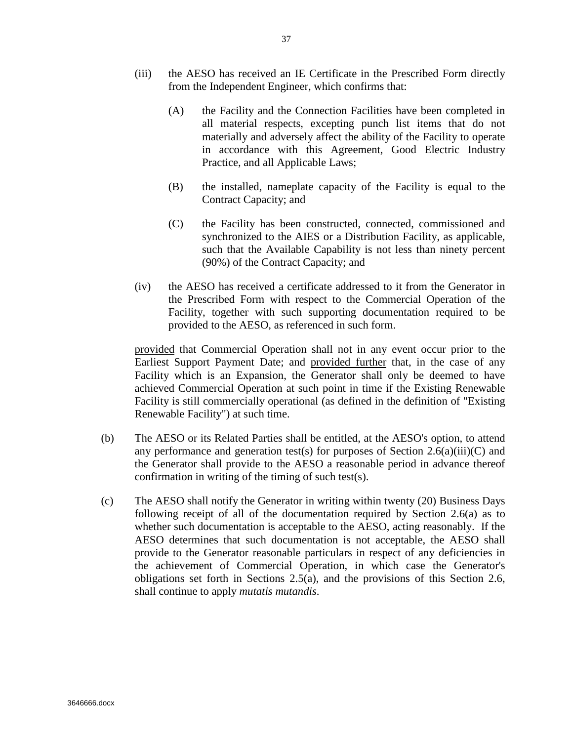- (iii) the AESO has received an IE Certificate in the Prescribed Form directly from the Independent Engineer, which confirms that:
	- (A) the Facility and the Connection Facilities have been completed in all material respects, excepting punch list items that do not materially and adversely affect the ability of the Facility to operate in accordance with this Agreement, Good Electric Industry Practice, and all Applicable Laws;
	- (B) the installed, nameplate capacity of the Facility is equal to the Contract Capacity; and
	- (C) the Facility has been constructed, connected, commissioned and synchronized to the AIES or a Distribution Facility, as applicable, such that the Available Capability is not less than ninety percent (90%) of the Contract Capacity; and
- (iv) the AESO has received a certificate addressed to it from the Generator in the Prescribed Form with respect to the Commercial Operation of the Facility, together with such supporting documentation required to be provided to the AESO, as referenced in such form.

provided that Commercial Operation shall not in any event occur prior to the Earliest Support Payment Date; and provided further that, in the case of any Facility which is an Expansion, the Generator shall only be deemed to have achieved Commercial Operation at such point in time if the Existing Renewable Facility is still commercially operational (as defined in the definition of "Existing Renewable Facility") at such time.

- (b) The AESO or its Related Parties shall be entitled, at the AESO's option, to attend any performance and generation test(s) for purposes of Section  $2.6(a)(iii)(C)$  and the Generator shall provide to the AESO a reasonable period in advance thereof confirmation in writing of the timing of such test(s).
- (c) The AESO shall notify the Generator in writing within twenty (20) Business Days following receipt of all of the documentation required by Section 2.6(a) as to whether such documentation is acceptable to the AESO, acting reasonably. If the AESO determines that such documentation is not acceptable, the AESO shall provide to the Generator reasonable particulars in respect of any deficiencies in the achievement of Commercial Operation, in which case the Generator's obligations set forth in Sections 2.5(a), and the provisions of this Section 2.6, shall continue to apply *mutatis mutandis*.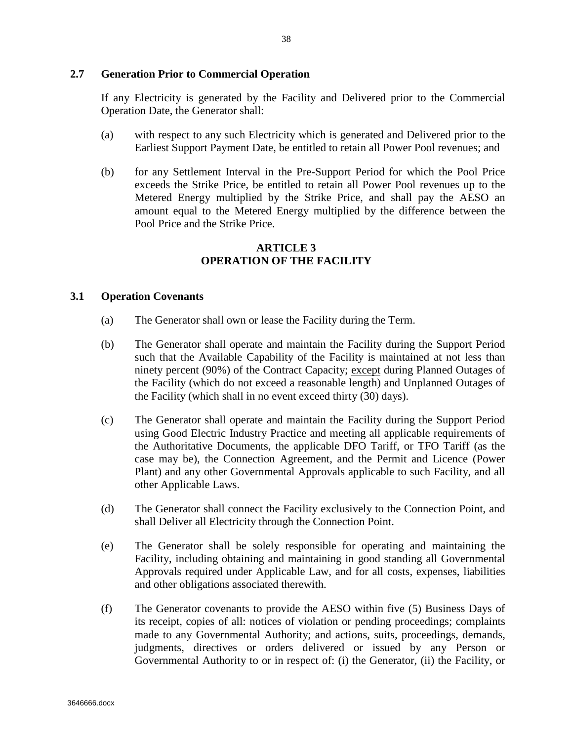### **2.7 Generation Prior to Commercial Operation**

If any Electricity is generated by the Facility and Delivered prior to the Commercial Operation Date, the Generator shall:

- (a) with respect to any such Electricity which is generated and Delivered prior to the Earliest Support Payment Date, be entitled to retain all Power Pool revenues; and
- (b) for any Settlement Interval in the Pre-Support Period for which the Pool Price exceeds the Strike Price, be entitled to retain all Power Pool revenues up to the Metered Energy multiplied by the Strike Price, and shall pay the AESO an amount equal to the Metered Energy multiplied by the difference between the Pool Price and the Strike Price.

#### **ARTICLE 3 OPERATION OF THE FACILITY**

#### **3.1 Operation Covenants**

- (a) The Generator shall own or lease the Facility during the Term.
- (b) The Generator shall operate and maintain the Facility during the Support Period such that the Available Capability of the Facility is maintained at not less than ninety percent (90%) of the Contract Capacity; except during Planned Outages of the Facility (which do not exceed a reasonable length) and Unplanned Outages of the Facility (which shall in no event exceed thirty (30) days).
- (c) The Generator shall operate and maintain the Facility during the Support Period using Good Electric Industry Practice and meeting all applicable requirements of the Authoritative Documents, the applicable DFO Tariff, or TFO Tariff (as the case may be), the Connection Agreement, and the Permit and Licence (Power Plant) and any other Governmental Approvals applicable to such Facility, and all other Applicable Laws.
- (d) The Generator shall connect the Facility exclusively to the Connection Point, and shall Deliver all Electricity through the Connection Point.
- (e) The Generator shall be solely responsible for operating and maintaining the Facility, including obtaining and maintaining in good standing all Governmental Approvals required under Applicable Law, and for all costs, expenses, liabilities and other obligations associated therewith.
- (f) The Generator covenants to provide the AESO within five (5) Business Days of its receipt, copies of all: notices of violation or pending proceedings; complaints made to any Governmental Authority; and actions, suits, proceedings, demands, judgments, directives or orders delivered or issued by any Person or Governmental Authority to or in respect of: (i) the Generator, (ii) the Facility, or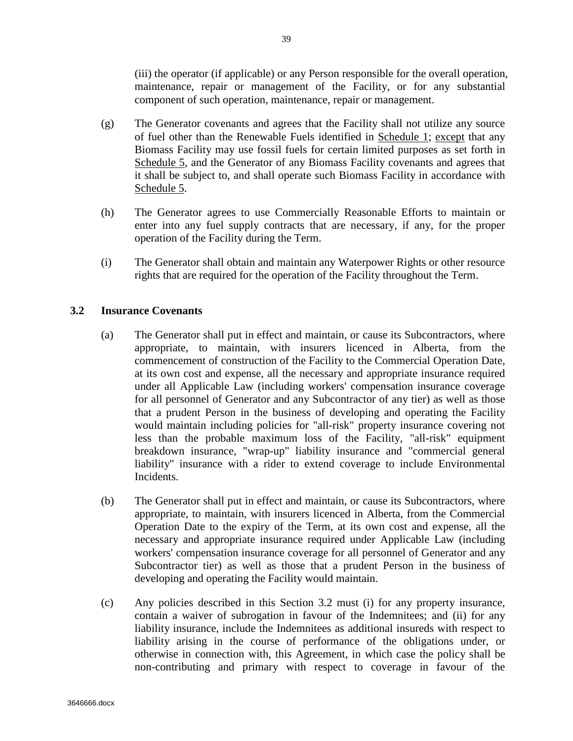(iii) the operator (if applicable) or any Person responsible for the overall operation, maintenance, repair or management of the Facility, or for any substantial component of such operation, maintenance, repair or management.

- (g) The Generator covenants and agrees that the Facility shall not utilize any source of fuel other than the Renewable Fuels identified in Schedule 1; except that any Biomass Facility may use fossil fuels for certain limited purposes as set forth in Schedule 5, and the Generator of any Biomass Facility covenants and agrees that it shall be subject to, and shall operate such Biomass Facility in accordance with Schedule 5.
- (h) The Generator agrees to use Commercially Reasonable Efforts to maintain or enter into any fuel supply contracts that are necessary, if any, for the proper operation of the Facility during the Term.
- (i) The Generator shall obtain and maintain any Waterpower Rights or other resource rights that are required for the operation of the Facility throughout the Term.

## **3.2 Insurance Covenants**

- (a) The Generator shall put in effect and maintain, or cause its Subcontractors, where appropriate, to maintain, with insurers licenced in Alberta, from the commencement of construction of the Facility to the Commercial Operation Date, at its own cost and expense, all the necessary and appropriate insurance required under all Applicable Law (including workers' compensation insurance coverage for all personnel of Generator and any Subcontractor of any tier) as well as those that a prudent Person in the business of developing and operating the Facility would maintain including policies for "all-risk" property insurance covering not less than the probable maximum loss of the Facility, "all-risk" equipment breakdown insurance, "wrap-up" liability insurance and "commercial general liability" insurance with a rider to extend coverage to include Environmental Incidents.
- (b) The Generator shall put in effect and maintain, or cause its Subcontractors, where appropriate, to maintain, with insurers licenced in Alberta, from the Commercial Operation Date to the expiry of the Term, at its own cost and expense, all the necessary and appropriate insurance required under Applicable Law (including workers' compensation insurance coverage for all personnel of Generator and any Subcontractor tier) as well as those that a prudent Person in the business of developing and operating the Facility would maintain.
- (c) Any policies described in this Section 3.2 must (i) for any property insurance, contain a waiver of subrogation in favour of the Indemnitees; and (ii) for any liability insurance, include the Indemnitees as additional insureds with respect to liability arising in the course of performance of the obligations under, or otherwise in connection with, this Agreement, in which case the policy shall be non-contributing and primary with respect to coverage in favour of the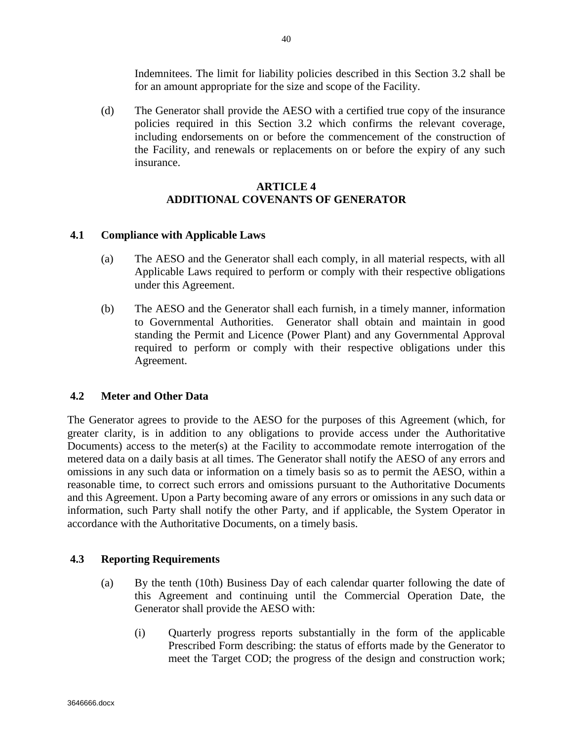Indemnitees. The limit for liability policies described in this Section 3.2 shall be for an amount appropriate for the size and scope of the Facility.

(d) The Generator shall provide the AESO with a certified true copy of the insurance policies required in this Section 3.2 which confirms the relevant coverage, including endorsements on or before the commencement of the construction of the Facility, and renewals or replacements on or before the expiry of any such insurance.

### **ARTICLE 4 ADDITIONAL COVENANTS OF GENERATOR**

## **4.1 Compliance with Applicable Laws**

- (a) The AESO and the Generator shall each comply, in all material respects, with all Applicable Laws required to perform or comply with their respective obligations under this Agreement.
- (b) The AESO and the Generator shall each furnish, in a timely manner, information to Governmental Authorities. Generator shall obtain and maintain in good standing the Permit and Licence (Power Plant) and any Governmental Approval required to perform or comply with their respective obligations under this Agreement.

## **4.2 Meter and Other Data**

The Generator agrees to provide to the AESO for the purposes of this Agreement (which, for greater clarity, is in addition to any obligations to provide access under the Authoritative Documents) access to the meter(s) at the Facility to accommodate remote interrogation of the metered data on a daily basis at all times. The Generator shall notify the AESO of any errors and omissions in any such data or information on a timely basis so as to permit the AESO, within a reasonable time, to correct such errors and omissions pursuant to the Authoritative Documents and this Agreement. Upon a Party becoming aware of any errors or omissions in any such data or information, such Party shall notify the other Party, and if applicable, the System Operator in accordance with the Authoritative Documents, on a timely basis.

## **4.3 Reporting Requirements**

- (a) By the tenth (10th) Business Day of each calendar quarter following the date of this Agreement and continuing until the Commercial Operation Date, the Generator shall provide the AESO with:
	- (i) Quarterly progress reports substantially in the form of the applicable Prescribed Form describing: the status of efforts made by the Generator to meet the Target COD; the progress of the design and construction work;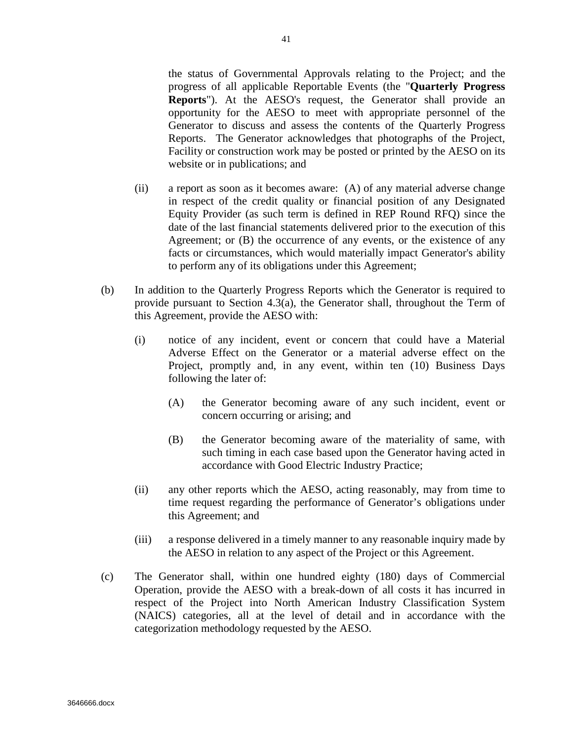the status of Governmental Approvals relating to the Project; and the progress of all applicable Reportable Events (the "**Quarterly Progress Reports**"). At the AESO's request, the Generator shall provide an opportunity for the AESO to meet with appropriate personnel of the Generator to discuss and assess the contents of the Quarterly Progress Reports. The Generator acknowledges that photographs of the Project, Facility or construction work may be posted or printed by the AESO on its website or in publications; and

- (ii) a report as soon as it becomes aware: (A) of any material adverse change in respect of the credit quality or financial position of any Designated Equity Provider (as such term is defined in REP Round RFQ) since the date of the last financial statements delivered prior to the execution of this Agreement; or (B) the occurrence of any events, or the existence of any facts or circumstances, which would materially impact Generator's ability to perform any of its obligations under this Agreement;
- (b) In addition to the Quarterly Progress Reports which the Generator is required to provide pursuant to Section 4.3(a), the Generator shall, throughout the Term of this Agreement, provide the AESO with:
	- (i) notice of any incident, event or concern that could have a Material Adverse Effect on the Generator or a material adverse effect on the Project, promptly and, in any event, within ten (10) Business Days following the later of:
		- (A) the Generator becoming aware of any such incident, event or concern occurring or arising; and
		- (B) the Generator becoming aware of the materiality of same, with such timing in each case based upon the Generator having acted in accordance with Good Electric Industry Practice;
	- (ii) any other reports which the AESO, acting reasonably, may from time to time request regarding the performance of Generator's obligations under this Agreement; and
	- (iii) a response delivered in a timely manner to any reasonable inquiry made by the AESO in relation to any aspect of the Project or this Agreement.
- (c) The Generator shall, within one hundred eighty (180) days of Commercial Operation, provide the AESO with a break-down of all costs it has incurred in respect of the Project into North American Industry Classification System (NAICS) categories, all at the level of detail and in accordance with the categorization methodology requested by the AESO.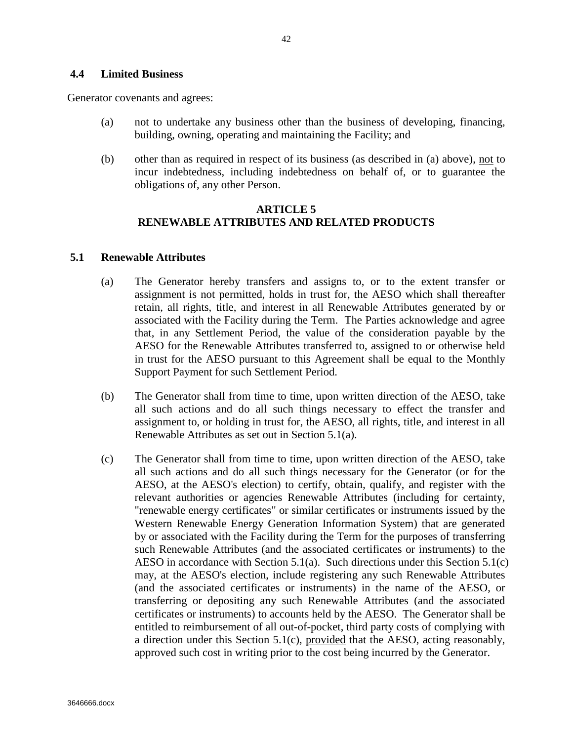#### **4.4 Limited Business**

Generator covenants and agrees:

- (a) not to undertake any business other than the business of developing, financing, building, owning, operating and maintaining the Facility; and
- (b) other than as required in respect of its business (as described in (a) above), not to incur indebtedness, including indebtedness on behalf of, or to guarantee the obligations of, any other Person.

### **ARTICLE 5 RENEWABLE ATTRIBUTES AND RELATED PRODUCTS**

#### **5.1 Renewable Attributes**

- (a) The Generator hereby transfers and assigns to, or to the extent transfer or assignment is not permitted, holds in trust for, the AESO which shall thereafter retain, all rights, title, and interest in all Renewable Attributes generated by or associated with the Facility during the Term. The Parties acknowledge and agree that, in any Settlement Period, the value of the consideration payable by the AESO for the Renewable Attributes transferred to, assigned to or otherwise held in trust for the AESO pursuant to this Agreement shall be equal to the Monthly Support Payment for such Settlement Period.
- (b) The Generator shall from time to time, upon written direction of the AESO, take all such actions and do all such things necessary to effect the transfer and assignment to, or holding in trust for, the AESO, all rights, title, and interest in all Renewable Attributes as set out in Section 5.1(a).
- (c) The Generator shall from time to time, upon written direction of the AESO, take all such actions and do all such things necessary for the Generator (or for the AESO, at the AESO's election) to certify, obtain, qualify, and register with the relevant authorities or agencies Renewable Attributes (including for certainty, "renewable energy certificates" or similar certificates or instruments issued by the Western Renewable Energy Generation Information System) that are generated by or associated with the Facility during the Term for the purposes of transferring such Renewable Attributes (and the associated certificates or instruments) to the AESO in accordance with Section 5.1(a). Such directions under this Section 5.1(c) may, at the AESO's election, include registering any such Renewable Attributes (and the associated certificates or instruments) in the name of the AESO, or transferring or depositing any such Renewable Attributes (and the associated certificates or instruments) to accounts held by the AESO. The Generator shall be entitled to reimbursement of all out-of-pocket, third party costs of complying with a direction under this Section 5.1(c), provided that the AESO, acting reasonably, approved such cost in writing prior to the cost being incurred by the Generator.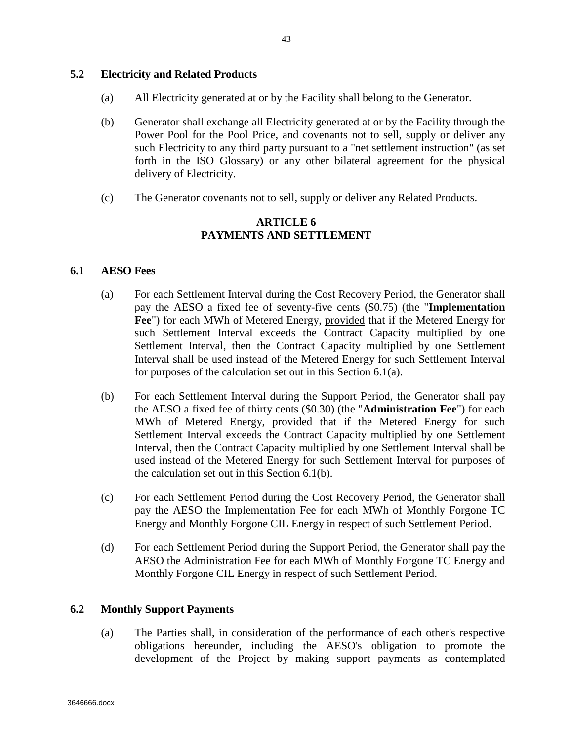## **5.2 Electricity and Related Products**

- (a) All Electricity generated at or by the Facility shall belong to the Generator.
- (b) Generator shall exchange all Electricity generated at or by the Facility through the Power Pool for the Pool Price, and covenants not to sell, supply or deliver any such Electricity to any third party pursuant to a "net settlement instruction" (as set forth in the ISO Glossary) or any other bilateral agreement for the physical delivery of Electricity.
- (c) The Generator covenants not to sell, supply or deliver any Related Products.

## **ARTICLE 6 PAYMENTS AND SETTLEMENT**

#### **6.1 AESO Fees**

- (a) For each Settlement Interval during the Cost Recovery Period, the Generator shall pay the AESO a fixed fee of seventy-five cents (\$0.75) (the "**Implementation Fee**") for each MWh of Metered Energy, provided that if the Metered Energy for such Settlement Interval exceeds the Contract Capacity multiplied by one Settlement Interval, then the Contract Capacity multiplied by one Settlement Interval shall be used instead of the Metered Energy for such Settlement Interval for purposes of the calculation set out in this Section 6.1(a).
- (b) For each Settlement Interval during the Support Period, the Generator shall pay the AESO a fixed fee of thirty cents (\$0.30) (the "**Administration Fee**") for each MWh of Metered Energy, provided that if the Metered Energy for such Settlement Interval exceeds the Contract Capacity multiplied by one Settlement Interval, then the Contract Capacity multiplied by one Settlement Interval shall be used instead of the Metered Energy for such Settlement Interval for purposes of the calculation set out in this Section 6.1(b).
- (c) For each Settlement Period during the Cost Recovery Period, the Generator shall pay the AESO the Implementation Fee for each MWh of Monthly Forgone TC Energy and Monthly Forgone CIL Energy in respect of such Settlement Period.
- (d) For each Settlement Period during the Support Period, the Generator shall pay the AESO the Administration Fee for each MWh of Monthly Forgone TC Energy and Monthly Forgone CIL Energy in respect of such Settlement Period.

## **6.2 Monthly Support Payments**

(a) The Parties shall, in consideration of the performance of each other's respective obligations hereunder, including the AESO's obligation to promote the development of the Project by making support payments as contemplated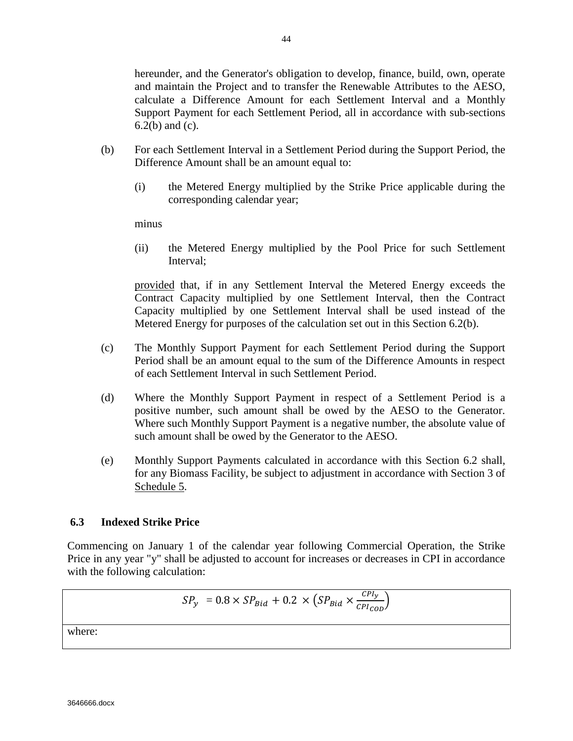hereunder, and the Generator's obligation to develop, finance, build, own, operate and maintain the Project and to transfer the Renewable Attributes to the AESO, calculate a Difference Amount for each Settlement Interval and a Monthly Support Payment for each Settlement Period, all in accordance with sub-sections 6.2(b) and (c).

- (b) For each Settlement Interval in a Settlement Period during the Support Period, the Difference Amount shall be an amount equal to:
	- (i) the Metered Energy multiplied by the Strike Price applicable during the corresponding calendar year;

minus

(ii) the Metered Energy multiplied by the Pool Price for such Settlement Interval;

provided that, if in any Settlement Interval the Metered Energy exceeds the Contract Capacity multiplied by one Settlement Interval, then the Contract Capacity multiplied by one Settlement Interval shall be used instead of the Metered Energy for purposes of the calculation set out in this Section 6.2(b).

- (c) The Monthly Support Payment for each Settlement Period during the Support Period shall be an amount equal to the sum of the Difference Amounts in respect of each Settlement Interval in such Settlement Period.
- (d) Where the Monthly Support Payment in respect of a Settlement Period is a positive number, such amount shall be owed by the AESO to the Generator. Where such Monthly Support Payment is a negative number, the absolute value of such amount shall be owed by the Generator to the AESO.
- (e) Monthly Support Payments calculated in accordance with this Section 6.2 shall, for any Biomass Facility, be subject to adjustment in accordance with Section 3 of Schedule 5.

#### **6.3 Indexed Strike Price**

Commencing on January 1 of the calendar year following Commercial Operation, the Strike Price in any year "y" shall be adjusted to account for increases or decreases in CPI in accordance with the following calculation:

$$
SP_{y} = 0.8 \times SP_{Bid} + 0.2 \times (SP_{Bid} \times \frac{CP_{ly}}{CP_{loop}})
$$

where: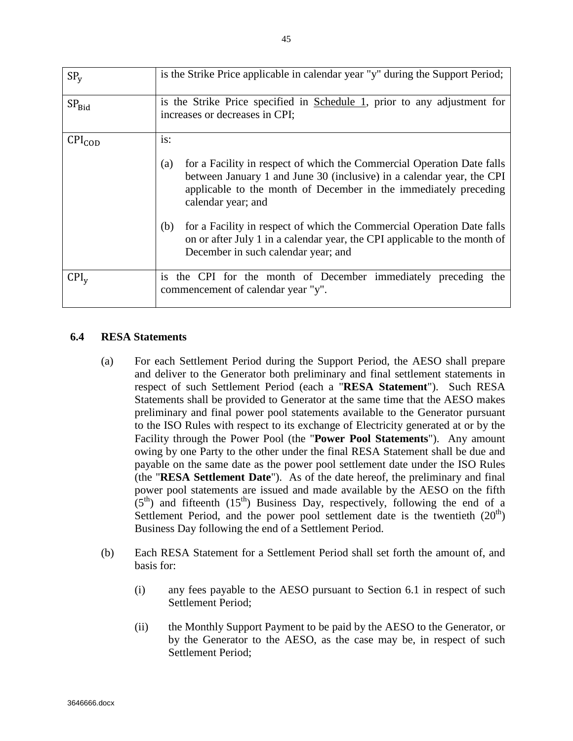| SP <sub>v</sub>           | is the Strike Price applicable in calendar year "y" during the Support Period;                                                                                                                                                                                                                                                                                                                                                                               |
|---------------------------|--------------------------------------------------------------------------------------------------------------------------------------------------------------------------------------------------------------------------------------------------------------------------------------------------------------------------------------------------------------------------------------------------------------------------------------------------------------|
| SP <sub>Bid</sub>         | is the Strike Price specified in Schedule 1, prior to any adjustment for<br>increases or decreases in CPI;                                                                                                                                                                                                                                                                                                                                                   |
| $\text{CPI}_{\text{COD}}$ | is:<br>for a Facility in respect of which the Commercial Operation Date falls<br>(a)<br>between January 1 and June 30 (inclusive) in a calendar year, the CPI<br>applicable to the month of December in the immediately preceding<br>calendar year; and<br>for a Facility in respect of which the Commercial Operation Date falls<br>(b)<br>on or after July 1 in a calendar year, the CPI applicable to the month of<br>December in such calendar year; and |
| $CPI_{V}$                 | is the CPI for the month of December immediately preceding the<br>commencement of calendar year "y".                                                                                                                                                                                                                                                                                                                                                         |

## **6.4 RESA Statements**

- (a) For each Settlement Period during the Support Period, the AESO shall prepare and deliver to the Generator both preliminary and final settlement statements in respect of such Settlement Period (each a "**RESA Statement**"). Such RESA Statements shall be provided to Generator at the same time that the AESO makes preliminary and final power pool statements available to the Generator pursuant to the ISO Rules with respect to its exchange of Electricity generated at or by the Facility through the Power Pool (the "**Power Pool Statements**"). Any amount owing by one Party to the other under the final RESA Statement shall be due and payable on the same date as the power pool settlement date under the ISO Rules (the "**RESA Settlement Date**"). As of the date hereof, the preliminary and final power pool statements are issued and made available by the AESO on the fifth  $(5<sup>th</sup>)$  and fifteenth  $(15<sup>th</sup>)$  Business Day, respectively, following the end of a Settlement Period, and the power pool settlement date is the twentieth  $(20<sup>th</sup>)$ Business Day following the end of a Settlement Period.
- (b) Each RESA Statement for a Settlement Period shall set forth the amount of, and basis for:
	- (i) any fees payable to the AESO pursuant to Section 6.1 in respect of such Settlement Period;
	- (ii) the Monthly Support Payment to be paid by the AESO to the Generator, or by the Generator to the AESO, as the case may be, in respect of such Settlement Period;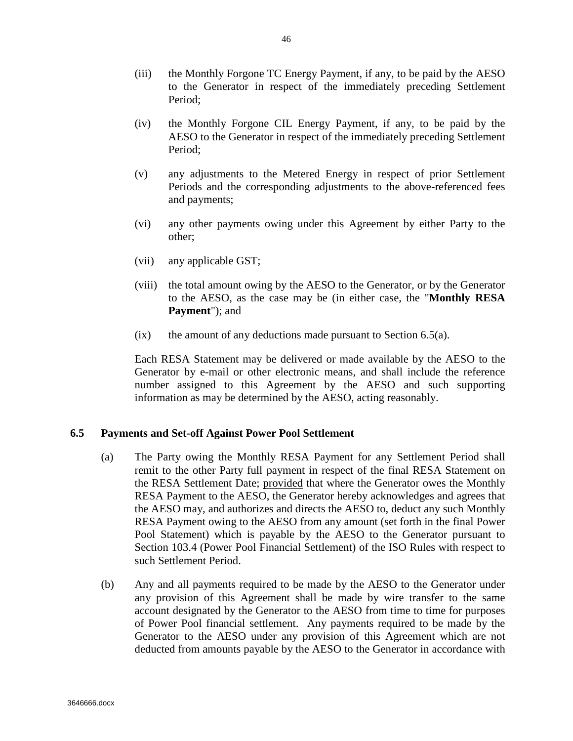- (iii) the Monthly Forgone TC Energy Payment, if any, to be paid by the AESO to the Generator in respect of the immediately preceding Settlement Period;
- (iv) the Monthly Forgone CIL Energy Payment, if any, to be paid by the AESO to the Generator in respect of the immediately preceding Settlement Period;
- (v) any adjustments to the Metered Energy in respect of prior Settlement Periods and the corresponding adjustments to the above-referenced fees and payments;
- (vi) any other payments owing under this Agreement by either Party to the other;
- (vii) any applicable GST;
- (viii) the total amount owing by the AESO to the Generator, or by the Generator to the AESO, as the case may be (in either case, the "**Monthly RESA Payment**"); and
- $(ix)$  the amount of any deductions made pursuant to Section 6.5(a).

Each RESA Statement may be delivered or made available by the AESO to the Generator by e-mail or other electronic means, and shall include the reference number assigned to this Agreement by the AESO and such supporting information as may be determined by the AESO, acting reasonably.

#### **6.5 Payments and Set-off Against Power Pool Settlement**

- (a) The Party owing the Monthly RESA Payment for any Settlement Period shall remit to the other Party full payment in respect of the final RESA Statement on the RESA Settlement Date; provided that where the Generator owes the Monthly RESA Payment to the AESO, the Generator hereby acknowledges and agrees that the AESO may, and authorizes and directs the AESO to, deduct any such Monthly RESA Payment owing to the AESO from any amount (set forth in the final Power Pool Statement) which is payable by the AESO to the Generator pursuant to Section 103.4 (Power Pool Financial Settlement) of the ISO Rules with respect to such Settlement Period.
- (b) Any and all payments required to be made by the AESO to the Generator under any provision of this Agreement shall be made by wire transfer to the same account designated by the Generator to the AESO from time to time for purposes of Power Pool financial settlement. Any payments required to be made by the Generator to the AESO under any provision of this Agreement which are not deducted from amounts payable by the AESO to the Generator in accordance with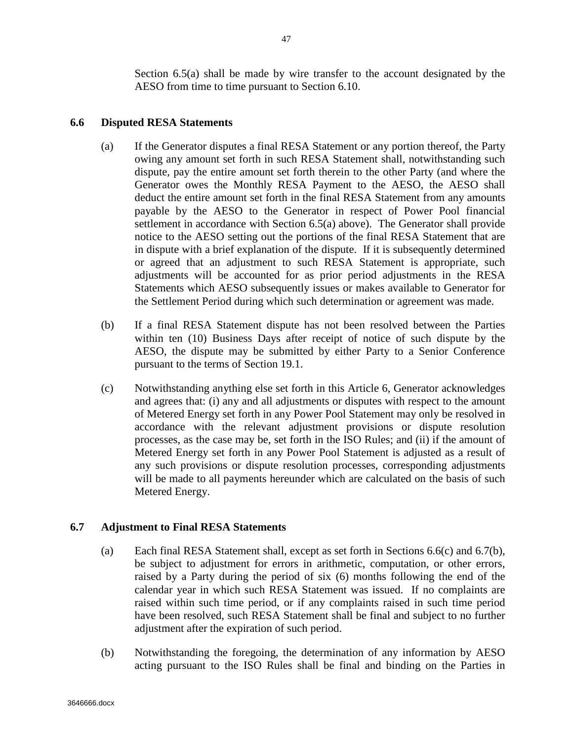# **6.6 Disputed RESA Statements**

- (a) If the Generator disputes a final RESA Statement or any portion thereof, the Party owing any amount set forth in such RESA Statement shall, notwithstanding such dispute, pay the entire amount set forth therein to the other Party (and where the Generator owes the Monthly RESA Payment to the AESO, the AESO shall deduct the entire amount set forth in the final RESA Statement from any amounts payable by the AESO to the Generator in respect of Power Pool financial settlement in accordance with Section 6.5(a) above). The Generator shall provide notice to the AESO setting out the portions of the final RESA Statement that are in dispute with a brief explanation of the dispute. If it is subsequently determined or agreed that an adjustment to such RESA Statement is appropriate, such adjustments will be accounted for as prior period adjustments in the RESA Statements which AESO subsequently issues or makes available to Generator for the Settlement Period during which such determination or agreement was made.
- (b) If a final RESA Statement dispute has not been resolved between the Parties within ten (10) Business Days after receipt of notice of such dispute by the AESO, the dispute may be submitted by either Party to a Senior Conference pursuant to the terms of Section 19.1.
- (c) Notwithstanding anything else set forth in this Article 6, Generator acknowledges and agrees that: (i) any and all adjustments or disputes with respect to the amount of Metered Energy set forth in any Power Pool Statement may only be resolved in accordance with the relevant adjustment provisions or dispute resolution processes, as the case may be, set forth in the ISO Rules; and (ii) if the amount of Metered Energy set forth in any Power Pool Statement is adjusted as a result of any such provisions or dispute resolution processes, corresponding adjustments will be made to all payments hereunder which are calculated on the basis of such Metered Energy.

## **6.7 Adjustment to Final RESA Statements**

- (a) Each final RESA Statement shall, except as set forth in Sections 6.6(c) and 6.7(b), be subject to adjustment for errors in arithmetic, computation, or other errors, raised by a Party during the period of six (6) months following the end of the calendar year in which such RESA Statement was issued. If no complaints are raised within such time period, or if any complaints raised in such time period have been resolved, such RESA Statement shall be final and subject to no further adjustment after the expiration of such period.
- (b) Notwithstanding the foregoing, the determination of any information by AESO acting pursuant to the ISO Rules shall be final and binding on the Parties in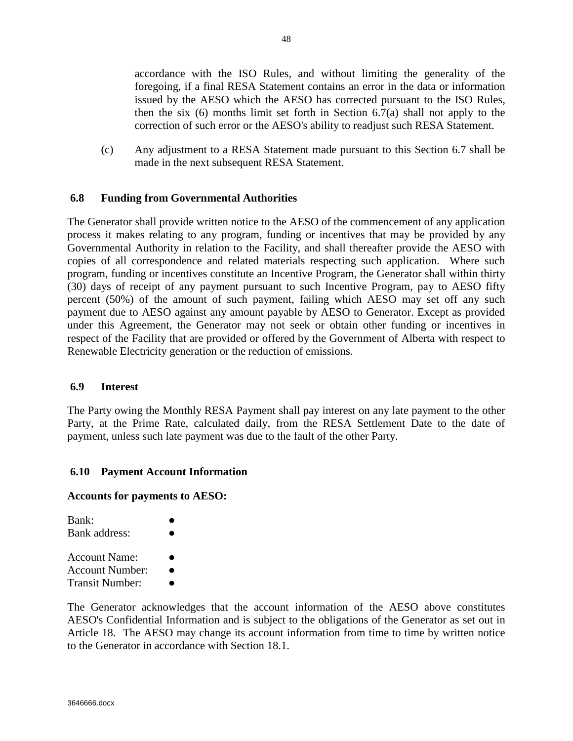accordance with the ISO Rules, and without limiting the generality of the foregoing, if a final RESA Statement contains an error in the data or information issued by the AESO which the AESO has corrected pursuant to the ISO Rules, then the six (6) months limit set forth in Section 6.7(a) shall not apply to the correction of such error or the AESO's ability to readjust such RESA Statement.

(c) Any adjustment to a RESA Statement made pursuant to this Section 6.7 shall be made in the next subsequent RESA Statement.

#### **6.8 Funding from Governmental Authorities**

The Generator shall provide written notice to the AESO of the commencement of any application process it makes relating to any program, funding or incentives that may be provided by any Governmental Authority in relation to the Facility, and shall thereafter provide the AESO with copies of all correspondence and related materials respecting such application. Where such program, funding or incentives constitute an Incentive Program, the Generator shall within thirty (30) days of receipt of any payment pursuant to such Incentive Program, pay to AESO fifty percent (50%) of the amount of such payment, failing which AESO may set off any such payment due to AESO against any amount payable by AESO to Generator. Except as provided under this Agreement, the Generator may not seek or obtain other funding or incentives in respect of the Facility that are provided or offered by the Government of Alberta with respect to Renewable Electricity generation or the reduction of emissions.

#### **6.9 Interest**

The Party owing the Monthly RESA Payment shall pay interest on any late payment to the other Party, at the Prime Rate, calculated daily, from the RESA Settlement Date to the date of payment, unless such late payment was due to the fault of the other Party.

#### **6.10 Payment Account Information**

#### **Accounts for payments to AESO:**

| Bank:<br>Bank address:                              |  |
|-----------------------------------------------------|--|
| Account Name:<br>Account Number:<br>Transit Number: |  |

The Generator acknowledges that the account information of the AESO above constitutes AESO's Confidential Information and is subject to the obligations of the Generator as set out in Article 18. The AESO may change its account information from time to time by written notice to the Generator in accordance with Section 18.1.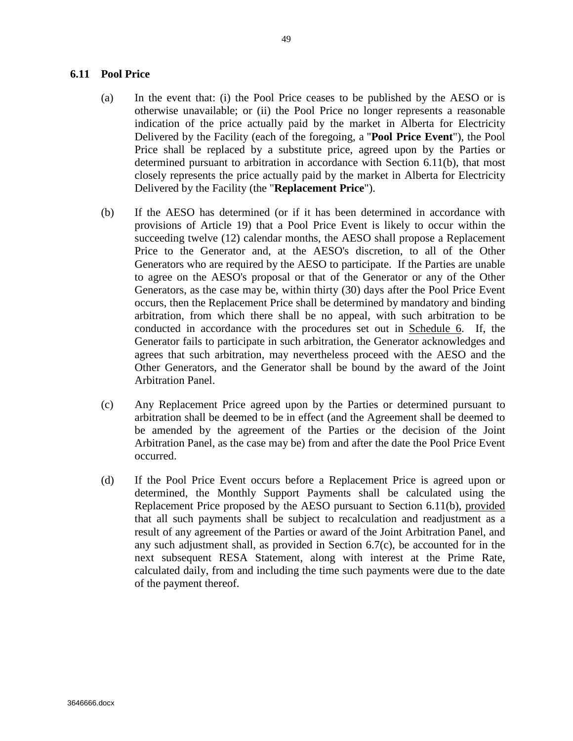#### **6.11 Pool Price**

- (a) In the event that: (i) the Pool Price ceases to be published by the AESO or is otherwise unavailable; or (ii) the Pool Price no longer represents a reasonable indication of the price actually paid by the market in Alberta for Electricity Delivered by the Facility (each of the foregoing, a "**Pool Price Event**"), the Pool Price shall be replaced by a substitute price, agreed upon by the Parties or determined pursuant to arbitration in accordance with Section 6.11(b), that most closely represents the price actually paid by the market in Alberta for Electricity Delivered by the Facility (the "**Replacement Price**").
- (b) If the AESO has determined (or if it has been determined in accordance with provisions of Article 19) that a Pool Price Event is likely to occur within the succeeding twelve (12) calendar months, the AESO shall propose a Replacement Price to the Generator and, at the AESO's discretion, to all of the Other Generators who are required by the AESO to participate. If the Parties are unable to agree on the AESO's proposal or that of the Generator or any of the Other Generators, as the case may be, within thirty (30) days after the Pool Price Event occurs, then the Replacement Price shall be determined by mandatory and binding arbitration, from which there shall be no appeal, with such arbitration to be conducted in accordance with the procedures set out in Schedule 6. If, the Generator fails to participate in such arbitration, the Generator acknowledges and agrees that such arbitration, may nevertheless proceed with the AESO and the Other Generators, and the Generator shall be bound by the award of the Joint Arbitration Panel.
- (c) Any Replacement Price agreed upon by the Parties or determined pursuant to arbitration shall be deemed to be in effect (and the Agreement shall be deemed to be amended by the agreement of the Parties or the decision of the Joint Arbitration Panel, as the case may be) from and after the date the Pool Price Event occurred.
- (d) If the Pool Price Event occurs before a Replacement Price is agreed upon or determined, the Monthly Support Payments shall be calculated using the Replacement Price proposed by the AESO pursuant to Section 6.11(b), provided that all such payments shall be subject to recalculation and readjustment as a result of any agreement of the Parties or award of the Joint Arbitration Panel, and any such adjustment shall, as provided in Section 6.7(c), be accounted for in the next subsequent RESA Statement, along with interest at the Prime Rate, calculated daily, from and including the time such payments were due to the date of the payment thereof.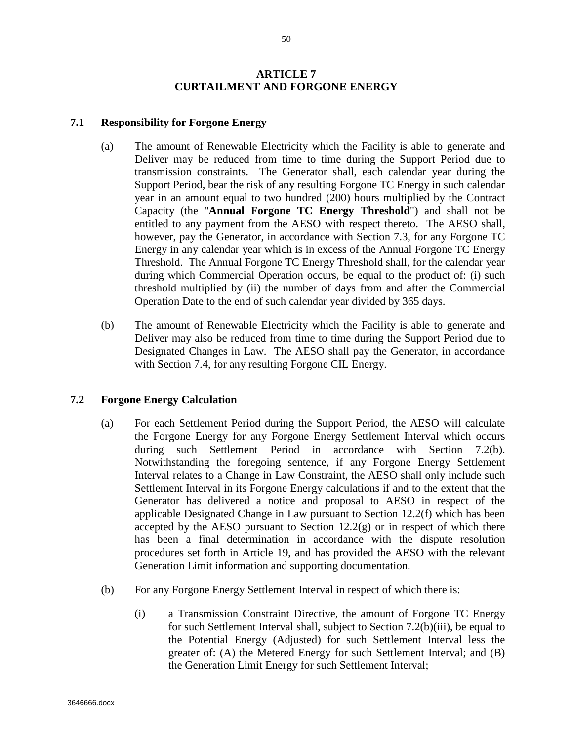### **ARTICLE 7 CURTAILMENT AND FORGONE ENERGY**

#### **7.1 Responsibility for Forgone Energy**

- (a) The amount of Renewable Electricity which the Facility is able to generate and Deliver may be reduced from time to time during the Support Period due to transmission constraints. The Generator shall, each calendar year during the Support Period, bear the risk of any resulting Forgone TC Energy in such calendar year in an amount equal to two hundred (200) hours multiplied by the Contract Capacity (the "**Annual Forgone TC Energy Threshold**") and shall not be entitled to any payment from the AESO with respect thereto. The AESO shall, however, pay the Generator, in accordance with Section 7.3, for any Forgone TC Energy in any calendar year which is in excess of the Annual Forgone TC Energy Threshold. The Annual Forgone TC Energy Threshold shall, for the calendar year during which Commercial Operation occurs, be equal to the product of: (i) such threshold multiplied by (ii) the number of days from and after the Commercial Operation Date to the end of such calendar year divided by 365 days.
- (b) The amount of Renewable Electricity which the Facility is able to generate and Deliver may also be reduced from time to time during the Support Period due to Designated Changes in Law. The AESO shall pay the Generator, in accordance with Section 7.4, for any resulting Forgone CIL Energy.

## **7.2 Forgone Energy Calculation**

- (a) For each Settlement Period during the Support Period, the AESO will calculate the Forgone Energy for any Forgone Energy Settlement Interval which occurs during such Settlement Period in accordance with Section 7.2(b). Notwithstanding the foregoing sentence, if any Forgone Energy Settlement Interval relates to a Change in Law Constraint, the AESO shall only include such Settlement Interval in its Forgone Energy calculations if and to the extent that the Generator has delivered a notice and proposal to AESO in respect of the applicable Designated Change in Law pursuant to Section 12.2(f) which has been accepted by the AESO pursuant to Section  $12.2(g)$  or in respect of which there has been a final determination in accordance with the dispute resolution procedures set forth in Article 19, and has provided the AESO with the relevant Generation Limit information and supporting documentation.
- (b) For any Forgone Energy Settlement Interval in respect of which there is:
	- (i) a Transmission Constraint Directive, the amount of Forgone TC Energy for such Settlement Interval shall, subject to Section 7.2(b)(iii), be equal to the Potential Energy (Adjusted) for such Settlement Interval less the greater of: (A) the Metered Energy for such Settlement Interval; and (B) the Generation Limit Energy for such Settlement Interval;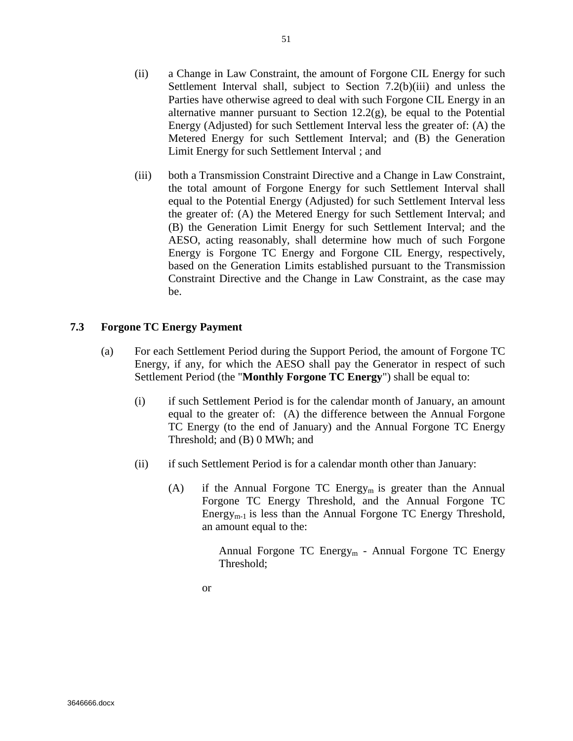- (ii) a Change in Law Constraint, the amount of Forgone CIL Energy for such Settlement Interval shall, subject to Section 7.2(b)(iii) and unless the Parties have otherwise agreed to deal with such Forgone CIL Energy in an alternative manner pursuant to Section 12.2(g), be equal to the Potential Energy (Adjusted) for such Settlement Interval less the greater of: (A) the Metered Energy for such Settlement Interval; and (B) the Generation Limit Energy for such Settlement Interval ; and
- (iii) both a Transmission Constraint Directive and a Change in Law Constraint, the total amount of Forgone Energy for such Settlement Interval shall equal to the Potential Energy (Adjusted) for such Settlement Interval less the greater of: (A) the Metered Energy for such Settlement Interval; and (B) the Generation Limit Energy for such Settlement Interval; and the AESO, acting reasonably, shall determine how much of such Forgone Energy is Forgone TC Energy and Forgone CIL Energy, respectively, based on the Generation Limits established pursuant to the Transmission Constraint Directive and the Change in Law Constraint, as the case may be.

#### **7.3 Forgone TC Energy Payment**

- (a) For each Settlement Period during the Support Period, the amount of Forgone TC Energy, if any, for which the AESO shall pay the Generator in respect of such Settlement Period (the "**Monthly Forgone TC Energy**") shall be equal to:
	- (i) if such Settlement Period is for the calendar month of January, an amount equal to the greater of: (A) the difference between the Annual Forgone TC Energy (to the end of January) and the Annual Forgone TC Energy Threshold; and (B) 0 MWh; and
	- (ii) if such Settlement Period is for a calendar month other than January:
		- (A) if the Annual Forgone TC Energy<sub>m</sub> is greater than the Annual Forgone TC Energy Threshold, and the Annual Forgone TC Energy<sub>m-1</sub> is less than the Annual Forgone TC Energy Threshold, an amount equal to the:

Annual Forgone TC Energy<sub>m</sub> - Annual Forgone TC Energy Threshold;

or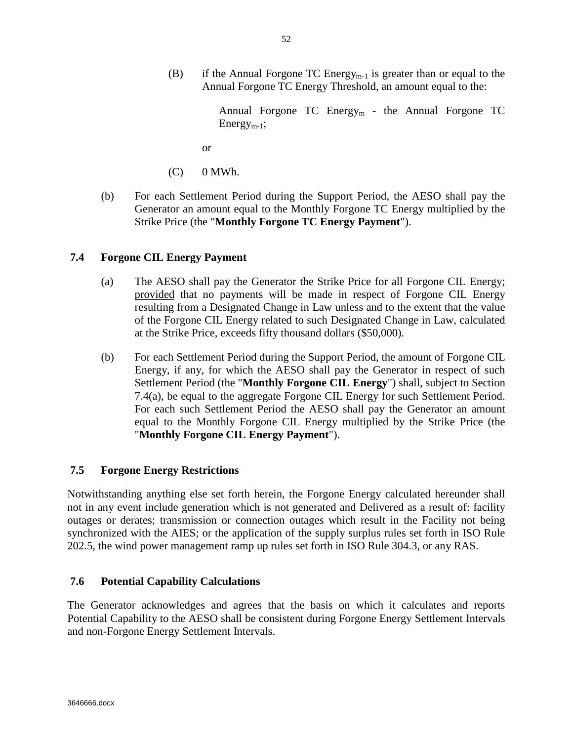(B) if the Annual Forgone TC Energy<sub>m-1</sub> is greater than or equal to the Annual Forgone TC Energy Threshold, an amount equal to the:

> Annual Forgone TC Energy<sub>m</sub> - the Annual Forgone TC  $Energy_{m-1};$

or

- $(C)$  0 MWh.
- (b) For each Settlement Period during the Support Period, the AESO shall pay the Generator an amount equal to the Monthly Forgone TC Energy multiplied by the Strike Price (the "**Monthly Forgone TC Energy Payment**").

# **7.4 Forgone CIL Energy Payment**

- (a) The AESO shall pay the Generator the Strike Price for all Forgone CIL Energy; provided that no payments will be made in respect of Forgone CIL Energy resulting from a Designated Change in Law unless and to the extent that the value of the Forgone CIL Energy related to such Designated Change in Law, calculated at the Strike Price, exceeds fifty thousand dollars (\$50,000).
- (b) For each Settlement Period during the Support Period, the amount of Forgone CIL Energy, if any, for which the AESO shall pay the Generator in respect of such Settlement Period (the "**Monthly Forgone CIL Energy**") shall, subject to Section 7.4(a), be equal to the aggregate Forgone CIL Energy for such Settlement Period. For each such Settlement Period the AESO shall pay the Generator an amount equal to the Monthly Forgone CIL Energy multiplied by the Strike Price (the "**Monthly Forgone CIL Energy Payment**").

# **7.5 Forgone Energy Restrictions**

Notwithstanding anything else set forth herein, the Forgone Energy calculated hereunder shall not in any event include generation which is not generated and Delivered as a result of: facility outages or derates; transmission or connection outages which result in the Facility not being synchronized with the AIES; or the application of the supply surplus rules set forth in ISO Rule 202.5, the wind power management ramp up rules set forth in ISO Rule 304.3, or any RAS.

## **7.6 Potential Capability Calculations**

The Generator acknowledges and agrees that the basis on which it calculates and reports Potential Capability to the AESO shall be consistent during Forgone Energy Settlement Intervals and non-Forgone Energy Settlement Intervals.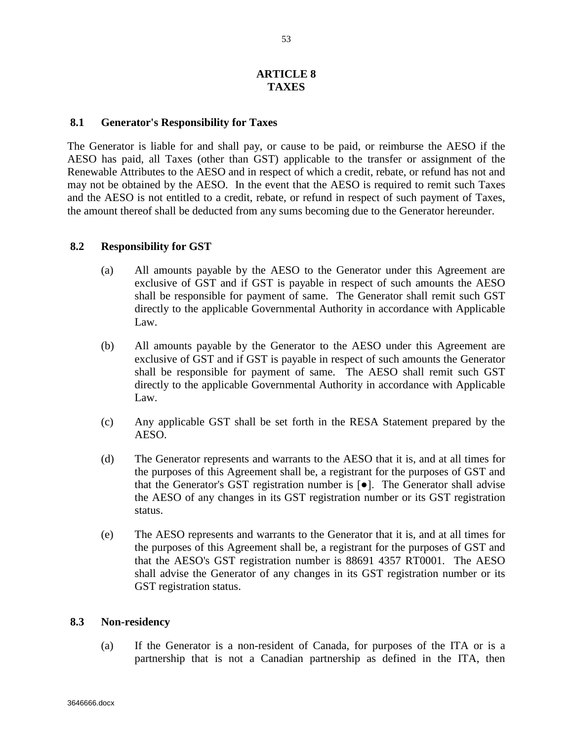#### **ARTICLE 8 TAXES**

#### **8.1 Generator's Responsibility for Taxes**

The Generator is liable for and shall pay, or cause to be paid, or reimburse the AESO if the AESO has paid, all Taxes (other than GST) applicable to the transfer or assignment of the Renewable Attributes to the AESO and in respect of which a credit, rebate, or refund has not and may not be obtained by the AESO. In the event that the AESO is required to remit such Taxes and the AESO is not entitled to a credit, rebate, or refund in respect of such payment of Taxes, the amount thereof shall be deducted from any sums becoming due to the Generator hereunder.

#### **8.2 Responsibility for GST**

- (a) All amounts payable by the AESO to the Generator under this Agreement are exclusive of GST and if GST is payable in respect of such amounts the AESO shall be responsible for payment of same. The Generator shall remit such GST directly to the applicable Governmental Authority in accordance with Applicable Law.
- (b) All amounts payable by the Generator to the AESO under this Agreement are exclusive of GST and if GST is payable in respect of such amounts the Generator shall be responsible for payment of same. The AESO shall remit such GST directly to the applicable Governmental Authority in accordance with Applicable Law.
- (c) Any applicable GST shall be set forth in the RESA Statement prepared by the AESO.
- (d) The Generator represents and warrants to the AESO that it is, and at all times for the purposes of this Agreement shall be, a registrant for the purposes of GST and that the Generator's GST registration number is [●]. The Generator shall advise the AESO of any changes in its GST registration number or its GST registration status.
- (e) The AESO represents and warrants to the Generator that it is, and at all times for the purposes of this Agreement shall be, a registrant for the purposes of GST and that the AESO's GST registration number is 88691 4357 RT0001. The AESO shall advise the Generator of any changes in its GST registration number or its GST registration status.

#### **8.3 Non-residency**

(a) If the Generator is a non-resident of Canada, for purposes of the ITA or is a partnership that is not a Canadian partnership as defined in the ITA, then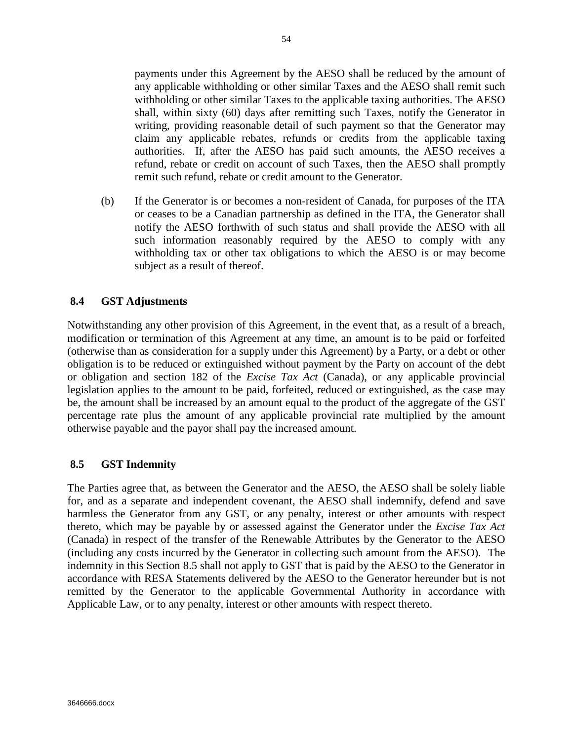payments under this Agreement by the AESO shall be reduced by the amount of any applicable withholding or other similar Taxes and the AESO shall remit such withholding or other similar Taxes to the applicable taxing authorities. The AESO shall, within sixty (60) days after remitting such Taxes, notify the Generator in writing, providing reasonable detail of such payment so that the Generator may claim any applicable rebates, refunds or credits from the applicable taxing authorities. If, after the AESO has paid such amounts, the AESO receives a refund, rebate or credit on account of such Taxes, then the AESO shall promptly remit such refund, rebate or credit amount to the Generator.

(b) If the Generator is or becomes a non-resident of Canada, for purposes of the ITA or ceases to be a Canadian partnership as defined in the ITA, the Generator shall notify the AESO forthwith of such status and shall provide the AESO with all such information reasonably required by the AESO to comply with any withholding tax or other tax obligations to which the AESO is or may become subject as a result of thereof.

## **8.4 GST Adjustments**

Notwithstanding any other provision of this Agreement, in the event that, as a result of a breach, modification or termination of this Agreement at any time, an amount is to be paid or forfeited (otherwise than as consideration for a supply under this Agreement) by a Party, or a debt or other obligation is to be reduced or extinguished without payment by the Party on account of the debt or obligation and section 182 of the *Excise Tax Act* (Canada), or any applicable provincial legislation applies to the amount to be paid, forfeited, reduced or extinguished, as the case may be, the amount shall be increased by an amount equal to the product of the aggregate of the GST percentage rate plus the amount of any applicable provincial rate multiplied by the amount otherwise payable and the payor shall pay the increased amount.

## **8.5 GST Indemnity**

The Parties agree that, as between the Generator and the AESO, the AESO shall be solely liable for, and as a separate and independent covenant, the AESO shall indemnify, defend and save harmless the Generator from any GST, or any penalty, interest or other amounts with respect thereto, which may be payable by or assessed against the Generator under the *Excise Tax Act* (Canada) in respect of the transfer of the Renewable Attributes by the Generator to the AESO (including any costs incurred by the Generator in collecting such amount from the AESO). The indemnity in this Section 8.5 shall not apply to GST that is paid by the AESO to the Generator in accordance with RESA Statements delivered by the AESO to the Generator hereunder but is not remitted by the Generator to the applicable Governmental Authority in accordance with Applicable Law, or to any penalty, interest or other amounts with respect thereto.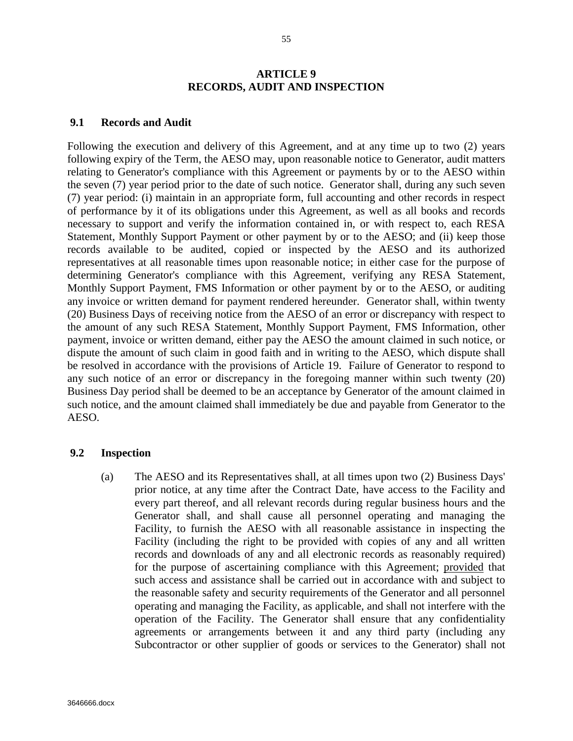#### **ARTICLE 9 RECORDS, AUDIT AND INSPECTION**

#### **9.1 Records and Audit**

Following the execution and delivery of this Agreement, and at any time up to two (2) years following expiry of the Term, the AESO may, upon reasonable notice to Generator, audit matters relating to Generator's compliance with this Agreement or payments by or to the AESO within the seven (7) year period prior to the date of such notice. Generator shall, during any such seven (7) year period: (i) maintain in an appropriate form, full accounting and other records in respect of performance by it of its obligations under this Agreement, as well as all books and records necessary to support and verify the information contained in, or with respect to, each RESA Statement, Monthly Support Payment or other payment by or to the AESO; and (ii) keep those records available to be audited, copied or inspected by the AESO and its authorized representatives at all reasonable times upon reasonable notice; in either case for the purpose of determining Generator's compliance with this Agreement, verifying any RESA Statement, Monthly Support Payment, FMS Information or other payment by or to the AESO, or auditing any invoice or written demand for payment rendered hereunder. Generator shall, within twenty (20) Business Days of receiving notice from the AESO of an error or discrepancy with respect to the amount of any such RESA Statement, Monthly Support Payment, FMS Information, other payment, invoice or written demand, either pay the AESO the amount claimed in such notice, or dispute the amount of such claim in good faith and in writing to the AESO, which dispute shall be resolved in accordance with the provisions of Article 19. Failure of Generator to respond to any such notice of an error or discrepancy in the foregoing manner within such twenty (20) Business Day period shall be deemed to be an acceptance by Generator of the amount claimed in such notice, and the amount claimed shall immediately be due and payable from Generator to the AESO.

#### **9.2 Inspection**

(a) The AESO and its Representatives shall, at all times upon two (2) Business Days' prior notice, at any time after the Contract Date, have access to the Facility and every part thereof, and all relevant records during regular business hours and the Generator shall, and shall cause all personnel operating and managing the Facility, to furnish the AESO with all reasonable assistance in inspecting the Facility (including the right to be provided with copies of any and all written records and downloads of any and all electronic records as reasonably required) for the purpose of ascertaining compliance with this Agreement; provided that such access and assistance shall be carried out in accordance with and subject to the reasonable safety and security requirements of the Generator and all personnel operating and managing the Facility, as applicable, and shall not interfere with the operation of the Facility. The Generator shall ensure that any confidentiality agreements or arrangements between it and any third party (including any Subcontractor or other supplier of goods or services to the Generator) shall not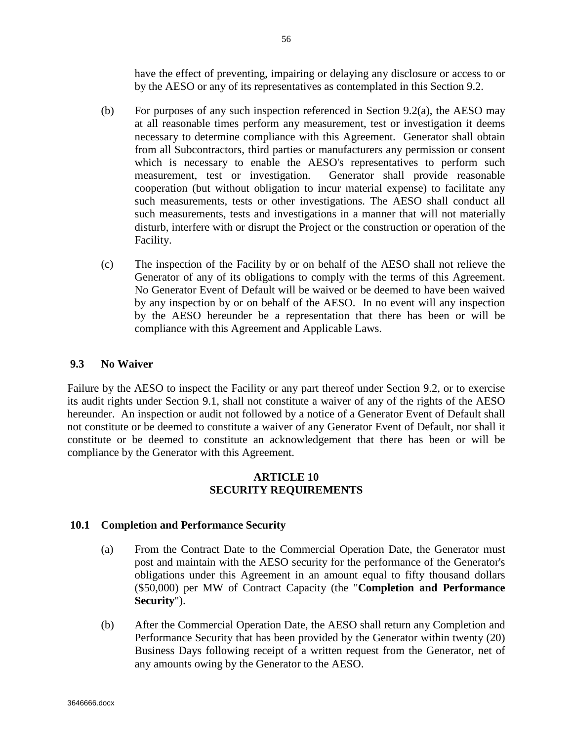have the effect of preventing, impairing or delaying any disclosure or access to or by the AESO or any of its representatives as contemplated in this Section 9.2.

- (b) For purposes of any such inspection referenced in Section 9.2(a), the AESO may at all reasonable times perform any measurement, test or investigation it deems necessary to determine compliance with this Agreement. Generator shall obtain from all Subcontractors, third parties or manufacturers any permission or consent which is necessary to enable the AESO's representatives to perform such measurement, test or investigation. Generator shall provide reasonable cooperation (but without obligation to incur material expense) to facilitate any such measurements, tests or other investigations. The AESO shall conduct all such measurements, tests and investigations in a manner that will not materially disturb, interfere with or disrupt the Project or the construction or operation of the Facility.
- (c) The inspection of the Facility by or on behalf of the AESO shall not relieve the Generator of any of its obligations to comply with the terms of this Agreement. No Generator Event of Default will be waived or be deemed to have been waived by any inspection by or on behalf of the AESO. In no event will any inspection by the AESO hereunder be a representation that there has been or will be compliance with this Agreement and Applicable Laws.

## **9.3 No Waiver**

Failure by the AESO to inspect the Facility or any part thereof under Section 9.2, or to exercise its audit rights under Section 9.1, shall not constitute a waiver of any of the rights of the AESO hereunder. An inspection or audit not followed by a notice of a Generator Event of Default shall not constitute or be deemed to constitute a waiver of any Generator Event of Default, nor shall it constitute or be deemed to constitute an acknowledgement that there has been or will be compliance by the Generator with this Agreement.

## **ARTICLE 10 SECURITY REQUIREMENTS**

## **10.1 Completion and Performance Security**

- (a) From the Contract Date to the Commercial Operation Date, the Generator must post and maintain with the AESO security for the performance of the Generator's obligations under this Agreement in an amount equal to fifty thousand dollars (\$50,000) per MW of Contract Capacity (the "**Completion and Performance Security**").
- (b) After the Commercial Operation Date, the AESO shall return any Completion and Performance Security that has been provided by the Generator within twenty (20) Business Days following receipt of a written request from the Generator, net of any amounts owing by the Generator to the AESO.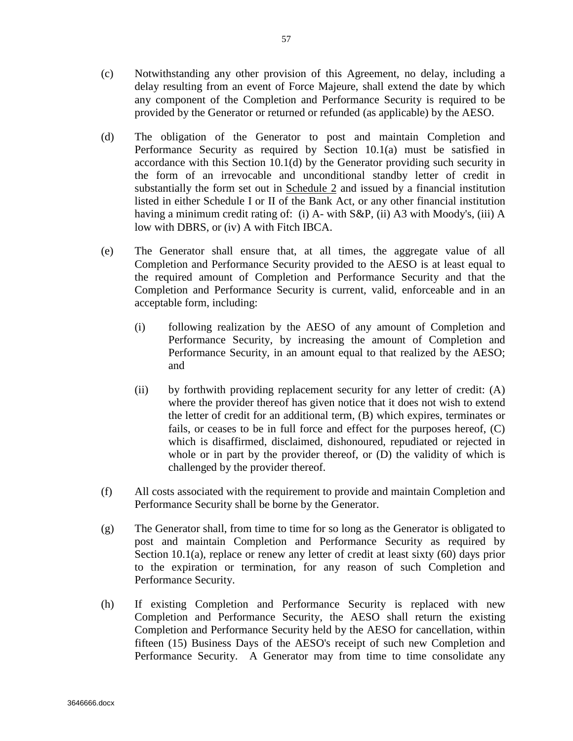- (c) Notwithstanding any other provision of this Agreement, no delay, including a delay resulting from an event of Force Majeure, shall extend the date by which any component of the Completion and Performance Security is required to be provided by the Generator or returned or refunded (as applicable) by the AESO.
- (d) The obligation of the Generator to post and maintain Completion and Performance Security as required by Section 10.1(a) must be satisfied in accordance with this Section 10.1(d) by the Generator providing such security in the form of an irrevocable and unconditional standby letter of credit in substantially the form set out in Schedule 2 and issued by a financial institution listed in either Schedule I or II of the Bank Act, or any other financial institution having a minimum credit rating of: (i) A- with S&P, (ii) A3 with Moody's, (iii) A low with DBRS, or (iv) A with Fitch IBCA.
- (e) The Generator shall ensure that, at all times, the aggregate value of all Completion and Performance Security provided to the AESO is at least equal to the required amount of Completion and Performance Security and that the Completion and Performance Security is current, valid, enforceable and in an acceptable form, including:
	- (i) following realization by the AESO of any amount of Completion and Performance Security, by increasing the amount of Completion and Performance Security, in an amount equal to that realized by the AESO; and
	- (ii) by forthwith providing replacement security for any letter of credit: (A) where the provider thereof has given notice that it does not wish to extend the letter of credit for an additional term, (B) which expires, terminates or fails, or ceases to be in full force and effect for the purposes hereof, (C) which is disaffirmed, disclaimed, dishonoured, repudiated or rejected in whole or in part by the provider thereof, or  $(D)$  the validity of which is challenged by the provider thereof.
- (f) All costs associated with the requirement to provide and maintain Completion and Performance Security shall be borne by the Generator.
- (g) The Generator shall, from time to time for so long as the Generator is obligated to post and maintain Completion and Performance Security as required by Section 10.1(a), replace or renew any letter of credit at least sixty (60) days prior to the expiration or termination, for any reason of such Completion and Performance Security.
- (h) If existing Completion and Performance Security is replaced with new Completion and Performance Security, the AESO shall return the existing Completion and Performance Security held by the AESO for cancellation, within fifteen (15) Business Days of the AESO's receipt of such new Completion and Performance Security. A Generator may from time to time consolidate any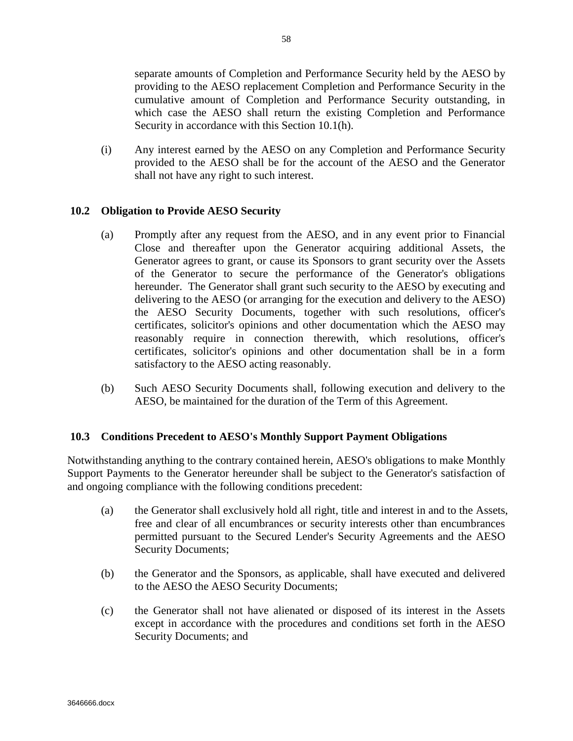separate amounts of Completion and Performance Security held by the AESO by providing to the AESO replacement Completion and Performance Security in the cumulative amount of Completion and Performance Security outstanding, in which case the AESO shall return the existing Completion and Performance Security in accordance with this Section 10.1(h).

(i) Any interest earned by the AESO on any Completion and Performance Security provided to the AESO shall be for the account of the AESO and the Generator shall not have any right to such interest.

# **10.2 Obligation to Provide AESO Security**

- (a) Promptly after any request from the AESO, and in any event prior to Financial Close and thereafter upon the Generator acquiring additional Assets, the Generator agrees to grant, or cause its Sponsors to grant security over the Assets of the Generator to secure the performance of the Generator's obligations hereunder. The Generator shall grant such security to the AESO by executing and delivering to the AESO (or arranging for the execution and delivery to the AESO) the AESO Security Documents, together with such resolutions, officer's certificates, solicitor's opinions and other documentation which the AESO may reasonably require in connection therewith, which resolutions, officer's certificates, solicitor's opinions and other documentation shall be in a form satisfactory to the AESO acting reasonably.
- (b) Such AESO Security Documents shall, following execution and delivery to the AESO, be maintained for the duration of the Term of this Agreement.

## **10.3 Conditions Precedent to AESO's Monthly Support Payment Obligations**

Notwithstanding anything to the contrary contained herein, AESO's obligations to make Monthly Support Payments to the Generator hereunder shall be subject to the Generator's satisfaction of and ongoing compliance with the following conditions precedent:

- (a) the Generator shall exclusively hold all right, title and interest in and to the Assets, free and clear of all encumbrances or security interests other than encumbrances permitted pursuant to the Secured Lender's Security Agreements and the AESO Security Documents;
- (b) the Generator and the Sponsors, as applicable, shall have executed and delivered to the AESO the AESO Security Documents;
- (c) the Generator shall not have alienated or disposed of its interest in the Assets except in accordance with the procedures and conditions set forth in the AESO Security Documents; and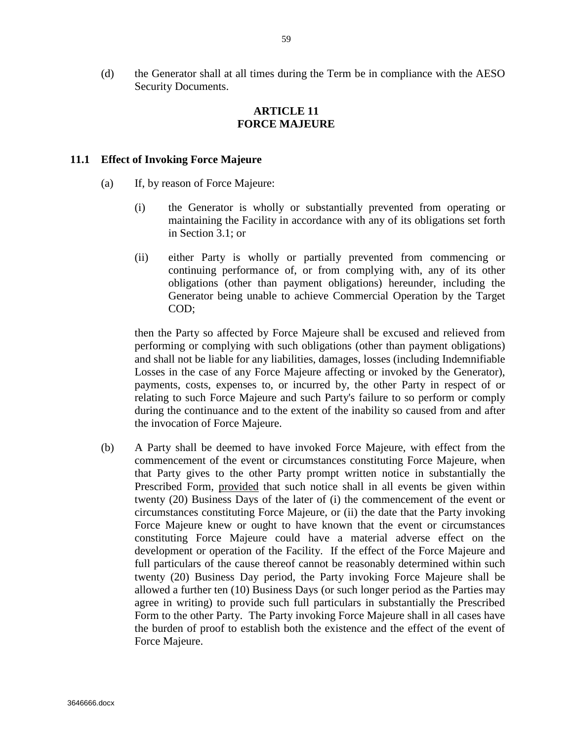(d) the Generator shall at all times during the Term be in compliance with the AESO Security Documents.

# **ARTICLE 11 FORCE MAJEURE**

#### **11.1 Effect of Invoking Force Majeure**

- (a) If, by reason of Force Majeure:
	- (i) the Generator is wholly or substantially prevented from operating or maintaining the Facility in accordance with any of its obligations set forth in Section 3.1; or
	- (ii) either Party is wholly or partially prevented from commencing or continuing performance of, or from complying with, any of its other obligations (other than payment obligations) hereunder, including the Generator being unable to achieve Commercial Operation by the Target COD;

then the Party so affected by Force Majeure shall be excused and relieved from performing or complying with such obligations (other than payment obligations) and shall not be liable for any liabilities, damages, losses (including Indemnifiable Losses in the case of any Force Majeure affecting or invoked by the Generator), payments, costs, expenses to, or incurred by, the other Party in respect of or relating to such Force Majeure and such Party's failure to so perform or comply during the continuance and to the extent of the inability so caused from and after the invocation of Force Majeure.

(b) A Party shall be deemed to have invoked Force Majeure, with effect from the commencement of the event or circumstances constituting Force Majeure, when that Party gives to the other Party prompt written notice in substantially the Prescribed Form, provided that such notice shall in all events be given within twenty (20) Business Days of the later of (i) the commencement of the event or circumstances constituting Force Majeure, or (ii) the date that the Party invoking Force Majeure knew or ought to have known that the event or circumstances constituting Force Majeure could have a material adverse effect on the development or operation of the Facility. If the effect of the Force Majeure and full particulars of the cause thereof cannot be reasonably determined within such twenty (20) Business Day period, the Party invoking Force Majeure shall be allowed a further ten (10) Business Days (or such longer period as the Parties may agree in writing) to provide such full particulars in substantially the Prescribed Form to the other Party. The Party invoking Force Majeure shall in all cases have the burden of proof to establish both the existence and the effect of the event of Force Majeure.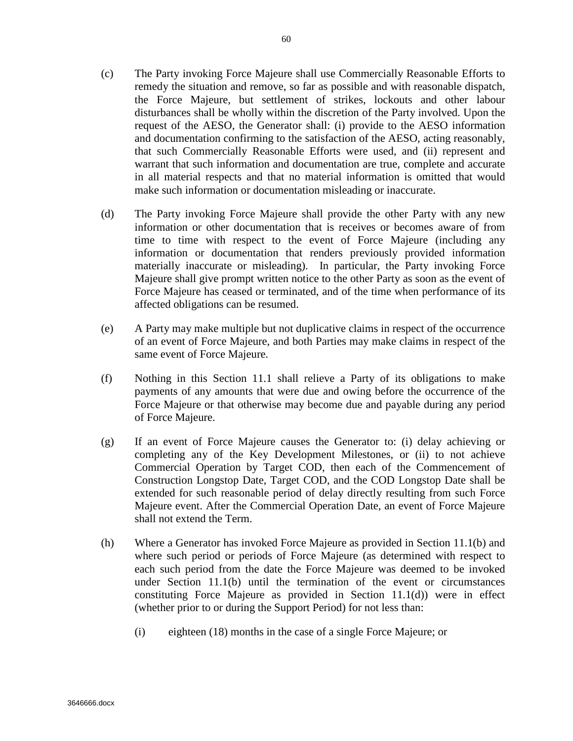- (c) The Party invoking Force Majeure shall use Commercially Reasonable Efforts to remedy the situation and remove, so far as possible and with reasonable dispatch, the Force Majeure, but settlement of strikes, lockouts and other labour disturbances shall be wholly within the discretion of the Party involved. Upon the request of the AESO, the Generator shall: (i) provide to the AESO information and documentation confirming to the satisfaction of the AESO, acting reasonably, that such Commercially Reasonable Efforts were used, and (ii) represent and warrant that such information and documentation are true, complete and accurate in all material respects and that no material information is omitted that would make such information or documentation misleading or inaccurate.
- (d) The Party invoking Force Majeure shall provide the other Party with any new information or other documentation that is receives or becomes aware of from time to time with respect to the event of Force Majeure (including any information or documentation that renders previously provided information materially inaccurate or misleading). In particular, the Party invoking Force Majeure shall give prompt written notice to the other Party as soon as the event of Force Majeure has ceased or terminated, and of the time when performance of its affected obligations can be resumed.
- (e) A Party may make multiple but not duplicative claims in respect of the occurrence of an event of Force Majeure, and both Parties may make claims in respect of the same event of Force Majeure.
- (f) Nothing in this Section 11.1 shall relieve a Party of its obligations to make payments of any amounts that were due and owing before the occurrence of the Force Majeure or that otherwise may become due and payable during any period of Force Majeure.
- (g) If an event of Force Majeure causes the Generator to: (i) delay achieving or completing any of the Key Development Milestones, or (ii) to not achieve Commercial Operation by Target COD, then each of the Commencement of Construction Longstop Date, Target COD, and the COD Longstop Date shall be extended for such reasonable period of delay directly resulting from such Force Majeure event. After the Commercial Operation Date, an event of Force Majeure shall not extend the Term.
- (h) Where a Generator has invoked Force Majeure as provided in Section 11.1(b) and where such period or periods of Force Majeure (as determined with respect to each such period from the date the Force Majeure was deemed to be invoked under Section 11.1(b) until the termination of the event or circumstances constituting Force Majeure as provided in Section  $11.1(d)$  were in effect (whether prior to or during the Support Period) for not less than:
	- (i) eighteen (18) months in the case of a single Force Majeure; or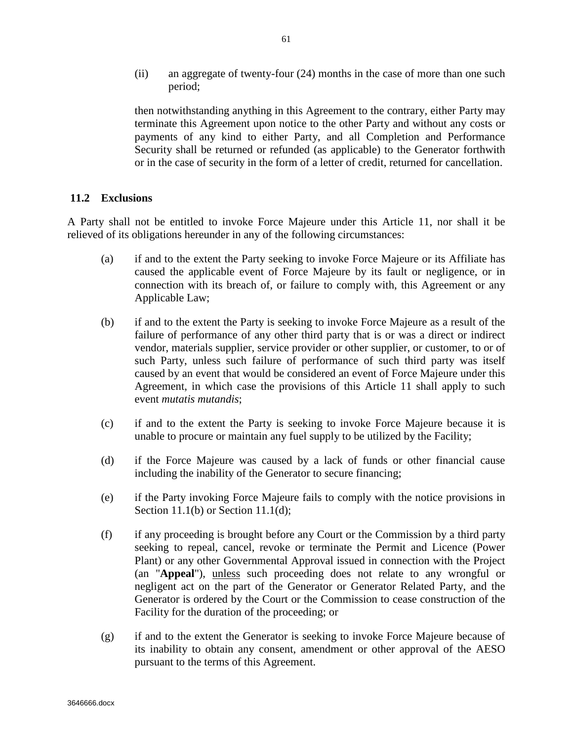(ii) an aggregate of twenty-four (24) months in the case of more than one such period;

then notwithstanding anything in this Agreement to the contrary, either Party may terminate this Agreement upon notice to the other Party and without any costs or payments of any kind to either Party, and all Completion and Performance Security shall be returned or refunded (as applicable) to the Generator forthwith or in the case of security in the form of a letter of credit, returned for cancellation.

#### **11.2 Exclusions**

A Party shall not be entitled to invoke Force Majeure under this Article 11, nor shall it be relieved of its obligations hereunder in any of the following circumstances:

- (a) if and to the extent the Party seeking to invoke Force Majeure or its Affiliate has caused the applicable event of Force Majeure by its fault or negligence, or in connection with its breach of, or failure to comply with, this Agreement or any Applicable Law;
- (b) if and to the extent the Party is seeking to invoke Force Majeure as a result of the failure of performance of any other third party that is or was a direct or indirect vendor, materials supplier, service provider or other supplier, or customer, to or of such Party, unless such failure of performance of such third party was itself caused by an event that would be considered an event of Force Majeure under this Agreement, in which case the provisions of this Article 11 shall apply to such event *mutatis mutandis*;
- (c) if and to the extent the Party is seeking to invoke Force Majeure because it is unable to procure or maintain any fuel supply to be utilized by the Facility;
- (d) if the Force Majeure was caused by a lack of funds or other financial cause including the inability of the Generator to secure financing;
- (e) if the Party invoking Force Majeure fails to comply with the notice provisions in Section 11.1(b) or Section 11.1(d);
- (f) if any proceeding is brought before any Court or the Commission by a third party seeking to repeal, cancel, revoke or terminate the Permit and Licence (Power Plant) or any other Governmental Approval issued in connection with the Project (an "**Appeal**"), unless such proceeding does not relate to any wrongful or negligent act on the part of the Generator or Generator Related Party, and the Generator is ordered by the Court or the Commission to cease construction of the Facility for the duration of the proceeding; or
- (g) if and to the extent the Generator is seeking to invoke Force Majeure because of its inability to obtain any consent, amendment or other approval of the AESO pursuant to the terms of this Agreement.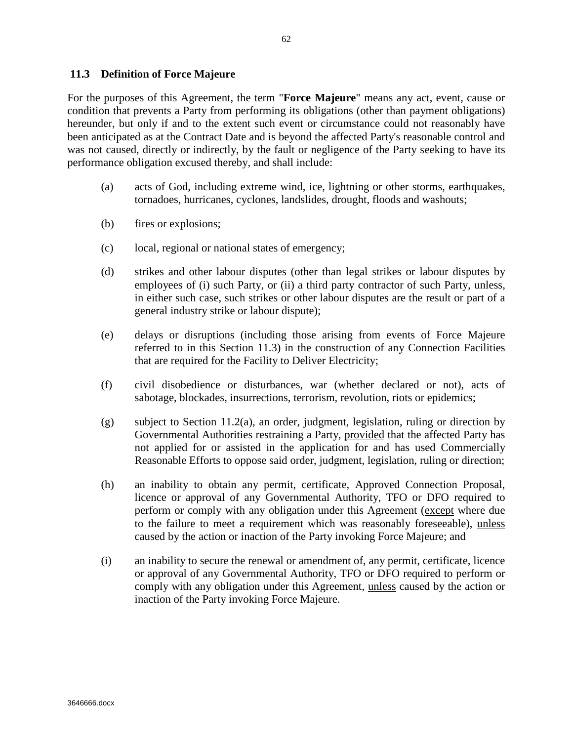#### **11.3 Definition of Force Majeure**

For the purposes of this Agreement, the term "**Force Majeure**" means any act, event, cause or condition that prevents a Party from performing its obligations (other than payment obligations) hereunder, but only if and to the extent such event or circumstance could not reasonably have been anticipated as at the Contract Date and is beyond the affected Party's reasonable control and was not caused, directly or indirectly, by the fault or negligence of the Party seeking to have its performance obligation excused thereby, and shall include:

- (a) acts of God, including extreme wind, ice, lightning or other storms, earthquakes, tornadoes, hurricanes, cyclones, landslides, drought, floods and washouts;
- (b) fires or explosions;
- (c) local, regional or national states of emergency;
- (d) strikes and other labour disputes (other than legal strikes or labour disputes by employees of (i) such Party, or (ii) a third party contractor of such Party, unless, in either such case, such strikes or other labour disputes are the result or part of a general industry strike or labour dispute);
- (e) delays or disruptions (including those arising from events of Force Majeure referred to in this Section 11.3) in the construction of any Connection Facilities that are required for the Facility to Deliver Electricity;
- (f) civil disobedience or disturbances, war (whether declared or not), acts of sabotage, blockades, insurrections, terrorism, revolution, riots or epidemics;
- (g) subject to Section 11.2(a), an order, judgment, legislation, ruling or direction by Governmental Authorities restraining a Party, provided that the affected Party has not applied for or assisted in the application for and has used Commercially Reasonable Efforts to oppose said order, judgment, legislation, ruling or direction;
- (h) an inability to obtain any permit, certificate, Approved Connection Proposal, licence or approval of any Governmental Authority, TFO or DFO required to perform or comply with any obligation under this Agreement (except where due to the failure to meet a requirement which was reasonably foreseeable), unless caused by the action or inaction of the Party invoking Force Majeure; and
- (i) an inability to secure the renewal or amendment of, any permit, certificate, licence or approval of any Governmental Authority, TFO or DFO required to perform or comply with any obligation under this Agreement, unless caused by the action or inaction of the Party invoking Force Majeure.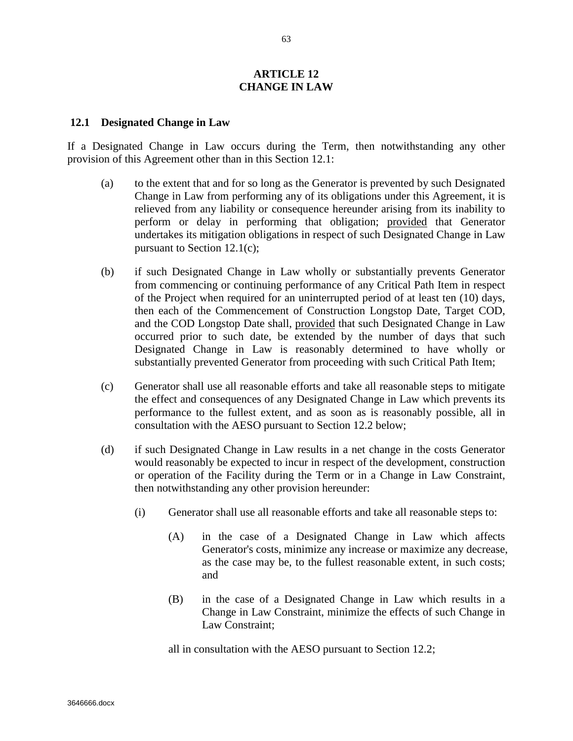#### **ARTICLE 12 CHANGE IN LAW**

#### **12.1 Designated Change in Law**

If a Designated Change in Law occurs during the Term, then notwithstanding any other provision of this Agreement other than in this Section 12.1:

- (a) to the extent that and for so long as the Generator is prevented by such Designated Change in Law from performing any of its obligations under this Agreement, it is relieved from any liability or consequence hereunder arising from its inability to perform or delay in performing that obligation; provided that Generator undertakes its mitigation obligations in respect of such Designated Change in Law pursuant to Section 12.1(c);
- (b) if such Designated Change in Law wholly or substantially prevents Generator from commencing or continuing performance of any Critical Path Item in respect of the Project when required for an uninterrupted period of at least ten (10) days, then each of the Commencement of Construction Longstop Date, Target COD, and the COD Longstop Date shall, provided that such Designated Change in Law occurred prior to such date, be extended by the number of days that such Designated Change in Law is reasonably determined to have wholly or substantially prevented Generator from proceeding with such Critical Path Item;
- (c) Generator shall use all reasonable efforts and take all reasonable steps to mitigate the effect and consequences of any Designated Change in Law which prevents its performance to the fullest extent, and as soon as is reasonably possible, all in consultation with the AESO pursuant to Section 12.2 below;
- (d) if such Designated Change in Law results in a net change in the costs Generator would reasonably be expected to incur in respect of the development, construction or operation of the Facility during the Term or in a Change in Law Constraint, then notwithstanding any other provision hereunder:
	- (i) Generator shall use all reasonable efforts and take all reasonable steps to:
		- (A) in the case of a Designated Change in Law which affects Generator's costs, minimize any increase or maximize any decrease, as the case may be, to the fullest reasonable extent, in such costs; and
		- (B) in the case of a Designated Change in Law which results in a Change in Law Constraint, minimize the effects of such Change in Law Constraint;

all in consultation with the AESO pursuant to Section 12.2;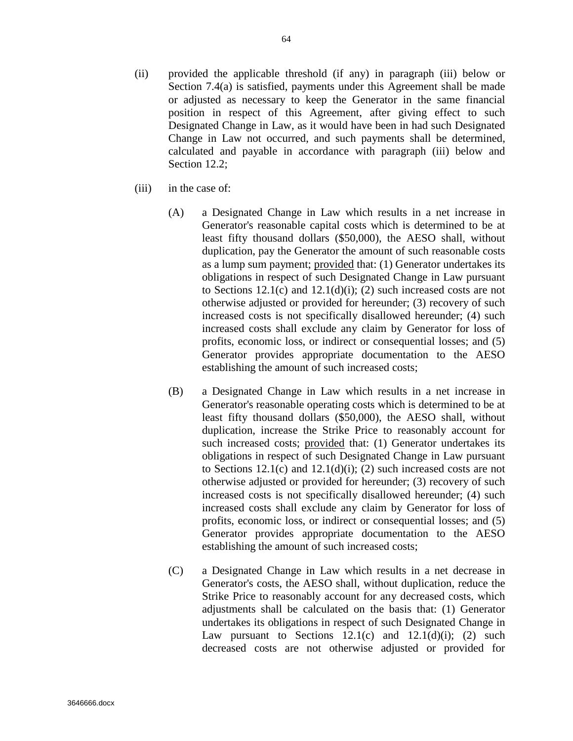- (ii) provided the applicable threshold (if any) in paragraph (iii) below or Section 7.4(a) is satisfied, payments under this Agreement shall be made or adjusted as necessary to keep the Generator in the same financial position in respect of this Agreement, after giving effect to such Designated Change in Law, as it would have been in had such Designated Change in Law not occurred, and such payments shall be determined, calculated and payable in accordance with paragraph (iii) below and Section 12.2;
- (iii) in the case of:
	- (A) a Designated Change in Law which results in a net increase in Generator's reasonable capital costs which is determined to be at least fifty thousand dollars (\$50,000), the AESO shall, without duplication, pay the Generator the amount of such reasonable costs as a lump sum payment; provided that: (1) Generator undertakes its obligations in respect of such Designated Change in Law pursuant to Sections  $12.1(c)$  and  $12.1(d)(i)$ ; (2) such increased costs are not otherwise adjusted or provided for hereunder; (3) recovery of such increased costs is not specifically disallowed hereunder; (4) such increased costs shall exclude any claim by Generator for loss of profits, economic loss, or indirect or consequential losses; and (5) Generator provides appropriate documentation to the AESO establishing the amount of such increased costs;
	- (B) a Designated Change in Law which results in a net increase in Generator's reasonable operating costs which is determined to be at least fifty thousand dollars (\$50,000), the AESO shall, without duplication, increase the Strike Price to reasonably account for such increased costs; provided that: (1) Generator undertakes its obligations in respect of such Designated Change in Law pursuant to Sections  $12.1(c)$  and  $12.1(d)(i)$ ; (2) such increased costs are not otherwise adjusted or provided for hereunder; (3) recovery of such increased costs is not specifically disallowed hereunder; (4) such increased costs shall exclude any claim by Generator for loss of profits, economic loss, or indirect or consequential losses; and (5) Generator provides appropriate documentation to the AESO establishing the amount of such increased costs;
	- (C) a Designated Change in Law which results in a net decrease in Generator's costs, the AESO shall, without duplication, reduce the Strike Price to reasonably account for any decreased costs, which adjustments shall be calculated on the basis that: (1) Generator undertakes its obligations in respect of such Designated Change in Law pursuant to Sections  $12.1(c)$  and  $12.1(d)(i)$ ; (2) such decreased costs are not otherwise adjusted or provided for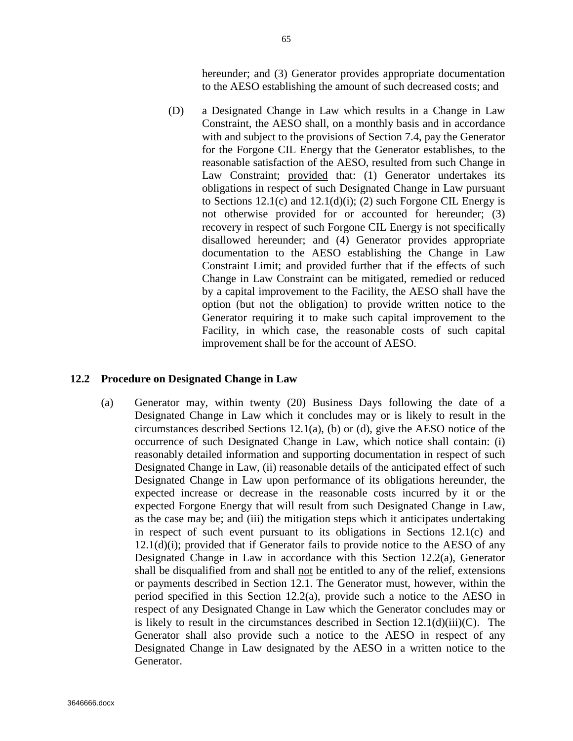hereunder; and (3) Generator provides appropriate documentation to the AESO establishing the amount of such decreased costs; and

(D) a Designated Change in Law which results in a Change in Law Constraint, the AESO shall, on a monthly basis and in accordance with and subject to the provisions of Section 7.4, pay the Generator for the Forgone CIL Energy that the Generator establishes, to the reasonable satisfaction of the AESO, resulted from such Change in Law Constraint; provided that: (1) Generator undertakes its obligations in respect of such Designated Change in Law pursuant to Sections  $12.1(c)$  and  $12.1(d)(i)$ ; (2) such Forgone CIL Energy is not otherwise provided for or accounted for hereunder; (3) recovery in respect of such Forgone CIL Energy is not specifically disallowed hereunder; and (4) Generator provides appropriate documentation to the AESO establishing the Change in Law Constraint Limit; and provided further that if the effects of such Change in Law Constraint can be mitigated, remedied or reduced by a capital improvement to the Facility, the AESO shall have the option (but not the obligation) to provide written notice to the Generator requiring it to make such capital improvement to the Facility, in which case, the reasonable costs of such capital improvement shall be for the account of AESO.

#### **12.2 Procedure on Designated Change in Law**

(a) Generator may, within twenty (20) Business Days following the date of a Designated Change in Law which it concludes may or is likely to result in the circumstances described Sections 12.1(a), (b) or (d), give the AESO notice of the occurrence of such Designated Change in Law, which notice shall contain: (i) reasonably detailed information and supporting documentation in respect of such Designated Change in Law, (ii) reasonable details of the anticipated effect of such Designated Change in Law upon performance of its obligations hereunder, the expected increase or decrease in the reasonable costs incurred by it or the expected Forgone Energy that will result from such Designated Change in Law, as the case may be; and (iii) the mitigation steps which it anticipates undertaking in respect of such event pursuant to its obligations in Sections 12.1(c) and  $12.1(d)(i)$ ; provided that if Generator fails to provide notice to the AESO of any Designated Change in Law in accordance with this Section 12.2(a), Generator shall be disqualified from and shall not be entitled to any of the relief, extensions or payments described in Section 12.1. The Generator must, however, within the period specified in this Section 12.2(a), provide such a notice to the AESO in respect of any Designated Change in Law which the Generator concludes may or is likely to result in the circumstances described in Section  $12.1(d)(iii)(C)$ . The Generator shall also provide such a notice to the AESO in respect of any Designated Change in Law designated by the AESO in a written notice to the Generator.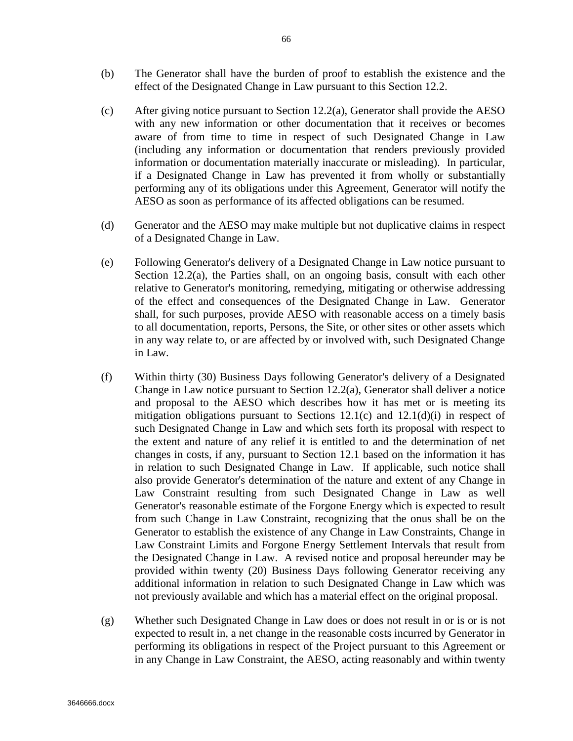- (b) The Generator shall have the burden of proof to establish the existence and the effect of the Designated Change in Law pursuant to this Section 12.2.
- (c) After giving notice pursuant to Section 12.2(a), Generator shall provide the AESO with any new information or other documentation that it receives or becomes aware of from time to time in respect of such Designated Change in Law (including any information or documentation that renders previously provided information or documentation materially inaccurate or misleading). In particular, if a Designated Change in Law has prevented it from wholly or substantially performing any of its obligations under this Agreement, Generator will notify the AESO as soon as performance of its affected obligations can be resumed.
- (d) Generator and the AESO may make multiple but not duplicative claims in respect of a Designated Change in Law.
- (e) Following Generator's delivery of a Designated Change in Law notice pursuant to Section  $12.2(a)$ , the Parties shall, on an ongoing basis, consult with each other relative to Generator's monitoring, remedying, mitigating or otherwise addressing of the effect and consequences of the Designated Change in Law. Generator shall, for such purposes, provide AESO with reasonable access on a timely basis to all documentation, reports, Persons, the Site, or other sites or other assets which in any way relate to, or are affected by or involved with, such Designated Change in Law.
- (f) Within thirty (30) Business Days following Generator's delivery of a Designated Change in Law notice pursuant to Section 12.2(a), Generator shall deliver a notice and proposal to the AESO which describes how it has met or is meeting its mitigation obligations pursuant to Sections  $12.1(c)$  and  $12.1(d)(i)$  in respect of such Designated Change in Law and which sets forth its proposal with respect to the extent and nature of any relief it is entitled to and the determination of net changes in costs, if any, pursuant to Section 12.1 based on the information it has in relation to such Designated Change in Law. If applicable, such notice shall also provide Generator's determination of the nature and extent of any Change in Law Constraint resulting from such Designated Change in Law as well Generator's reasonable estimate of the Forgone Energy which is expected to result from such Change in Law Constraint, recognizing that the onus shall be on the Generator to establish the existence of any Change in Law Constraints, Change in Law Constraint Limits and Forgone Energy Settlement Intervals that result from the Designated Change in Law. A revised notice and proposal hereunder may be provided within twenty (20) Business Days following Generator receiving any additional information in relation to such Designated Change in Law which was not previously available and which has a material effect on the original proposal.
- (g) Whether such Designated Change in Law does or does not result in or is or is not expected to result in, a net change in the reasonable costs incurred by Generator in performing its obligations in respect of the Project pursuant to this Agreement or in any Change in Law Constraint, the AESO, acting reasonably and within twenty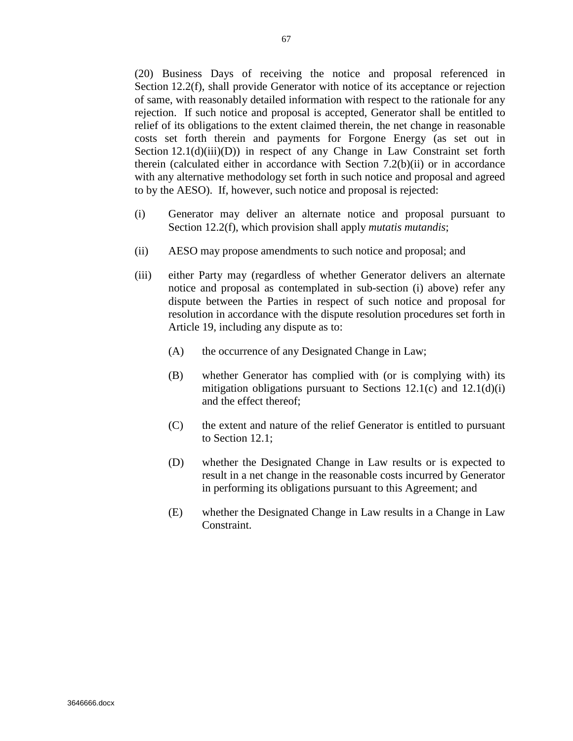(20) Business Days of receiving the notice and proposal referenced in Section 12.2(f), shall provide Generator with notice of its acceptance or rejection of same, with reasonably detailed information with respect to the rationale for any rejection. If such notice and proposal is accepted, Generator shall be entitled to relief of its obligations to the extent claimed therein, the net change in reasonable costs set forth therein and payments for Forgone Energy (as set out in Section  $12.1(d)(iii)(D)$  in respect of any Change in Law Constraint set forth therein (calculated either in accordance with Section 7.2(b)(ii) or in accordance with any alternative methodology set forth in such notice and proposal and agreed to by the AESO). If, however, such notice and proposal is rejected:

- (i) Generator may deliver an alternate notice and proposal pursuant to Section 12.2(f), which provision shall apply *mutatis mutandis*;
- (ii) AESO may propose amendments to such notice and proposal; and
- (iii) either Party may (regardless of whether Generator delivers an alternate notice and proposal as contemplated in sub-section (i) above) refer any dispute between the Parties in respect of such notice and proposal for resolution in accordance with the dispute resolution procedures set forth in Article 19, including any dispute as to:
	- (A) the occurrence of any Designated Change in Law;
	- (B) whether Generator has complied with (or is complying with) its mitigation obligations pursuant to Sections  $12.1(c)$  and  $12.1(d)(i)$ and the effect thereof;
	- (C) the extent and nature of the relief Generator is entitled to pursuant to Section 12.1;
	- (D) whether the Designated Change in Law results or is expected to result in a net change in the reasonable costs incurred by Generator in performing its obligations pursuant to this Agreement; and
	- (E) whether the Designated Change in Law results in a Change in Law Constraint.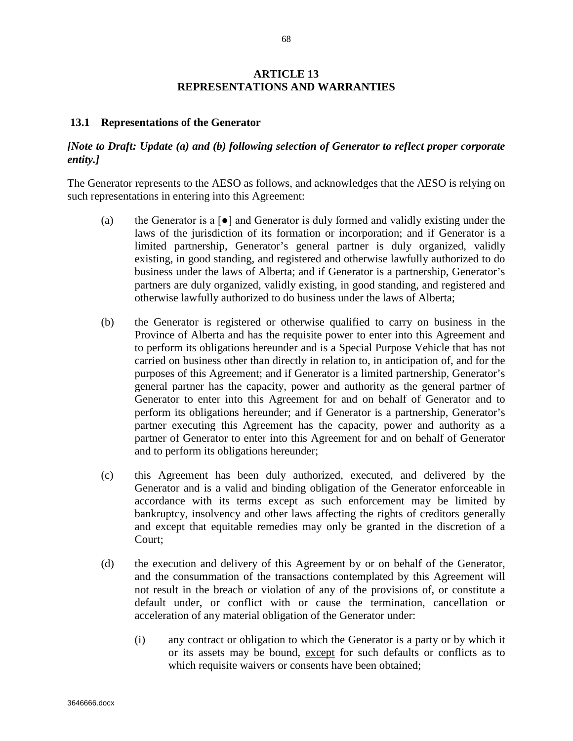# **ARTICLE 13 REPRESENTATIONS AND WARRANTIES**

#### **13.1 Representations of the Generator**

# *[Note to Draft: Update (a) and (b) following selection of Generator to reflect proper corporate entity.]*

The Generator represents to the AESO as follows, and acknowledges that the AESO is relying on such representations in entering into this Agreement:

- (a) the Generator is a  $\lceil \bullet \rceil$  and Generator is duly formed and validly existing under the laws of the jurisdiction of its formation or incorporation; and if Generator is a limited partnership, Generator's general partner is duly organized, validly existing, in good standing, and registered and otherwise lawfully authorized to do business under the laws of Alberta; and if Generator is a partnership, Generator's partners are duly organized, validly existing, in good standing, and registered and otherwise lawfully authorized to do business under the laws of Alberta;
- (b) the Generator is registered or otherwise qualified to carry on business in the Province of Alberta and has the requisite power to enter into this Agreement and to perform its obligations hereunder and is a Special Purpose Vehicle that has not carried on business other than directly in relation to, in anticipation of, and for the purposes of this Agreement; and if Generator is a limited partnership, Generator's general partner has the capacity, power and authority as the general partner of Generator to enter into this Agreement for and on behalf of Generator and to perform its obligations hereunder; and if Generator is a partnership, Generator's partner executing this Agreement has the capacity, power and authority as a partner of Generator to enter into this Agreement for and on behalf of Generator and to perform its obligations hereunder;
- (c) this Agreement has been duly authorized, executed, and delivered by the Generator and is a valid and binding obligation of the Generator enforceable in accordance with its terms except as such enforcement may be limited by bankruptcy, insolvency and other laws affecting the rights of creditors generally and except that equitable remedies may only be granted in the discretion of a Court;
- (d) the execution and delivery of this Agreement by or on behalf of the Generator, and the consummation of the transactions contemplated by this Agreement will not result in the breach or violation of any of the provisions of, or constitute a default under, or conflict with or cause the termination, cancellation or acceleration of any material obligation of the Generator under:
	- (i) any contract or obligation to which the Generator is a party or by which it or its assets may be bound, except for such defaults or conflicts as to which requisite waivers or consents have been obtained;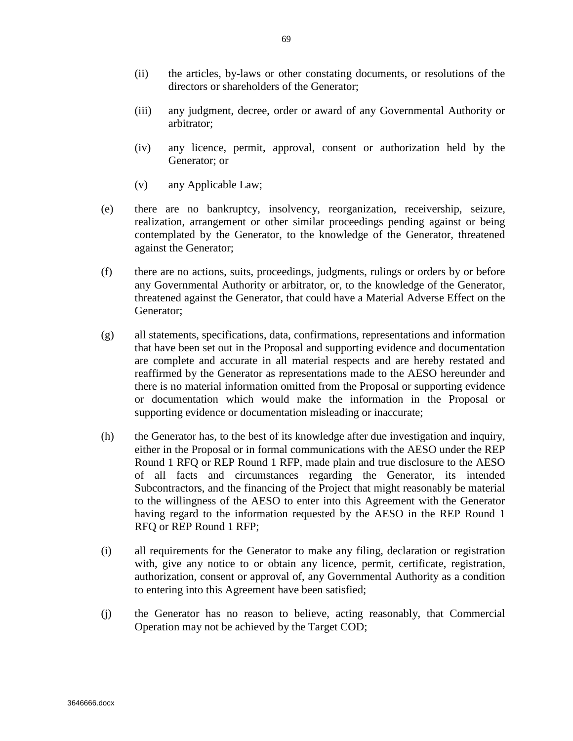- (ii) the articles, by-laws or other constating documents, or resolutions of the directors or shareholders of the Generator;
- (iii) any judgment, decree, order or award of any Governmental Authority or arbitrator;
- (iv) any licence, permit, approval, consent or authorization held by the Generator; or
- (v) any Applicable Law;
- (e) there are no bankruptcy, insolvency, reorganization, receivership, seizure, realization, arrangement or other similar proceedings pending against or being contemplated by the Generator, to the knowledge of the Generator, threatened against the Generator;
- (f) there are no actions, suits, proceedings, judgments, rulings or orders by or before any Governmental Authority or arbitrator, or, to the knowledge of the Generator, threatened against the Generator, that could have a Material Adverse Effect on the Generator;
- (g) all statements, specifications, data, confirmations, representations and information that have been set out in the Proposal and supporting evidence and documentation are complete and accurate in all material respects and are hereby restated and reaffirmed by the Generator as representations made to the AESO hereunder and there is no material information omitted from the Proposal or supporting evidence or documentation which would make the information in the Proposal or supporting evidence or documentation misleading or inaccurate;
- (h) the Generator has, to the best of its knowledge after due investigation and inquiry, either in the Proposal or in formal communications with the AESO under the REP Round 1 RFQ or REP Round 1 RFP, made plain and true disclosure to the AESO of all facts and circumstances regarding the Generator, its intended Subcontractors, and the financing of the Project that might reasonably be material to the willingness of the AESO to enter into this Agreement with the Generator having regard to the information requested by the AESO in the REP Round 1 RFQ or REP Round 1 RFP;
- (i) all requirements for the Generator to make any filing, declaration or registration with, give any notice to or obtain any licence, permit, certificate, registration, authorization, consent or approval of, any Governmental Authority as a condition to entering into this Agreement have been satisfied;
- (j) the Generator has no reason to believe, acting reasonably, that Commercial Operation may not be achieved by the Target COD;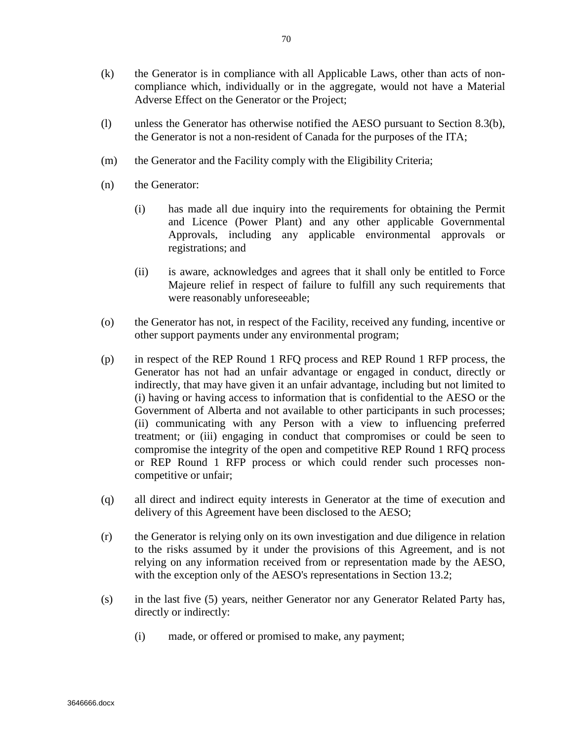- (k) the Generator is in compliance with all Applicable Laws, other than acts of noncompliance which, individually or in the aggregate, would not have a Material Adverse Effect on the Generator or the Project;
- (l) unless the Generator has otherwise notified the AESO pursuant to Section 8.3(b), the Generator is not a non-resident of Canada for the purposes of the ITA;
- (m) the Generator and the Facility comply with the Eligibility Criteria;
- (n) the Generator:
	- (i) has made all due inquiry into the requirements for obtaining the Permit and Licence (Power Plant) and any other applicable Governmental Approvals, including any applicable environmental approvals or registrations; and
	- (ii) is aware, acknowledges and agrees that it shall only be entitled to Force Majeure relief in respect of failure to fulfill any such requirements that were reasonably unforeseeable;
- (o) the Generator has not, in respect of the Facility, received any funding, incentive or other support payments under any environmental program;
- (p) in respect of the REP Round 1 RFQ process and REP Round 1 RFP process, the Generator has not had an unfair advantage or engaged in conduct, directly or indirectly, that may have given it an unfair advantage, including but not limited to (i) having or having access to information that is confidential to the AESO or the Government of Alberta and not available to other participants in such processes; (ii) communicating with any Person with a view to influencing preferred treatment; or (iii) engaging in conduct that compromises or could be seen to compromise the integrity of the open and competitive REP Round 1 RFQ process or REP Round 1 RFP process or which could render such processes noncompetitive or unfair;
- (q) all direct and indirect equity interests in Generator at the time of execution and delivery of this Agreement have been disclosed to the AESO;
- (r) the Generator is relying only on its own investigation and due diligence in relation to the risks assumed by it under the provisions of this Agreement, and is not relying on any information received from or representation made by the AESO, with the exception only of the AESO's representations in Section 13.2;
- (s) in the last five (5) years, neither Generator nor any Generator Related Party has, directly or indirectly:
	- (i) made, or offered or promised to make, any payment;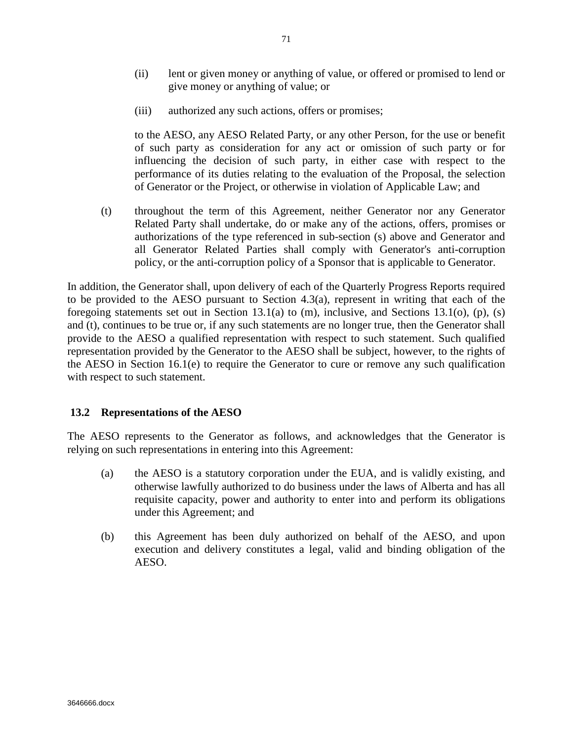- (ii) lent or given money or anything of value, or offered or promised to lend or give money or anything of value; or
- (iii) authorized any such actions, offers or promises;

to the AESO, any AESO Related Party, or any other Person, for the use or benefit of such party as consideration for any act or omission of such party or for influencing the decision of such party, in either case with respect to the performance of its duties relating to the evaluation of the Proposal, the selection of Generator or the Project, or otherwise in violation of Applicable Law; and

(t) throughout the term of this Agreement, neither Generator nor any Generator Related Party shall undertake, do or make any of the actions, offers, promises or authorizations of the type referenced in sub-section (s) above and Generator and all Generator Related Parties shall comply with Generator's anti-corruption policy, or the anti-corruption policy of a Sponsor that is applicable to Generator.

In addition, the Generator shall, upon delivery of each of the Quarterly Progress Reports required to be provided to the AESO pursuant to Section  $4.3(a)$ , represent in writing that each of the foregoing statements set out in Section 13.1(a) to (m), inclusive, and Sections 13.1(o), (p), (s) and (t), continues to be true or, if any such statements are no longer true, then the Generator shall provide to the AESO a qualified representation with respect to such statement. Such qualified representation provided by the Generator to the AESO shall be subject, however, to the rights of the AESO in Section 16.1(e) to require the Generator to cure or remove any such qualification with respect to such statement.

# **13.2 Representations of the AESO**

The AESO represents to the Generator as follows, and acknowledges that the Generator is relying on such representations in entering into this Agreement:

- (a) the AESO is a statutory corporation under the EUA, and is validly existing, and otherwise lawfully authorized to do business under the laws of Alberta and has all requisite capacity, power and authority to enter into and perform its obligations under this Agreement; and
- (b) this Agreement has been duly authorized on behalf of the AESO, and upon execution and delivery constitutes a legal, valid and binding obligation of the AESO.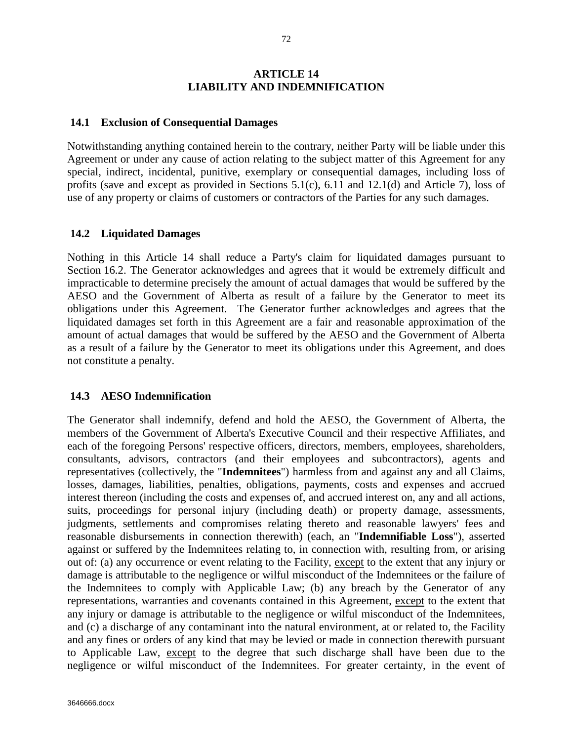## **ARTICLE 14 LIABILITY AND INDEMNIFICATION**

#### **14.1 Exclusion of Consequential Damages**

Notwithstanding anything contained herein to the contrary, neither Party will be liable under this Agreement or under any cause of action relating to the subject matter of this Agreement for any special, indirect, incidental, punitive, exemplary or consequential damages, including loss of profits (save and except as provided in Sections 5.1(c), 6.11 and 12.1(d) and Article 7), loss of use of any property or claims of customers or contractors of the Parties for any such damages.

#### **14.2 Liquidated Damages**

Nothing in this Article 14 shall reduce a Party's claim for liquidated damages pursuant to Section 16.2. The Generator acknowledges and agrees that it would be extremely difficult and impracticable to determine precisely the amount of actual damages that would be suffered by the AESO and the Government of Alberta as result of a failure by the Generator to meet its obligations under this Agreement. The Generator further acknowledges and agrees that the liquidated damages set forth in this Agreement are a fair and reasonable approximation of the amount of actual damages that would be suffered by the AESO and the Government of Alberta as a result of a failure by the Generator to meet its obligations under this Agreement, and does not constitute a penalty.

## **14.3 AESO Indemnification**

The Generator shall indemnify, defend and hold the AESO, the Government of Alberta, the members of the Government of Alberta's Executive Council and their respective Affiliates, and each of the foregoing Persons' respective officers, directors, members, employees, shareholders, consultants, advisors, contractors (and their employees and subcontractors), agents and representatives (collectively, the "**Indemnitees**") harmless from and against any and all Claims, losses, damages, liabilities, penalties, obligations, payments, costs and expenses and accrued interest thereon (including the costs and expenses of, and accrued interest on, any and all actions, suits, proceedings for personal injury (including death) or property damage, assessments, judgments, settlements and compromises relating thereto and reasonable lawyers' fees and reasonable disbursements in connection therewith) (each, an "**Indemnifiable Loss**"), asserted against or suffered by the Indemnitees relating to, in connection with, resulting from, or arising out of: (a) any occurrence or event relating to the Facility, except to the extent that any injury or damage is attributable to the negligence or wilful misconduct of the Indemnitees or the failure of the Indemnitees to comply with Applicable Law; (b) any breach by the Generator of any representations, warranties and covenants contained in this Agreement, except to the extent that any injury or damage is attributable to the negligence or wilful misconduct of the Indemnitees, and (c) a discharge of any contaminant into the natural environment, at or related to, the Facility and any fines or orders of any kind that may be levied or made in connection therewith pursuant to Applicable Law, except to the degree that such discharge shall have been due to the negligence or wilful misconduct of the Indemnitees. For greater certainty, in the event of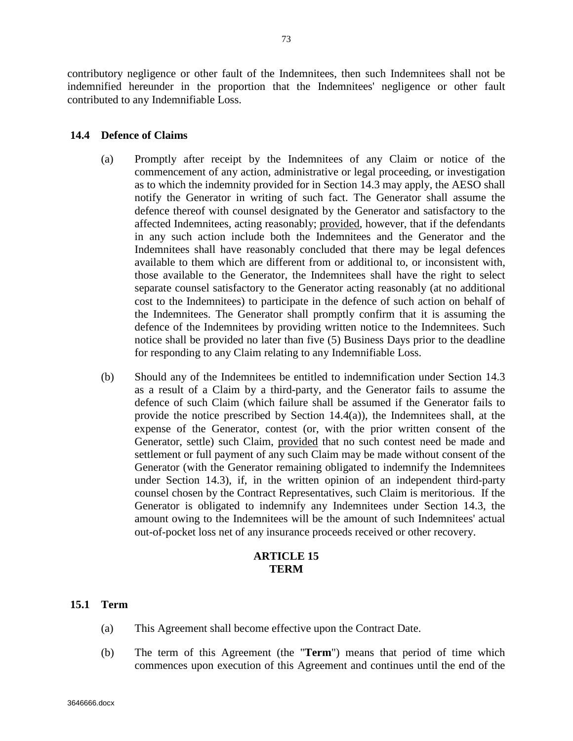contributory negligence or other fault of the Indemnitees, then such Indemnitees shall not be indemnified hereunder in the proportion that the Indemnitees' negligence or other fault contributed to any Indemnifiable Loss.

# **14.4 Defence of Claims**

- (a) Promptly after receipt by the Indemnitees of any Claim or notice of the commencement of any action, administrative or legal proceeding, or investigation as to which the indemnity provided for in Section 14.3 may apply, the AESO shall notify the Generator in writing of such fact. The Generator shall assume the defence thereof with counsel designated by the Generator and satisfactory to the affected Indemnitees, acting reasonably; provided, however, that if the defendants in any such action include both the Indemnitees and the Generator and the Indemnitees shall have reasonably concluded that there may be legal defences available to them which are different from or additional to, or inconsistent with, those available to the Generator, the Indemnitees shall have the right to select separate counsel satisfactory to the Generator acting reasonably (at no additional cost to the Indemnitees) to participate in the defence of such action on behalf of the Indemnitees. The Generator shall promptly confirm that it is assuming the defence of the Indemnitees by providing written notice to the Indemnitees. Such notice shall be provided no later than five (5) Business Days prior to the deadline for responding to any Claim relating to any Indemnifiable Loss.
- (b) Should any of the Indemnitees be entitled to indemnification under Section 14.3 as a result of a Claim by a third-party, and the Generator fails to assume the defence of such Claim (which failure shall be assumed if the Generator fails to provide the notice prescribed by Section 14.4(a)), the Indemnitees shall, at the expense of the Generator, contest (or, with the prior written consent of the Generator, settle) such Claim, provided that no such contest need be made and settlement or full payment of any such Claim may be made without consent of the Generator (with the Generator remaining obligated to indemnify the Indemnitees under Section 14.3), if, in the written opinion of an independent third-party counsel chosen by the Contract Representatives, such Claim is meritorious. If the Generator is obligated to indemnify any Indemnitees under Section 14.3, the amount owing to the Indemnitees will be the amount of such Indemnitees' actual out-of-pocket loss net of any insurance proceeds received or other recovery.

# **ARTICLE 15 TERM**

# **15.1 Term**

- (a) This Agreement shall become effective upon the Contract Date.
- (b) The term of this Agreement (the "**Term**") means that period of time which commences upon execution of this Agreement and continues until the end of the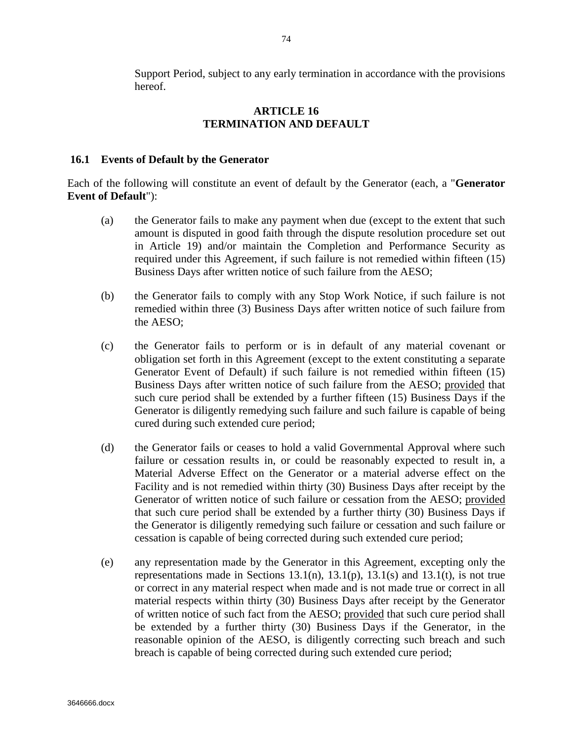Support Period, subject to any early termination in accordance with the provisions hereof.

# **ARTICLE 16 TERMINATION AND DEFAULT**

### **16.1 Events of Default by the Generator**

Each of the following will constitute an event of default by the Generator (each, a "**Generator Event of Default**"):

- (a) the Generator fails to make any payment when due (except to the extent that such amount is disputed in good faith through the dispute resolution procedure set out in Article 19) and/or maintain the Completion and Performance Security as required under this Agreement, if such failure is not remedied within fifteen (15) Business Days after written notice of such failure from the AESO;
- (b) the Generator fails to comply with any Stop Work Notice, if such failure is not remedied within three (3) Business Days after written notice of such failure from the AESO;
- (c) the Generator fails to perform or is in default of any material covenant or obligation set forth in this Agreement (except to the extent constituting a separate Generator Event of Default) if such failure is not remedied within fifteen (15) Business Days after written notice of such failure from the AESO; provided that such cure period shall be extended by a further fifteen (15) Business Days if the Generator is diligently remedying such failure and such failure is capable of being cured during such extended cure period;
- (d) the Generator fails or ceases to hold a valid Governmental Approval where such failure or cessation results in, or could be reasonably expected to result in, a Material Adverse Effect on the Generator or a material adverse effect on the Facility and is not remedied within thirty (30) Business Days after receipt by the Generator of written notice of such failure or cessation from the AESO; provided that such cure period shall be extended by a further thirty (30) Business Days if the Generator is diligently remedying such failure or cessation and such failure or cessation is capable of being corrected during such extended cure period;
- (e) any representation made by the Generator in this Agreement, excepting only the representations made in Sections  $13.1(n)$ ,  $13.1(p)$ ,  $13.1(s)$  and  $13.1(t)$ , is not true or correct in any material respect when made and is not made true or correct in all material respects within thirty (30) Business Days after receipt by the Generator of written notice of such fact from the AESO; provided that such cure period shall be extended by a further thirty (30) Business Days if the Generator, in the reasonable opinion of the AESO, is diligently correcting such breach and such breach is capable of being corrected during such extended cure period;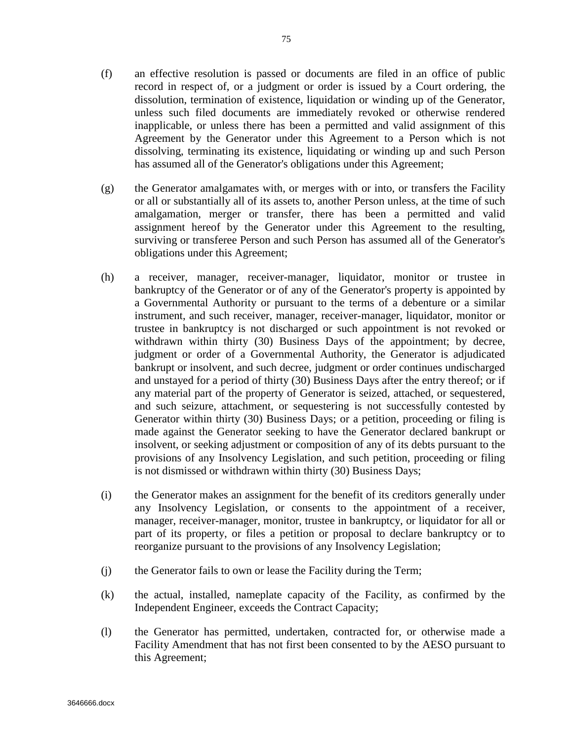- (f) an effective resolution is passed or documents are filed in an office of public record in respect of, or a judgment or order is issued by a Court ordering, the dissolution, termination of existence, liquidation or winding up of the Generator, unless such filed documents are immediately revoked or otherwise rendered inapplicable, or unless there has been a permitted and valid assignment of this Agreement by the Generator under this Agreement to a Person which is not dissolving, terminating its existence, liquidating or winding up and such Person has assumed all of the Generator's obligations under this Agreement;
- (g) the Generator amalgamates with, or merges with or into, or transfers the Facility or all or substantially all of its assets to, another Person unless, at the time of such amalgamation, merger or transfer, there has been a permitted and valid assignment hereof by the Generator under this Agreement to the resulting, surviving or transferee Person and such Person has assumed all of the Generator's obligations under this Agreement;
- (h) a receiver, manager, receiver-manager, liquidator, monitor or trustee in bankruptcy of the Generator or of any of the Generator's property is appointed by a Governmental Authority or pursuant to the terms of a debenture or a similar instrument, and such receiver, manager, receiver-manager, liquidator, monitor or trustee in bankruptcy is not discharged or such appointment is not revoked or withdrawn within thirty (30) Business Days of the appointment; by decree, judgment or order of a Governmental Authority, the Generator is adjudicated bankrupt or insolvent, and such decree, judgment or order continues undischarged and unstayed for a period of thirty (30) Business Days after the entry thereof; or if any material part of the property of Generator is seized, attached, or sequestered, and such seizure, attachment, or sequestering is not successfully contested by Generator within thirty (30) Business Days; or a petition, proceeding or filing is made against the Generator seeking to have the Generator declared bankrupt or insolvent, or seeking adjustment or composition of any of its debts pursuant to the provisions of any Insolvency Legislation, and such petition, proceeding or filing is not dismissed or withdrawn within thirty (30) Business Days;
- (i) the Generator makes an assignment for the benefit of its creditors generally under any Insolvency Legislation, or consents to the appointment of a receiver, manager, receiver-manager, monitor, trustee in bankruptcy, or liquidator for all or part of its property, or files a petition or proposal to declare bankruptcy or to reorganize pursuant to the provisions of any Insolvency Legislation;
- (j) the Generator fails to own or lease the Facility during the Term;
- (k) the actual, installed, nameplate capacity of the Facility, as confirmed by the Independent Engineer, exceeds the Contract Capacity;
- (l) the Generator has permitted, undertaken, contracted for, or otherwise made a Facility Amendment that has not first been consented to by the AESO pursuant to this Agreement;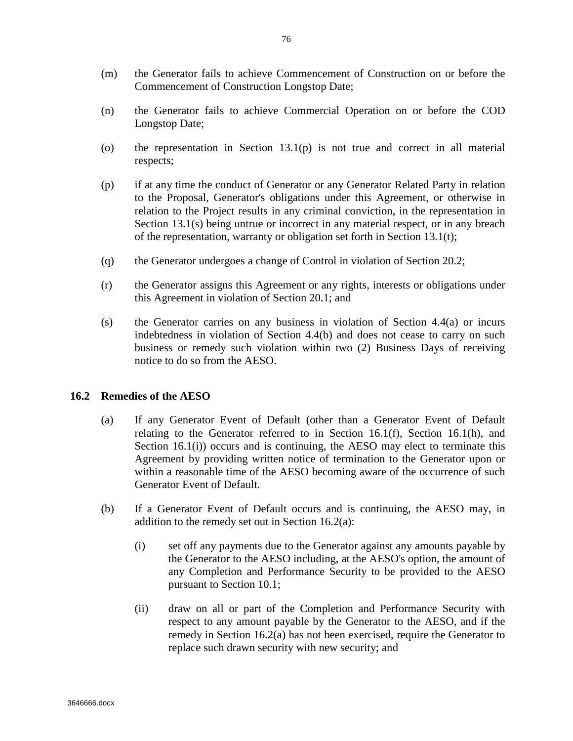- (m) the Generator fails to achieve Commencement of Construction on or before the Commencement of Construction Longstop Date;
- (n) the Generator fails to achieve Commercial Operation on or before the COD Longstop Date;
- (o) the representation in Section  $13.1(p)$  is not true and correct in all material respects;
- (p) if at any time the conduct of Generator or any Generator Related Party in relation to the Proposal, Generator's obligations under this Agreement, or otherwise in relation to the Project results in any criminal conviction, in the representation in Section 13.1(s) being untrue or incorrect in any material respect, or in any breach of the representation, warranty or obligation set forth in Section 13.1(t);
- (q) the Generator undergoes a change of Control in violation of Section 20.2;
- (r) the Generator assigns this Agreement or any rights, interests or obligations under this Agreement in violation of Section 20.1; and
- (s) the Generator carries on any business in violation of Section 4.4(a) or incurs indebtedness in violation of Section 4.4(b) and does not cease to carry on such business or remedy such violation within two (2) Business Days of receiving notice to do so from the AESO.

## **16.2 Remedies of the AESO**

- (a) If any Generator Event of Default (other than a Generator Event of Default relating to the Generator referred to in Section 16.1(f), Section 16.1(h), and Section  $16.1(i)$  occurs and is continuing, the AESO may elect to terminate this Agreement by providing written notice of termination to the Generator upon or within a reasonable time of the AESO becoming aware of the occurrence of such Generator Event of Default.
- (b) If a Generator Event of Default occurs and is continuing, the AESO may, in addition to the remedy set out in Section 16.2(a):
	- (i) set off any payments due to the Generator against any amounts payable by the Generator to the AESO including, at the AESO's option, the amount of any Completion and Performance Security to be provided to the AESO pursuant to Section 10.1;
	- (ii) draw on all or part of the Completion and Performance Security with respect to any amount payable by the Generator to the AESO, and if the remedy in Section 16.2(a) has not been exercised, require the Generator to replace such drawn security with new security; and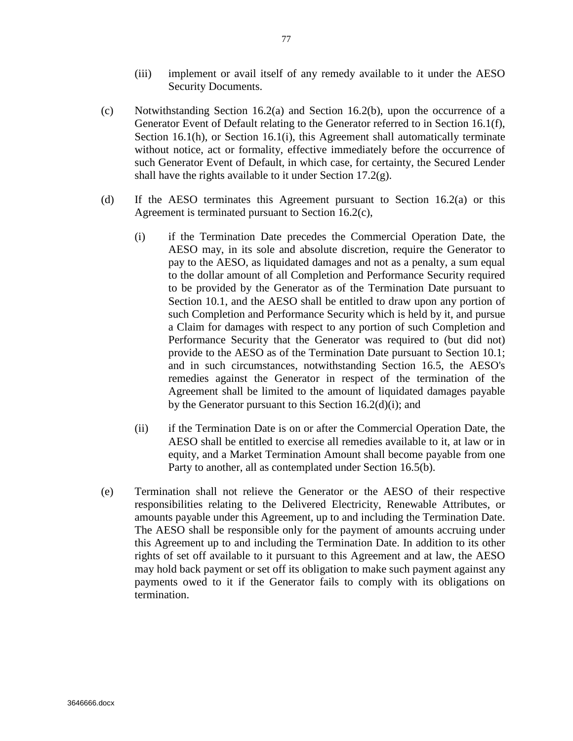- (iii) implement or avail itself of any remedy available to it under the AESO Security Documents.
- (c) Notwithstanding Section 16.2(a) and Section 16.2(b), upon the occurrence of a Generator Event of Default relating to the Generator referred to in Section 16.1(f), Section 16.1(h), or Section 16.1(i), this Agreement shall automatically terminate without notice, act or formality, effective immediately before the occurrence of such Generator Event of Default, in which case, for certainty, the Secured Lender shall have the rights available to it under Section 17.2(g).
- (d) If the AESO terminates this Agreement pursuant to Section 16.2(a) or this Agreement is terminated pursuant to Section 16.2(c),
	- (i) if the Termination Date precedes the Commercial Operation Date, the AESO may, in its sole and absolute discretion, require the Generator to pay to the AESO, as liquidated damages and not as a penalty, a sum equal to the dollar amount of all Completion and Performance Security required to be provided by the Generator as of the Termination Date pursuant to Section 10.1, and the AESO shall be entitled to draw upon any portion of such Completion and Performance Security which is held by it, and pursue a Claim for damages with respect to any portion of such Completion and Performance Security that the Generator was required to (but did not) provide to the AESO as of the Termination Date pursuant to Section 10.1; and in such circumstances, notwithstanding Section 16.5, the AESO's remedies against the Generator in respect of the termination of the Agreement shall be limited to the amount of liquidated damages payable by the Generator pursuant to this Section 16.2(d)(i); and
	- (ii) if the Termination Date is on or after the Commercial Operation Date, the AESO shall be entitled to exercise all remedies available to it, at law or in equity, and a Market Termination Amount shall become payable from one Party to another, all as contemplated under Section 16.5(b).
- (e) Termination shall not relieve the Generator or the AESO of their respective responsibilities relating to the Delivered Electricity, Renewable Attributes, or amounts payable under this Agreement, up to and including the Termination Date. The AESO shall be responsible only for the payment of amounts accruing under this Agreement up to and including the Termination Date. In addition to its other rights of set off available to it pursuant to this Agreement and at law, the AESO may hold back payment or set off its obligation to make such payment against any payments owed to it if the Generator fails to comply with its obligations on termination.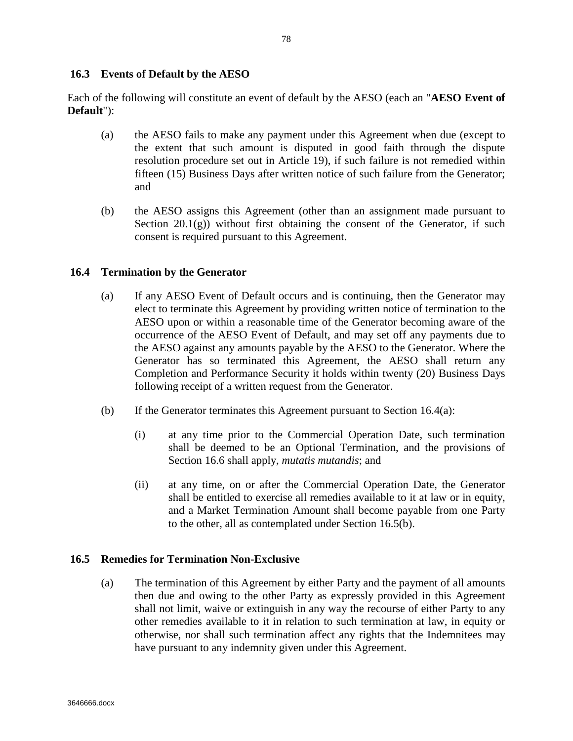## **16.3 Events of Default by the AESO**

Each of the following will constitute an event of default by the AESO (each an "**AESO Event of Default**"):

- (a) the AESO fails to make any payment under this Agreement when due (except to the extent that such amount is disputed in good faith through the dispute resolution procedure set out in Article 19), if such failure is not remedied within fifteen (15) Business Days after written notice of such failure from the Generator; and
- (b) the AESO assigns this Agreement (other than an assignment made pursuant to Section  $20.1(g)$ ) without first obtaining the consent of the Generator, if such consent is required pursuant to this Agreement.

## **16.4 Termination by the Generator**

- (a) If any AESO Event of Default occurs and is continuing, then the Generator may elect to terminate this Agreement by providing written notice of termination to the AESO upon or within a reasonable time of the Generator becoming aware of the occurrence of the AESO Event of Default, and may set off any payments due to the AESO against any amounts payable by the AESO to the Generator. Where the Generator has so terminated this Agreement, the AESO shall return any Completion and Performance Security it holds within twenty (20) Business Days following receipt of a written request from the Generator.
- (b) If the Generator terminates this Agreement pursuant to Section  $16.4(a)$ :
	- (i) at any time prior to the Commercial Operation Date, such termination shall be deemed to be an Optional Termination, and the provisions of Section 16.6 shall apply, *mutatis mutandis*; and
	- (ii) at any time, on or after the Commercial Operation Date, the Generator shall be entitled to exercise all remedies available to it at law or in equity, and a Market Termination Amount shall become payable from one Party to the other, all as contemplated under Section 16.5(b).

#### **16.5 Remedies for Termination Non-Exclusive**

(a) The termination of this Agreement by either Party and the payment of all amounts then due and owing to the other Party as expressly provided in this Agreement shall not limit, waive or extinguish in any way the recourse of either Party to any other remedies available to it in relation to such termination at law, in equity or otherwise, nor shall such termination affect any rights that the Indemnitees may have pursuant to any indemnity given under this Agreement.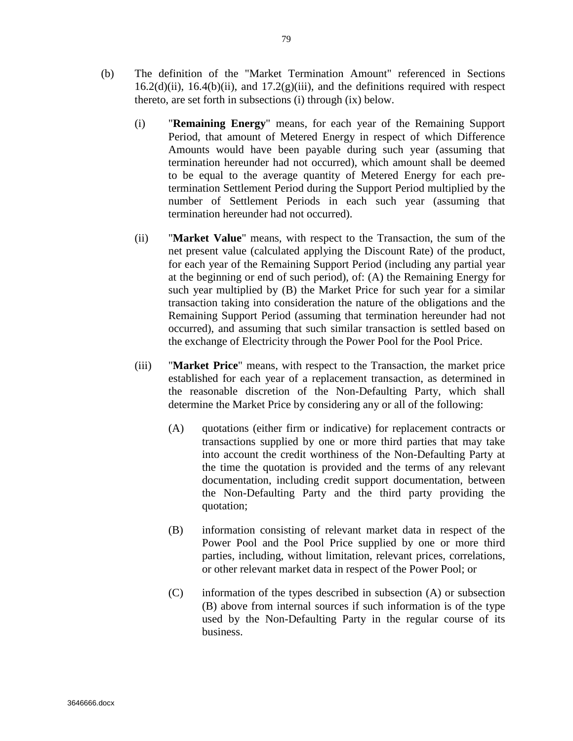- (b) The definition of the "Market Termination Amount" referenced in Sections  $16.2(d)(ii)$ ,  $16.4(b)(ii)$ , and  $17.2(g)(iii)$ , and the definitions required with respect thereto, are set forth in subsections (i) through (ix) below.
	- (i) "**Remaining Energy**" means, for each year of the Remaining Support Period, that amount of Metered Energy in respect of which Difference Amounts would have been payable during such year (assuming that termination hereunder had not occurred), which amount shall be deemed to be equal to the average quantity of Metered Energy for each pretermination Settlement Period during the Support Period multiplied by the number of Settlement Periods in each such year (assuming that termination hereunder had not occurred).
	- (ii) "**Market Value**" means, with respect to the Transaction, the sum of the net present value (calculated applying the Discount Rate) of the product, for each year of the Remaining Support Period (including any partial year at the beginning or end of such period), of: (A) the Remaining Energy for such year multiplied by (B) the Market Price for such year for a similar transaction taking into consideration the nature of the obligations and the Remaining Support Period (assuming that termination hereunder had not occurred), and assuming that such similar transaction is settled based on the exchange of Electricity through the Power Pool for the Pool Price.
	- (iii) "**Market Price**" means, with respect to the Transaction, the market price established for each year of a replacement transaction, as determined in the reasonable discretion of the Non-Defaulting Party, which shall determine the Market Price by considering any or all of the following:
		- (A) quotations (either firm or indicative) for replacement contracts or transactions supplied by one or more third parties that may take into account the credit worthiness of the Non-Defaulting Party at the time the quotation is provided and the terms of any relevant documentation, including credit support documentation, between the Non-Defaulting Party and the third party providing the quotation;
		- (B) information consisting of relevant market data in respect of the Power Pool and the Pool Price supplied by one or more third parties, including, without limitation, relevant prices, correlations, or other relevant market data in respect of the Power Pool; or
		- (C) information of the types described in subsection (A) or subsection (B) above from internal sources if such information is of the type used by the Non-Defaulting Party in the regular course of its business.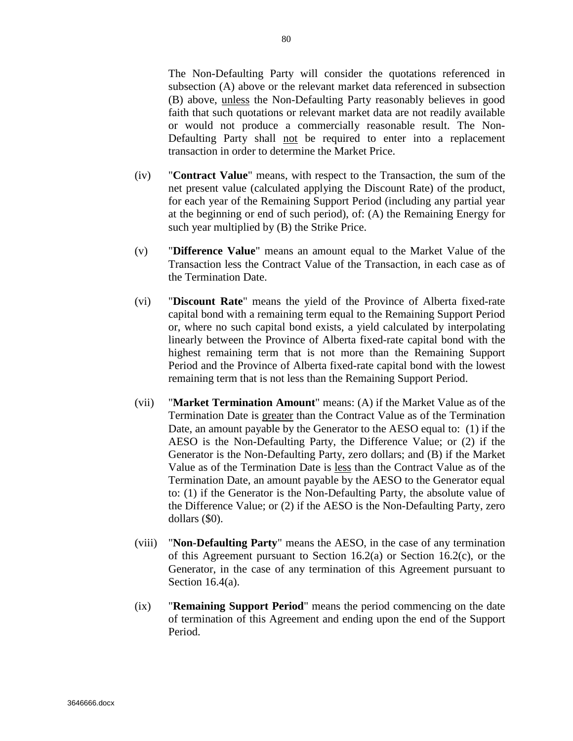The Non-Defaulting Party will consider the quotations referenced in subsection (A) above or the relevant market data referenced in subsection (B) above, unless the Non-Defaulting Party reasonably believes in good faith that such quotations or relevant market data are not readily available or would not produce a commercially reasonable result. The Non-Defaulting Party shall not be required to enter into a replacement transaction in order to determine the Market Price.

- (iv) "**Contract Value**" means, with respect to the Transaction, the sum of the net present value (calculated applying the Discount Rate) of the product, for each year of the Remaining Support Period (including any partial year at the beginning or end of such period), of: (A) the Remaining Energy for such year multiplied by (B) the Strike Price.
- (v) "**Difference Value**" means an amount equal to the Market Value of the Transaction less the Contract Value of the Transaction, in each case as of the Termination Date.
- (vi) "**Discount Rate**" means the yield of the Province of Alberta fixed-rate capital bond with a remaining term equal to the Remaining Support Period or, where no such capital bond exists, a yield calculated by interpolating linearly between the Province of Alberta fixed-rate capital bond with the highest remaining term that is not more than the Remaining Support Period and the Province of Alberta fixed-rate capital bond with the lowest remaining term that is not less than the Remaining Support Period.
- (vii) "**Market Termination Amount**" means: (A) if the Market Value as of the Termination Date is greater than the Contract Value as of the Termination Date, an amount payable by the Generator to the AESO equal to: (1) if the AESO is the Non-Defaulting Party, the Difference Value; or (2) if the Generator is the Non-Defaulting Party, zero dollars; and (B) if the Market Value as of the Termination Date is less than the Contract Value as of the Termination Date, an amount payable by the AESO to the Generator equal to: (1) if the Generator is the Non-Defaulting Party, the absolute value of the Difference Value; or (2) if the AESO is the Non-Defaulting Party, zero dollars (\$0).
- (viii) "**Non-Defaulting Party**" means the AESO, in the case of any termination of this Agreement pursuant to Section 16.2(a) or Section 16.2(c), or the Generator, in the case of any termination of this Agreement pursuant to Section 16.4(a).
- (ix) "**Remaining Support Period**" means the period commencing on the date of termination of this Agreement and ending upon the end of the Support Period.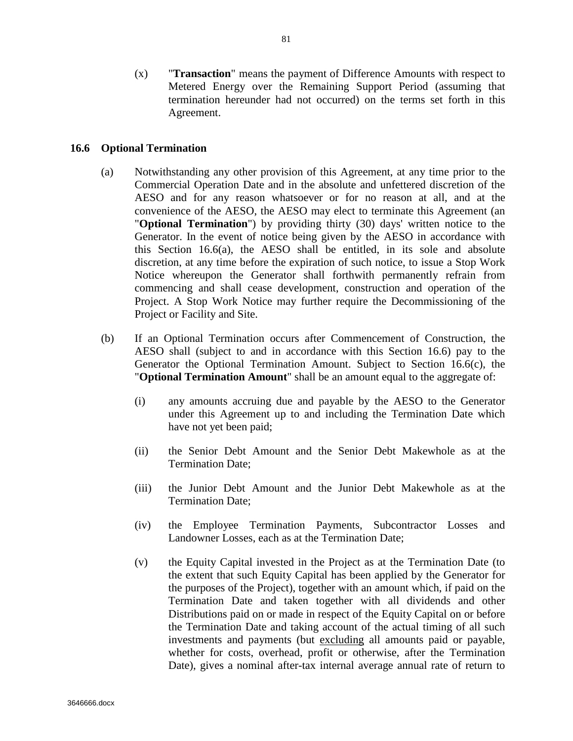(x) "**Transaction**" means the payment of Difference Amounts with respect to Metered Energy over the Remaining Support Period (assuming that termination hereunder had not occurred) on the terms set forth in this Agreement.

## **16.6 Optional Termination**

- (a) Notwithstanding any other provision of this Agreement, at any time prior to the Commercial Operation Date and in the absolute and unfettered discretion of the AESO and for any reason whatsoever or for no reason at all, and at the convenience of the AESO, the AESO may elect to terminate this Agreement (an "**Optional Termination**") by providing thirty (30) days' written notice to the Generator. In the event of notice being given by the AESO in accordance with this Section 16.6(a), the AESO shall be entitled, in its sole and absolute discretion, at any time before the expiration of such notice, to issue a Stop Work Notice whereupon the Generator shall forthwith permanently refrain from commencing and shall cease development, construction and operation of the Project. A Stop Work Notice may further require the Decommissioning of the Project or Facility and Site.
- (b) If an Optional Termination occurs after Commencement of Construction, the AESO shall (subject to and in accordance with this Section 16.6) pay to the Generator the Optional Termination Amount. Subject to Section 16.6(c), the "**Optional Termination Amount**" shall be an amount equal to the aggregate of:
	- (i) any amounts accruing due and payable by the AESO to the Generator under this Agreement up to and including the Termination Date which have not yet been paid;
	- (ii) the Senior Debt Amount and the Senior Debt Makewhole as at the Termination Date;
	- (iii) the Junior Debt Amount and the Junior Debt Makewhole as at the Termination Date;
	- (iv) the Employee Termination Payments, Subcontractor Losses and Landowner Losses, each as at the Termination Date;
	- (v) the Equity Capital invested in the Project as at the Termination Date (to the extent that such Equity Capital has been applied by the Generator for the purposes of the Project), together with an amount which, if paid on the Termination Date and taken together with all dividends and other Distributions paid on or made in respect of the Equity Capital on or before the Termination Date and taking account of the actual timing of all such investments and payments (but excluding all amounts paid or payable, whether for costs, overhead, profit or otherwise, after the Termination Date), gives a nominal after-tax internal average annual rate of return to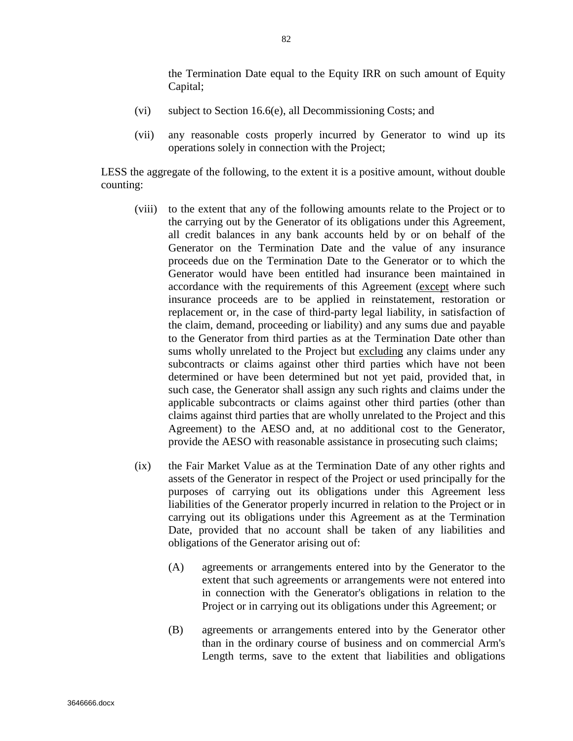the Termination Date equal to the Equity IRR on such amount of Equity Capital;

- (vi) subject to Section 16.6(e), all Decommissioning Costs; and
- (vii) any reasonable costs properly incurred by Generator to wind up its operations solely in connection with the Project;

LESS the aggregate of the following, to the extent it is a positive amount, without double counting:

- (viii) to the extent that any of the following amounts relate to the Project or to the carrying out by the Generator of its obligations under this Agreement, all credit balances in any bank accounts held by or on behalf of the Generator on the Termination Date and the value of any insurance proceeds due on the Termination Date to the Generator or to which the Generator would have been entitled had insurance been maintained in accordance with the requirements of this Agreement (except where such insurance proceeds are to be applied in reinstatement, restoration or replacement or, in the case of third-party legal liability, in satisfaction of the claim, demand, proceeding or liability) and any sums due and payable to the Generator from third parties as at the Termination Date other than sums wholly unrelated to the Project but excluding any claims under any subcontracts or claims against other third parties which have not been determined or have been determined but not yet paid, provided that, in such case, the Generator shall assign any such rights and claims under the applicable subcontracts or claims against other third parties (other than claims against third parties that are wholly unrelated to the Project and this Agreement) to the AESO and, at no additional cost to the Generator, provide the AESO with reasonable assistance in prosecuting such claims;
- (ix) the Fair Market Value as at the Termination Date of any other rights and assets of the Generator in respect of the Project or used principally for the purposes of carrying out its obligations under this Agreement less liabilities of the Generator properly incurred in relation to the Project or in carrying out its obligations under this Agreement as at the Termination Date, provided that no account shall be taken of any liabilities and obligations of the Generator arising out of:
	- (A) agreements or arrangements entered into by the Generator to the extent that such agreements or arrangements were not entered into in connection with the Generator's obligations in relation to the Project or in carrying out its obligations under this Agreement; or
	- (B) agreements or arrangements entered into by the Generator other than in the ordinary course of business and on commercial Arm's Length terms, save to the extent that liabilities and obligations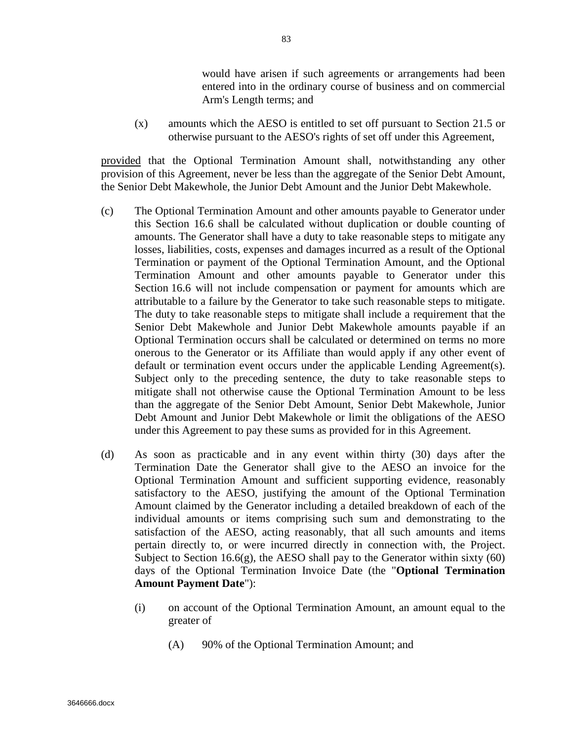would have arisen if such agreements or arrangements had been entered into in the ordinary course of business and on commercial Arm's Length terms; and

(x) amounts which the AESO is entitled to set off pursuant to Section 21.5 or otherwise pursuant to the AESO's rights of set off under this Agreement,

provided that the Optional Termination Amount shall, notwithstanding any other provision of this Agreement, never be less than the aggregate of the Senior Debt Amount, the Senior Debt Makewhole, the Junior Debt Amount and the Junior Debt Makewhole.

- (c) The Optional Termination Amount and other amounts payable to Generator under this Section 16.6 shall be calculated without duplication or double counting of amounts. The Generator shall have a duty to take reasonable steps to mitigate any losses, liabilities, costs, expenses and damages incurred as a result of the Optional Termination or payment of the Optional Termination Amount, and the Optional Termination Amount and other amounts payable to Generator under this Section 16.6 will not include compensation or payment for amounts which are attributable to a failure by the Generator to take such reasonable steps to mitigate. The duty to take reasonable steps to mitigate shall include a requirement that the Senior Debt Makewhole and Junior Debt Makewhole amounts payable if an Optional Termination occurs shall be calculated or determined on terms no more onerous to the Generator or its Affiliate than would apply if any other event of default or termination event occurs under the applicable Lending Agreement(s). Subject only to the preceding sentence, the duty to take reasonable steps to mitigate shall not otherwise cause the Optional Termination Amount to be less than the aggregate of the Senior Debt Amount, Senior Debt Makewhole, Junior Debt Amount and Junior Debt Makewhole or limit the obligations of the AESO under this Agreement to pay these sums as provided for in this Agreement.
- (d) As soon as practicable and in any event within thirty (30) days after the Termination Date the Generator shall give to the AESO an invoice for the Optional Termination Amount and sufficient supporting evidence, reasonably satisfactory to the AESO, justifying the amount of the Optional Termination Amount claimed by the Generator including a detailed breakdown of each of the individual amounts or items comprising such sum and demonstrating to the satisfaction of the AESO, acting reasonably, that all such amounts and items pertain directly to, or were incurred directly in connection with, the Project. Subject to Section 16.6(g), the AESO shall pay to the Generator within sixty  $(60)$ days of the Optional Termination Invoice Date (the "**Optional Termination Amount Payment Date**"):
	- (i) on account of the Optional Termination Amount, an amount equal to the greater of
		- (A) 90% of the Optional Termination Amount; and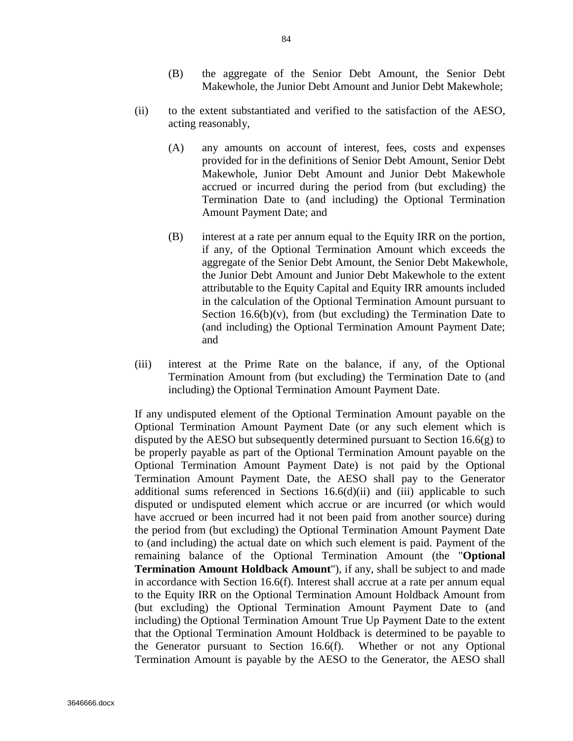- (B) the aggregate of the Senior Debt Amount, the Senior Debt Makewhole, the Junior Debt Amount and Junior Debt Makewhole;
- (ii) to the extent substantiated and verified to the satisfaction of the AESO, acting reasonably,
	- (A) any amounts on account of interest, fees, costs and expenses provided for in the definitions of Senior Debt Amount, Senior Debt Makewhole, Junior Debt Amount and Junior Debt Makewhole accrued or incurred during the period from (but excluding) the Termination Date to (and including) the Optional Termination Amount Payment Date; and
	- (B) interest at a rate per annum equal to the Equity IRR on the portion, if any, of the Optional Termination Amount which exceeds the aggregate of the Senior Debt Amount, the Senior Debt Makewhole, the Junior Debt Amount and Junior Debt Makewhole to the extent attributable to the Equity Capital and Equity IRR amounts included in the calculation of the Optional Termination Amount pursuant to Section  $16.6(b)(v)$ , from (but excluding) the Termination Date to (and including) the Optional Termination Amount Payment Date; and
- (iii) interest at the Prime Rate on the balance, if any, of the Optional Termination Amount from (but excluding) the Termination Date to (and including) the Optional Termination Amount Payment Date.

If any undisputed element of the Optional Termination Amount payable on the Optional Termination Amount Payment Date (or any such element which is disputed by the AESO but subsequently determined pursuant to Section  $16.6(g)$  to be properly payable as part of the Optional Termination Amount payable on the Optional Termination Amount Payment Date) is not paid by the Optional Termination Amount Payment Date, the AESO shall pay to the Generator additional sums referenced in Sections  $16.6(d)(ii)$  and (iii) applicable to such disputed or undisputed element which accrue or are incurred (or which would have accrued or been incurred had it not been paid from another source) during the period from (but excluding) the Optional Termination Amount Payment Date to (and including) the actual date on which such element is paid. Payment of the remaining balance of the Optional Termination Amount (the "**Optional Termination Amount Holdback Amount**"), if any, shall be subject to and made in accordance with Section 16.6(f). Interest shall accrue at a rate per annum equal to the Equity IRR on the Optional Termination Amount Holdback Amount from (but excluding) the Optional Termination Amount Payment Date to (and including) the Optional Termination Amount True Up Payment Date to the extent that the Optional Termination Amount Holdback is determined to be payable to the Generator pursuant to Section 16.6(f). Whether or not any Optional Termination Amount is payable by the AESO to the Generator, the AESO shall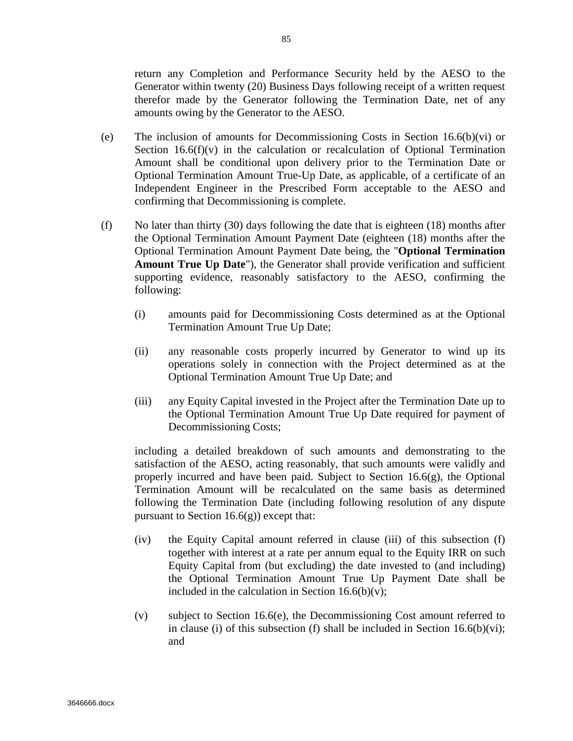return any Completion and Performance Security held by the AESO to the Generator within twenty (20) Business Days following receipt of a written request therefor made by the Generator following the Termination Date, net of any amounts owing by the Generator to the AESO.

- (e) The inclusion of amounts for Decommissioning Costs in Section 16.6(b)(vi) or Section  $16.6(f)(v)$  in the calculation or recalculation of Optional Termination Amount shall be conditional upon delivery prior to the Termination Date or Optional Termination Amount True-Up Date, as applicable, of a certificate of an Independent Engineer in the Prescribed Form acceptable to the AESO and confirming that Decommissioning is complete.
- (f) No later than thirty (30) days following the date that is eighteen (18) months after the Optional Termination Amount Payment Date (eighteen (18) months after the Optional Termination Amount Payment Date being, the "**Optional Termination Amount True Up Date**"), the Generator shall provide verification and sufficient supporting evidence, reasonably satisfactory to the AESO, confirming the following:
	- (i) amounts paid for Decommissioning Costs determined as at the Optional Termination Amount True Up Date;
	- (ii) any reasonable costs properly incurred by Generator to wind up its operations solely in connection with the Project determined as at the Optional Termination Amount True Up Date; and
	- (iii) any Equity Capital invested in the Project after the Termination Date up to the Optional Termination Amount True Up Date required for payment of Decommissioning Costs;

including a detailed breakdown of such amounts and demonstrating to the satisfaction of the AESO, acting reasonably, that such amounts were validly and properly incurred and have been paid. Subject to Section 16.6(g), the Optional Termination Amount will be recalculated on the same basis as determined following the Termination Date (including following resolution of any dispute pursuant to Section  $16.6(g)$ ) except that:

- (iv) the Equity Capital amount referred in clause (iii) of this subsection (f) together with interest at a rate per annum equal to the Equity IRR on such Equity Capital from (but excluding) the date invested to (and including) the Optional Termination Amount True Up Payment Date shall be included in the calculation in Section 16.6(b)(v);
- (v) subject to Section 16.6(e), the Decommissioning Cost amount referred to in clause (i) of this subsection (f) shall be included in Section 16.6(b)(vi); and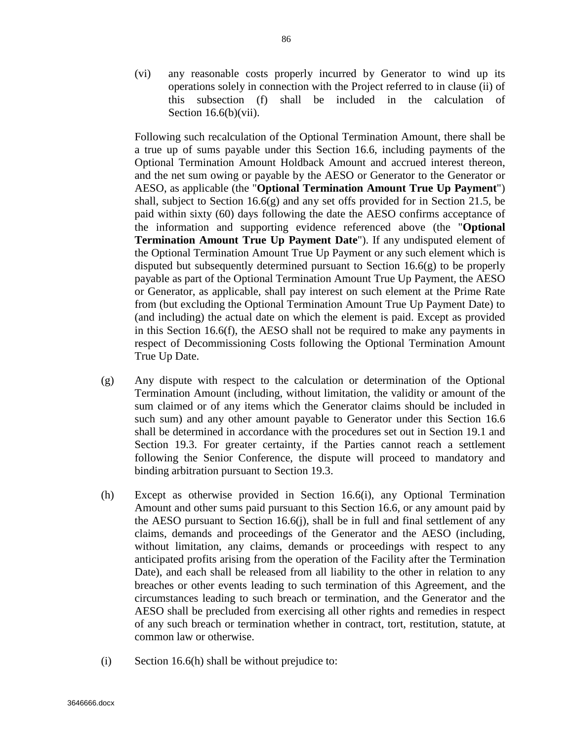(vi) any reasonable costs properly incurred by Generator to wind up its operations solely in connection with the Project referred to in clause (ii) of this subsection (f) shall be included in the calculation of Section 16.6(b)(vii).

Following such recalculation of the Optional Termination Amount, there shall be a true up of sums payable under this Section 16.6, including payments of the Optional Termination Amount Holdback Amount and accrued interest thereon, and the net sum owing or payable by the AESO or Generator to the Generator or AESO, as applicable (the "**Optional Termination Amount True Up Payment**") shall, subject to Section 16.6(g) and any set offs provided for in Section 21.5, be paid within sixty (60) days following the date the AESO confirms acceptance of the information and supporting evidence referenced above (the "**Optional Termination Amount True Up Payment Date**"). If any undisputed element of the Optional Termination Amount True Up Payment or any such element which is disputed but subsequently determined pursuant to Section  $16.6(g)$  to be properly payable as part of the Optional Termination Amount True Up Payment, the AESO or Generator, as applicable, shall pay interest on such element at the Prime Rate from (but excluding the Optional Termination Amount True Up Payment Date) to (and including) the actual date on which the element is paid. Except as provided in this Section 16.6(f), the AESO shall not be required to make any payments in respect of Decommissioning Costs following the Optional Termination Amount True Up Date.

- (g) Any dispute with respect to the calculation or determination of the Optional Termination Amount (including, without limitation, the validity or amount of the sum claimed or of any items which the Generator claims should be included in such sum) and any other amount payable to Generator under this Section 16.6 shall be determined in accordance with the procedures set out in Section 19.1 and Section 19.3. For greater certainty, if the Parties cannot reach a settlement following the Senior Conference, the dispute will proceed to mandatory and binding arbitration pursuant to Section 19.3.
- (h) Except as otherwise provided in Section 16.6(i), any Optional Termination Amount and other sums paid pursuant to this Section 16.6, or any amount paid by the AESO pursuant to Section 16.6(j), shall be in full and final settlement of any claims, demands and proceedings of the Generator and the AESO (including, without limitation, any claims, demands or proceedings with respect to any anticipated profits arising from the operation of the Facility after the Termination Date), and each shall be released from all liability to the other in relation to any breaches or other events leading to such termination of this Agreement, and the circumstances leading to such breach or termination, and the Generator and the AESO shall be precluded from exercising all other rights and remedies in respect of any such breach or termination whether in contract, tort, restitution, statute, at common law or otherwise.
- (i) Section 16.6(h) shall be without prejudice to: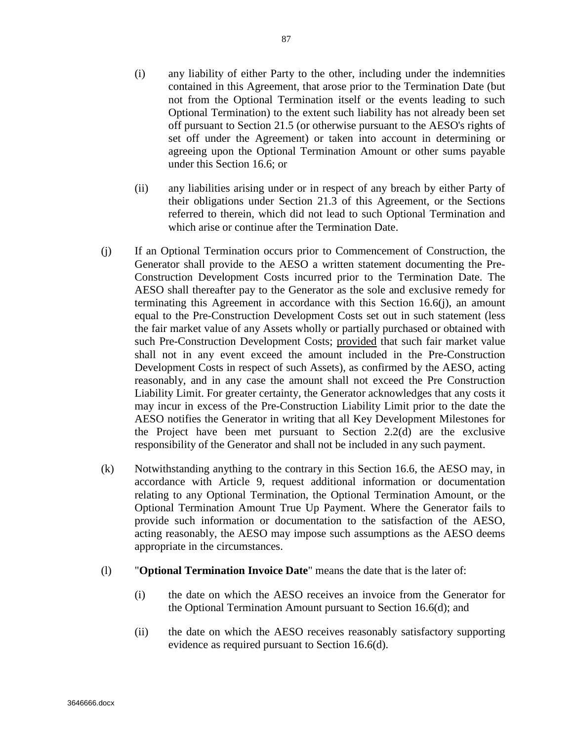- (i) any liability of either Party to the other, including under the indemnities contained in this Agreement, that arose prior to the Termination Date (but not from the Optional Termination itself or the events leading to such Optional Termination) to the extent such liability has not already been set off pursuant to Section 21.5 (or otherwise pursuant to the AESO's rights of set off under the Agreement) or taken into account in determining or agreeing upon the Optional Termination Amount or other sums payable under this Section 16.6; or
- (ii) any liabilities arising under or in respect of any breach by either Party of their obligations under Section 21.3 of this Agreement, or the Sections referred to therein, which did not lead to such Optional Termination and which arise or continue after the Termination Date.
- (j) If an Optional Termination occurs prior to Commencement of Construction, the Generator shall provide to the AESO a written statement documenting the Pre-Construction Development Costs incurred prior to the Termination Date. The AESO shall thereafter pay to the Generator as the sole and exclusive remedy for terminating this Agreement in accordance with this Section 16.6(j), an amount equal to the Pre-Construction Development Costs set out in such statement (less the fair market value of any Assets wholly or partially purchased or obtained with such Pre-Construction Development Costs; provided that such fair market value shall not in any event exceed the amount included in the Pre-Construction Development Costs in respect of such Assets), as confirmed by the AESO, acting reasonably, and in any case the amount shall not exceed the Pre Construction Liability Limit. For greater certainty, the Generator acknowledges that any costs it may incur in excess of the Pre-Construction Liability Limit prior to the date the AESO notifies the Generator in writing that all Key Development Milestones for the Project have been met pursuant to Section 2.2(d) are the exclusive responsibility of the Generator and shall not be included in any such payment.
- (k) Notwithstanding anything to the contrary in this Section 16.6, the AESO may, in accordance with Article 9, request additional information or documentation relating to any Optional Termination, the Optional Termination Amount, or the Optional Termination Amount True Up Payment. Where the Generator fails to provide such information or documentation to the satisfaction of the AESO, acting reasonably, the AESO may impose such assumptions as the AESO deems appropriate in the circumstances.
- (l) "**Optional Termination Invoice Date**" means the date that is the later of:
	- (i) the date on which the AESO receives an invoice from the Generator for the Optional Termination Amount pursuant to Section 16.6(d); and
	- (ii) the date on which the AESO receives reasonably satisfactory supporting evidence as required pursuant to Section 16.6(d).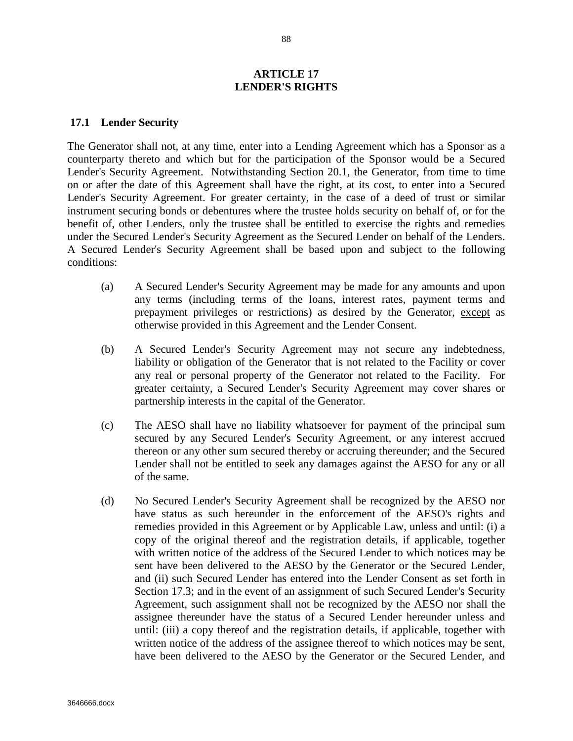### **ARTICLE 17 LENDER'S RIGHTS**

#### **17.1 Lender Security**

The Generator shall not, at any time, enter into a Lending Agreement which has a Sponsor as a counterparty thereto and which but for the participation of the Sponsor would be a Secured Lender's Security Agreement. Notwithstanding Section 20.1, the Generator, from time to time on or after the date of this Agreement shall have the right, at its cost, to enter into a Secured Lender's Security Agreement. For greater certainty, in the case of a deed of trust or similar instrument securing bonds or debentures where the trustee holds security on behalf of, or for the benefit of, other Lenders, only the trustee shall be entitled to exercise the rights and remedies under the Secured Lender's Security Agreement as the Secured Lender on behalf of the Lenders. A Secured Lender's Security Agreement shall be based upon and subject to the following conditions:

- (a) A Secured Lender's Security Agreement may be made for any amounts and upon any terms (including terms of the loans, interest rates, payment terms and prepayment privileges or restrictions) as desired by the Generator, except as otherwise provided in this Agreement and the Lender Consent.
- (b) A Secured Lender's Security Agreement may not secure any indebtedness, liability or obligation of the Generator that is not related to the Facility or cover any real or personal property of the Generator not related to the Facility. For greater certainty, a Secured Lender's Security Agreement may cover shares or partnership interests in the capital of the Generator.
- (c) The AESO shall have no liability whatsoever for payment of the principal sum secured by any Secured Lender's Security Agreement, or any interest accrued thereon or any other sum secured thereby or accruing thereunder; and the Secured Lender shall not be entitled to seek any damages against the AESO for any or all of the same.
- (d) No Secured Lender's Security Agreement shall be recognized by the AESO nor have status as such hereunder in the enforcement of the AESO's rights and remedies provided in this Agreement or by Applicable Law, unless and until: (i) a copy of the original thereof and the registration details, if applicable, together with written notice of the address of the Secured Lender to which notices may be sent have been delivered to the AESO by the Generator or the Secured Lender, and (ii) such Secured Lender has entered into the Lender Consent as set forth in Section 17.3; and in the event of an assignment of such Secured Lender's Security Agreement, such assignment shall not be recognized by the AESO nor shall the assignee thereunder have the status of a Secured Lender hereunder unless and until: (iii) a copy thereof and the registration details, if applicable, together with written notice of the address of the assignee thereof to which notices may be sent, have been delivered to the AESO by the Generator or the Secured Lender, and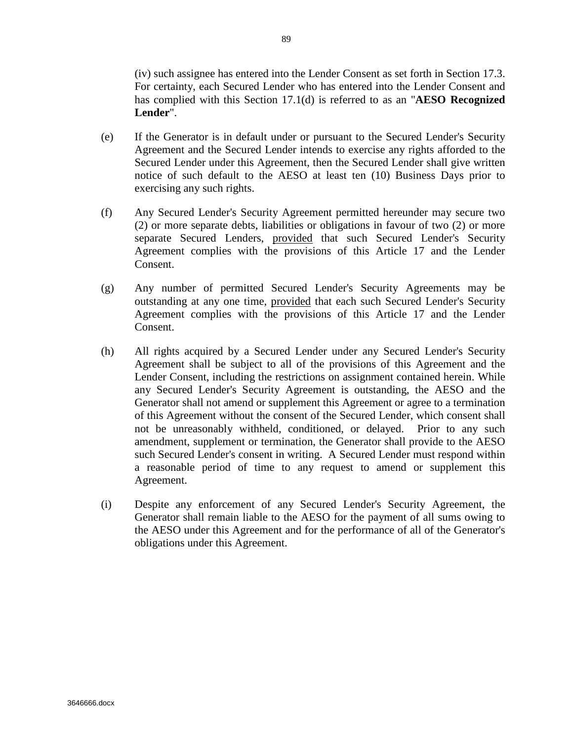(iv) such assignee has entered into the Lender Consent as set forth in Section 17.3. For certainty, each Secured Lender who has entered into the Lender Consent and has complied with this Section 17.1(d) is referred to as an "**AESO Recognized Lender**".

- (e) If the Generator is in default under or pursuant to the Secured Lender's Security Agreement and the Secured Lender intends to exercise any rights afforded to the Secured Lender under this Agreement, then the Secured Lender shall give written notice of such default to the AESO at least ten (10) Business Days prior to exercising any such rights.
- (f) Any Secured Lender's Security Agreement permitted hereunder may secure two (2) or more separate debts, liabilities or obligations in favour of two (2) or more separate Secured Lenders, provided that such Secured Lender's Security Agreement complies with the provisions of this Article 17 and the Lender Consent.
- (g) Any number of permitted Secured Lender's Security Agreements may be outstanding at any one time, provided that each such Secured Lender's Security Agreement complies with the provisions of this Article 17 and the Lender Consent.
- (h) All rights acquired by a Secured Lender under any Secured Lender's Security Agreement shall be subject to all of the provisions of this Agreement and the Lender Consent, including the restrictions on assignment contained herein. While any Secured Lender's Security Agreement is outstanding, the AESO and the Generator shall not amend or supplement this Agreement or agree to a termination of this Agreement without the consent of the Secured Lender, which consent shall not be unreasonably withheld, conditioned, or delayed. Prior to any such amendment, supplement or termination, the Generator shall provide to the AESO such Secured Lender's consent in writing. A Secured Lender must respond within a reasonable period of time to any request to amend or supplement this Agreement.
- (i) Despite any enforcement of any Secured Lender's Security Agreement, the Generator shall remain liable to the AESO for the payment of all sums owing to the AESO under this Agreement and for the performance of all of the Generator's obligations under this Agreement.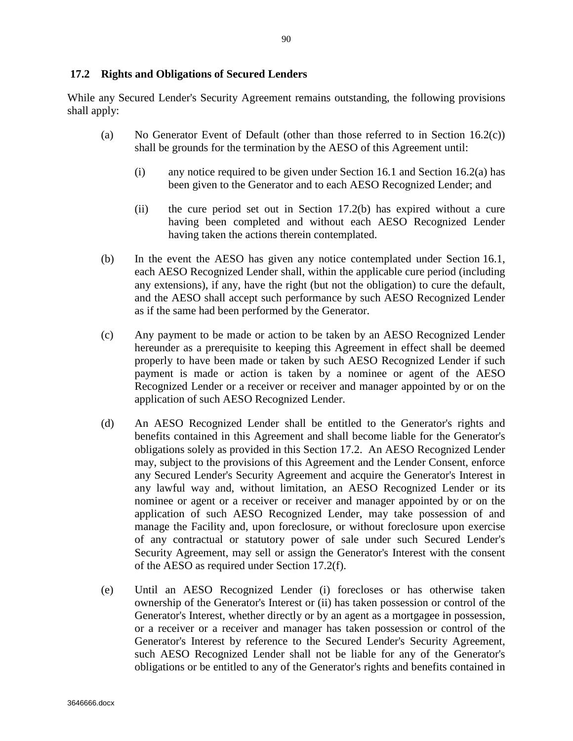# **17.2 Rights and Obligations of Secured Lenders**

While any Secured Lender's Security Agreement remains outstanding, the following provisions shall apply:

- (a) No Generator Event of Default (other than those referred to in Section  $16.2(c)$ ) shall be grounds for the termination by the AESO of this Agreement until:
	- (i) any notice required to be given under Section 16.1 and Section 16.2(a) has been given to the Generator and to each AESO Recognized Lender; and
	- (ii) the cure period set out in Section 17.2(b) has expired without a cure having been completed and without each AESO Recognized Lender having taken the actions therein contemplated.
- (b) In the event the AESO has given any notice contemplated under Section 16.1, each AESO Recognized Lender shall, within the applicable cure period (including any extensions), if any, have the right (but not the obligation) to cure the default, and the AESO shall accept such performance by such AESO Recognized Lender as if the same had been performed by the Generator.
- (c) Any payment to be made or action to be taken by an AESO Recognized Lender hereunder as a prerequisite to keeping this Agreement in effect shall be deemed properly to have been made or taken by such AESO Recognized Lender if such payment is made or action is taken by a nominee or agent of the AESO Recognized Lender or a receiver or receiver and manager appointed by or on the application of such AESO Recognized Lender.
- (d) An AESO Recognized Lender shall be entitled to the Generator's rights and benefits contained in this Agreement and shall become liable for the Generator's obligations solely as provided in this Section 17.2. An AESO Recognized Lender may, subject to the provisions of this Agreement and the Lender Consent, enforce any Secured Lender's Security Agreement and acquire the Generator's Interest in any lawful way and, without limitation, an AESO Recognized Lender or its nominee or agent or a receiver or receiver and manager appointed by or on the application of such AESO Recognized Lender, may take possession of and manage the Facility and, upon foreclosure, or without foreclosure upon exercise of any contractual or statutory power of sale under such Secured Lender's Security Agreement, may sell or assign the Generator's Interest with the consent of the AESO as required under Section 17.2(f).
- (e) Until an AESO Recognized Lender (i) forecloses or has otherwise taken ownership of the Generator's Interest or (ii) has taken possession or control of the Generator's Interest, whether directly or by an agent as a mortgagee in possession, or a receiver or a receiver and manager has taken possession or control of the Generator's Interest by reference to the Secured Lender's Security Agreement, such AESO Recognized Lender shall not be liable for any of the Generator's obligations or be entitled to any of the Generator's rights and benefits contained in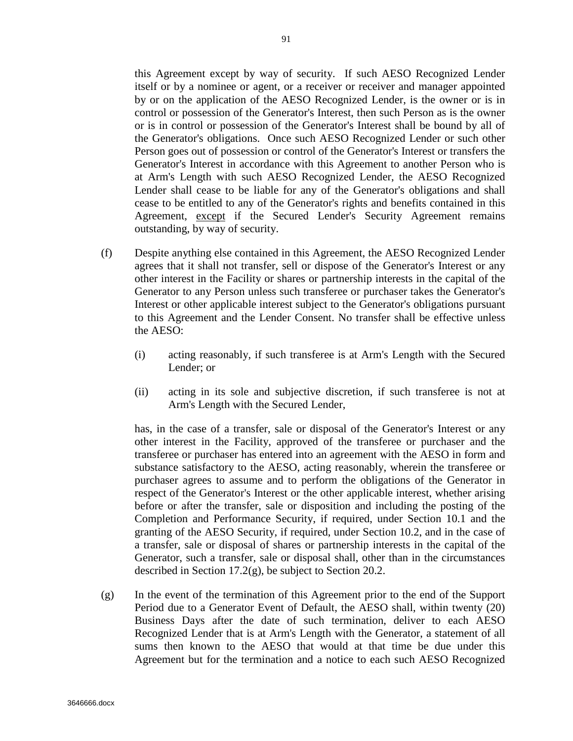this Agreement except by way of security. If such AESO Recognized Lender itself or by a nominee or agent, or a receiver or receiver and manager appointed by or on the application of the AESO Recognized Lender, is the owner or is in control or possession of the Generator's Interest, then such Person as is the owner or is in control or possession of the Generator's Interest shall be bound by all of the Generator's obligations. Once such AESO Recognized Lender or such other Person goes out of possession or control of the Generator's Interest or transfers the Generator's Interest in accordance with this Agreement to another Person who is at Arm's Length with such AESO Recognized Lender, the AESO Recognized Lender shall cease to be liable for any of the Generator's obligations and shall cease to be entitled to any of the Generator's rights and benefits contained in this Agreement, except if the Secured Lender's Security Agreement remains outstanding, by way of security.

- (f) Despite anything else contained in this Agreement, the AESO Recognized Lender agrees that it shall not transfer, sell or dispose of the Generator's Interest or any other interest in the Facility or shares or partnership interests in the capital of the Generator to any Person unless such transferee or purchaser takes the Generator's Interest or other applicable interest subject to the Generator's obligations pursuant to this Agreement and the Lender Consent. No transfer shall be effective unless the AESO:
	- (i) acting reasonably, if such transferee is at Arm's Length with the Secured Lender; or
	- (ii) acting in its sole and subjective discretion, if such transferee is not at Arm's Length with the Secured Lender,

has, in the case of a transfer, sale or disposal of the Generator's Interest or any other interest in the Facility, approved of the transferee or purchaser and the transferee or purchaser has entered into an agreement with the AESO in form and substance satisfactory to the AESO, acting reasonably, wherein the transferee or purchaser agrees to assume and to perform the obligations of the Generator in respect of the Generator's Interest or the other applicable interest, whether arising before or after the transfer, sale or disposition and including the posting of the Completion and Performance Security, if required, under Section 10.1 and the granting of the AESO Security, if required, under Section 10.2, and in the case of a transfer, sale or disposal of shares or partnership interests in the capital of the Generator, such a transfer, sale or disposal shall, other than in the circumstances described in Section 17.2(g), be subject to Section 20.2.

(g) In the event of the termination of this Agreement prior to the end of the Support Period due to a Generator Event of Default, the AESO shall, within twenty (20) Business Days after the date of such termination, deliver to each AESO Recognized Lender that is at Arm's Length with the Generator, a statement of all sums then known to the AESO that would at that time be due under this Agreement but for the termination and a notice to each such AESO Recognized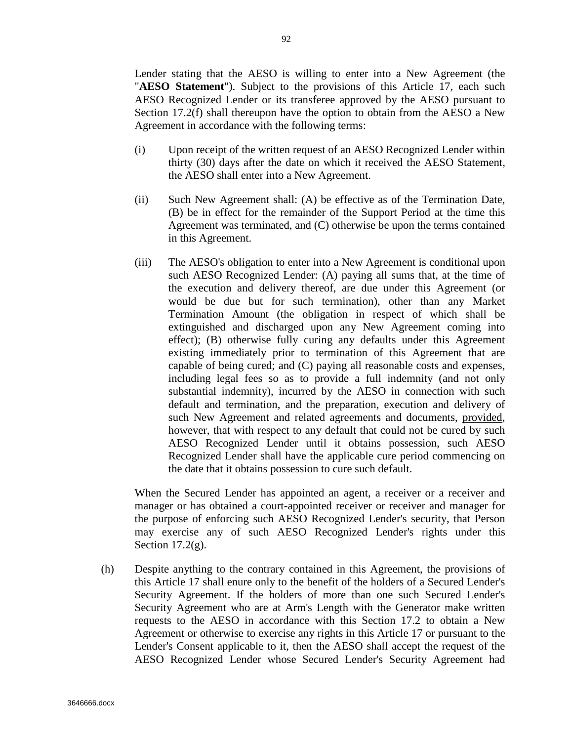Lender stating that the AESO is willing to enter into a New Agreement (the "**AESO Statement**"). Subject to the provisions of this Article 17, each such AESO Recognized Lender or its transferee approved by the AESO pursuant to Section 17.2(f) shall thereupon have the option to obtain from the AESO a New Agreement in accordance with the following terms:

- (i) Upon receipt of the written request of an AESO Recognized Lender within thirty (30) days after the date on which it received the AESO Statement, the AESO shall enter into a New Agreement.
- (ii) Such New Agreement shall: (A) be effective as of the Termination Date, (B) be in effect for the remainder of the Support Period at the time this Agreement was terminated, and (C) otherwise be upon the terms contained in this Agreement.
- (iii) The AESO's obligation to enter into a New Agreement is conditional upon such AESO Recognized Lender: (A) paying all sums that, at the time of the execution and delivery thereof, are due under this Agreement (or would be due but for such termination), other than any Market Termination Amount (the obligation in respect of which shall be extinguished and discharged upon any New Agreement coming into effect); (B) otherwise fully curing any defaults under this Agreement existing immediately prior to termination of this Agreement that are capable of being cured; and (C) paying all reasonable costs and expenses, including legal fees so as to provide a full indemnity (and not only substantial indemnity), incurred by the AESO in connection with such default and termination, and the preparation, execution and delivery of such New Agreement and related agreements and documents, provided, however, that with respect to any default that could not be cured by such AESO Recognized Lender until it obtains possession, such AESO Recognized Lender shall have the applicable cure period commencing on the date that it obtains possession to cure such default.

When the Secured Lender has appointed an agent, a receiver or a receiver and manager or has obtained a court-appointed receiver or receiver and manager for the purpose of enforcing such AESO Recognized Lender's security, that Person may exercise any of such AESO Recognized Lender's rights under this Section  $17.2(g)$ .

(h) Despite anything to the contrary contained in this Agreement, the provisions of this Article 17 shall enure only to the benefit of the holders of a Secured Lender's Security Agreement. If the holders of more than one such Secured Lender's Security Agreement who are at Arm's Length with the Generator make written requests to the AESO in accordance with this Section 17.2 to obtain a New Agreement or otherwise to exercise any rights in this Article 17 or pursuant to the Lender's Consent applicable to it, then the AESO shall accept the request of the AESO Recognized Lender whose Secured Lender's Security Agreement had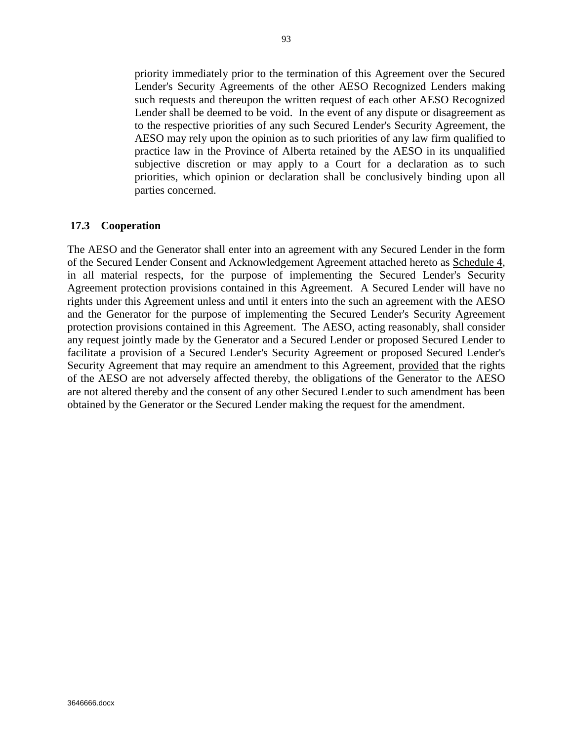priority immediately prior to the termination of this Agreement over the Secured Lender's Security Agreements of the other AESO Recognized Lenders making such requests and thereupon the written request of each other AESO Recognized Lender shall be deemed to be void. In the event of any dispute or disagreement as to the respective priorities of any such Secured Lender's Security Agreement, the AESO may rely upon the opinion as to such priorities of any law firm qualified to practice law in the Province of Alberta retained by the AESO in its unqualified subjective discretion or may apply to a Court for a declaration as to such priorities, which opinion or declaration shall be conclusively binding upon all parties concerned.

## **17.3 Cooperation**

The AESO and the Generator shall enter into an agreement with any Secured Lender in the form of the Secured Lender Consent and Acknowledgement Agreement attached hereto as Schedule 4, in all material respects, for the purpose of implementing the Secured Lender's Security Agreement protection provisions contained in this Agreement. A Secured Lender will have no rights under this Agreement unless and until it enters into the such an agreement with the AESO and the Generator for the purpose of implementing the Secured Lender's Security Agreement protection provisions contained in this Agreement. The AESO, acting reasonably, shall consider any request jointly made by the Generator and a Secured Lender or proposed Secured Lender to facilitate a provision of a Secured Lender's Security Agreement or proposed Secured Lender's Security Agreement that may require an amendment to this Agreement, provided that the rights of the AESO are not adversely affected thereby, the obligations of the Generator to the AESO are not altered thereby and the consent of any other Secured Lender to such amendment has been obtained by the Generator or the Secured Lender making the request for the amendment.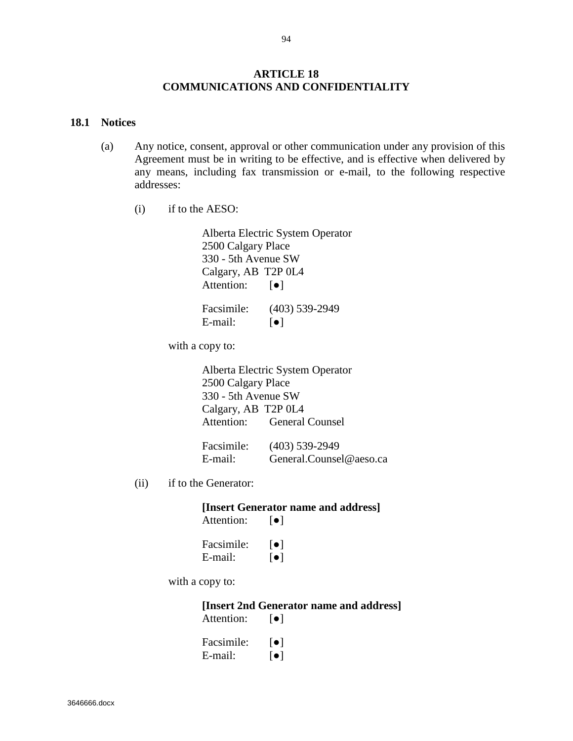## **ARTICLE 18 COMMUNICATIONS AND CONFIDENTIALITY**

#### **18.1 Notices**

- (a) Any notice, consent, approval or other communication under any provision of this Agreement must be in writing to be effective, and is effective when delivered by any means, including fax transmission or e-mail, to the following respective addresses:
	- (i) if to the AESO:

Alberta Electric System Operator 2500 Calgary Place 330 - 5th Avenue SW Calgary, AB T2P 0L4 Attention: [ $\bullet$ ]

Facsimile: (403) 539-2949 E-mail:  $\lceil \bullet \rceil$ 

with a copy to:

Alberta Electric System Operator 2500 Calgary Place 330 - 5th Avenue SW Calgary, AB T2P 0L4 Attention: General Counsel

| Facsimile: | $(403)$ 539-2949        |
|------------|-------------------------|
| E-mail:    | General.Counsel@aeso.ca |

(ii) if to the Generator:

**[Insert Generator name and address]** Attention: [●]

| Facsimile: | $\lceil \bullet \rceil$ |
|------------|-------------------------|
| E-mail:    | $\lceil \bullet \rceil$ |

with a copy to:

**[Insert 2nd Generator name and address]** Attention: **[●]** 

| Facsimile: | $  \bullet  $ |
|------------|---------------|
| E-mail:    | $  \bullet  $ |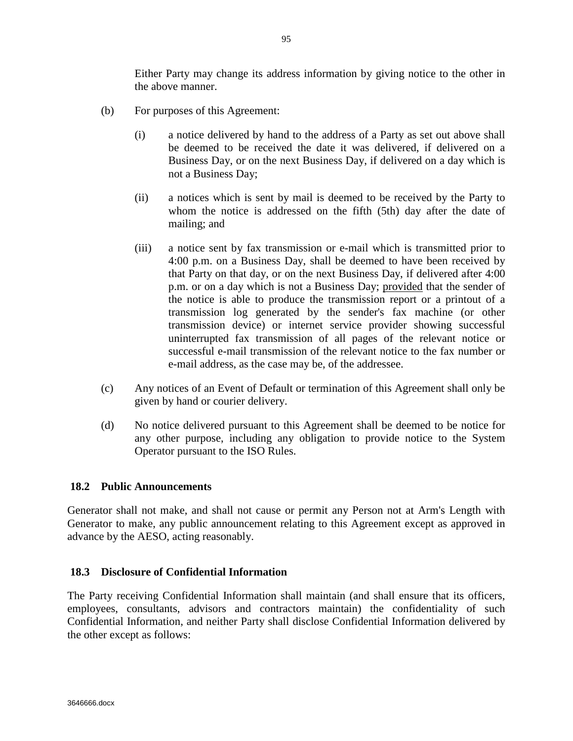Either Party may change its address information by giving notice to the other in the above manner.

- (b) For purposes of this Agreement:
	- (i) a notice delivered by hand to the address of a Party as set out above shall be deemed to be received the date it was delivered, if delivered on a Business Day, or on the next Business Day, if delivered on a day which is not a Business Day;
	- (ii) a notices which is sent by mail is deemed to be received by the Party to whom the notice is addressed on the fifth (5th) day after the date of mailing; and
	- (iii) a notice sent by fax transmission or e-mail which is transmitted prior to 4:00 p.m. on a Business Day, shall be deemed to have been received by that Party on that day, or on the next Business Day, if delivered after 4:00 p.m. or on a day which is not a Business Day; provided that the sender of the notice is able to produce the transmission report or a printout of a transmission log generated by the sender's fax machine (or other transmission device) or internet service provider showing successful uninterrupted fax transmission of all pages of the relevant notice or successful e-mail transmission of the relevant notice to the fax number or e-mail address, as the case may be, of the addressee.
- (c) Any notices of an Event of Default or termination of this Agreement shall only be given by hand or courier delivery.
- (d) No notice delivered pursuant to this Agreement shall be deemed to be notice for any other purpose, including any obligation to provide notice to the System Operator pursuant to the ISO Rules.

# **18.2 Public Announcements**

Generator shall not make, and shall not cause or permit any Person not at Arm's Length with Generator to make, any public announcement relating to this Agreement except as approved in advance by the AESO, acting reasonably.

#### **18.3 Disclosure of Confidential Information**

The Party receiving Confidential Information shall maintain (and shall ensure that its officers, employees, consultants, advisors and contractors maintain) the confidentiality of such Confidential Information, and neither Party shall disclose Confidential Information delivered by the other except as follows: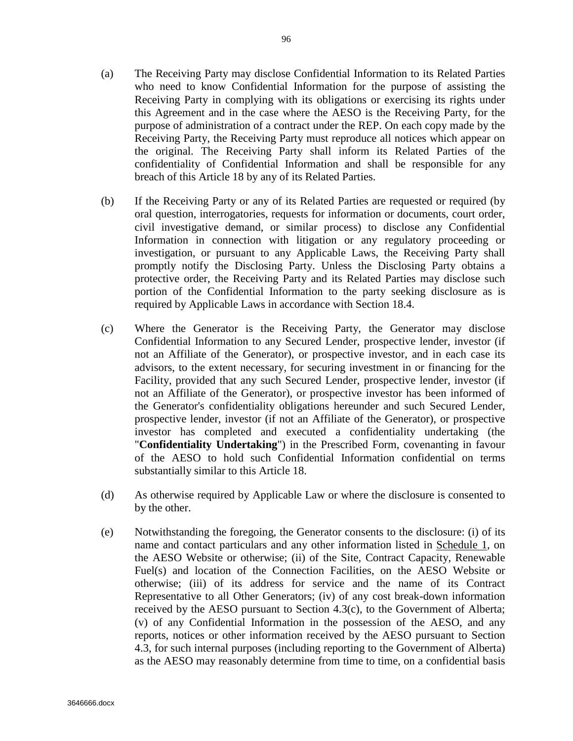- (a) The Receiving Party may disclose Confidential Information to its Related Parties who need to know Confidential Information for the purpose of assisting the Receiving Party in complying with its obligations or exercising its rights under this Agreement and in the case where the AESO is the Receiving Party, for the purpose of administration of a contract under the REP. On each copy made by the Receiving Party, the Receiving Party must reproduce all notices which appear on the original. The Receiving Party shall inform its Related Parties of the confidentiality of Confidential Information and shall be responsible for any breach of this Article 18 by any of its Related Parties.
- (b) If the Receiving Party or any of its Related Parties are requested or required (by oral question, interrogatories, requests for information or documents, court order, civil investigative demand, or similar process) to disclose any Confidential Information in connection with litigation or any regulatory proceeding or investigation, or pursuant to any Applicable Laws, the Receiving Party shall promptly notify the Disclosing Party. Unless the Disclosing Party obtains a protective order, the Receiving Party and its Related Parties may disclose such portion of the Confidential Information to the party seeking disclosure as is required by Applicable Laws in accordance with Section 18.4.
- (c) Where the Generator is the Receiving Party, the Generator may disclose Confidential Information to any Secured Lender, prospective lender, investor (if not an Affiliate of the Generator), or prospective investor, and in each case its advisors, to the extent necessary, for securing investment in or financing for the Facility, provided that any such Secured Lender, prospective lender, investor (if not an Affiliate of the Generator), or prospective investor has been informed of the Generator's confidentiality obligations hereunder and such Secured Lender, prospective lender, investor (if not an Affiliate of the Generator), or prospective investor has completed and executed a confidentiality undertaking (the "**Confidentiality Undertaking**") in the Prescribed Form, covenanting in favour of the AESO to hold such Confidential Information confidential on terms substantially similar to this Article 18.
- (d) As otherwise required by Applicable Law or where the disclosure is consented to by the other.
- (e) Notwithstanding the foregoing, the Generator consents to the disclosure: (i) of its name and contact particulars and any other information listed in Schedule 1, on the AESO Website or otherwise; (ii) of the Site, Contract Capacity, Renewable Fuel(s) and location of the Connection Facilities, on the AESO Website or otherwise; (iii) of its address for service and the name of its Contract Representative to all Other Generators; (iv) of any cost break-down information received by the AESO pursuant to Section 4.3(c), to the Government of Alberta; (v) of any Confidential Information in the possession of the AESO, and any reports, notices or other information received by the AESO pursuant to Section 4.3, for such internal purposes (including reporting to the Government of Alberta) as the AESO may reasonably determine from time to time, on a confidential basis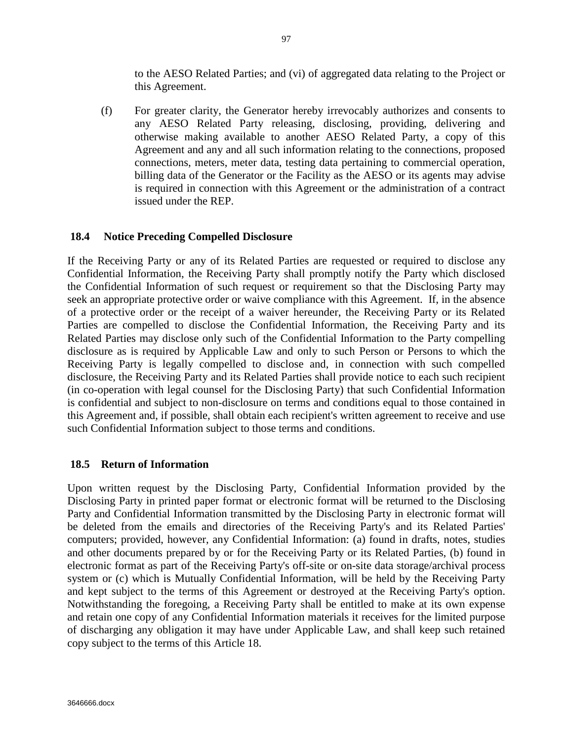to the AESO Related Parties; and (vi) of aggregated data relating to the Project or this Agreement.

(f) For greater clarity, the Generator hereby irrevocably authorizes and consents to any AESO Related Party releasing, disclosing, providing, delivering and otherwise making available to another AESO Related Party, a copy of this Agreement and any and all such information relating to the connections, proposed connections, meters, meter data, testing data pertaining to commercial operation, billing data of the Generator or the Facility as the AESO or its agents may advise is required in connection with this Agreement or the administration of a contract issued under the REP.

# **18.4 Notice Preceding Compelled Disclosure**

If the Receiving Party or any of its Related Parties are requested or required to disclose any Confidential Information, the Receiving Party shall promptly notify the Party which disclosed the Confidential Information of such request or requirement so that the Disclosing Party may seek an appropriate protective order or waive compliance with this Agreement. If, in the absence of a protective order or the receipt of a waiver hereunder, the Receiving Party or its Related Parties are compelled to disclose the Confidential Information, the Receiving Party and its Related Parties may disclose only such of the Confidential Information to the Party compelling disclosure as is required by Applicable Law and only to such Person or Persons to which the Receiving Party is legally compelled to disclose and, in connection with such compelled disclosure, the Receiving Party and its Related Parties shall provide notice to each such recipient (in co-operation with legal counsel for the Disclosing Party) that such Confidential Information is confidential and subject to non-disclosure on terms and conditions equal to those contained in this Agreement and, if possible, shall obtain each recipient's written agreement to receive and use such Confidential Information subject to those terms and conditions.

# **18.5 Return of Information**

Upon written request by the Disclosing Party, Confidential Information provided by the Disclosing Party in printed paper format or electronic format will be returned to the Disclosing Party and Confidential Information transmitted by the Disclosing Party in electronic format will be deleted from the emails and directories of the Receiving Party's and its Related Parties' computers; provided, however, any Confidential Information: (a) found in drafts, notes, studies and other documents prepared by or for the Receiving Party or its Related Parties, (b) found in electronic format as part of the Receiving Party's off-site or on-site data storage/archival process system or (c) which is Mutually Confidential Information, will be held by the Receiving Party and kept subject to the terms of this Agreement or destroyed at the Receiving Party's option. Notwithstanding the foregoing, a Receiving Party shall be entitled to make at its own expense and retain one copy of any Confidential Information materials it receives for the limited purpose of discharging any obligation it may have under Applicable Law, and shall keep such retained copy subject to the terms of this Article 18.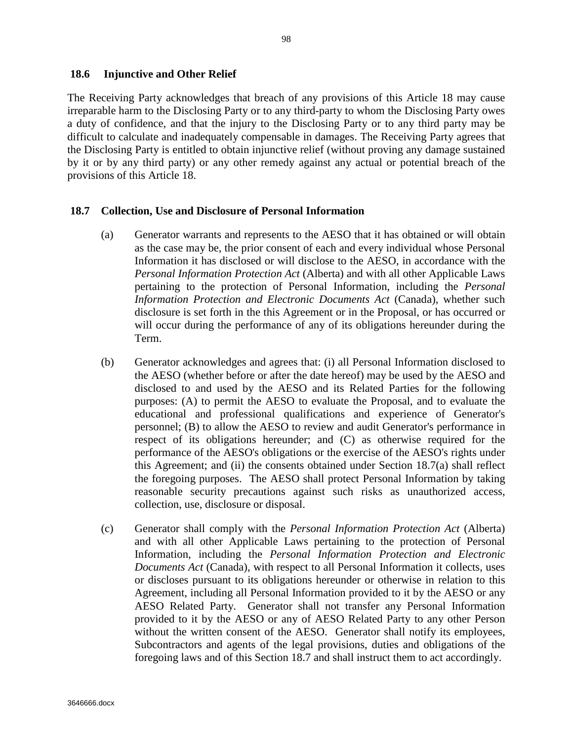The Receiving Party acknowledges that breach of any provisions of this Article 18 may cause irreparable harm to the Disclosing Party or to any third-party to whom the Disclosing Party owes a duty of confidence, and that the injury to the Disclosing Party or to any third party may be difficult to calculate and inadequately compensable in damages. The Receiving Party agrees that the Disclosing Party is entitled to obtain injunctive relief (without proving any damage sustained by it or by any third party) or any other remedy against any actual or potential breach of the provisions of this Article 18.

# **18.7 Collection, Use and Disclosure of Personal Information**

- (a) Generator warrants and represents to the AESO that it has obtained or will obtain as the case may be, the prior consent of each and every individual whose Personal Information it has disclosed or will disclose to the AESO, in accordance with the *Personal Information Protection Act* (Alberta) and with all other Applicable Laws pertaining to the protection of Personal Information, including the *Personal Information Protection and Electronic Documents Act* (Canada), whether such disclosure is set forth in the this Agreement or in the Proposal, or has occurred or will occur during the performance of any of its obligations hereunder during the Term.
- (b) Generator acknowledges and agrees that: (i) all Personal Information disclosed to the AESO (whether before or after the date hereof) may be used by the AESO and disclosed to and used by the AESO and its Related Parties for the following purposes: (A) to permit the AESO to evaluate the Proposal, and to evaluate the educational and professional qualifications and experience of Generator's personnel; (B) to allow the AESO to review and audit Generator's performance in respect of its obligations hereunder; and (C) as otherwise required for the performance of the AESO's obligations or the exercise of the AESO's rights under this Agreement; and (ii) the consents obtained under Section 18.7(a) shall reflect the foregoing purposes. The AESO shall protect Personal Information by taking reasonable security precautions against such risks as unauthorized access, collection, use, disclosure or disposal.
- (c) Generator shall comply with the *Personal Information Protection Act* (Alberta) and with all other Applicable Laws pertaining to the protection of Personal Information, including the *Personal Information Protection and Electronic Documents Act* (Canada), with respect to all Personal Information it collects, uses or discloses pursuant to its obligations hereunder or otherwise in relation to this Agreement, including all Personal Information provided to it by the AESO or any AESO Related Party. Generator shall not transfer any Personal Information provided to it by the AESO or any of AESO Related Party to any other Person without the written consent of the AESO. Generator shall notify its employees, Subcontractors and agents of the legal provisions, duties and obligations of the foregoing laws and of this Section 18.7 and shall instruct them to act accordingly.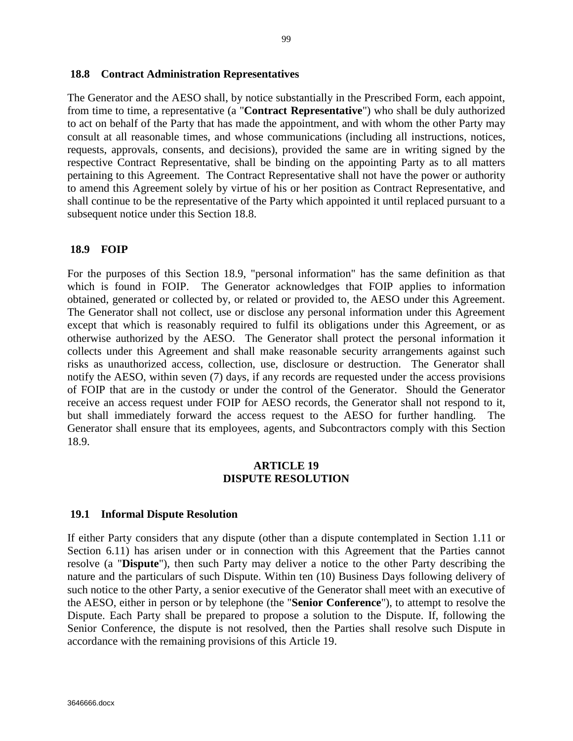#### **18.8 Contract Administration Representatives**

The Generator and the AESO shall, by notice substantially in the Prescribed Form, each appoint, from time to time, a representative (a "**Contract Representative**") who shall be duly authorized to act on behalf of the Party that has made the appointment, and with whom the other Party may consult at all reasonable times, and whose communications (including all instructions, notices, requests, approvals, consents, and decisions), provided the same are in writing signed by the respective Contract Representative, shall be binding on the appointing Party as to all matters pertaining to this Agreement. The Contract Representative shall not have the power or authority to amend this Agreement solely by virtue of his or her position as Contract Representative, and shall continue to be the representative of the Party which appointed it until replaced pursuant to a subsequent notice under this Section 18.8.

#### **18.9 FOIP**

For the purposes of this Section 18.9, "personal information" has the same definition as that which is found in FOIP. The Generator acknowledges that FOIP applies to information obtained, generated or collected by, or related or provided to, the AESO under this Agreement. The Generator shall not collect, use or disclose any personal information under this Agreement except that which is reasonably required to fulfil its obligations under this Agreement, or as otherwise authorized by the AESO. The Generator shall protect the personal information it collects under this Agreement and shall make reasonable security arrangements against such risks as unauthorized access, collection, use, disclosure or destruction. The Generator shall notify the AESO, within seven (7) days, if any records are requested under the access provisions of FOIP that are in the custody or under the control of the Generator. Should the Generator receive an access request under FOIP for AESO records, the Generator shall not respond to it, but shall immediately forward the access request to the AESO for further handling. The Generator shall ensure that its employees, agents, and Subcontractors comply with this Section 18.9.

#### **ARTICLE 19 DISPUTE RESOLUTION**

#### **19.1 Informal Dispute Resolution**

If either Party considers that any dispute (other than a dispute contemplated in Section 1.11 or Section 6.11) has arisen under or in connection with this Agreement that the Parties cannot resolve (a "**Dispute**"), then such Party may deliver a notice to the other Party describing the nature and the particulars of such Dispute. Within ten (10) Business Days following delivery of such notice to the other Party, a senior executive of the Generator shall meet with an executive of the AESO, either in person or by telephone (the "**Senior Conference**"), to attempt to resolve the Dispute. Each Party shall be prepared to propose a solution to the Dispute. If, following the Senior Conference, the dispute is not resolved, then the Parties shall resolve such Dispute in accordance with the remaining provisions of this Article 19.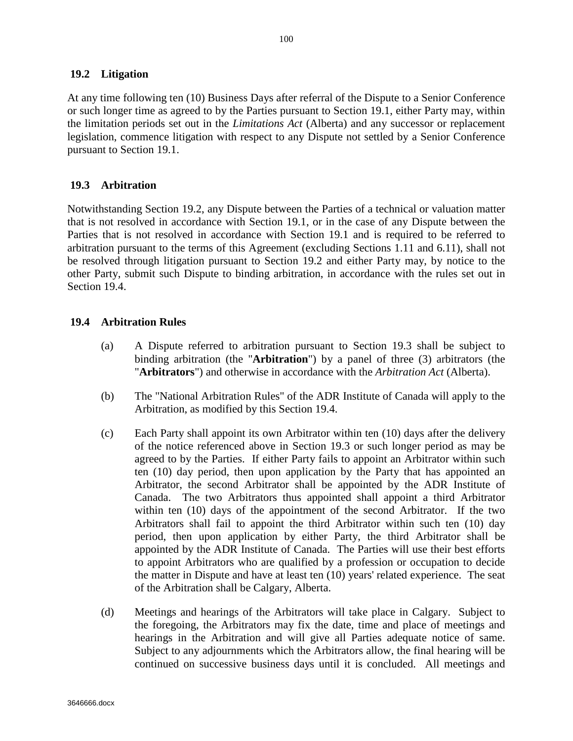## **19.2 Litigation**

At any time following ten (10) Business Days after referral of the Dispute to a Senior Conference or such longer time as agreed to by the Parties pursuant to Section 19.1, either Party may, within the limitation periods set out in the *Limitations Act* (Alberta) and any successor or replacement legislation, commence litigation with respect to any Dispute not settled by a Senior Conference pursuant to Section 19.1.

## **19.3 Arbitration**

Notwithstanding Section 19.2, any Dispute between the Parties of a technical or valuation matter that is not resolved in accordance with Section 19.1, or in the case of any Dispute between the Parties that is not resolved in accordance with Section 19.1 and is required to be referred to arbitration pursuant to the terms of this Agreement (excluding Sections 1.11 and 6.11), shall not be resolved through litigation pursuant to Section 19.2 and either Party may, by notice to the other Party, submit such Dispute to binding arbitration, in accordance with the rules set out in Section 19.4.

## **19.4 Arbitration Rules**

- (a) A Dispute referred to arbitration pursuant to Section 19.3 shall be subject to binding arbitration (the "**Arbitration**") by a panel of three (3) arbitrators (the "**Arbitrators**") and otherwise in accordance with the *Arbitration Act* (Alberta).
- (b) The "National Arbitration Rules" of the ADR Institute of Canada will apply to the Arbitration, as modified by this Section 19.4.
- (c) Each Party shall appoint its own Arbitrator within ten (10) days after the delivery of the notice referenced above in Section 19.3 or such longer period as may be agreed to by the Parties. If either Party fails to appoint an Arbitrator within such ten (10) day period, then upon application by the Party that has appointed an Arbitrator, the second Arbitrator shall be appointed by the ADR Institute of Canada. The two Arbitrators thus appointed shall appoint a third Arbitrator within ten (10) days of the appointment of the second Arbitrator. If the two Arbitrators shall fail to appoint the third Arbitrator within such ten (10) day period, then upon application by either Party, the third Arbitrator shall be appointed by the ADR Institute of Canada. The Parties will use their best efforts to appoint Arbitrators who are qualified by a profession or occupation to decide the matter in Dispute and have at least ten (10) years' related experience. The seat of the Arbitration shall be Calgary, Alberta.
- (d) Meetings and hearings of the Arbitrators will take place in Calgary. Subject to the foregoing, the Arbitrators may fix the date, time and place of meetings and hearings in the Arbitration and will give all Parties adequate notice of same. Subject to any adjournments which the Arbitrators allow, the final hearing will be continued on successive business days until it is concluded. All meetings and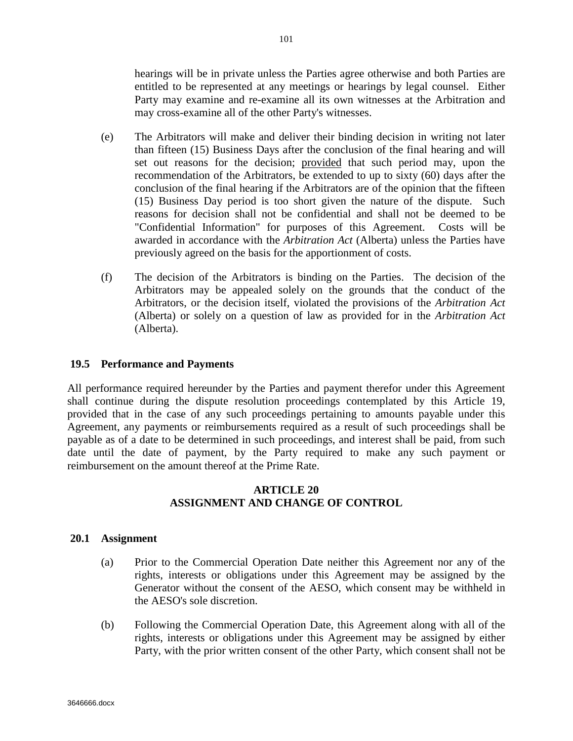hearings will be in private unless the Parties agree otherwise and both Parties are entitled to be represented at any meetings or hearings by legal counsel. Either Party may examine and re-examine all its own witnesses at the Arbitration and may cross-examine all of the other Party's witnesses.

- (e) The Arbitrators will make and deliver their binding decision in writing not later than fifteen (15) Business Days after the conclusion of the final hearing and will set out reasons for the decision; provided that such period may, upon the recommendation of the Arbitrators, be extended to up to sixty (60) days after the conclusion of the final hearing if the Arbitrators are of the opinion that the fifteen (15) Business Day period is too short given the nature of the dispute. Such reasons for decision shall not be confidential and shall not be deemed to be "Confidential Information" for purposes of this Agreement. Costs will be awarded in accordance with the *Arbitration Act* (Alberta) unless the Parties have previously agreed on the basis for the apportionment of costs.
- (f) The decision of the Arbitrators is binding on the Parties. The decision of the Arbitrators may be appealed solely on the grounds that the conduct of the Arbitrators, or the decision itself, violated the provisions of the *Arbitration Act* (Alberta) or solely on a question of law as provided for in the *Arbitration Act* (Alberta).

# **19.5 Performance and Payments**

All performance required hereunder by the Parties and payment therefor under this Agreement shall continue during the dispute resolution proceedings contemplated by this Article 19, provided that in the case of any such proceedings pertaining to amounts payable under this Agreement, any payments or reimbursements required as a result of such proceedings shall be payable as of a date to be determined in such proceedings, and interest shall be paid, from such date until the date of payment, by the Party required to make any such payment or reimbursement on the amount thereof at the Prime Rate.

# **ARTICLE 20 ASSIGNMENT AND CHANGE OF CONTROL**

# **20.1 Assignment**

- (a) Prior to the Commercial Operation Date neither this Agreement nor any of the rights, interests or obligations under this Agreement may be assigned by the Generator without the consent of the AESO, which consent may be withheld in the AESO's sole discretion.
- (b) Following the Commercial Operation Date, this Agreement along with all of the rights, interests or obligations under this Agreement may be assigned by either Party, with the prior written consent of the other Party, which consent shall not be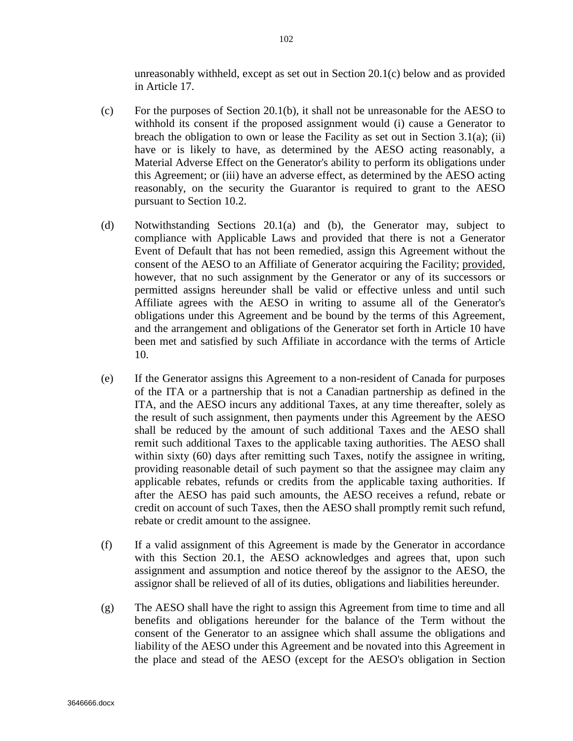unreasonably withheld, except as set out in Section 20.1(c) below and as provided in Article 17.

- (c) For the purposes of Section 20.1(b), it shall not be unreasonable for the AESO to withhold its consent if the proposed assignment would (i) cause a Generator to breach the obligation to own or lease the Facility as set out in Section 3.1(a); (ii) have or is likely to have, as determined by the AESO acting reasonably, a Material Adverse Effect on the Generator's ability to perform its obligations under this Agreement; or (iii) have an adverse effect, as determined by the AESO acting reasonably, on the security the Guarantor is required to grant to the AESO pursuant to Section 10.2.
- (d) Notwithstanding Sections 20.1(a) and (b), the Generator may, subject to compliance with Applicable Laws and provided that there is not a Generator Event of Default that has not been remedied, assign this Agreement without the consent of the AESO to an Affiliate of Generator acquiring the Facility; provided, however, that no such assignment by the Generator or any of its successors or permitted assigns hereunder shall be valid or effective unless and until such Affiliate agrees with the AESO in writing to assume all of the Generator's obligations under this Agreement and be bound by the terms of this Agreement, and the arrangement and obligations of the Generator set forth in Article 10 have been met and satisfied by such Affiliate in accordance with the terms of Article 10.
- (e) If the Generator assigns this Agreement to a non-resident of Canada for purposes of the ITA or a partnership that is not a Canadian partnership as defined in the ITA, and the AESO incurs any additional Taxes, at any time thereafter, solely as the result of such assignment, then payments under this Agreement by the AESO shall be reduced by the amount of such additional Taxes and the AESO shall remit such additional Taxes to the applicable taxing authorities. The AESO shall within sixty (60) days after remitting such Taxes, notify the assignee in writing, providing reasonable detail of such payment so that the assignee may claim any applicable rebates, refunds or credits from the applicable taxing authorities. If after the AESO has paid such amounts, the AESO receives a refund, rebate or credit on account of such Taxes, then the AESO shall promptly remit such refund, rebate or credit amount to the assignee.
- (f) If a valid assignment of this Agreement is made by the Generator in accordance with this Section 20.1, the AESO acknowledges and agrees that, upon such assignment and assumption and notice thereof by the assignor to the AESO, the assignor shall be relieved of all of its duties, obligations and liabilities hereunder.
- (g) The AESO shall have the right to assign this Agreement from time to time and all benefits and obligations hereunder for the balance of the Term without the consent of the Generator to an assignee which shall assume the obligations and liability of the AESO under this Agreement and be novated into this Agreement in the place and stead of the AESO (except for the AESO's obligation in Section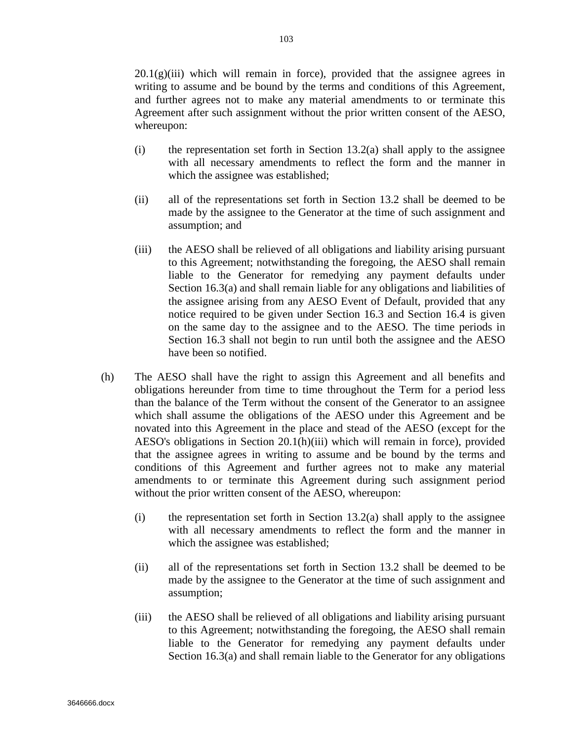$20.1(g)(iii)$  which will remain in force), provided that the assignee agrees in writing to assume and be bound by the terms and conditions of this Agreement, and further agrees not to make any material amendments to or terminate this Agreement after such assignment without the prior written consent of the AESO, whereupon:

- (i) the representation set forth in Section 13.2(a) shall apply to the assignee with all necessary amendments to reflect the form and the manner in which the assignee was established;
- (ii) all of the representations set forth in Section 13.2 shall be deemed to be made by the assignee to the Generator at the time of such assignment and assumption; and
- (iii) the AESO shall be relieved of all obligations and liability arising pursuant to this Agreement; notwithstanding the foregoing, the AESO shall remain liable to the Generator for remedying any payment defaults under Section 16.3(a) and shall remain liable for any obligations and liabilities of the assignee arising from any AESO Event of Default, provided that any notice required to be given under Section 16.3 and Section 16.4 is given on the same day to the assignee and to the AESO. The time periods in Section 16.3 shall not begin to run until both the assignee and the AESO have been so notified.
- (h) The AESO shall have the right to assign this Agreement and all benefits and obligations hereunder from time to time throughout the Term for a period less than the balance of the Term without the consent of the Generator to an assignee which shall assume the obligations of the AESO under this Agreement and be novated into this Agreement in the place and stead of the AESO (except for the AESO's obligations in Section 20.1(h)(iii) which will remain in force), provided that the assignee agrees in writing to assume and be bound by the terms and conditions of this Agreement and further agrees not to make any material amendments to or terminate this Agreement during such assignment period without the prior written consent of the AESO, whereupon:
	- $(i)$  the representation set forth in Section 13.2(a) shall apply to the assignee with all necessary amendments to reflect the form and the manner in which the assignee was established;
	- (ii) all of the representations set forth in Section 13.2 shall be deemed to be made by the assignee to the Generator at the time of such assignment and assumption;
	- (iii) the AESO shall be relieved of all obligations and liability arising pursuant to this Agreement; notwithstanding the foregoing, the AESO shall remain liable to the Generator for remedying any payment defaults under Section 16.3(a) and shall remain liable to the Generator for any obligations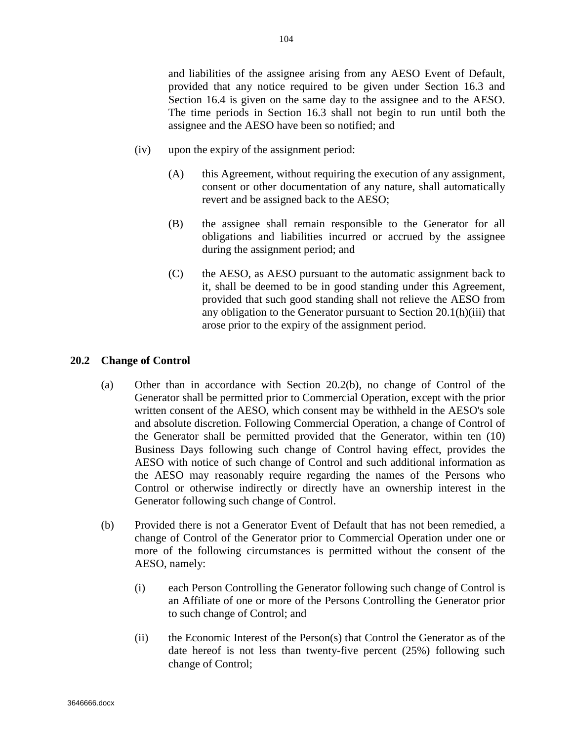and liabilities of the assignee arising from any AESO Event of Default, provided that any notice required to be given under Section 16.3 and Section 16.4 is given on the same day to the assignee and to the AESO. The time periods in Section 16.3 shall not begin to run until both the assignee and the AESO have been so notified; and

- (iv) upon the expiry of the assignment period:
	- (A) this Agreement, without requiring the execution of any assignment, consent or other documentation of any nature, shall automatically revert and be assigned back to the AESO;
	- (B) the assignee shall remain responsible to the Generator for all obligations and liabilities incurred or accrued by the assignee during the assignment period; and
	- (C) the AESO, as AESO pursuant to the automatic assignment back to it, shall be deemed to be in good standing under this Agreement, provided that such good standing shall not relieve the AESO from any obligation to the Generator pursuant to Section 20.1(h)(iii) that arose prior to the expiry of the assignment period.

#### **20.2 Change of Control**

- (a) Other than in accordance with Section 20.2(b), no change of Control of the Generator shall be permitted prior to Commercial Operation, except with the prior written consent of the AESO, which consent may be withheld in the AESO's sole and absolute discretion. Following Commercial Operation, a change of Control of the Generator shall be permitted provided that the Generator, within ten (10) Business Days following such change of Control having effect, provides the AESO with notice of such change of Control and such additional information as the AESO may reasonably require regarding the names of the Persons who Control or otherwise indirectly or directly have an ownership interest in the Generator following such change of Control.
- (b) Provided there is not a Generator Event of Default that has not been remedied, a change of Control of the Generator prior to Commercial Operation under one or more of the following circumstances is permitted without the consent of the AESO, namely:
	- (i) each Person Controlling the Generator following such change of Control is an Affiliate of one or more of the Persons Controlling the Generator prior to such change of Control; and
	- (ii) the Economic Interest of the Person(s) that Control the Generator as of the date hereof is not less than twenty-five percent (25%) following such change of Control;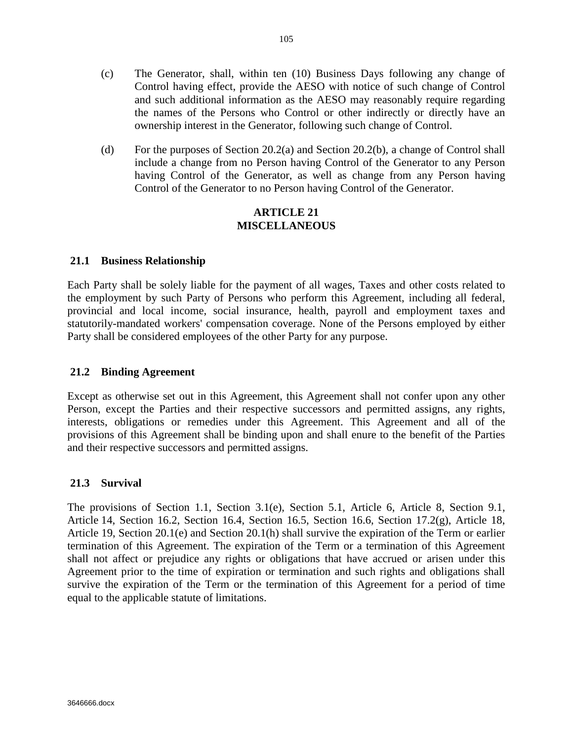- (c) The Generator, shall, within ten (10) Business Days following any change of Control having effect, provide the AESO with notice of such change of Control and such additional information as the AESO may reasonably require regarding the names of the Persons who Control or other indirectly or directly have an ownership interest in the Generator, following such change of Control.
- (d) For the purposes of Section 20.2(a) and Section 20.2(b), a change of Control shall include a change from no Person having Control of the Generator to any Person having Control of the Generator, as well as change from any Person having Control of the Generator to no Person having Control of the Generator.

#### **ARTICLE 21 MISCELLANEOUS**

#### **21.1 Business Relationship**

Each Party shall be solely liable for the payment of all wages, Taxes and other costs related to the employment by such Party of Persons who perform this Agreement, including all federal, provincial and local income, social insurance, health, payroll and employment taxes and statutorily-mandated workers' compensation coverage. None of the Persons employed by either Party shall be considered employees of the other Party for any purpose.

#### **21.2 Binding Agreement**

Except as otherwise set out in this Agreement, this Agreement shall not confer upon any other Person, except the Parties and their respective successors and permitted assigns, any rights, interests, obligations or remedies under this Agreement. This Agreement and all of the provisions of this Agreement shall be binding upon and shall enure to the benefit of the Parties and their respective successors and permitted assigns.

#### **21.3 Survival**

The provisions of Section 1.1, Section 3.1(e), Section 5.1, Article 6, Article 8, Section 9.1, Article 14, Section 16.2, Section 16.4, Section 16.5, Section 16.6, Section 17.2(g), Article 18, Article 19, Section 20.1(e) and Section 20.1(h) shall survive the expiration of the Term or earlier termination of this Agreement. The expiration of the Term or a termination of this Agreement shall not affect or prejudice any rights or obligations that have accrued or arisen under this Agreement prior to the time of expiration or termination and such rights and obligations shall survive the expiration of the Term or the termination of this Agreement for a period of time equal to the applicable statute of limitations.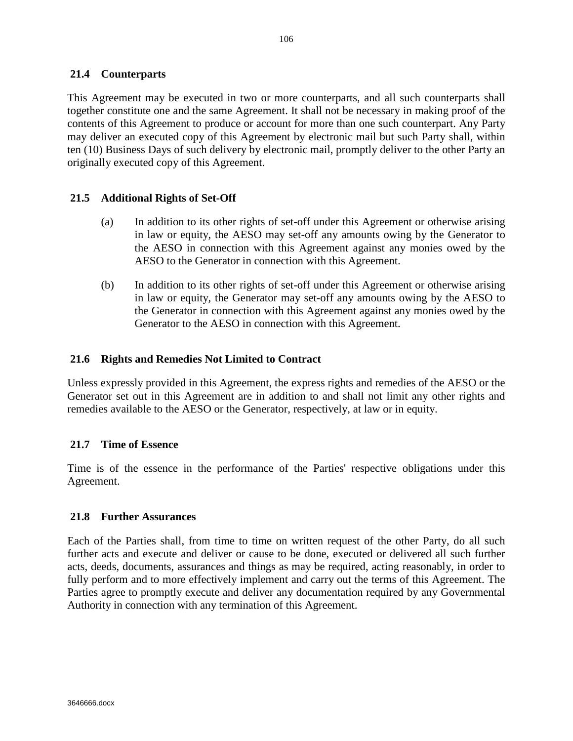#### **21.4 Counterparts**

This Agreement may be executed in two or more counterparts, and all such counterparts shall together constitute one and the same Agreement. It shall not be necessary in making proof of the contents of this Agreement to produce or account for more than one such counterpart. Any Party may deliver an executed copy of this Agreement by electronic mail but such Party shall, within ten (10) Business Days of such delivery by electronic mail, promptly deliver to the other Party an originally executed copy of this Agreement.

#### **21.5 Additional Rights of Set-Off**

- (a) In addition to its other rights of set-off under this Agreement or otherwise arising in law or equity, the AESO may set-off any amounts owing by the Generator to the AESO in connection with this Agreement against any monies owed by the AESO to the Generator in connection with this Agreement.
- (b) In addition to its other rights of set-off under this Agreement or otherwise arising in law or equity, the Generator may set-off any amounts owing by the AESO to the Generator in connection with this Agreement against any monies owed by the Generator to the AESO in connection with this Agreement.

#### **21.6 Rights and Remedies Not Limited to Contract**

Unless expressly provided in this Agreement, the express rights and remedies of the AESO or the Generator set out in this Agreement are in addition to and shall not limit any other rights and remedies available to the AESO or the Generator, respectively, at law or in equity.

#### **21.7 Time of Essence**

Time is of the essence in the performance of the Parties' respective obligations under this Agreement.

#### **21.8 Further Assurances**

Each of the Parties shall, from time to time on written request of the other Party, do all such further acts and execute and deliver or cause to be done, executed or delivered all such further acts, deeds, documents, assurances and things as may be required, acting reasonably, in order to fully perform and to more effectively implement and carry out the terms of this Agreement. The Parties agree to promptly execute and deliver any documentation required by any Governmental Authority in connection with any termination of this Agreement.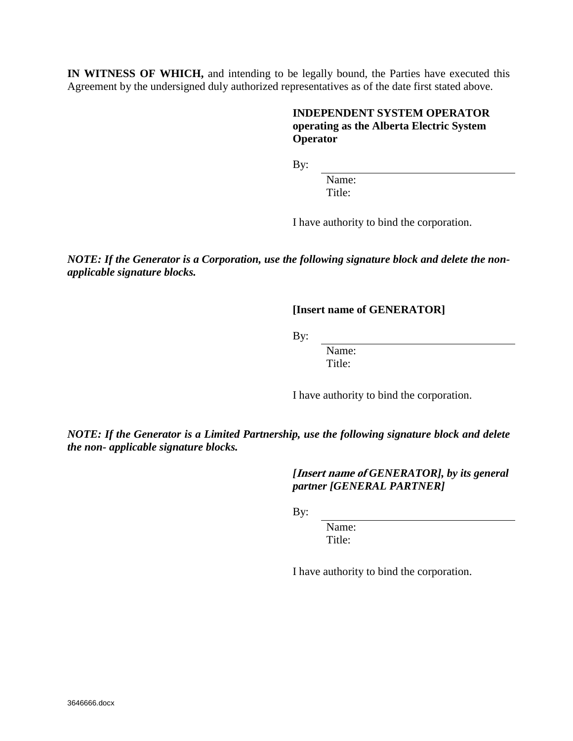**IN WITNESS OF WHICH,** and intending to be legally bound, the Parties have executed this Agreement by the undersigned duly authorized representatives as of the date first stated above.

### **INDEPENDENT SYSTEM OPERATOR operating as the Alberta Electric System Operator**

By:

Name: Title:

I have authority to bind the corporation.

*NOTE: If the Generator is a Corporation, use the following signature block and delete the nonapplicable signature blocks.*

**[Insert name of GENERATOR]**

By:

Name: Title:

I have authority to bind the corporation.

*NOTE: If the Generator is a Limited Partnership, use the following signature block and delete the non- applicable signature blocks.*

> *[***Insert name of** *GENERATOR], by its general partner [GENERAL PARTNER]*

By:

Name: Title:

I have authority to bind the corporation.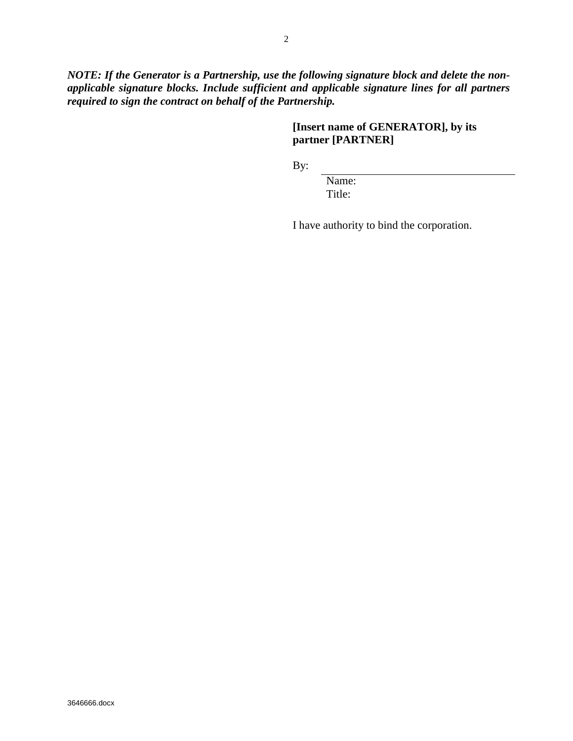*NOTE: If the Generator is a Partnership, use the following signature block and delete the nonapplicable signature blocks. Include sufficient and applicable signature lines for all partners required to sign the contract on behalf of the Partnership.*

# **[Insert name of GENERATOR], by its partner [PARTNER]**

By:

Name: Title:

I have authority to bind the corporation.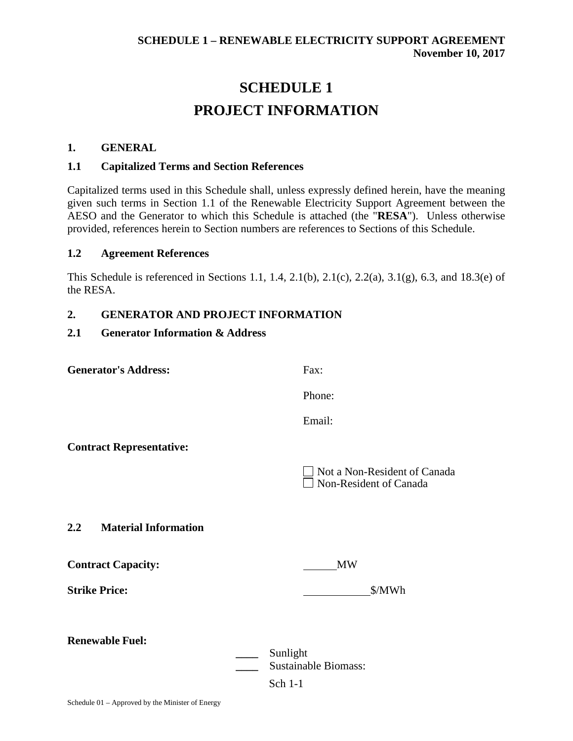# **SCHEDULE 1 PROJECT INFORMATION**

### **1. GENERAL**

#### **1.1 Capitalized Terms and Section References**

Capitalized terms used in this Schedule shall, unless expressly defined herein, have the meaning given such terms in Section 1.1 of the Renewable Electricity Support Agreement between the AESO and the Generator to which this Schedule is attached (the "**RESA**"). Unless otherwise provided, references herein to Section numbers are references to Sections of this Schedule.

#### **1.2 Agreement References**

This Schedule is referenced in Sections 1.1, 1.4, 2.1(b), 2.1(c), 2.2(a), 3.1(g), 6.3, and 18.3(e) of the RESA.

### **2. GENERATOR AND PROJECT INFORMATION**

#### **2.1 Generator Information & Address**

| <b>Generator's Address:</b>     | Fax:                                                          |
|---------------------------------|---------------------------------------------------------------|
|                                 | Phone:                                                        |
|                                 | Email:                                                        |
| <b>Contract Representative:</b> |                                                               |
|                                 | Not a Non-Resident of Canada<br>$\Box$ Non-Resident of Canada |
| 2.2 Material Information        |                                                               |
| <b>Contract Capacity:</b>       | <b>MW</b>                                                     |
| <b>Strike Price:</b>            | \$/MWh                                                        |
| <b>Renewable Fuel:</b>          |                                                               |
|                                 | Sunlight<br><b>Sustainable Biomass:</b><br>Sch 1-1            |
|                                 |                                                               |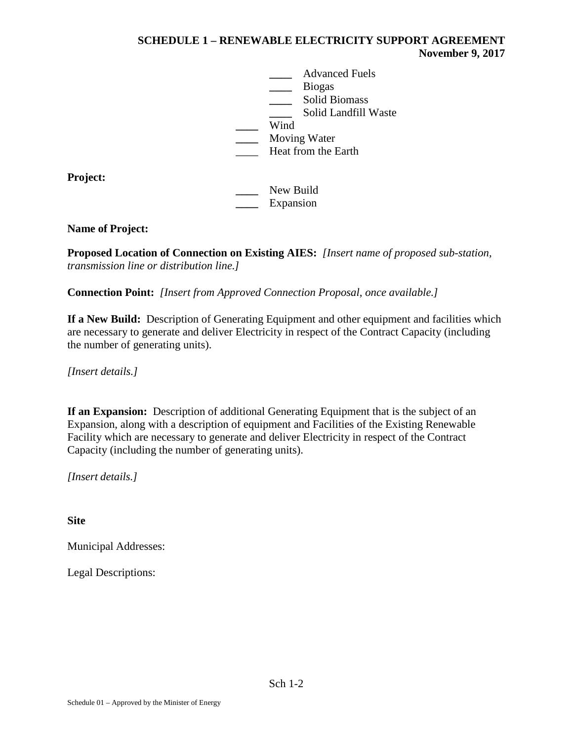**\_\_\_\_** Advanced Fuels **\_\_\_\_** Biogas **\_\_\_\_** Solid Biomass **\_\_\_\_** Solid Landfill Waste **\_\_\_\_** Wind **\_\_\_\_** Moving Water \_\_\_\_ Heat from the Earth

**Project:**

**\_\_\_\_** New Build **\_\_\_\_** Expansion

# **Name of Project:**

**Proposed Location of Connection on Existing AIES:** *[Insert name of proposed sub-station, transmission line or distribution line.]*

**Connection Point:** *[Insert from Approved Connection Proposal, once available.]*

**If a New Build:** Description of Generating Equipment and other equipment and facilities which are necessary to generate and deliver Electricity in respect of the Contract Capacity (including the number of generating units).

*[Insert details.]*

**If an Expansion:** Description of additional Generating Equipment that is the subject of an Expansion, along with a description of equipment and Facilities of the Existing Renewable Facility which are necessary to generate and deliver Electricity in respect of the Contract Capacity (including the number of generating units).

*[Insert details.]*

**Site**

Municipal Addresses:

Legal Descriptions: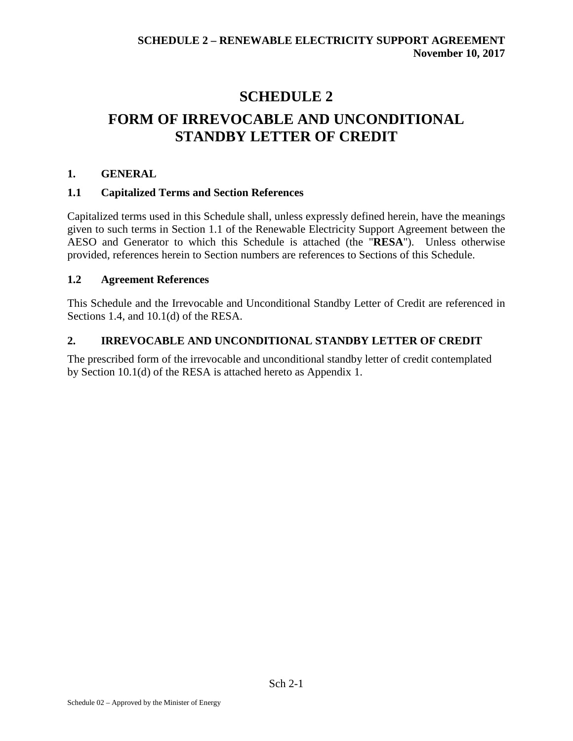# **SCHEDULE 2 FORM OF IRREVOCABLE AND UNCONDITIONAL STANDBY LETTER OF CREDIT**

# **1. GENERAL**

# **1.1 Capitalized Terms and Section References**

Capitalized terms used in this Schedule shall, unless expressly defined herein, have the meanings given to such terms in Section 1.1 of the Renewable Electricity Support Agreement between the AESO and Generator to which this Schedule is attached (the "**RESA**"). Unless otherwise provided, references herein to Section numbers are references to Sections of this Schedule.

# **1.2 Agreement References**

This Schedule and the Irrevocable and Unconditional Standby Letter of Credit are referenced in Sections 1.4, and 10.1(d) of the RESA.

# **2. IRREVOCABLE AND UNCONDITIONAL STANDBY LETTER OF CREDIT**

The prescribed form of the irrevocable and unconditional standby letter of credit contemplated by Section 10.1(d) of the RESA is attached hereto as Appendix 1.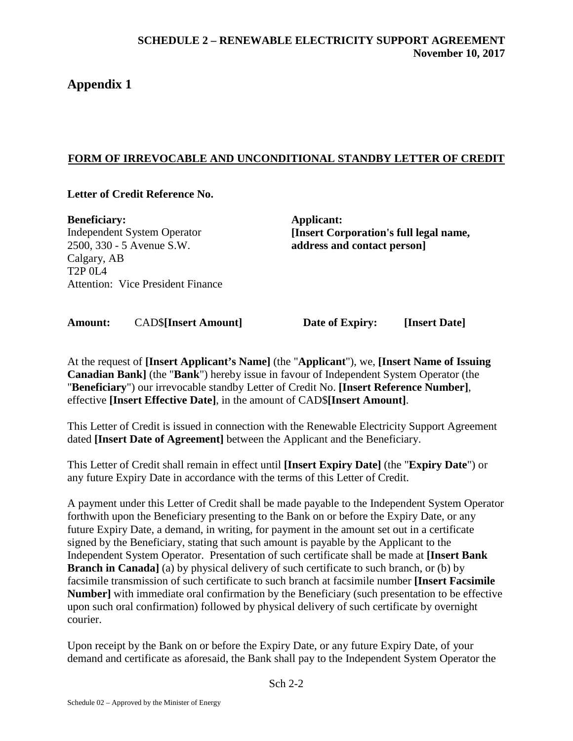# **Appendix 1**

# **FORM OF IRREVOCABLE AND UNCONDITIONAL STANDBY LETTER OF CREDIT**

# **Letter of Credit Reference No.**

**Beneficiary:** Independent System Operator 2500, 330 - 5 Avenue S.W. Calgary, AB T2P 0L4 Attention: Vice President Finance

**Applicant: [Insert Corporation's full legal name, address and contact person]**

**Amount:** CAD\$**[Insert Amount] Date of Expiry: [Insert Date]**

At the request of **[Insert Applicant's Name]** (the "**Applicant**"), we, **[Insert Name of Issuing Canadian Bank]** (the "**Bank**") hereby issue in favour of Independent System Operator (the "**Beneficiary**") our irrevocable standby Letter of Credit No. **[Insert Reference Number]**, effective **[Insert Effective Date]**, in the amount of CAD\$**[Insert Amount]**.

This Letter of Credit is issued in connection with the Renewable Electricity Support Agreement dated **[Insert Date of Agreement]** between the Applicant and the Beneficiary.

This Letter of Credit shall remain in effect until **[Insert Expiry Date]** (the "**Expiry Date**") or any future Expiry Date in accordance with the terms of this Letter of Credit.

A payment under this Letter of Credit shall be made payable to the Independent System Operator forthwith upon the Beneficiary presenting to the Bank on or before the Expiry Date, or any future Expiry Date, a demand, in writing, for payment in the amount set out in a certificate signed by the Beneficiary, stating that such amount is payable by the Applicant to the Independent System Operator. Presentation of such certificate shall be made at **[Insert Bank Branch in Canada**] (a) by physical delivery of such certificate to such branch, or (b) by facsimile transmission of such certificate to such branch at facsimile number **[Insert Facsimile Number]** with immediate oral confirmation by the Beneficiary (such presentation to be effective upon such oral confirmation) followed by physical delivery of such certificate by overnight courier.

Upon receipt by the Bank on or before the Expiry Date, or any future Expiry Date, of your demand and certificate as aforesaid, the Bank shall pay to the Independent System Operator the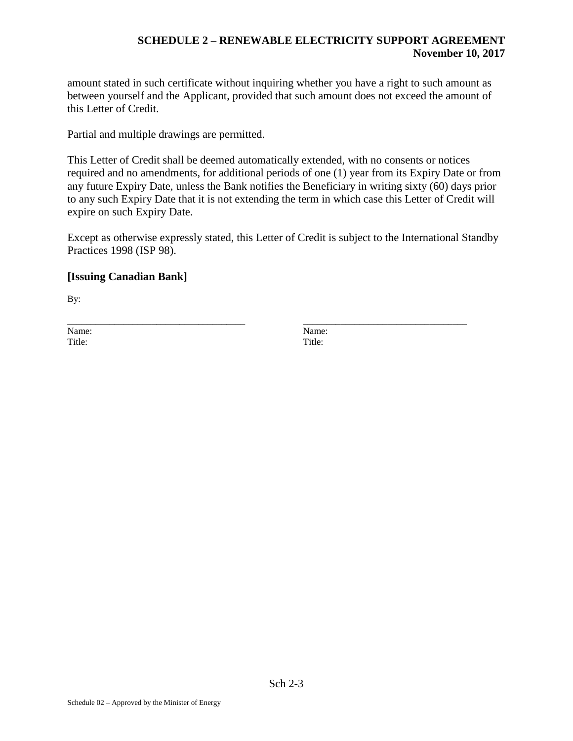amount stated in such certificate without inquiring whether you have a right to such amount as between yourself and the Applicant, provided that such amount does not exceed the amount of this Letter of Credit.

Partial and multiple drawings are permitted.

This Letter of Credit shall be deemed automatically extended, with no consents or notices required and no amendments, for additional periods of one (1) year from its Expiry Date or from any future Expiry Date, unless the Bank notifies the Beneficiary in writing sixty (60) days prior to any such Expiry Date that it is not extending the term in which case this Letter of Credit will expire on such Expiry Date.

Except as otherwise expressly stated, this Letter of Credit is subject to the International Standby Practices 1998 (ISP 98).

\_\_\_\_\_\_\_\_\_\_\_\_\_\_\_\_\_\_\_\_\_\_\_\_\_\_\_\_\_\_\_\_\_\_\_\_\_\_ \_\_\_\_\_\_\_\_\_\_\_\_\_\_\_\_\_\_\_\_\_\_\_\_\_\_\_\_\_\_\_\_\_\_\_

# **[Issuing Canadian Bank]**

By:

Name: Name: Title: The Title: Title: Title: Title: Title: Title: Title: Title: Title: Title: Title: Title: Title: Title: Title: Title: Title: Title: Title: Title: Title: Title: Title: Title: Title: Title: Title: Title: Title: Title: T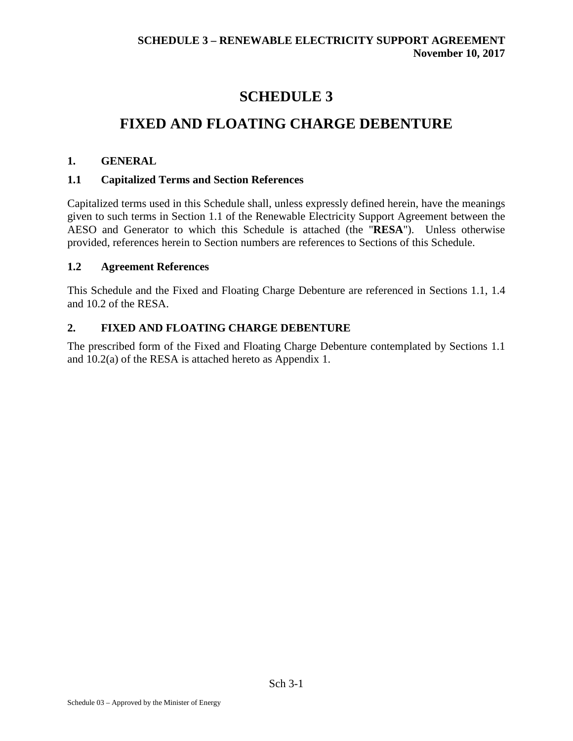# **SCHEDULE 3**

# **FIXED AND FLOATING CHARGE DEBENTURE**

# **1. GENERAL**

# **1.1 Capitalized Terms and Section References**

Capitalized terms used in this Schedule shall, unless expressly defined herein, have the meanings given to such terms in Section 1.1 of the Renewable Electricity Support Agreement between the AESO and Generator to which this Schedule is attached (the "**RESA**"). Unless otherwise provided, references herein to Section numbers are references to Sections of this Schedule.

# **1.2 Agreement References**

This Schedule and the Fixed and Floating Charge Debenture are referenced in Sections 1.1, 1.4 and 10.2 of the RESA.

# **2. FIXED AND FLOATING CHARGE DEBENTURE**

The prescribed form of the Fixed and Floating Charge Debenture contemplated by Sections 1.1 and 10.2(a) of the RESA is attached hereto as Appendix 1.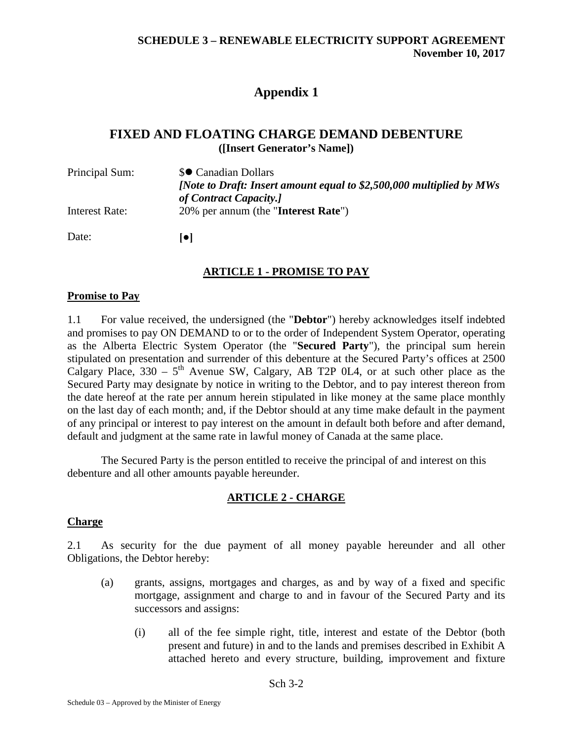# **Appendix 1**

# **FIXED AND FLOATING CHARGE DEMAND DEBENTURE ([Insert Generator's Name])**

| Principal Sum: | \$● Canadian Dollars                                                  |
|----------------|-----------------------------------------------------------------------|
|                | [Note to Draft: Insert amount equal to $$2,500,000$ multiplied by MWs |
|                | of Contract Capacity.]                                                |
| Interest Rate: | 20% per annum (the "Interest Rate")                                   |
| Date:          | lol                                                                   |

# **ARTICLE 1 - PROMISE TO PAY**

### **Promise to Pay**

1.1 For value received, the undersigned (the "**Debtor**") hereby acknowledges itself indebted and promises to pay ON DEMAND to or to the order of Independent System Operator, operating as the Alberta Electric System Operator (the "**Secured Party**"), the principal sum herein stipulated on presentation and surrender of this debenture at the Secured Party's offices at 2500 Calgary Place,  $330 - 5$ <sup>th</sup> Avenue SW, Calgary, AB T2P 0L4, or at such other place as the Secured Party may designate by notice in writing to the Debtor, and to pay interest thereon from the date hereof at the rate per annum herein stipulated in like money at the same place monthly on the last day of each month; and, if the Debtor should at any time make default in the payment of any principal or interest to pay interest on the amount in default both before and after demand, default and judgment at the same rate in lawful money of Canada at the same place.

The Secured Party is the person entitled to receive the principal of and interest on this debenture and all other amounts payable hereunder.

# **ARTICLE 2 - CHARGE**

#### **Charge**

2.1 As security for the due payment of all money payable hereunder and all other Obligations, the Debtor hereby:

- (a) grants, assigns, mortgages and charges, as and by way of a fixed and specific mortgage, assignment and charge to and in favour of the Secured Party and its successors and assigns:
	- (i) all of the fee simple right, title, interest and estate of the Debtor (both present and future) in and to the lands and premises described in Exhibit A attached hereto and every structure, building, improvement and fixture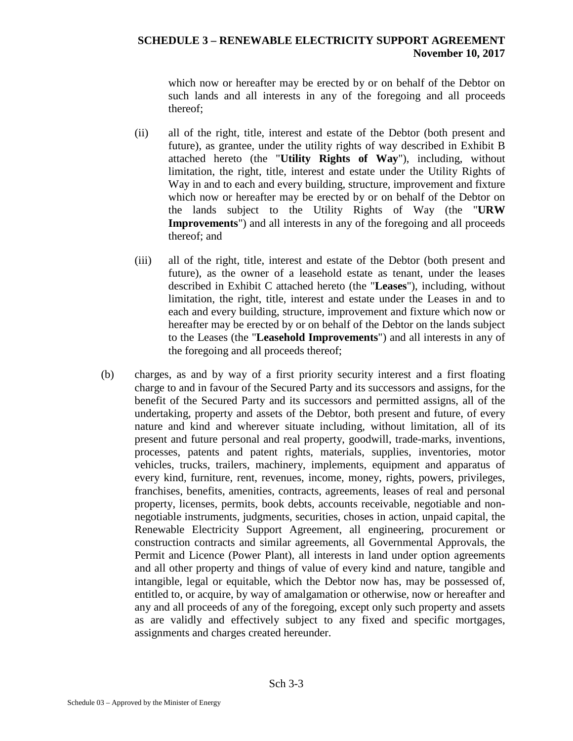which now or hereafter may be erected by or on behalf of the Debtor on such lands and all interests in any of the foregoing and all proceeds thereof;

- (ii) all of the right, title, interest and estate of the Debtor (both present and future), as grantee, under the utility rights of way described in Exhibit B attached hereto (the "**Utility Rights of Way**"), including, without limitation, the right, title, interest and estate under the Utility Rights of Way in and to each and every building, structure, improvement and fixture which now or hereafter may be erected by or on behalf of the Debtor on the lands subject to the Utility Rights of Way (the "**URW Improvements**") and all interests in any of the foregoing and all proceeds thereof; and
- (iii) all of the right, title, interest and estate of the Debtor (both present and future), as the owner of a leasehold estate as tenant, under the leases described in Exhibit C attached hereto (the "**Leases**"), including, without limitation, the right, title, interest and estate under the Leases in and to each and every building, structure, improvement and fixture which now or hereafter may be erected by or on behalf of the Debtor on the lands subject to the Leases (the "**Leasehold Improvements**") and all interests in any of the foregoing and all proceeds thereof;
- <span id="page-120-0"></span>(b) charges, as and by way of a first priority security interest and a first floating charge to and in favour of the Secured Party and its successors and assigns, for the benefit of the Secured Party and its successors and permitted assigns, all of the undertaking, property and assets of the Debtor, both present and future, of every nature and kind and wherever situate including, without limitation, all of its present and future personal and real property, goodwill, trade-marks, inventions, processes, patents and patent rights, materials, supplies, inventories, motor vehicles, trucks, trailers, machinery, implements, equipment and apparatus of every kind, furniture, rent, revenues, income, money, rights, powers, privileges, franchises, benefits, amenities, contracts, agreements, leases of real and personal property, licenses, permits, book debts, accounts receivable, negotiable and nonnegotiable instruments, judgments, securities, choses in action, unpaid capital, the Renewable Electricity Support Agreement, all engineering, procurement or construction contracts and similar agreements, all Governmental Approvals, the Permit and Licence (Power Plant), all interests in land under option agreements and all other property and things of value of every kind and nature, tangible and intangible, legal or equitable, which the Debtor now has, may be possessed of, entitled to, or acquire, by way of amalgamation or otherwise, now or hereafter and any and all proceeds of any of the foregoing, except only such property and assets as are validly and effectively subject to any fixed and specific mortgages, assignments and charges created hereunder.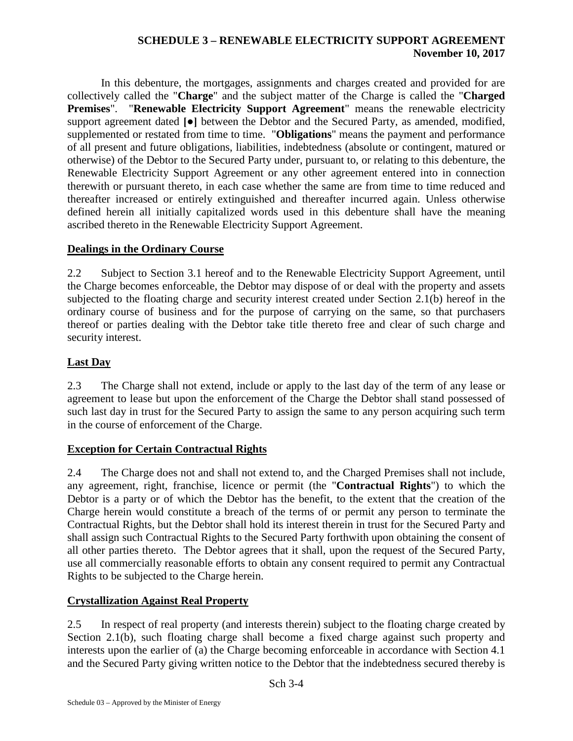In this debenture, the mortgages, assignments and charges created and provided for are collectively called the "**Charge**" and the subject matter of the Charge is called the "**Charged Premises**". "**Renewable Electricity Support Agreement**" means the renewable electricity support agreement dated **[●]** between the Debtor and the Secured Party, as amended, modified, supplemented or restated from time to time. "**Obligations**" means the payment and performance of all present and future obligations, liabilities, indebtedness (absolute or contingent, matured or otherwise) of the Debtor to the Secured Party under, pursuant to, or relating to this debenture, the Renewable Electricity Support Agreement or any other agreement entered into in connection therewith or pursuant thereto, in each case whether the same are from time to time reduced and thereafter increased or entirely extinguished and thereafter incurred again. Unless otherwise defined herein all initially capitalized words used in this debenture shall have the meaning ascribed thereto in the Renewable Electricity Support Agreement.

# **Dealings in the Ordinary Course**

2.2 Subject to Section [3.1](#page-122-0) hereof and to the Renewable Electricity Support Agreement, until the Charge becomes enforceable, the Debtor may dispose of or deal with the property and assets subjected to the floating charge and security interest created under Section [2.1\(b\)](#page-120-0) hereof in the ordinary course of business and for the purpose of carrying on the same, so that purchasers thereof or parties dealing with the Debtor take title thereto free and clear of such charge and security interest.

# **Last Day**

2.3 The Charge shall not extend, include or apply to the last day of the term of any lease or agreement to lease but upon the enforcement of the Charge the Debtor shall stand possessed of such last day in trust for the Secured Party to assign the same to any person acquiring such term in the course of enforcement of the Charge.

# **Exception for Certain Contractual Rights**

2.4 The Charge does not and shall not extend to, and the Charged Premises shall not include, any agreement, right, franchise, licence or permit (the "**Contractual Rights**") to which the Debtor is a party or of which the Debtor has the benefit, to the extent that the creation of the Charge herein would constitute a breach of the terms of or permit any person to terminate the Contractual Rights, but the Debtor shall hold its interest therein in trust for the Secured Party and shall assign such Contractual Rights to the Secured Party forthwith upon obtaining the consent of all other parties thereto. The Debtor agrees that it shall, upon the request of the Secured Party, use all commercially reasonable efforts to obtain any consent required to permit any Contractual Rights to be subjected to the Charge herein.

# **Crystallization Against Real Property**

2.5 In respect of real property (and interests therein) subject to the floating charge created by Section [2.1\(b\),](#page-120-0) such floating charge shall become a fixed charge against such property and interests upon the earlier of (a) the Charge becoming enforceable in accordance with Section [4.1](#page-122-1) and the Secured Party giving written notice to the Debtor that the indebtedness secured thereby is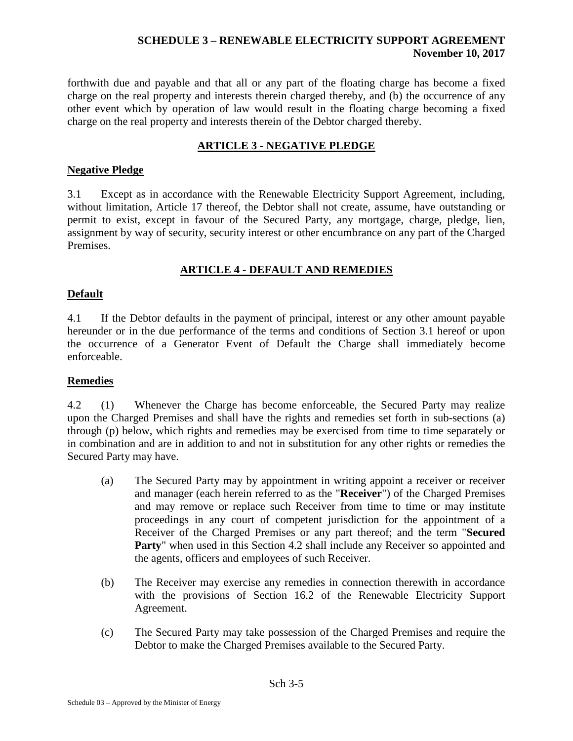forthwith due and payable and that all or any part of the floating charge has become a fixed charge on the real property and interests therein charged thereby, and (b) the occurrence of any other event which by operation of law would result in the floating charge becoming a fixed charge on the real property and interests therein of the Debtor charged thereby.

# **ARTICLE 3 - NEGATIVE PLEDGE**

### **Negative Pledge**

<span id="page-122-0"></span>3.1 Except as in accordance with the Renewable Electricity Support Agreement, including, without limitation, Article 17 thereof, the Debtor shall not create, assume, have outstanding or permit to exist, except in favour of the Secured Party, any mortgage, charge, pledge, lien, assignment by way of security, security interest or other encumbrance on any part of the Charged Premises.

# **ARTICLE 4 - DEFAULT AND REMEDIES**

# **Default**

<span id="page-122-1"></span>4.1 If the Debtor defaults in the payment of principal, interest or any other amount payable hereunder or in the due performance of the terms and conditions of Section [3.1](#page-122-0) hereof or upon the occurrence of a Generator Event of Default the Charge shall immediately become enforceable.

# **Remedies**

4.2 (1) Whenever the Charge has become enforceable, the Secured Party may realize upon the Charged Premises and shall have the rights and remedies set forth in sub-sections (a) through (p) below, which rights and remedies may be exercised from time to time separately or in combination and are in addition to and not in substitution for any other rights or remedies the Secured Party may have.

- (a) The Secured Party may by appointment in writing appoint a receiver or receiver and manager (each herein referred to as the "**Receiver**") of the Charged Premises and may remove or replace such Receiver from time to time or may institute proceedings in any court of competent jurisdiction for the appointment of a Receiver of the Charged Premises or any part thereof; and the term "**Secured Party**" when used in this Section 4.2 shall include any Receiver so appointed and the agents, officers and employees of such Receiver.
- (b) The Receiver may exercise any remedies in connection therewith in accordance with the provisions of Section 16.2 of the Renewable Electricity Support Agreement.
- (c) The Secured Party may take possession of the Charged Premises and require the Debtor to make the Charged Premises available to the Secured Party.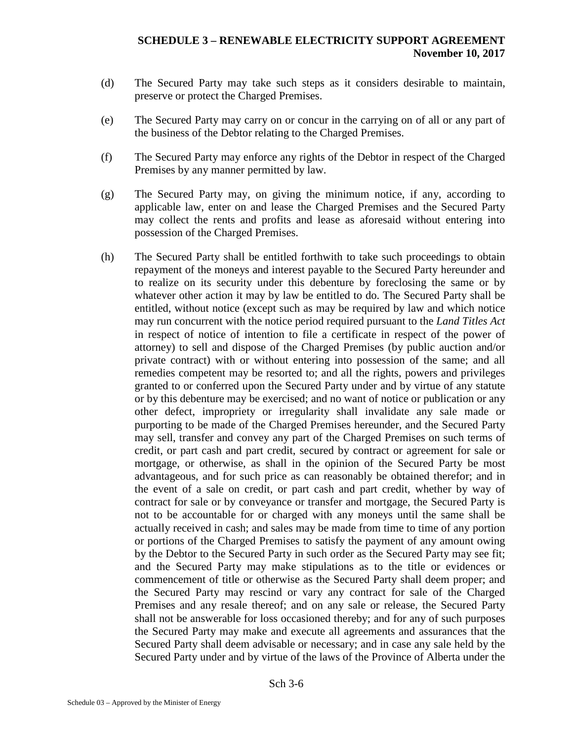- (d) The Secured Party may take such steps as it considers desirable to maintain, preserve or protect the Charged Premises.
- (e) The Secured Party may carry on or concur in the carrying on of all or any part of the business of the Debtor relating to the Charged Premises.
- (f) The Secured Party may enforce any rights of the Debtor in respect of the Charged Premises by any manner permitted by law.
- (g) The Secured Party may, on giving the minimum notice, if any, according to applicable law, enter on and lease the Charged Premises and the Secured Party may collect the rents and profits and lease as aforesaid without entering into possession of the Charged Premises.
- (h) The Secured Party shall be entitled forthwith to take such proceedings to obtain repayment of the moneys and interest payable to the Secured Party hereunder and to realize on its security under this debenture by foreclosing the same or by whatever other action it may by law be entitled to do. The Secured Party shall be entitled, without notice (except such as may be required by law and which notice may run concurrent with the notice period required pursuant to the *Land Titles Act* in respect of notice of intention to file a certificate in respect of the power of attorney) to sell and dispose of the Charged Premises (by public auction and/or private contract) with or without entering into possession of the same; and all remedies competent may be resorted to; and all the rights, powers and privileges granted to or conferred upon the Secured Party under and by virtue of any statute or by this debenture may be exercised; and no want of notice or publication or any other defect, impropriety or irregularity shall invalidate any sale made or purporting to be made of the Charged Premises hereunder, and the Secured Party may sell, transfer and convey any part of the Charged Premises on such terms of credit, or part cash and part credit, secured by contract or agreement for sale or mortgage, or otherwise, as shall in the opinion of the Secured Party be most advantageous, and for such price as can reasonably be obtained therefor; and in the event of a sale on credit, or part cash and part credit, whether by way of contract for sale or by conveyance or transfer and mortgage, the Secured Party is not to be accountable for or charged with any moneys until the same shall be actually received in cash; and sales may be made from time to time of any portion or portions of the Charged Premises to satisfy the payment of any amount owing by the Debtor to the Secured Party in such order as the Secured Party may see fit; and the Secured Party may make stipulations as to the title or evidences or commencement of title or otherwise as the Secured Party shall deem proper; and the Secured Party may rescind or vary any contract for sale of the Charged Premises and any resale thereof; and on any sale or release, the Secured Party shall not be answerable for loss occasioned thereby; and for any of such purposes the Secured Party may make and execute all agreements and assurances that the Secured Party shall deem advisable or necessary; and in case any sale held by the Secured Party under and by virtue of the laws of the Province of Alberta under the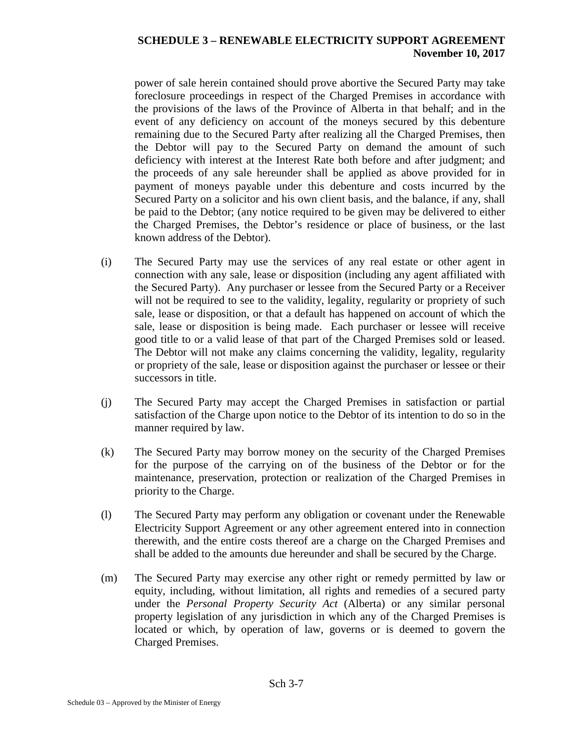power of sale herein contained should prove abortive the Secured Party may take foreclosure proceedings in respect of the Charged Premises in accordance with the provisions of the laws of the Province of Alberta in that behalf; and in the event of any deficiency on account of the moneys secured by this debenture remaining due to the Secured Party after realizing all the Charged Premises, then the Debtor will pay to the Secured Party on demand the amount of such deficiency with interest at the Interest Rate both before and after judgment; and the proceeds of any sale hereunder shall be applied as above provided for in payment of moneys payable under this debenture and costs incurred by the Secured Party on a solicitor and his own client basis, and the balance, if any, shall be paid to the Debtor; (any notice required to be given may be delivered to either the Charged Premises, the Debtor's residence or place of business, or the last known address of the Debtor).

- (i) The Secured Party may use the services of any real estate or other agent in connection with any sale, lease or disposition (including any agent affiliated with the Secured Party). Any purchaser or lessee from the Secured Party or a Receiver will not be required to see to the validity, legality, regularity or propriety of such sale, lease or disposition, or that a default has happened on account of which the sale, lease or disposition is being made. Each purchaser or lessee will receive good title to or a valid lease of that part of the Charged Premises sold or leased. The Debtor will not make any claims concerning the validity, legality, regularity or propriety of the sale, lease or disposition against the purchaser or lessee or their successors in title.
- (j) The Secured Party may accept the Charged Premises in satisfaction or partial satisfaction of the Charge upon notice to the Debtor of its intention to do so in the manner required by law.
- (k) The Secured Party may borrow money on the security of the Charged Premises for the purpose of the carrying on of the business of the Debtor or for the maintenance, preservation, protection or realization of the Charged Premises in priority to the Charge.
- (l) The Secured Party may perform any obligation or covenant under the Renewable Electricity Support Agreement or any other agreement entered into in connection therewith, and the entire costs thereof are a charge on the Charged Premises and shall be added to the amounts due hereunder and shall be secured by the Charge.
- (m) The Secured Party may exercise any other right or remedy permitted by law or equity, including, without limitation, all rights and remedies of a secured party under the *Personal Property Security Act* (Alberta) or any similar personal property legislation of any jurisdiction in which any of the Charged Premises is located or which, by operation of law, governs or is deemed to govern the Charged Premises.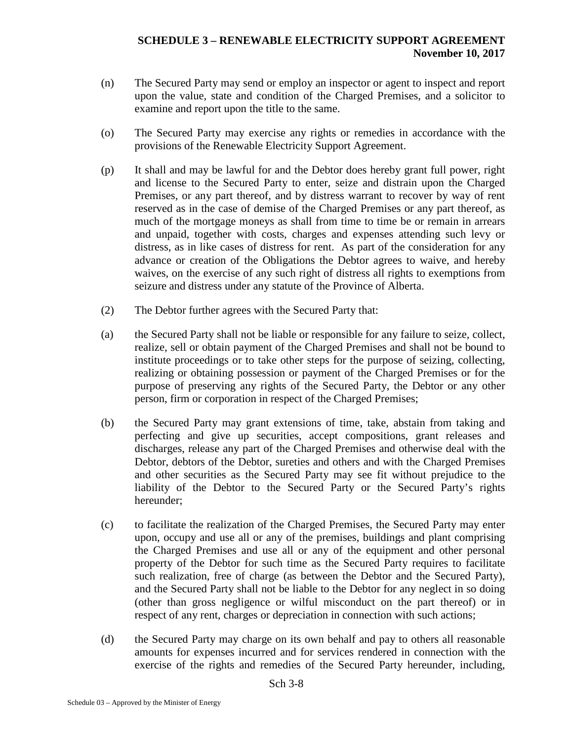- (n) The Secured Party may send or employ an inspector or agent to inspect and report upon the value, state and condition of the Charged Premises, and a solicitor to examine and report upon the title to the same.
- (o) The Secured Party may exercise any rights or remedies in accordance with the provisions of the Renewable Electricity Support Agreement.
- (p) It shall and may be lawful for and the Debtor does hereby grant full power, right and license to the Secured Party to enter, seize and distrain upon the Charged Premises, or any part thereof, and by distress warrant to recover by way of rent reserved as in the case of demise of the Charged Premises or any part thereof, as much of the mortgage moneys as shall from time to time be or remain in arrears and unpaid, together with costs, charges and expenses attending such levy or distress, as in like cases of distress for rent. As part of the consideration for any advance or creation of the Obligations the Debtor agrees to waive, and hereby waives, on the exercise of any such right of distress all rights to exemptions from seizure and distress under any statute of the Province of Alberta.
- (2) The Debtor further agrees with the Secured Party that:
- (a) the Secured Party shall not be liable or responsible for any failure to seize, collect, realize, sell or obtain payment of the Charged Premises and shall not be bound to institute proceedings or to take other steps for the purpose of seizing, collecting, realizing or obtaining possession or payment of the Charged Premises or for the purpose of preserving any rights of the Secured Party, the Debtor or any other person, firm or corporation in respect of the Charged Premises;
- (b) the Secured Party may grant extensions of time, take, abstain from taking and perfecting and give up securities, accept compositions, grant releases and discharges, release any part of the Charged Premises and otherwise deal with the Debtor, debtors of the Debtor, sureties and others and with the Charged Premises and other securities as the Secured Party may see fit without prejudice to the liability of the Debtor to the Secured Party or the Secured Party's rights hereunder;
- (c) to facilitate the realization of the Charged Premises, the Secured Party may enter upon, occupy and use all or any of the premises, buildings and plant comprising the Charged Premises and use all or any of the equipment and other personal property of the Debtor for such time as the Secured Party requires to facilitate such realization, free of charge (as between the Debtor and the Secured Party), and the Secured Party shall not be liable to the Debtor for any neglect in so doing (other than gross negligence or wilful misconduct on the part thereof) or in respect of any rent, charges or depreciation in connection with such actions;
- (d) the Secured Party may charge on its own behalf and pay to others all reasonable amounts for expenses incurred and for services rendered in connection with the exercise of the rights and remedies of the Secured Party hereunder, including,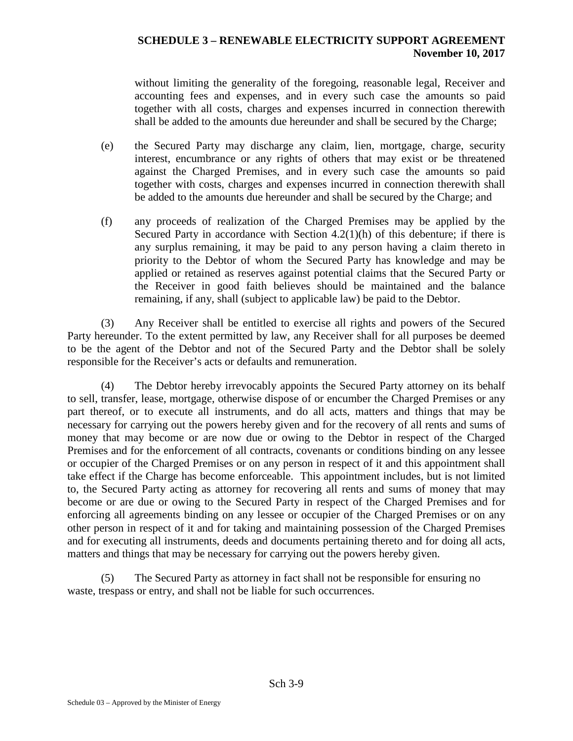without limiting the generality of the foregoing, reasonable legal, Receiver and accounting fees and expenses, and in every such case the amounts so paid together with all costs, charges and expenses incurred in connection therewith shall be added to the amounts due hereunder and shall be secured by the Charge;

- (e) the Secured Party may discharge any claim, lien, mortgage, charge, security interest, encumbrance or any rights of others that may exist or be threatened against the Charged Premises, and in every such case the amounts so paid together with costs, charges and expenses incurred in connection therewith shall be added to the amounts due hereunder and shall be secured by the Charge; and
- (f) any proceeds of realization of the Charged Premises may be applied by the Secured Party in accordance with Section  $4.2(1)(h)$  of this debenture; if there is any surplus remaining, it may be paid to any person having a claim thereto in priority to the Debtor of whom the Secured Party has knowledge and may be applied or retained as reserves against potential claims that the Secured Party or the Receiver in good faith believes should be maintained and the balance remaining, if any, shall (subject to applicable law) be paid to the Debtor.

(3) Any Receiver shall be entitled to exercise all rights and powers of the Secured Party hereunder. To the extent permitted by law, any Receiver shall for all purposes be deemed to be the agent of the Debtor and not of the Secured Party and the Debtor shall be solely responsible for the Receiver's acts or defaults and remuneration.

(4) The Debtor hereby irrevocably appoints the Secured Party attorney on its behalf to sell, transfer, lease, mortgage, otherwise dispose of or encumber the Charged Premises or any part thereof, or to execute all instruments, and do all acts, matters and things that may be necessary for carrying out the powers hereby given and for the recovery of all rents and sums of money that may become or are now due or owing to the Debtor in respect of the Charged Premises and for the enforcement of all contracts, covenants or conditions binding on any lessee or occupier of the Charged Premises or on any person in respect of it and this appointment shall take effect if the Charge has become enforceable. This appointment includes, but is not limited to, the Secured Party acting as attorney for recovering all rents and sums of money that may become or are due or owing to the Secured Party in respect of the Charged Premises and for enforcing all agreements binding on any lessee or occupier of the Charged Premises or on any other person in respect of it and for taking and maintaining possession of the Charged Premises and for executing all instruments, deeds and documents pertaining thereto and for doing all acts, matters and things that may be necessary for carrying out the powers hereby given.

(5) The Secured Party as attorney in fact shall not be responsible for ensuring no waste, trespass or entry, and shall not be liable for such occurrences.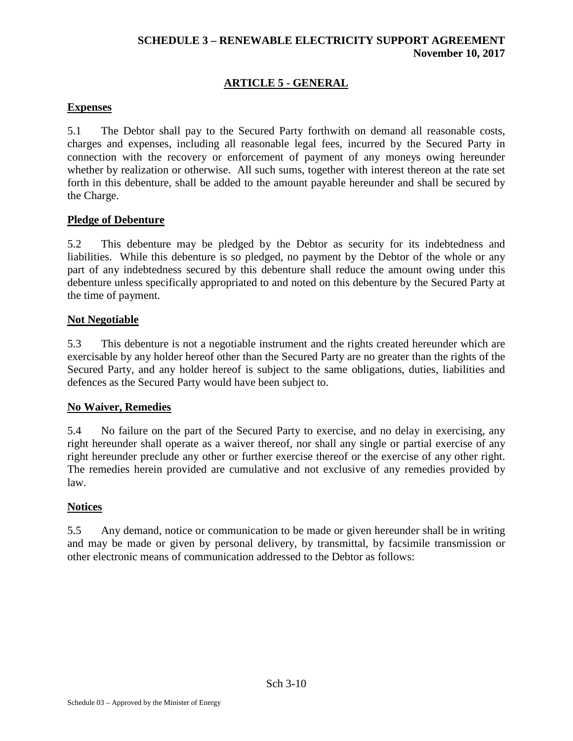# **ARTICLE 5 - GENERAL**

## **Expenses**

5.1 The Debtor shall pay to the Secured Party forthwith on demand all reasonable costs, charges and expenses, including all reasonable legal fees, incurred by the Secured Party in connection with the recovery or enforcement of payment of any moneys owing hereunder whether by realization or otherwise. All such sums, together with interest thereon at the rate set forth in this debenture, shall be added to the amount payable hereunder and shall be secured by the Charge.

### **Pledge of Debenture**

5.2 This debenture may be pledged by the Debtor as security for its indebtedness and liabilities. While this debenture is so pledged, no payment by the Debtor of the whole or any part of any indebtedness secured by this debenture shall reduce the amount owing under this debenture unless specifically appropriated to and noted on this debenture by the Secured Party at the time of payment.

#### **Not Negotiable**

5.3 This debenture is not a negotiable instrument and the rights created hereunder which are exercisable by any holder hereof other than the Secured Party are no greater than the rights of the Secured Party, and any holder hereof is subject to the same obligations, duties, liabilities and defences as the Secured Party would have been subject to.

#### **No Waiver, Remedies**

5.4 No failure on the part of the Secured Party to exercise, and no delay in exercising, any right hereunder shall operate as a waiver thereof, nor shall any single or partial exercise of any right hereunder preclude any other or further exercise thereof or the exercise of any other right. The remedies herein provided are cumulative and not exclusive of any remedies provided by law.

#### **Notices**

5.5 Any demand, notice or communication to be made or given hereunder shall be in writing and may be made or given by personal delivery, by transmittal, by facsimile transmission or other electronic means of communication addressed to the Debtor as follows: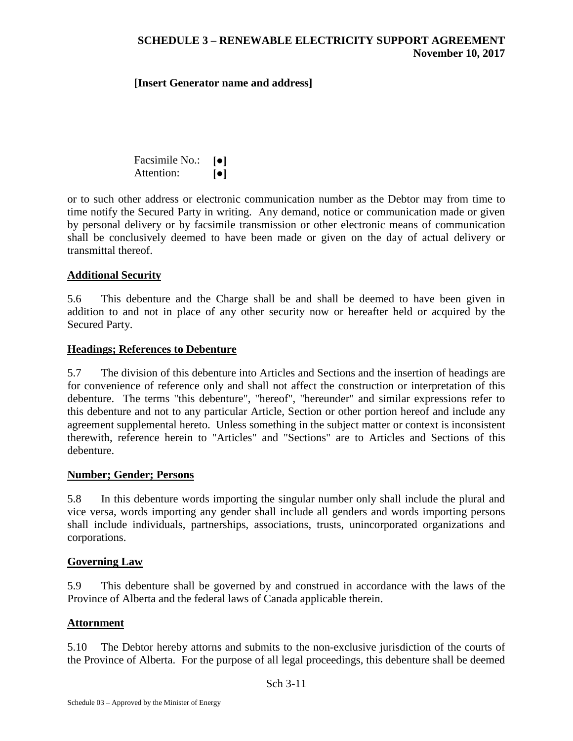#### **[Insert Generator name and address]**

Facsimile No.: **[●]** Attention: **[●]**

or to such other address or electronic communication number as the Debtor may from time to time notify the Secured Party in writing. Any demand, notice or communication made or given by personal delivery or by facsimile transmission or other electronic means of communication shall be conclusively deemed to have been made or given on the day of actual delivery or transmittal thereof.

#### **Additional Security**

5.6 This debenture and the Charge shall be and shall be deemed to have been given in addition to and not in place of any other security now or hereafter held or acquired by the Secured Party.

#### **Headings; References to Debenture**

5.7 The division of this debenture into Articles and Sections and the insertion of headings are for convenience of reference only and shall not affect the construction or interpretation of this debenture. The terms "this debenture", "hereof", "hereunder" and similar expressions refer to this debenture and not to any particular Article, Section or other portion hereof and include any agreement supplemental hereto. Unless something in the subject matter or context is inconsistent therewith, reference herein to "Articles" and "Sections" are to Articles and Sections of this debenture.

#### **Number; Gender; Persons**

5.8 In this debenture words importing the singular number only shall include the plural and vice versa, words importing any gender shall include all genders and words importing persons shall include individuals, partnerships, associations, trusts, unincorporated organizations and corporations.

#### **Governing Law**

5.9 This debenture shall be governed by and construed in accordance with the laws of the Province of Alberta and the federal laws of Canada applicable therein.

#### **Attornment**

5.10 The Debtor hereby attorns and submits to the non-exclusive jurisdiction of the courts of the Province of Alberta. For the purpose of all legal proceedings, this debenture shall be deemed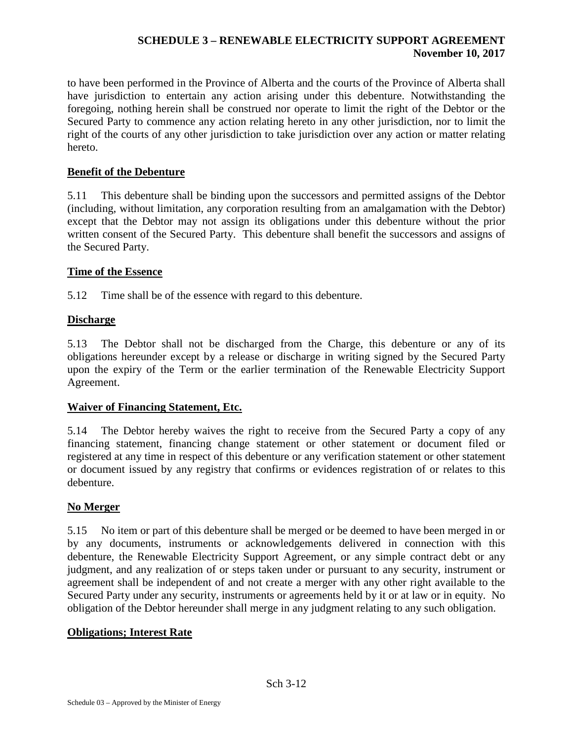to have been performed in the Province of Alberta and the courts of the Province of Alberta shall have jurisdiction to entertain any action arising under this debenture. Notwithstanding the foregoing, nothing herein shall be construed nor operate to limit the right of the Debtor or the Secured Party to commence any action relating hereto in any other jurisdiction, nor to limit the right of the courts of any other jurisdiction to take jurisdiction over any action or matter relating hereto.

# **Benefit of the Debenture**

5.11 This debenture shall be binding upon the successors and permitted assigns of the Debtor (including, without limitation, any corporation resulting from an amalgamation with the Debtor) except that the Debtor may not assign its obligations under this debenture without the prior written consent of the Secured Party. This debenture shall benefit the successors and assigns of the Secured Party.

# **Time of the Essence**

5.12 Time shall be of the essence with regard to this debenture.

# **Discharge**

5.13 The Debtor shall not be discharged from the Charge, this debenture or any of its obligations hereunder except by a release or discharge in writing signed by the Secured Party upon the expiry of the Term or the earlier termination of the Renewable Electricity Support Agreement.

# **Waiver of Financing Statement, Etc.**

5.14 The Debtor hereby waives the right to receive from the Secured Party a copy of any financing statement, financing change statement or other statement or document filed or registered at any time in respect of this debenture or any verification statement or other statement or document issued by any registry that confirms or evidences registration of or relates to this debenture.

# **No Merger**

5.15 No item or part of this debenture shall be merged or be deemed to have been merged in or by any documents, instruments or acknowledgements delivered in connection with this debenture, the Renewable Electricity Support Agreement, or any simple contract debt or any judgment, and any realization of or steps taken under or pursuant to any security, instrument or agreement shall be independent of and not create a merger with any other right available to the Secured Party under any security, instruments or agreements held by it or at law or in equity. No obligation of the Debtor hereunder shall merge in any judgment relating to any such obligation.

# **Obligations; Interest Rate**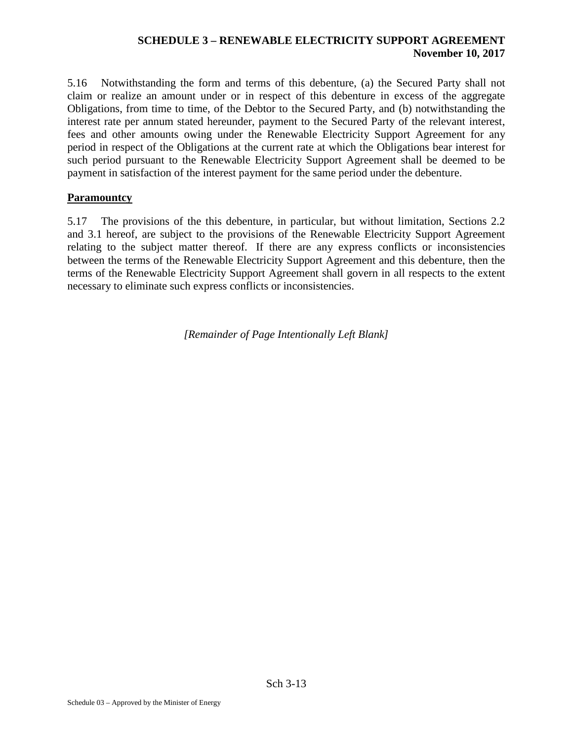5.16 Notwithstanding the form and terms of this debenture, (a) the Secured Party shall not claim or realize an amount under or in respect of this debenture in excess of the aggregate Obligations, from time to time, of the Debtor to the Secured Party, and (b) notwithstanding the interest rate per annum stated hereunder, payment to the Secured Party of the relevant interest, fees and other amounts owing under the Renewable Electricity Support Agreement for any period in respect of the Obligations at the current rate at which the Obligations bear interest for such period pursuant to the Renewable Electricity Support Agreement shall be deemed to be payment in satisfaction of the interest payment for the same period under the debenture.

### **Paramountcy**

5.17 The provisions of the this debenture, in particular, but without limitation, Sections 2.2 and 3.1 hereof, are subject to the provisions of the Renewable Electricity Support Agreement relating to the subject matter thereof. If there are any express conflicts or inconsistencies between the terms of the Renewable Electricity Support Agreement and this debenture, then the terms of the Renewable Electricity Support Agreement shall govern in all respects to the extent necessary to eliminate such express conflicts or inconsistencies.

*[Remainder of Page Intentionally Left Blank]*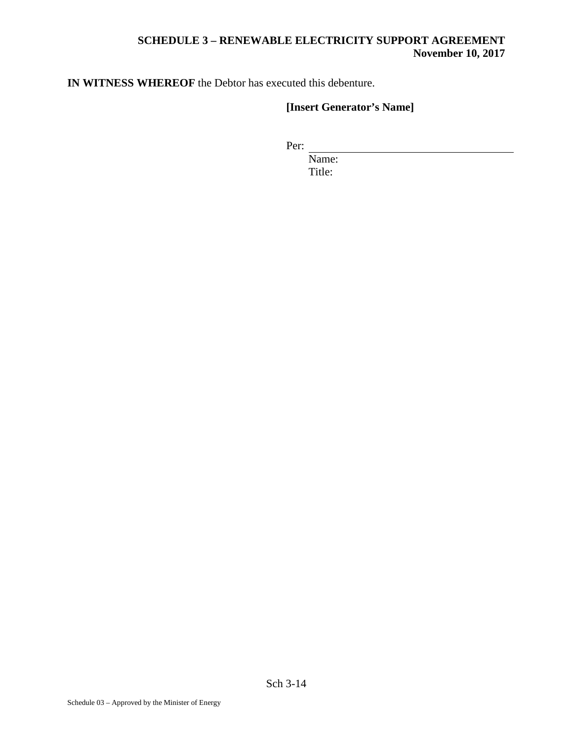**IN WITNESS WHEREOF** the Debtor has executed this debenture.

# **[Insert Generator's Name]**

Per:

Name: Title: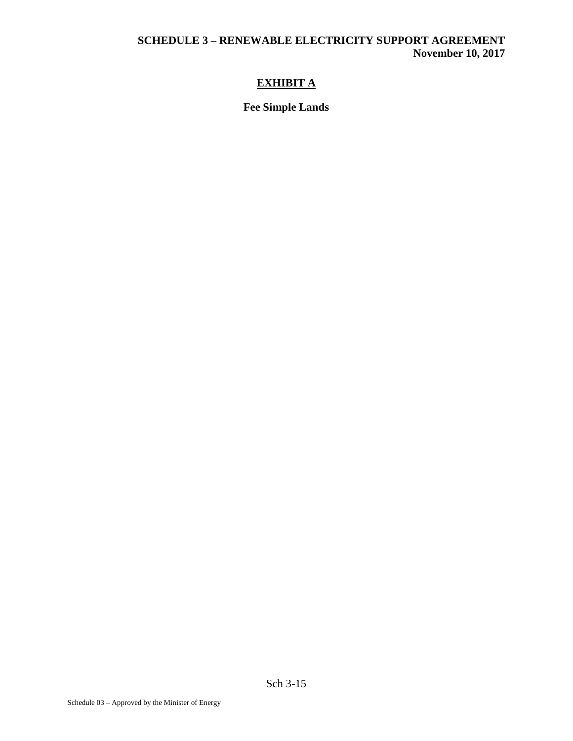# **EXHIBIT A**

# **Fee Simple Lands**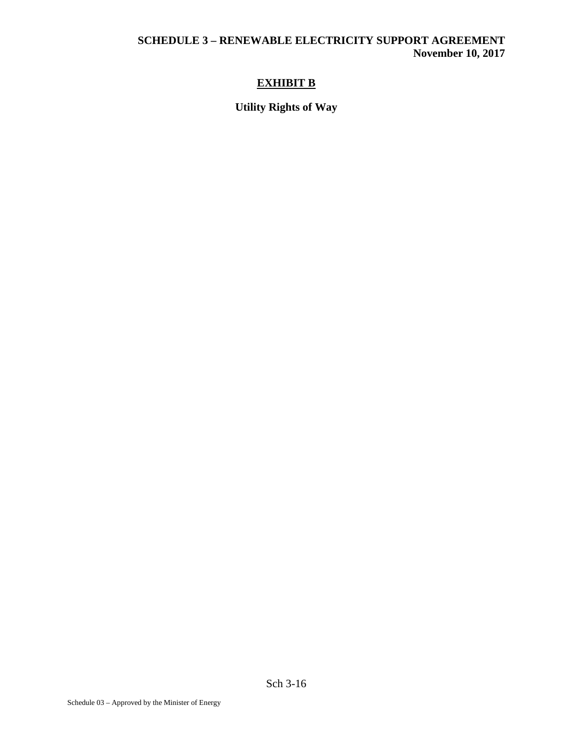# **EXHIBIT B**

# **Utility Rights of Way**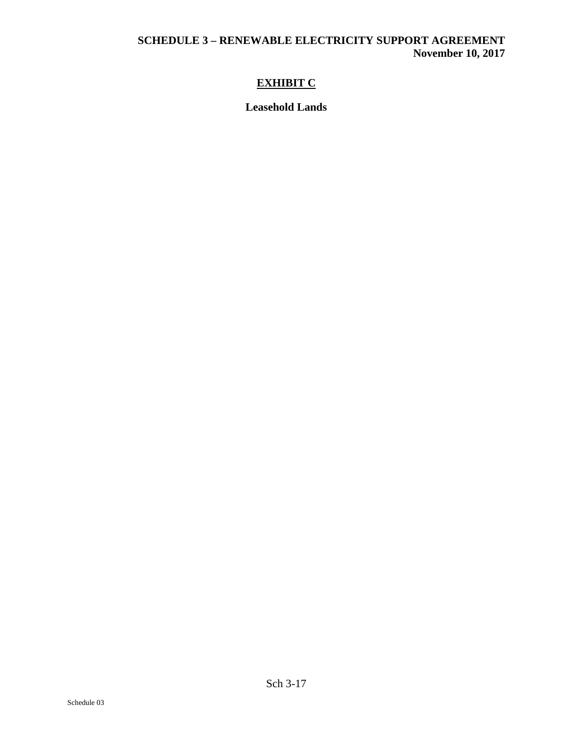# **EXHIBIT C**

**Leasehold Lands**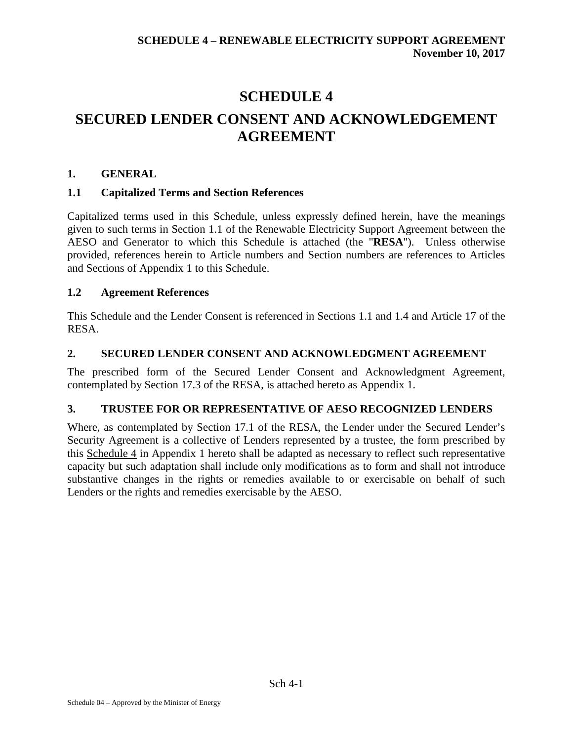# **SCHEDULE 4 SECURED LENDER CONSENT AND ACKNOWLEDGEMENT AGREEMENT**

# **1. GENERAL**

# **1.1 Capitalized Terms and Section References**

Capitalized terms used in this Schedule, unless expressly defined herein, have the meanings given to such terms in Section 1.1 of the Renewable Electricity Support Agreement between the AESO and Generator to which this Schedule is attached (the "**RESA**"). Unless otherwise provided, references herein to Article numbers and Section numbers are references to Articles and Sections of Appendix 1 to this Schedule.

# **1.2 Agreement References**

This Schedule and the Lender Consent is referenced in Sections 1.1 and 1.4 and Article 17 of the RESA.

# **2. SECURED LENDER CONSENT AND ACKNOWLEDGMENT AGREEMENT**

The prescribed form of the Secured Lender Consent and Acknowledgment Agreement, contemplated by Section 17.3 of the RESA, is attached hereto as Appendix 1.

# **3. TRUSTEE FOR OR REPRESENTATIVE OF AESO RECOGNIZED LENDERS**

Where, as contemplated by Section 17.1 of the RESA, the Lender under the Secured Lender's Security Agreement is a collective of Lenders represented by a trustee, the form prescribed by this Schedule 4 in Appendix 1 hereto shall be adapted as necessary to reflect such representative capacity but such adaptation shall include only modifications as to form and shall not introduce substantive changes in the rights or remedies available to or exercisable on behalf of such Lenders or the rights and remedies exercisable by the AESO.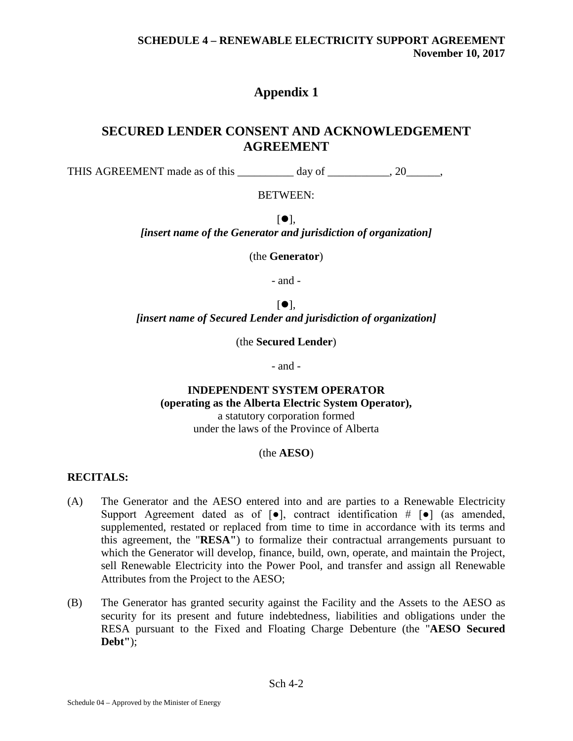# **Appendix 1**

# **SECURED LENDER CONSENT AND ACKNOWLEDGEMENT AGREEMENT**

THIS AGREEMENT made as of this day of \_\_\_\_\_\_\_\_, 20\_\_\_\_\_,

### BETWEEN:

 $[•]$ . *[insert name of the Generator and jurisdiction of organization]*

(the **Generator**)

- and -

 $\lceil \bullet \rceil$ , *[insert name of Secured Lender and jurisdiction of organization]*

(the **Secured Lender**)

- and -

# **INDEPENDENT SYSTEM OPERATOR (operating as the Alberta Electric System Operator),**

a statutory corporation formed under the laws of the Province of Alberta

#### (the **AESO**)

# **RECITALS:**

- (A) The Generator and the AESO entered into and are parties to a Renewable Electricity Support Agreement dated as of  $[\bullet]$ , contract identification  $\# [\bullet]$  (as amended, supplemented, restated or replaced from time to time in accordance with its terms and this agreement, the "**RESA"**) to formalize their contractual arrangements pursuant to which the Generator will develop, finance, build, own, operate, and maintain the Project, sell Renewable Electricity into the Power Pool, and transfer and assign all Renewable Attributes from the Project to the AESO;
- (B) The Generator has granted security against the Facility and the Assets to the AESO as security for its present and future indebtedness, liabilities and obligations under the RESA pursuant to the Fixed and Floating Charge Debenture (the "**AESO Secured Debt"**);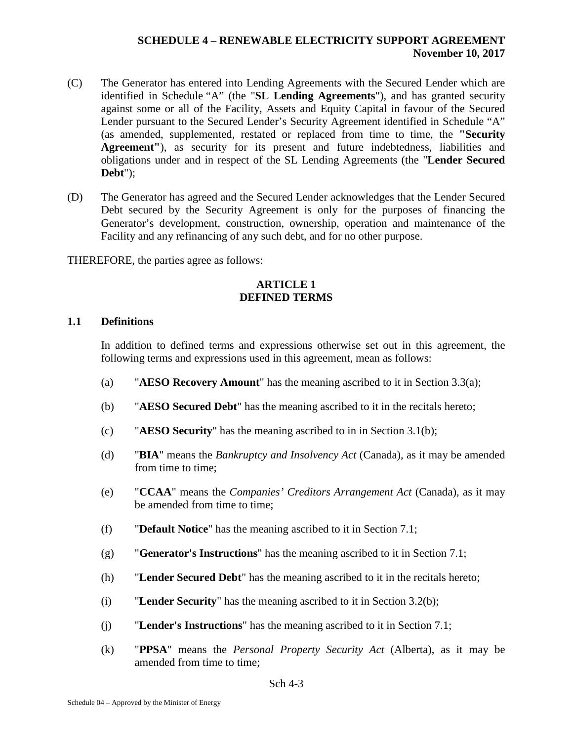- (C) The Generator has entered into Lending Agreements with the Secured Lender which are identified in Schedule "A" (the "**SL Lending Agreements**"), and has granted security against some or all of the Facility, Assets and Equity Capital in favour of the Secured Lender pursuant to the Secured Lender's Security Agreement identified in Schedule "A" (as amended, supplemented, restated or replaced from time to time, the **"Security Agreement"**), as security for its present and future indebtedness, liabilities and obligations under and in respect of the SL Lending Agreements (the "**Lender Secured Debt**");
- (D) The Generator has agreed and the Secured Lender acknowledges that the Lender Secured Debt secured by the Security Agreement is only for the purposes of financing the Generator's development, construction, ownership, operation and maintenance of the Facility and any refinancing of any such debt, and for no other purpose.

THEREFORE, the parties agree as follows:

#### **ARTICLE 1 DEFINED TERMS**

### **1.1 Definitions**

In addition to defined terms and expressions otherwise set out in this agreement, the following terms and expressions used in this agreement, mean as follows:

- (a) "**AESO Recovery Amount**" has the meaning ascribed to it in Section [3.3\(a\);](#page-140-0)
- (b) "**AESO Secured Debt**" has the meaning ascribed to it in the recitals hereto;
- (c) "**AESO Security**" has the meaning ascribed to in in Section [3.1\(b\);](#page-139-0)
- (d) "**BIA**" means the *Bankruptcy and Insolvency Act* (Canada), as it may be amended from time to time;
- (e) "**CCAA**" means the *Companies' Creditors Arrangement Act* (Canada), as it may be amended from time to time;
- (f) "**Default Notice**" has the meaning ascribed to it in Section 7.1;
- (g) "**Generator's Instructions**" has the meaning ascribed to it in Section 7.1;
- (h) "**Lender Secured Debt**" has the meaning ascribed to it in the recitals hereto;
- (i) "**Lender Security**" has the meaning ascribed to it in Section [3.2\(b\);](#page-139-1)
- (j) "**Lender's Instructions**" has the meaning ascribed to it in Section 7.1;
- (k) "**PPSA**" means the *Personal Property Security Act* (Alberta), as it may be amended from time to time;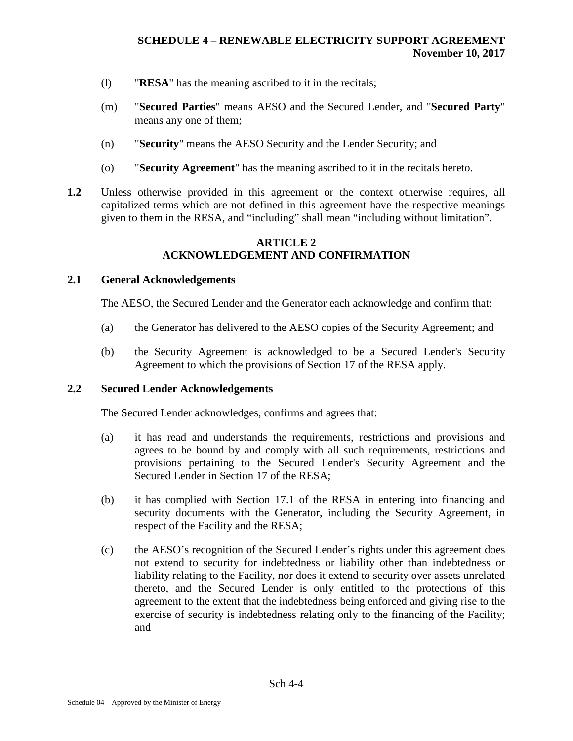- (l) "**RESA**" has the meaning ascribed to it in the recitals;
- (m) "**Secured Parties**" means AESO and the Secured Lender, and "**Secured Party**" means any one of them;
- (n) "**Security**" means the AESO Security and the Lender Security; and
- (o) "**Security Agreement**" has the meaning ascribed to it in the recitals hereto.
- **1.2** Unless otherwise provided in this agreement or the context otherwise requires, all capitalized terms which are not defined in this agreement have the respective meanings given to them in the RESA, and "including" shall mean "including without limitation".

### **ARTICLE 2 ACKNOWLEDGEMENT AND CONFIRMATION**

## **2.1 General Acknowledgements**

The AESO, the Secured Lender and the Generator each acknowledge and confirm that:

- (a) the Generator has delivered to the AESO copies of the Security Agreement; and
- (b) the Security Agreement is acknowledged to be a Secured Lender's Security Agreement to which the provisions of Section 17 of the RESA apply.

#### <span id="page-138-0"></span>**2.2 Secured Lender Acknowledgements**

The Secured Lender acknowledges, confirms and agrees that:

- (a) it has read and understands the requirements, restrictions and provisions and agrees to be bound by and comply with all such requirements, restrictions and provisions pertaining to the Secured Lender's Security Agreement and the Secured Lender in Section 17 of the RESA;
- (b) it has complied with Section 17.1 of the RESA in entering into financing and security documents with the Generator, including the Security Agreement, in respect of the Facility and the RESA;
- (c) the AESO's recognition of the Secured Lender's rights under this agreement does not extend to security for indebtedness or liability other than indebtedness or liability relating to the Facility, nor does it extend to security over assets unrelated thereto, and the Secured Lender is only entitled to the protections of this agreement to the extent that the indebtedness being enforced and giving rise to the exercise of security is indebtedness relating only to the financing of the Facility; and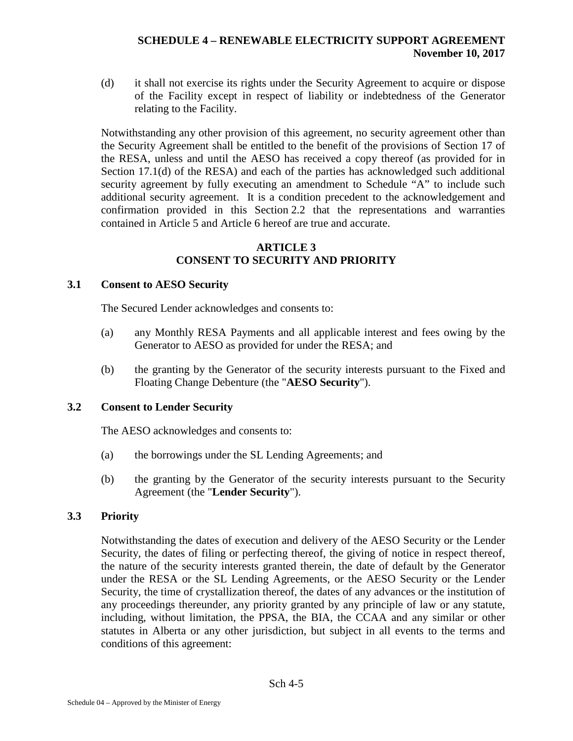(d) it shall not exercise its rights under the Security Agreement to acquire or dispose of the Facility except in respect of liability or indebtedness of the Generator relating to the Facility.

Notwithstanding any other provision of this agreement, no security agreement other than the Security Agreement shall be entitled to the benefit of the provisions of Section 17 of the RESA, unless and until the AESO has received a copy thereof (as provided for in Section 17.1(d) of the RESA) and each of the parties has acknowledged such additional security agreement by fully executing an amendment to Schedule "A" to include such additional security agreement. It is a condition precedent to the acknowledgement and confirmation provided in this Section [2.2](#page-138-0) that the representations and warranties contained in Article 5 and Article 6 hereof are true and accurate.

#### **ARTICLE 3 CONSENT TO SECURITY AND PRIORITY**

### **3.1 Consent to AESO Security**

The Secured Lender acknowledges and consents to:

- (a) any Monthly RESA Payments and all applicable interest and fees owing by the Generator to AESO as provided for under the RESA; and
- (b) the granting by the Generator of the security interests pursuant to the Fixed and Floating Change Debenture (the "**AESO Security**").

# **3.2 Consent to Lender Security**

The AESO acknowledges and consents to:

- <span id="page-139-0"></span>(a) the borrowings under the SL Lending Agreements; and
- <span id="page-139-1"></span>(b) the granting by the Generator of the security interests pursuant to the Security Agreement (the "**Lender Security**").

# **3.3 Priority**

Notwithstanding the dates of execution and delivery of the AESO Security or the Lender Security, the dates of filing or perfecting thereof, the giving of notice in respect thereof, the nature of the security interests granted therein, the date of default by the Generator under the RESA or the SL Lending Agreements, or the AESO Security or the Lender Security, the time of crystallization thereof, the dates of any advances or the institution of any proceedings thereunder, any priority granted by any principle of law or any statute, including, without limitation, the PPSA, the BIA, the CCAA and any similar or other statutes in Alberta or any other jurisdiction, but subject in all events to the terms and conditions of this agreement: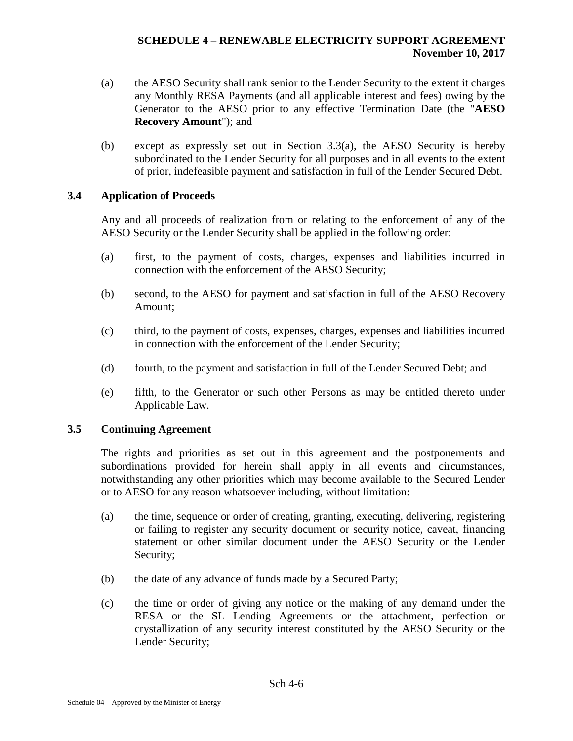- <span id="page-140-0"></span>(a) the AESO Security shall rank senior to the Lender Security to the extent it charges any Monthly RESA Payments (and all applicable interest and fees) owing by the Generator to the AESO prior to any effective Termination Date (the "**AESO Recovery Amount**"); and
- (b) except as expressly set out in Section 3.3(a), the AESO Security is hereby subordinated to the Lender Security for all purposes and in all events to the extent of prior, indefeasible payment and satisfaction in full of the Lender Secured Debt.

# **3.4 Application of Proceeds**

Any and all proceeds of realization from or relating to the enforcement of any of the AESO Security or the Lender Security shall be applied in the following order:

- (a) first, to the payment of costs, charges, expenses and liabilities incurred in connection with the enforcement of the AESO Security;
- (b) second, to the AESO for payment and satisfaction in full of the AESO Recovery Amount;
- (c) third, to the payment of costs, expenses, charges, expenses and liabilities incurred in connection with the enforcement of the Lender Security;
- (d) fourth, to the payment and satisfaction in full of the Lender Secured Debt; and
- (e) fifth, to the Generator or such other Persons as may be entitled thereto under Applicable Law.

# **3.5 Continuing Agreement**

The rights and priorities as set out in this agreement and the postponements and subordinations provided for herein shall apply in all events and circumstances, notwithstanding any other priorities which may become available to the Secured Lender or to AESO for any reason whatsoever including, without limitation:

- (a) the time, sequence or order of creating, granting, executing, delivering, registering or failing to register any security document or security notice, caveat, financing statement or other similar document under the AESO Security or the Lender Security;
- (b) the date of any advance of funds made by a Secured Party;
- (c) the time or order of giving any notice or the making of any demand under the RESA or the SL Lending Agreements or the attachment, perfection or crystallization of any security interest constituted by the AESO Security or the Lender Security;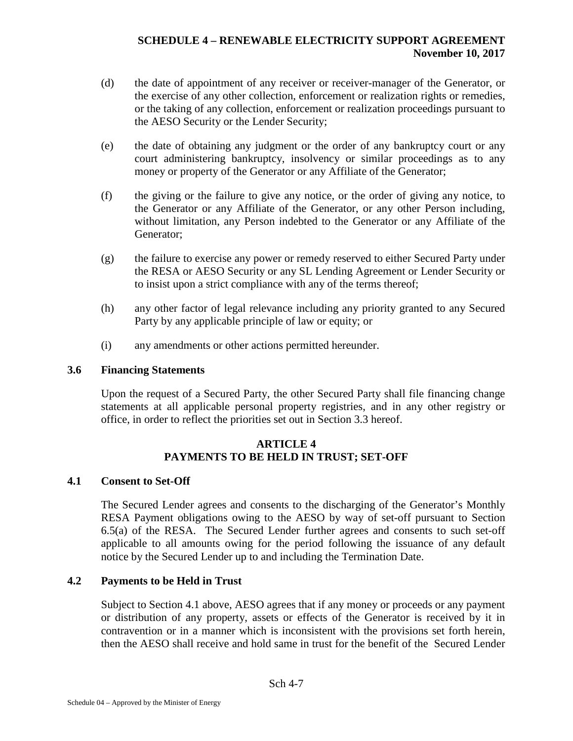- (d) the date of appointment of any receiver or receiver-manager of the Generator, or the exercise of any other collection, enforcement or realization rights or remedies, or the taking of any collection, enforcement or realization proceedings pursuant to the AESO Security or the Lender Security;
- (e) the date of obtaining any judgment or the order of any bankruptcy court or any court administering bankruptcy, insolvency or similar proceedings as to any money or property of the Generator or any Affiliate of the Generator;
- (f) the giving or the failure to give any notice, or the order of giving any notice, to the Generator or any Affiliate of the Generator, or any other Person including, without limitation, any Person indebted to the Generator or any Affiliate of the Generator;
- (g) the failure to exercise any power or remedy reserved to either Secured Party under the RESA or AESO Security or any SL Lending Agreement or Lender Security or to insist upon a strict compliance with any of the terms thereof;
- (h) any other factor of legal relevance including any priority granted to any Secured Party by any applicable principle of law or equity; or
- (i) any amendments or other actions permitted hereunder.

### **3.6 Financing Statements**

Upon the request of a Secured Party, the other Secured Party shall file financing change statements at all applicable personal property registries, and in any other registry or office, in order to reflect the priorities set out in Section 3.3 hereof.

### **ARTICLE 4 PAYMENTS TO BE HELD IN TRUST; SET-OFF**

# <span id="page-141-0"></span>**4.1 Consent to Set-Off**

The Secured Lender agrees and consents to the discharging of the Generator's Monthly RESA Payment obligations owing to the AESO by way of set-off pursuant to Section 6.5(a) of the RESA. The Secured Lender further agrees and consents to such set-off applicable to all amounts owing for the period following the issuance of any default notice by the Secured Lender up to and including the Termination Date.

# **4.2 Payments to be Held in Trust**

Subject to Section [4.1](#page-141-0) above, AESO agrees that if any money or proceeds or any payment or distribution of any property, assets or effects of the Generator is received by it in contravention or in a manner which is inconsistent with the provisions set forth herein, then the AESO shall receive and hold same in trust for the benefit of the Secured Lender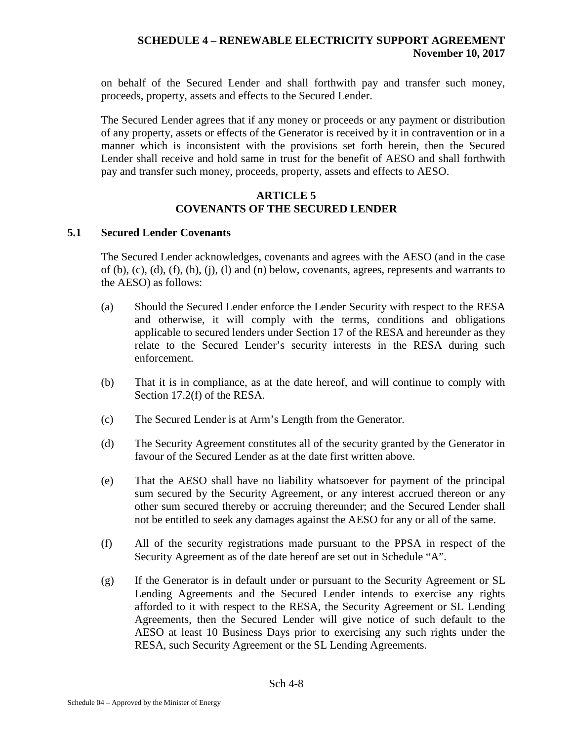on behalf of the Secured Lender and shall forthwith pay and transfer such money, proceeds, property, assets and effects to the Secured Lender.

The Secured Lender agrees that if any money or proceeds or any payment or distribution of any property, assets or effects of the Generator is received by it in contravention or in a manner which is inconsistent with the provisions set forth herein, then the Secured Lender shall receive and hold same in trust for the benefit of AESO and shall forthwith pay and transfer such money, proceeds, property, assets and effects to AESO.

# **ARTICLE 5 COVENANTS OF THE SECURED LENDER**

### **5.1 Secured Lender Covenants**

The Secured Lender acknowledges, covenants and agrees with the AESO (and in the case of  $(b)$ ,  $(c)$ ,  $(d)$ ,  $(f)$ ,  $(h)$ ,  $(i)$ ,  $(l)$  and  $(n)$  below, covenants, agrees, represents and warrants to the AESO) as follows:

- (a) Should the Secured Lender enforce the Lender Security with respect to the RESA and otherwise, it will comply with the terms, conditions and obligations applicable to secured lenders under Section 17 of the RESA and hereunder as they relate to the Secured Lender's security interests in the RESA during such enforcement.
- (b) That it is in compliance, as at the date hereof, and will continue to comply with Section 17.2(f) of the RESA.
- (c) The Secured Lender is at Arm's Length from the Generator.
- (d) The Security Agreement constitutes all of the security granted by the Generator in favour of the Secured Lender as at the date first written above.
- (e) That the AESO shall have no liability whatsoever for payment of the principal sum secured by the Security Agreement, or any interest accrued thereon or any other sum secured thereby or accruing thereunder; and the Secured Lender shall not be entitled to seek any damages against the AESO for any or all of the same.
- (f) All of the security registrations made pursuant to the PPSA in respect of the Security Agreement as of the date hereof are set out in Schedule "A".
- (g) If the Generator is in default under or pursuant to the Security Agreement or SL Lending Agreements and the Secured Lender intends to exercise any rights afforded to it with respect to the RESA, the Security Agreement or SL Lending Agreements, then the Secured Lender will give notice of such default to the AESO at least 10 Business Days prior to exercising any such rights under the RESA, such Security Agreement or the SL Lending Agreements.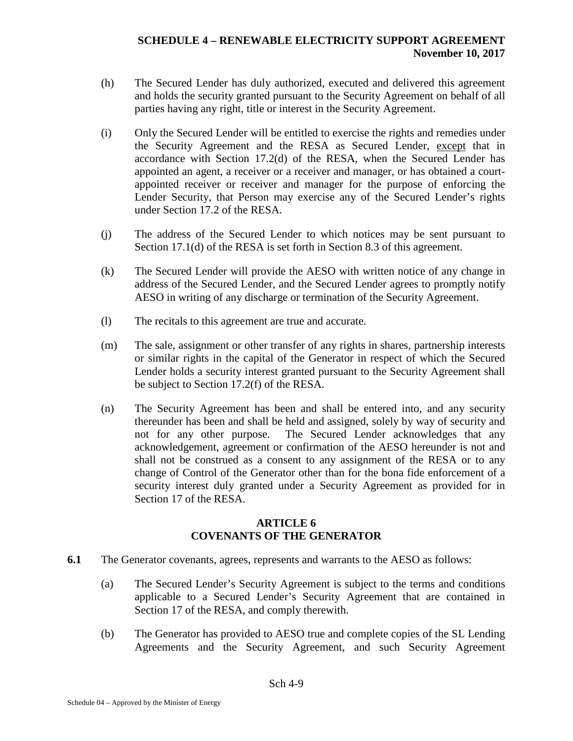- (h) The Secured Lender has duly authorized, executed and delivered this agreement and holds the security granted pursuant to the Security Agreement on behalf of all parties having any right, title or interest in the Security Agreement.
- (i) Only the Secured Lender will be entitled to exercise the rights and remedies under the Security Agreement and the RESA as Secured Lender, except that in accordance with Section 17.2(d) of the RESA, when the Secured Lender has appointed an agent, a receiver or a receiver and manager, or has obtained a courtappointed receiver or receiver and manager for the purpose of enforcing the Lender Security, that Person may exercise any of the Secured Lender's rights under Section 17.2 of the RESA.
- (j) The address of the Secured Lender to which notices may be sent pursuant to Section 17.1(d) of the RESA is set forth in Section [8.3](#page-145-0) of this agreement.
- (k) The Secured Lender will provide the AESO with written notice of any change in address of the Secured Lender, and the Secured Lender agrees to promptly notify AESO in writing of any discharge or termination of the Security Agreement.
- (l) The recitals to this agreement are true and accurate.
- (m) The sale, assignment or other transfer of any rights in shares, partnership interests or similar rights in the capital of the Generator in respect of which the Secured Lender holds a security interest granted pursuant to the Security Agreement shall be subject to Section 17.2(f) of the RESA.
- (n) The Security Agreement has been and shall be entered into, and any security thereunder has been and shall be held and assigned, solely by way of security and not for any other purpose. The Secured Lender acknowledges that any acknowledgement, agreement or confirmation of the AESO hereunder is not and shall not be construed as a consent to any assignment of the RESA or to any change of Control of the Generator other than for the bona fide enforcement of a security interest duly granted under a Security Agreement as provided for in Section 17 of the RESA.

#### **ARTICLE 6 COVENANTS OF THE GENERATOR**

- **6.1** The Generator covenants, agrees, represents and warrants to the AESO as follows:
	- (a) The Secured Lender's Security Agreement is subject to the terms and conditions applicable to a Secured Lender's Security Agreement that are contained in Section 17 of the RESA, and comply therewith.
	- (b) The Generator has provided to AESO true and complete copies of the SL Lending Agreements and the Security Agreement, and such Security Agreement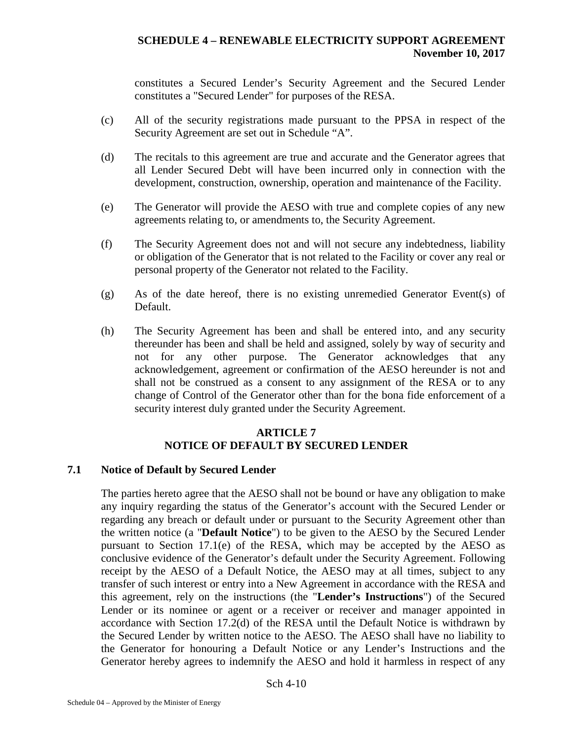constitutes a Secured Lender's Security Agreement and the Secured Lender constitutes a "Secured Lender" for purposes of the RESA.

- (c) All of the security registrations made pursuant to the PPSA in respect of the Security Agreement are set out in Schedule "A".
- (d) The recitals to this agreement are true and accurate and the Generator agrees that all Lender Secured Debt will have been incurred only in connection with the development, construction, ownership, operation and maintenance of the Facility.
- (e) The Generator will provide the AESO with true and complete copies of any new agreements relating to, or amendments to, the Security Agreement.
- (f) The Security Agreement does not and will not secure any indebtedness, liability or obligation of the Generator that is not related to the Facility or cover any real or personal property of the Generator not related to the Facility.
- (g) As of the date hereof, there is no existing unremedied Generator Event(s) of Default.
- (h) The Security Agreement has been and shall be entered into, and any security thereunder has been and shall be held and assigned, solely by way of security and not for any other purpose. The Generator acknowledges that any acknowledgement, agreement or confirmation of the AESO hereunder is not and shall not be construed as a consent to any assignment of the RESA or to any change of Control of the Generator other than for the bona fide enforcement of a security interest duly granted under the Security Agreement.

#### **ARTICLE 7 NOTICE OF DEFAULT BY SECURED LENDER**

#### **7.1 Notice of Default by Secured Lender**

The parties hereto agree that the AESO shall not be bound or have any obligation to make any inquiry regarding the status of the Generator's account with the Secured Lender or regarding any breach or default under or pursuant to the Security Agreement other than the written notice (a "**Default Notice**") to be given to the AESO by the Secured Lender pursuant to Section 17.1(e) of the RESA, which may be accepted by the AESO as conclusive evidence of the Generator's default under the Security Agreement. Following receipt by the AESO of a Default Notice, the AESO may at all times, subject to any transfer of such interest or entry into a New Agreement in accordance with the RESA and this agreement, rely on the instructions (the "**Lender's Instructions**") of the Secured Lender or its nominee or agent or a receiver or receiver and manager appointed in accordance with Section 17.2(d) of the RESA until the Default Notice is withdrawn by the Secured Lender by written notice to the AESO. The AESO shall have no liability to the Generator for honouring a Default Notice or any Lender's Instructions and the Generator hereby agrees to indemnify the AESO and hold it harmless in respect of any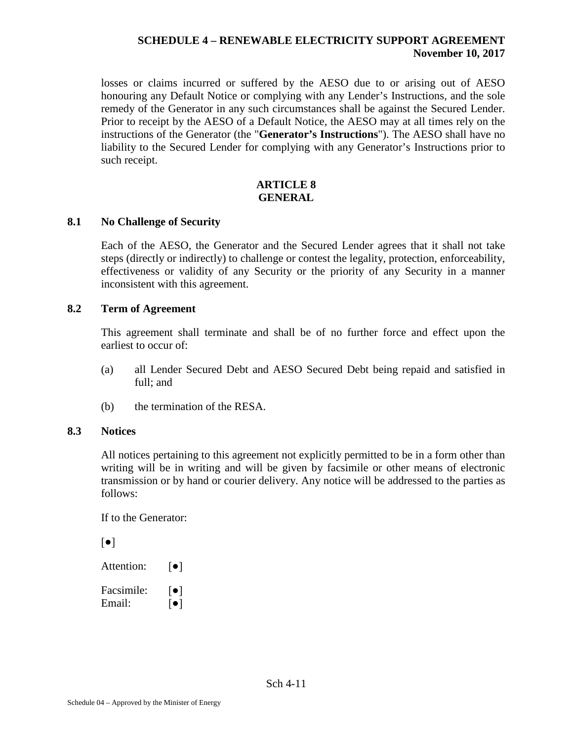losses or claims incurred or suffered by the AESO due to or arising out of AESO honouring any Default Notice or complying with any Lender's Instructions, and the sole remedy of the Generator in any such circumstances shall be against the Secured Lender. Prior to receipt by the AESO of a Default Notice, the AESO may at all times rely on the instructions of the Generator (the "**Generator's Instructions**"). The AESO shall have no liability to the Secured Lender for complying with any Generator's Instructions prior to such receipt.

#### **ARTICLE 8 GENERAL**

#### **8.1 No Challenge of Security**

Each of the AESO, the Generator and the Secured Lender agrees that it shall not take steps (directly or indirectly) to challenge or contest the legality, protection, enforceability, effectiveness or validity of any Security or the priority of any Security in a manner inconsistent with this agreement.

#### **8.2 Term of Agreement**

This agreement shall terminate and shall be of no further force and effect upon the earliest to occur of:

- (a) all Lender Secured Debt and AESO Secured Debt being repaid and satisfied in full; and
- (b) the termination of the RESA.

#### **8.3 Notices**

All notices pertaining to this agreement not explicitly permitted to be in a form other than writing will be in writing and will be given by facsimile or other means of electronic transmission or by hand or courier delivery. Any notice will be addressed to the parties as follows:

If to the Generator:

| $\lceil \bullet \rceil$ |                                                    |
|-------------------------|----------------------------------------------------|
| Attention:              | $\lceil \bullet \rceil$                            |
| Facsimile:<br>Email:    | $\lceil \bullet \rceil$<br>$\lceil \bullet \rceil$ |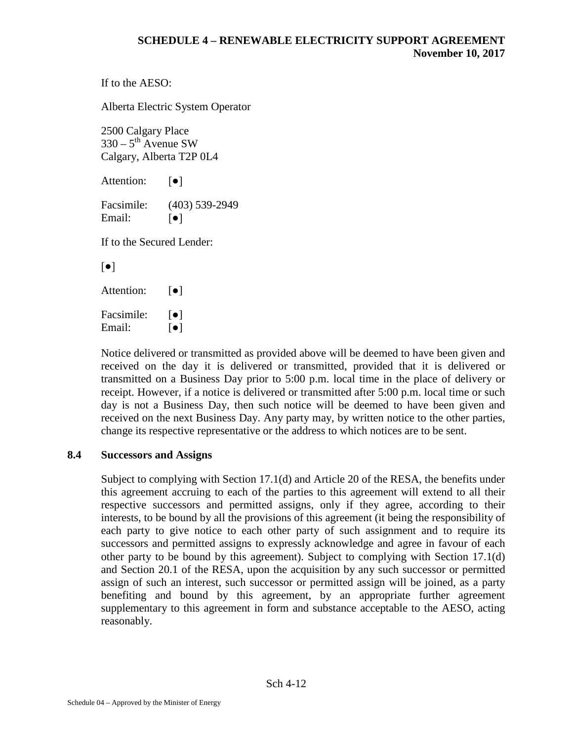```
If to the AESO:
```
Alberta Electric System Operator

2500 Calgary Place  $330 - 5$ <sup>th</sup> Avenue SW Calgary, Alberta T2P 0L4

Attention: **[●]** 

Facsimile: (403) 539-2949 Email:  $\lceil \bullet \rceil$ 

If to the Secured Lender:

[●]

Attention: **[●]** 

Facsimile:  $\lceil \bullet \rceil$ Email:  $\lceil \bullet \rceil$ 

Notice delivered or transmitted as provided above will be deemed to have been given and received on the day it is delivered or transmitted, provided that it is delivered or transmitted on a Business Day prior to 5:00 p.m. local time in the place of delivery or receipt. However, if a notice is delivered or transmitted after 5:00 p.m. local time or such day is not a Business Day, then such notice will be deemed to have been given and received on the next Business Day. Any party may, by written notice to the other parties, change its respective representative or the address to which notices are to be sent.

#### **8.4 Successors and Assigns**

Subject to complying with Section 17.1(d) and Article 20 of the RESA, the benefits under this agreement accruing to each of the parties to this agreement will extend to all their respective successors and permitted assigns, only if they agree, according to their interests, to be bound by all the provisions of this agreement (it being the responsibility of each party to give notice to each other party of such assignment and to require its successors and permitted assigns to expressly acknowledge and agree in favour of each other party to be bound by this agreement). Subject to complying with Section 17.1(d) and Section 20.1 of the RESA, upon the acquisition by any such successor or permitted assign of such an interest, such successor or permitted assign will be joined, as a party benefiting and bound by this agreement, by an appropriate further agreement supplementary to this agreement in form and substance acceptable to the AESO, acting reasonably.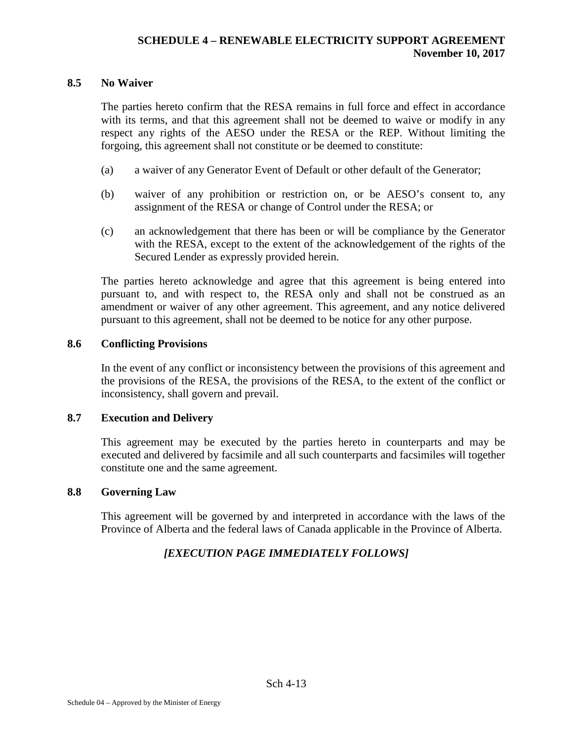#### **8.5 No Waiver**

The parties hereto confirm that the RESA remains in full force and effect in accordance with its terms, and that this agreement shall not be deemed to waive or modify in any respect any rights of the AESO under the RESA or the REP. Without limiting the forgoing, this agreement shall not constitute or be deemed to constitute:

- (a) a waiver of any Generator Event of Default or other default of the Generator;
- (b) waiver of any prohibition or restriction on, or be AESO's consent to, any assignment of the RESA or change of Control under the RESA; or
- (c) an acknowledgement that there has been or will be compliance by the Generator with the RESA, except to the extent of the acknowledgement of the rights of the Secured Lender as expressly provided herein.

The parties hereto acknowledge and agree that this agreement is being entered into pursuant to, and with respect to, the RESA only and shall not be construed as an amendment or waiver of any other agreement. This agreement, and any notice delivered pursuant to this agreement, shall not be deemed to be notice for any other purpose.

#### **8.6 Conflicting Provisions**

In the event of any conflict or inconsistency between the provisions of this agreement and the provisions of the RESA, the provisions of the RESA, to the extent of the conflict or inconsistency, shall govern and prevail.

#### **8.7 Execution and Delivery**

This agreement may be executed by the parties hereto in counterparts and may be executed and delivered by facsimile and all such counterparts and facsimiles will together constitute one and the same agreement.

#### **8.8 Governing Law**

This agreement will be governed by and interpreted in accordance with the laws of the Province of Alberta and the federal laws of Canada applicable in the Province of Alberta.

## *[EXECUTION PAGE IMMEDIATELY FOLLOWS]*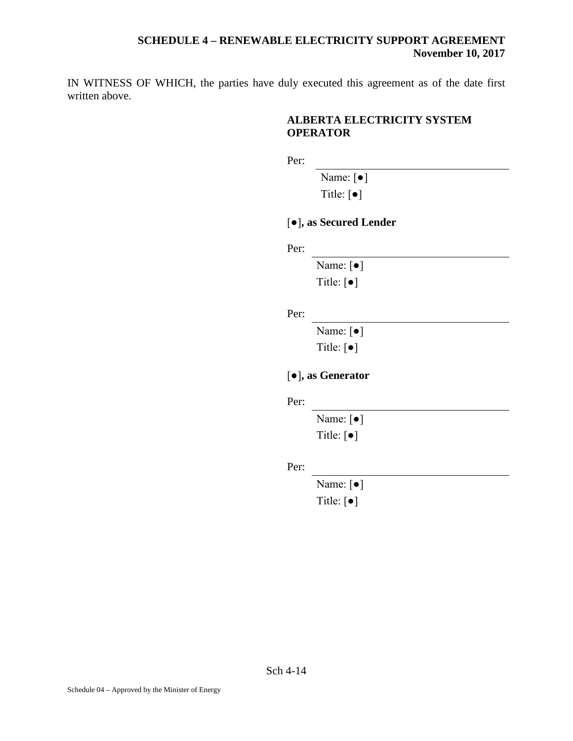IN WITNESS OF WHICH, the parties have duly executed this agreement as of the date first written above.

## **ALBERTA ELECTRICITY SYSTEM OPERATOR**

Per:

Name: [●]

Title: [●]

[●]**, as Secured Lender**

Per:

Name: [●] Title: [●]

Per:

Name: [●] Title: [●]

## [●]**, as Generator**

Per:

Name: [●]

Title: [●]

Per:

Name: [●]

Title: [●]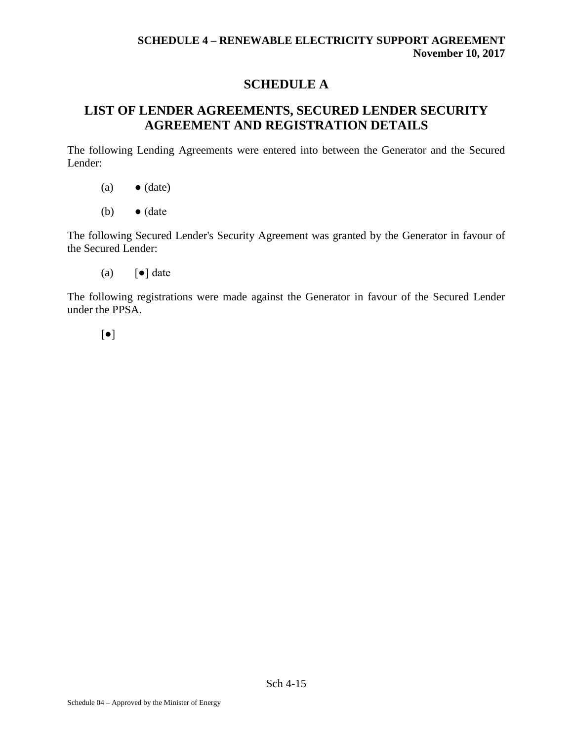## **SCHEDULE A**

## **LIST OF LENDER AGREEMENTS, SECURED LENDER SECURITY AGREEMENT AND REGISTRATION DETAILS**

The following Lending Agreements were entered into between the Generator and the Secured Lender:

- $(a) \qquad \bullet$  (date)
- (b)  $\bullet$  (date

The following Secured Lender's Security Agreement was granted by the Generator in favour of the Secured Lender:

(a)  $\lceil \bullet \rceil$  date

The following registrations were made against the Generator in favour of the Secured Lender under the PPSA.

[●]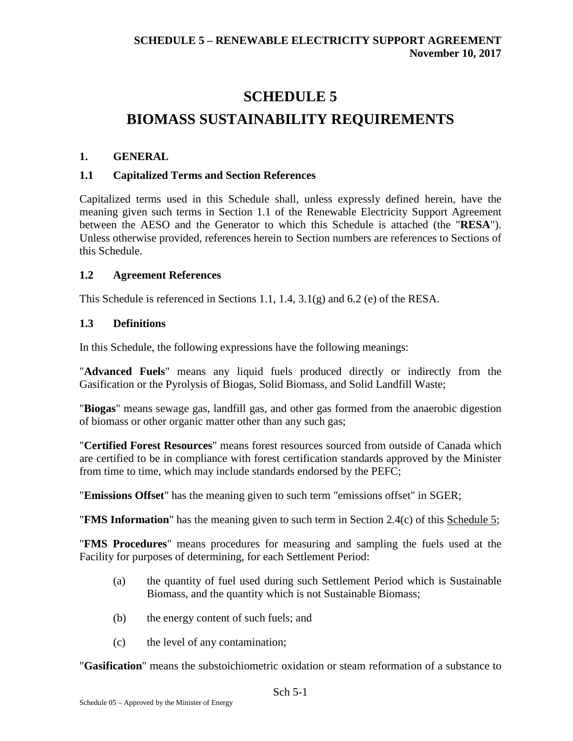# **SCHEDULE 5 BIOMASS SUSTAINABILITY REQUIREMENTS**

## **1. GENERAL**

## **1.1 Capitalized Terms and Section References**

Capitalized terms used in this Schedule shall, unless expressly defined herein, have the meaning given such terms in Section 1.1 of the Renewable Electricity Support Agreement between the AESO and the Generator to which this Schedule is attached (the "**RESA**"). Unless otherwise provided, references herein to Section numbers are references to Sections of this Schedule.

#### **1.2 Agreement References**

This Schedule is referenced in Sections 1.1, 1.4, 3.1(g) and 6.2 (e) of the RESA.

#### **1.3 Definitions**

In this Schedule, the following expressions have the following meanings:

"**Advanced Fuels**" means any liquid fuels produced directly or indirectly from the Gasification or the Pyrolysis of Biogas, Solid Biomass, and Solid Landfill Waste;

"**Biogas**" means sewage gas, landfill gas, and other gas formed from the anaerobic digestion of biomass or other organic matter other than any such gas;

"**Certified Forest Resources**" means forest resources sourced from outside of Canada which are certified to be in compliance with forest certification standards approved by the Minister from time to time, which may include standards endorsed by the PEFC;

"**Emissions Offset**" has the meaning given to such term "emissions offset" in SGER;

"**FMS Information**" has the meaning given to such term in Section 2.4(c) of this Schedule 5;

"**FMS Procedures**" means procedures for measuring and sampling the fuels used at the Facility for purposes of determining, for each Settlement Period:

- (a) the quantity of fuel used during such Settlement Period which is Sustainable Biomass, and the quantity which is not Sustainable Biomass;
- (b) the energy content of such fuels; and
- (c) the level of any contamination;

"**Gasification**" means the substoichiometric oxidation or steam reformation of a substance to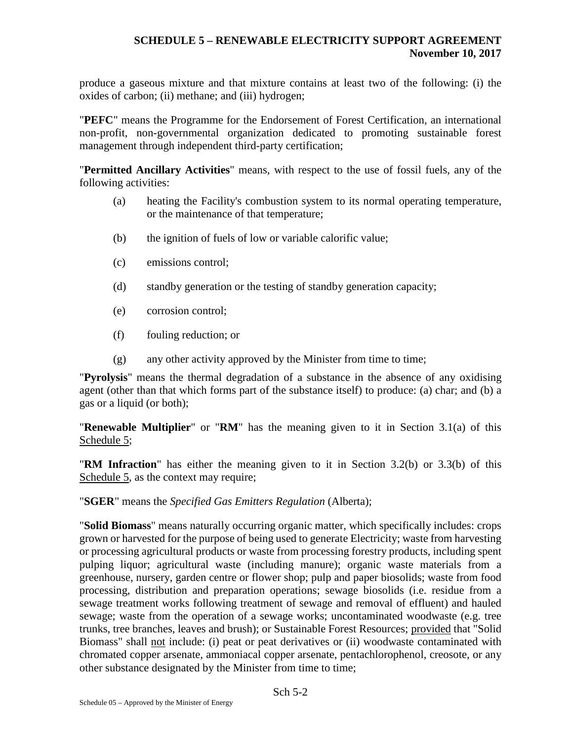produce a gaseous mixture and that mixture contains at least two of the following: (i) the oxides of carbon; (ii) methane; and (iii) hydrogen;

"**PEFC**" means the Programme for the Endorsement of Forest Certification, an international non-profit, non-governmental organization dedicated to promoting sustainable forest management through independent third-party certification;

"**Permitted Ancillary Activities**" means, with respect to the use of fossil fuels, any of the following activities:

- (a) heating the Facility's combustion system to its normal operating temperature, or the maintenance of that temperature;
- (b) the ignition of fuels of low or variable calorific value;
- (c) emissions control;
- (d) standby generation or the testing of standby generation capacity;
- (e) corrosion control;
- (f) fouling reduction; or
- (g) any other activity approved by the Minister from time to time;

"**Pyrolysis**" means the thermal degradation of a substance in the absence of any oxidising agent (other than that which forms part of the substance itself) to produce: (a) char; and (b) a gas or a liquid (or both);

"**Renewable Multiplier**" or "**RM**" has the meaning given to it in Section 3.1(a) of this Schedule 5:

"**RM Infraction**" has either the meaning given to it in Section 3.2(b) or 3.3(b) of this Schedule 5, as the context may require;

"**SGER**" means the *Specified Gas Emitters Regulation* (Alberta);

"**Solid Biomass**" means naturally occurring organic matter, which specifically includes: crops grown or harvested for the purpose of being used to generate Electricity; waste from harvesting or processing agricultural products or waste from processing forestry products, including spent pulping liquor; agricultural waste (including manure); organic waste materials from a greenhouse, nursery, garden centre or flower shop; pulp and paper biosolids; waste from food processing, distribution and preparation operations; sewage biosolids (i.e. residue from a sewage treatment works following treatment of sewage and removal of effluent) and hauled sewage; waste from the operation of a sewage works; uncontaminated woodwaste (e.g. tree trunks, tree branches, leaves and brush); or Sustainable Forest Resources; provided that "Solid Biomass" shall not include: (i) peat or peat derivatives or (ii) woodwaste contaminated with chromated copper arsenate, ammoniacal copper arsenate, pentachlorophenol, creosote, or any other substance designated by the Minister from time to time;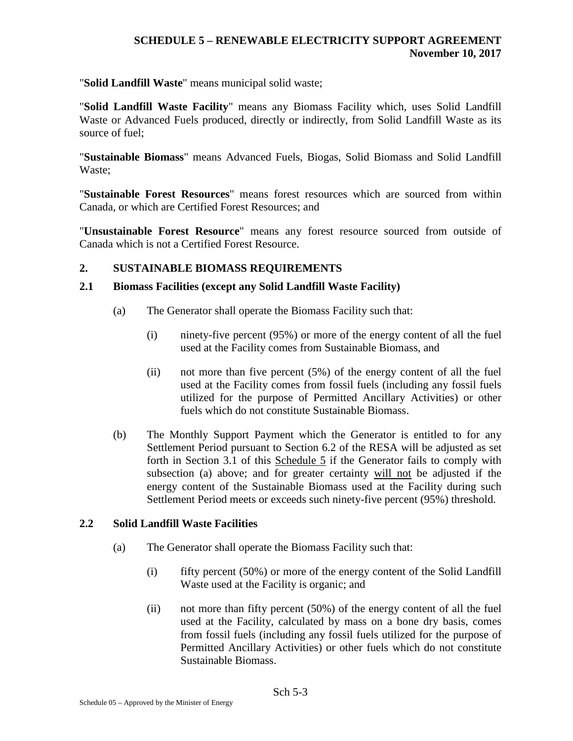"**Solid Landfill Waste**" means municipal solid waste;

"**Solid Landfill Waste Facility**" means any Biomass Facility which, uses Solid Landfill Waste or Advanced Fuels produced, directly or indirectly, from Solid Landfill Waste as its source of fuel;

"**Sustainable Biomass**" means Advanced Fuels, Biogas, Solid Biomass and Solid Landfill Waste;

"**Sustainable Forest Resources**" means forest resources which are sourced from within Canada, or which are Certified Forest Resources; and

"**Unsustainable Forest Resource**" means any forest resource sourced from outside of Canada which is not a Certified Forest Resource.

## **2. SUSTAINABLE BIOMASS REQUIREMENTS**

#### **2.1 Biomass Facilities (except any Solid Landfill Waste Facility)**

- (a) The Generator shall operate the Biomass Facility such that:
	- (i) ninety-five percent (95%) or more of the energy content of all the fuel used at the Facility comes from Sustainable Biomass, and
	- (ii) not more than five percent (5%) of the energy content of all the fuel used at the Facility comes from fossil fuels (including any fossil fuels utilized for the purpose of Permitted Ancillary Activities) or other fuels which do not constitute Sustainable Biomass.
- (b) The Monthly Support Payment which the Generator is entitled to for any Settlement Period pursuant to Section 6.2 of the RESA will be adjusted as set forth in Section 3.1 of this Schedule 5 if the Generator fails to comply with subsection (a) above; and for greater certainty will not be adjusted if the energy content of the Sustainable Biomass used at the Facility during such Settlement Period meets or exceeds such ninety-five percent (95%) threshold.

## **2.2 Solid Landfill Waste Facilities**

- (a) The Generator shall operate the Biomass Facility such that:
	- $(i)$  fifty percent (50%) or more of the energy content of the Solid Landfill Waste used at the Facility is organic; and
	- (ii) not more than fifty percent (50%) of the energy content of all the fuel used at the Facility, calculated by mass on a bone dry basis, comes from fossil fuels (including any fossil fuels utilized for the purpose of Permitted Ancillary Activities) or other fuels which do not constitute Sustainable Biomass.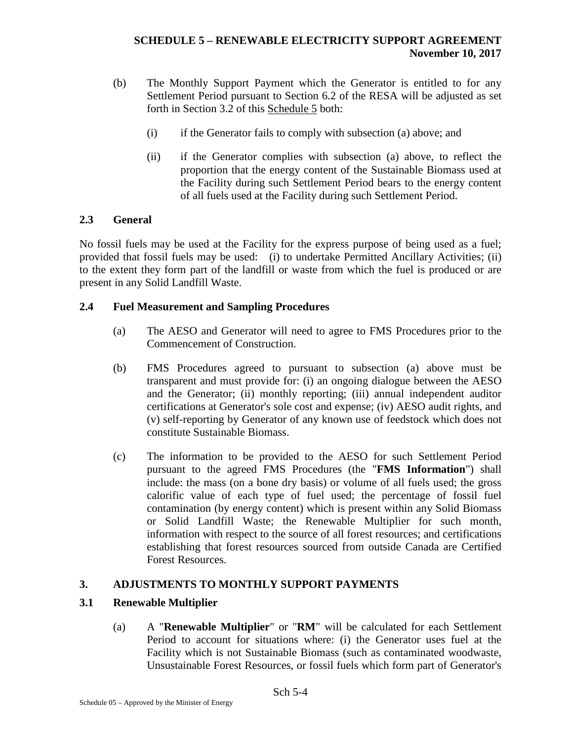- (b) The Monthly Support Payment which the Generator is entitled to for any Settlement Period pursuant to Section 6.2 of the RESA will be adjusted as set forth in Section 3.2 of this Schedule 5 both:
	- (i) if the Generator fails to comply with subsection (a) above; and
	- (ii) if the Generator complies with subsection (a) above, to reflect the proportion that the energy content of the Sustainable Biomass used at the Facility during such Settlement Period bears to the energy content of all fuels used at the Facility during such Settlement Period.

## **2.3 General**

No fossil fuels may be used at the Facility for the express purpose of being used as a fuel; provided that fossil fuels may be used: (i) to undertake Permitted Ancillary Activities; (ii) to the extent they form part of the landfill or waste from which the fuel is produced or are present in any Solid Landfill Waste.

## **2.4 Fuel Measurement and Sampling Procedures**

- (a) The AESO and Generator will need to agree to FMS Procedures prior to the Commencement of Construction.
- (b) FMS Procedures agreed to pursuant to subsection (a) above must be transparent and must provide for: (i) an ongoing dialogue between the AESO and the Generator; (ii) monthly reporting; (iii) annual independent auditor certifications at Generator's sole cost and expense; (iv) AESO audit rights, and (v) self-reporting by Generator of any known use of feedstock which does not constitute Sustainable Biomass.
- (c) The information to be provided to the AESO for such Settlement Period pursuant to the agreed FMS Procedures (the "**FMS Information**") shall include: the mass (on a bone dry basis) or volume of all fuels used; the gross calorific value of each type of fuel used; the percentage of fossil fuel contamination (by energy content) which is present within any Solid Biomass or Solid Landfill Waste; the Renewable Multiplier for such month, information with respect to the source of all forest resources; and certifications establishing that forest resources sourced from outside Canada are Certified Forest Resources.

## **3. ADJUSTMENTS TO MONTHLY SUPPORT PAYMENTS**

## **3.1 Renewable Multiplier**

(a) A "**Renewable Multiplier**" or "**RM**" will be calculated for each Settlement Period to account for situations where: (i) the Generator uses fuel at the Facility which is not Sustainable Biomass (such as contaminated woodwaste, Unsustainable Forest Resources, or fossil fuels which form part of Generator's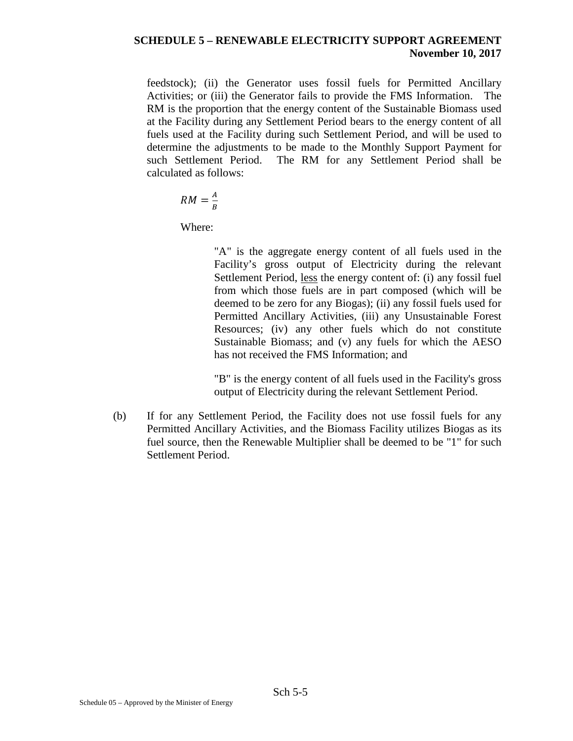feedstock); (ii) the Generator uses fossil fuels for Permitted Ancillary Activities; or (iii) the Generator fails to provide the FMS Information. The RM is the proportion that the energy content of the Sustainable Biomass used at the Facility during any Settlement Period bears to the energy content of all fuels used at the Facility during such Settlement Period, and will be used to determine the adjustments to be made to the Monthly Support Payment for such Settlement Period. The RM for any Settlement Period shall be calculated as follows:

$$
RM = \frac{A}{B}
$$

Where:

"A" is the aggregate energy content of all fuels used in the Facility's gross output of Electricity during the relevant Settlement Period, less the energy content of: (i) any fossil fuel from which those fuels are in part composed (which will be deemed to be zero for any Biogas); (ii) any fossil fuels used for Permitted Ancillary Activities, (iii) any Unsustainable Forest Resources; (iv) any other fuels which do not constitute Sustainable Biomass; and (v) any fuels for which the AESO has not received the FMS Information; and

"B" is the energy content of all fuels used in the Facility's gross output of Electricity during the relevant Settlement Period.

(b) If for any Settlement Period, the Facility does not use fossil fuels for any Permitted Ancillary Activities, and the Biomass Facility utilizes Biogas as its fuel source, then the Renewable Multiplier shall be deemed to be "1" for such Settlement Period.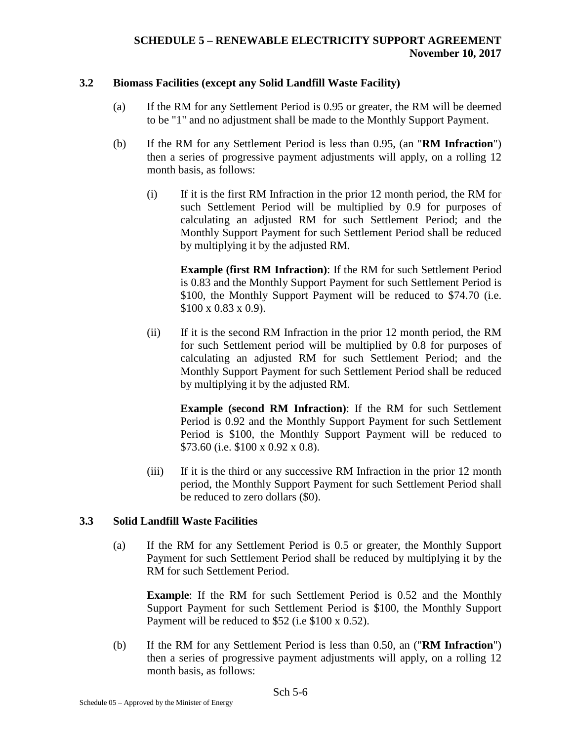#### **3.2 Biomass Facilities (except any Solid Landfill Waste Facility)**

- (a) If the RM for any Settlement Period is 0.95 or greater, the RM will be deemed to be "1" and no adjustment shall be made to the Monthly Support Payment.
- (b) If the RM for any Settlement Period is less than 0.95, (an "**RM Infraction**") then a series of progressive payment adjustments will apply, on a rolling 12 month basis, as follows:
	- (i) If it is the first RM Infraction in the prior 12 month period, the RM for such Settlement Period will be multiplied by 0.9 for purposes of calculating an adjusted RM for such Settlement Period; and the Monthly Support Payment for such Settlement Period shall be reduced by multiplying it by the adjusted RM.

**Example (first RM Infraction)**: If the RM for such Settlement Period is 0.83 and the Monthly Support Payment for such Settlement Period is \$100, the Monthly Support Payment will be reduced to \$74.70 (i.e. \$100 x 0.83 x 0.9).

(ii) If it is the second RM Infraction in the prior 12 month period, the RM for such Settlement period will be multiplied by 0.8 for purposes of calculating an adjusted RM for such Settlement Period; and the Monthly Support Payment for such Settlement Period shall be reduced by multiplying it by the adjusted RM.

**Example (second RM Infraction)**: If the RM for such Settlement Period is 0.92 and the Monthly Support Payment for such Settlement Period is \$100, the Monthly Support Payment will be reduced to \$73.60 (i.e. \$100 x 0.92 x 0.8).

(iii) If it is the third or any successive RM Infraction in the prior 12 month period, the Monthly Support Payment for such Settlement Period shall be reduced to zero dollars (\$0).

## **3.3 Solid Landfill Waste Facilities**

(a) If the RM for any Settlement Period is 0.5 or greater, the Monthly Support Payment for such Settlement Period shall be reduced by multiplying it by the RM for such Settlement Period.

**Example**: If the RM for such Settlement Period is 0.52 and the Monthly Support Payment for such Settlement Period is \$100, the Monthly Support Payment will be reduced to \$52 (i.e \$100 x 0.52).

(b) If the RM for any Settlement Period is less than 0.50, an ("**RM Infraction**") then a series of progressive payment adjustments will apply, on a rolling 12 month basis, as follows: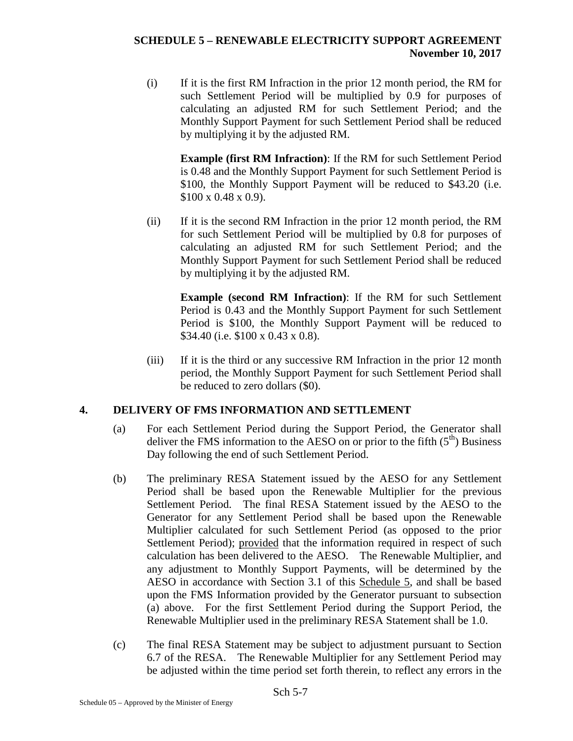(i) If it is the first RM Infraction in the prior 12 month period, the RM for such Settlement Period will be multiplied by 0.9 for purposes of calculating an adjusted RM for such Settlement Period; and the Monthly Support Payment for such Settlement Period shall be reduced by multiplying it by the adjusted RM.

**Example (first RM Infraction)**: If the RM for such Settlement Period is 0.48 and the Monthly Support Payment for such Settlement Period is \$100, the Monthly Support Payment will be reduced to \$43.20 (i.e. \$100 x 0.48 x 0.9).

(ii) If it is the second RM Infraction in the prior 12 month period, the RM for such Settlement Period will be multiplied by 0.8 for purposes of calculating an adjusted RM for such Settlement Period; and the Monthly Support Payment for such Settlement Period shall be reduced by multiplying it by the adjusted RM.

**Example (second RM Infraction)**: If the RM for such Settlement Period is 0.43 and the Monthly Support Payment for such Settlement Period is \$100, the Monthly Support Payment will be reduced to \$34.40 (i.e. \$100 x 0.43 x 0.8).

(iii) If it is the third or any successive RM Infraction in the prior 12 month period, the Monthly Support Payment for such Settlement Period shall be reduced to zero dollars (\$0).

## **4. DELIVERY OF FMS INFORMATION AND SETTLEMENT**

- (a) For each Settlement Period during the Support Period, the Generator shall deliver the FMS information to the AESO on or prior to the fifth  $(5<sup>th</sup>)$  Business Day following the end of such Settlement Period.
- (b) The preliminary RESA Statement issued by the AESO for any Settlement Period shall be based upon the Renewable Multiplier for the previous Settlement Period. The final RESA Statement issued by the AESO to the Generator for any Settlement Period shall be based upon the Renewable Multiplier calculated for such Settlement Period (as opposed to the prior Settlement Period); provided that the information required in respect of such calculation has been delivered to the AESO. The Renewable Multiplier, and any adjustment to Monthly Support Payments, will be determined by the AESO in accordance with Section 3.1 of this Schedule 5, and shall be based upon the FMS Information provided by the Generator pursuant to subsection (a) above. For the first Settlement Period during the Support Period, the Renewable Multiplier used in the preliminary RESA Statement shall be 1.0.
- (c) The final RESA Statement may be subject to adjustment pursuant to Section 6.7 of the RESA. The Renewable Multiplier for any Settlement Period may be adjusted within the time period set forth therein, to reflect any errors in the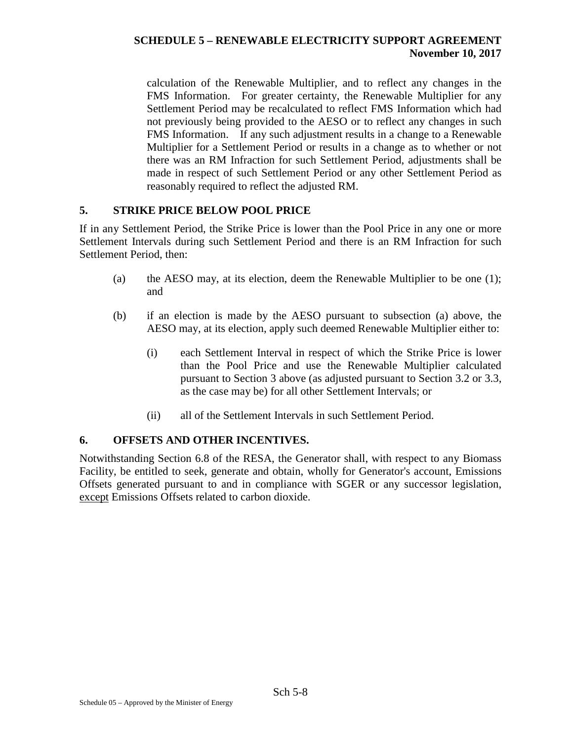calculation of the Renewable Multiplier, and to reflect any changes in the FMS Information. For greater certainty, the Renewable Multiplier for any Settlement Period may be recalculated to reflect FMS Information which had not previously being provided to the AESO or to reflect any changes in such FMS Information. If any such adjustment results in a change to a Renewable Multiplier for a Settlement Period or results in a change as to whether or not there was an RM Infraction for such Settlement Period, adjustments shall be made in respect of such Settlement Period or any other Settlement Period as reasonably required to reflect the adjusted RM.

## **5. STRIKE PRICE BELOW POOL PRICE**

If in any Settlement Period, the Strike Price is lower than the Pool Price in any one or more Settlement Intervals during such Settlement Period and there is an RM Infraction for such Settlement Period, then:

- (a) the AESO may, at its election, deem the Renewable Multiplier to be one (1); and
- (b) if an election is made by the AESO pursuant to subsection (a) above, the AESO may, at its election, apply such deemed Renewable Multiplier either to:
	- (i) each Settlement Interval in respect of which the Strike Price is lower than the Pool Price and use the Renewable Multiplier calculated pursuant to Section 3 above (as adjusted pursuant to Section 3.2 or 3.3, as the case may be) for all other Settlement Intervals; or
	- (ii) all of the Settlement Intervals in such Settlement Period.

## **6. OFFSETS AND OTHER INCENTIVES.**

Notwithstanding Section 6.8 of the RESA, the Generator shall, with respect to any Biomass Facility, be entitled to seek, generate and obtain, wholly for Generator's account, Emissions Offsets generated pursuant to and in compliance with SGER or any successor legislation, except Emissions Offsets related to carbon dioxide.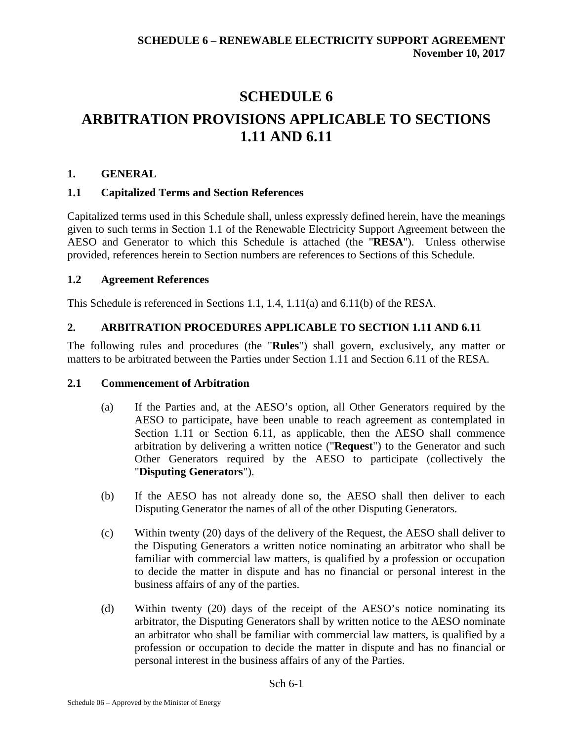# **SCHEDULE 6 ARBITRATION PROVISIONS APPLICABLE TO SECTIONS 1.11 AND 6.11**

## **1. GENERAL**

## **1.1 Capitalized Terms and Section References**

Capitalized terms used in this Schedule shall, unless expressly defined herein, have the meanings given to such terms in Section 1.1 of the Renewable Electricity Support Agreement between the AESO and Generator to which this Schedule is attached (the "**RESA**"). Unless otherwise provided, references herein to Section numbers are references to Sections of this Schedule.

## **1.2 Agreement References**

This Schedule is referenced in Sections 1.1, 1.4, 1.11(a) and 6.11(b) of the RESA.

## **2. ARBITRATION PROCEDURES APPLICABLE TO SECTION 1.11 AND 6.11**

The following rules and procedures (the "**Rules**") shall govern, exclusively, any matter or matters to be arbitrated between the Parties under Section 1.11 and Section 6.11 of the RESA.

## **2.1 Commencement of Arbitration**

- (a) If the Parties and, at the AESO's option, all Other Generators required by the AESO to participate, have been unable to reach agreement as contemplated in Section 1.11 or Section 6.11, as applicable, then the AESO shall commence arbitration by delivering a written notice ("**Request**") to the Generator and such Other Generators required by the AESO to participate (collectively the "**Disputing Generators**").
- (b) If the AESO has not already done so, the AESO shall then deliver to each Disputing Generator the names of all of the other Disputing Generators.
- (c) Within twenty (20) days of the delivery of the Request, the AESO shall deliver to the Disputing Generators a written notice nominating an arbitrator who shall be familiar with commercial law matters, is qualified by a profession or occupation to decide the matter in dispute and has no financial or personal interest in the business affairs of any of the parties.
- (d) Within twenty (20) days of the receipt of the AESO's notice nominating its arbitrator, the Disputing Generators shall by written notice to the AESO nominate an arbitrator who shall be familiar with commercial law matters, is qualified by a profession or occupation to decide the matter in dispute and has no financial or personal interest in the business affairs of any of the Parties.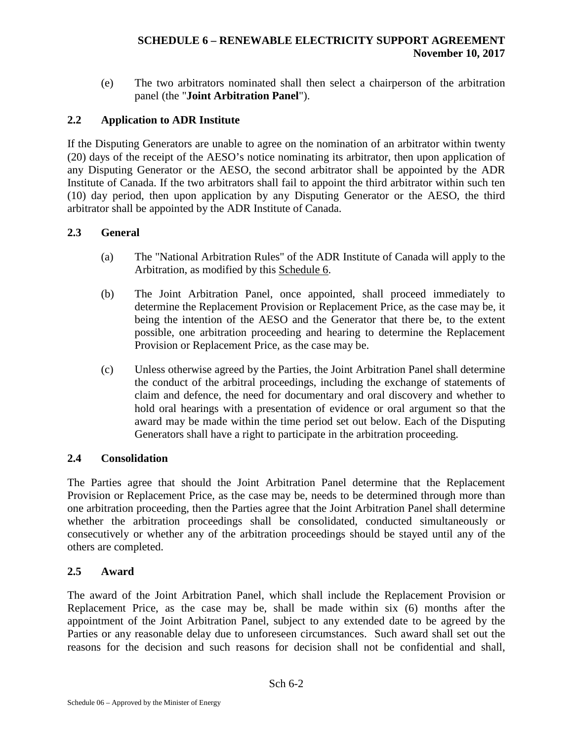(e) The two arbitrators nominated shall then select a chairperson of the arbitration panel (the "**Joint Arbitration Panel**").

## **2.2 Application to ADR Institute**

If the Disputing Generators are unable to agree on the nomination of an arbitrator within twenty (20) days of the receipt of the AESO's notice nominating its arbitrator, then upon application of any Disputing Generator or the AESO, the second arbitrator shall be appointed by the ADR Institute of Canada. If the two arbitrators shall fail to appoint the third arbitrator within such ten (10) day period, then upon application by any Disputing Generator or the AESO, the third arbitrator shall be appointed by the ADR Institute of Canada.

## **2.3 General**

- (a) The "National Arbitration Rules" of the ADR Institute of Canada will apply to the Arbitration, as modified by this Schedule 6.
- (b) The Joint Arbitration Panel, once appointed, shall proceed immediately to determine the Replacement Provision or Replacement Price, as the case may be, it being the intention of the AESO and the Generator that there be, to the extent possible, one arbitration proceeding and hearing to determine the Replacement Provision or Replacement Price, as the case may be.
- (c) Unless otherwise agreed by the Parties, the Joint Arbitration Panel shall determine the conduct of the arbitral proceedings, including the exchange of statements of claim and defence, the need for documentary and oral discovery and whether to hold oral hearings with a presentation of evidence or oral argument so that the award may be made within the time period set out below. Each of the Disputing Generators shall have a right to participate in the arbitration proceeding.

## **2.4 Consolidation**

The Parties agree that should the Joint Arbitration Panel determine that the Replacement Provision or Replacement Price, as the case may be, needs to be determined through more than one arbitration proceeding, then the Parties agree that the Joint Arbitration Panel shall determine whether the arbitration proceedings shall be consolidated, conducted simultaneously or consecutively or whether any of the arbitration proceedings should be stayed until any of the others are completed.

## **2.5 Award**

The award of the Joint Arbitration Panel, which shall include the Replacement Provision or Replacement Price, as the case may be, shall be made within six (6) months after the appointment of the Joint Arbitration Panel, subject to any extended date to be agreed by the Parties or any reasonable delay due to unforeseen circumstances. Such award shall set out the reasons for the decision and such reasons for decision shall not be confidential and shall,